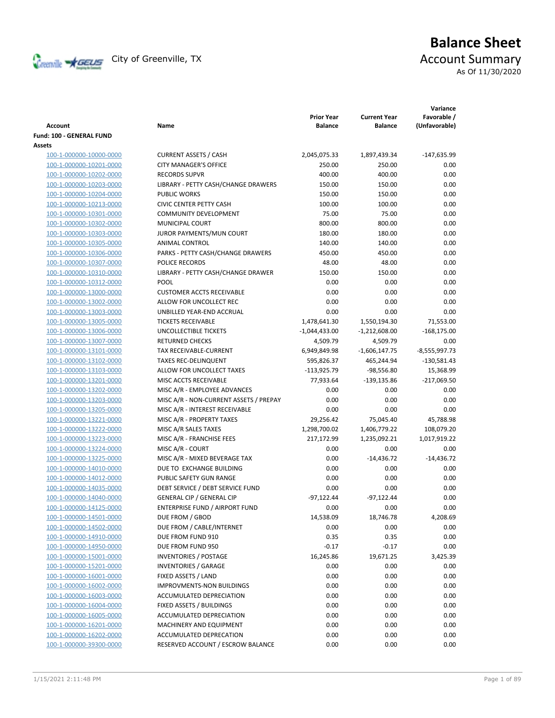

# **Balance Sheet** Creenville Strategy City of Greenville, TX Account Summary

As Of 11/30/2020

| <b>Account</b>           | Name                                   | <b>Prior Year</b><br><b>Balance</b> | <b>Current Year</b><br><b>Balance</b> | Variance<br>Favorable /<br>(Unfavorable) |
|--------------------------|----------------------------------------|-------------------------------------|---------------------------------------|------------------------------------------|
| Fund: 100 - GENERAL FUND |                                        |                                     |                                       |                                          |
| Assets                   |                                        |                                     |                                       |                                          |
| 100-1-000000-10000-0000  | <b>CURRENT ASSETS / CASH</b>           | 2,045,075.33                        | 1,897,439.34                          | $-147,635.99$                            |
| 100-1-000000-10201-0000  | <b>CITY MANAGER'S OFFICE</b>           | 250.00                              | 250.00                                | 0.00                                     |
| 100-1-000000-10202-0000  | <b>RECORDS SUPVR</b>                   | 400.00                              | 400.00                                | 0.00                                     |
| 100-1-000000-10203-0000  | LIBRARY - PETTY CASH/CHANGE DRAWERS    | 150.00                              | 150.00                                | 0.00                                     |
| 100-1-000000-10204-0000  | <b>PUBLIC WORKS</b>                    | 150.00                              | 150.00                                | 0.00                                     |
| 100-1-000000-10213-0000  | <b>CIVIC CENTER PETTY CASH</b>         | 100.00                              | 100.00                                | 0.00                                     |
| 100-1-000000-10301-0000  | <b>COMMUNITY DEVELOPMENT</b>           | 75.00                               | 75.00                                 | 0.00                                     |
| 100-1-000000-10302-0000  | MUNICIPAL COURT                        | 800.00                              | 800.00                                | 0.00                                     |
| 100-1-000000-10303-0000  | JUROR PAYMENTS/MUN COURT               | 180.00                              | 180.00                                | 0.00                                     |
| 100-1-000000-10305-0000  | ANIMAL CONTROL                         | 140.00                              | 140.00                                | 0.00                                     |
| 100-1-000000-10306-0000  | PARKS - PETTY CASH/CHANGE DRAWERS      | 450.00                              | 450.00                                | 0.00                                     |
| 100-1-000000-10307-0000  | POLICE RECORDS                         | 48.00                               | 48.00                                 | 0.00                                     |
| 100-1-000000-10310-0000  | LIBRARY - PETTY CASH/CHANGE DRAWER     | 150.00                              | 150.00                                | 0.00                                     |
| 100-1-000000-10312-0000  | POOL                                   | 0.00                                | 0.00                                  | 0.00                                     |
| 100-1-000000-13000-0000  | <b>CUSTOMER ACCTS RECEIVABLE</b>       | 0.00                                | 0.00                                  | 0.00                                     |
| 100-1-000000-13002-0000  | ALLOW FOR UNCOLLECT REC                | 0.00                                | 0.00                                  | 0.00                                     |
| 100-1-000000-13003-0000  | UNBILLED YEAR-END ACCRUAL              | 0.00                                | 0.00                                  | 0.00                                     |
| 100-1-000000-13005-0000  | <b>TICKETS RECEIVABLE</b>              | 1,478,641.30                        | 1,550,194.30                          | 71,553.00                                |
| 100-1-000000-13006-0000  | UNCOLLECTIBLE TICKETS                  | $-1,044,433.00$                     | $-1,212,608.00$                       | $-168,175.00$                            |
| 100-1-000000-13007-0000  | <b>RETURNED CHECKS</b>                 | 4,509.79                            | 4,509.79                              | 0.00                                     |
| 100-1-000000-13101-0000  | TAX RECEIVABLE-CURRENT                 | 6,949,849.98                        | $-1,606,147.75$                       | $-8,555,997.73$                          |
| 100-1-000000-13102-0000  | <b>TAXES REC-DELINQUENT</b>            | 595,826.37                          | 465,244.94                            | $-130,581.43$                            |
| 100-1-000000-13103-0000  | ALLOW FOR UNCOLLECT TAXES              | $-113,925.79$                       | $-98,556.80$                          | 15,368.99                                |
| 100-1-000000-13201-0000  | MISC ACCTS RECEIVABLE                  | 77,933.64                           | -139,135.86                           | $-217,069.50$                            |
| 100-1-000000-13202-0000  | MISC A/R - EMPLOYEE ADVANCES           | 0.00                                | 0.00                                  | 0.00                                     |
| 100-1-000000-13203-0000  | MISC A/R - NON-CURRENT ASSETS / PREPAY | 0.00                                | 0.00                                  | 0.00                                     |
| 100-1-000000-13205-0000  | MISC A/R - INTEREST RECEIVABLE         | 0.00                                | 0.00                                  | 0.00                                     |
| 100-1-000000-13221-0000  | MISC A/R - PROPERTY TAXES              | 29,256.42                           | 75,045.40                             | 45,788.98                                |
| 100-1-000000-13222-0000  | MISC A/R SALES TAXES                   | 1,298,700.02                        | 1,406,779.22                          | 108,079.20                               |
| 100-1-000000-13223-0000  | MISC A/R - FRANCHISE FEES              | 217,172.99                          | 1,235,092.21                          | 1,017,919.22                             |
| 100-1-000000-13224-0000  | MISC A/R - COURT                       | 0.00                                | 0.00                                  | 0.00                                     |
| 100-1-000000-13225-0000  | MISC A/R - MIXED BEVERAGE TAX          | 0.00                                | $-14,436.72$                          | $-14,436.72$                             |
| 100-1-000000-14010-0000  | DUE TO EXCHANGE BUILDING               | 0.00                                | 0.00                                  | 0.00                                     |
| 100-1-000000-14012-0000  | PUBLIC SAFETY GUN RANGE                | 0.00                                | 0.00                                  | 0.00                                     |
| 100-1-000000-14035-0000  | DEBT SERVICE / DEBT SERVICE FUND       | 0.00                                | 0.00                                  | 0.00                                     |
| 100-1-000000-14040-0000  | <b>GENERAL CIP / GENERAL CIP</b>       | $-97,122.44$                        | $-97,122.44$                          | 0.00                                     |
| 100-1-000000-14125-0000  | ENTERPRISE FUND / AIRPORT FUND         | 0.00                                | 0.00                                  | 0.00                                     |
| 100-1-000000-14501-0000  | DUE FROM / GBOD                        | 14,538.09                           | 18,746.78                             | 4,208.69                                 |
| 100-1-000000-14502-0000  | DUE FROM / CABLE/INTERNET              | 0.00                                | 0.00                                  | 0.00                                     |
| 100-1-000000-14910-0000  | DUE FROM FUND 910                      | 0.35                                | 0.35                                  | 0.00                                     |
| 100-1-000000-14950-0000  | DUE FROM FUND 950                      | $-0.17$                             | $-0.17$                               | 0.00                                     |
| 100-1-000000-15001-0000  | <b>INVENTORIES / POSTAGE</b>           | 16,245.86                           | 19,671.25                             | 3,425.39                                 |
| 100-1-000000-15201-0000  | <b>INVENTORIES / GARAGE</b>            | 0.00                                | 0.00                                  | 0.00                                     |
| 100-1-000000-16001-0000  | FIXED ASSETS / LAND                    | 0.00                                | 0.00                                  | 0.00                                     |
| 100-1-000000-16002-0000  | IMPROVMENTS-NON BUILDINGS              | 0.00                                | 0.00                                  | 0.00                                     |
| 100-1-000000-16003-0000  | ACCUMULATED DEPRECIATION               | 0.00                                | 0.00                                  | 0.00                                     |
| 100-1-000000-16004-0000  | FIXED ASSETS / BUILDINGS               | 0.00                                | 0.00                                  | 0.00                                     |
| 100-1-000000-16005-0000  | ACCUMULATED DEPRECIATION               | 0.00                                | 0.00                                  | 0.00                                     |
| 100-1-000000-16201-0000  | MACHINERY AND EQUIPMENT                | 0.00                                | 0.00                                  | 0.00                                     |
| 100-1-000000-16202-0000  | ACCUMULATED DEPRECATION                | 0.00                                | 0.00                                  | 0.00                                     |
| 100-1-000000-39300-0000  | RESERVED ACCOUNT / ESCROW BALANCE      | 0.00                                | 0.00                                  | 0.00                                     |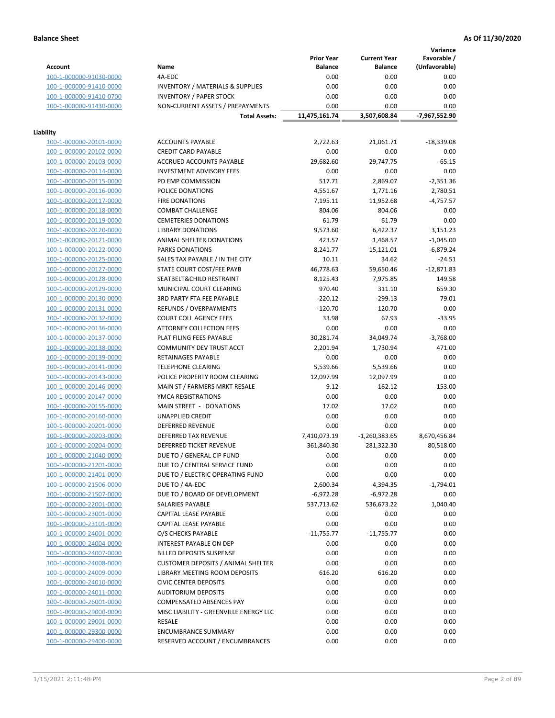**Variance**

|                         |                                             | <b>Prior Year</b> | <b>Current Year</b> | Favorable /   |
|-------------------------|---------------------------------------------|-------------------|---------------------|---------------|
| <b>Account</b>          | Name                                        | <b>Balance</b>    | <b>Balance</b>      | (Unfavorable) |
| 100-1-000000-91030-0000 | 4A-EDC                                      | 0.00              | 0.00                | 0.00          |
| 100-1-000000-91410-0000 | <b>INVENTORY / MATERIALS &amp; SUPPLIES</b> | 0.00              | 0.00                | 0.00          |
| 100-1-000000-91410-0700 | <b>INVENTORY / PAPER STOCK</b>              | 0.00              | 0.00                | 0.00          |
| 100-1-000000-91430-0000 | NON-CURRENT ASSETS / PREPAYMENTS            | 0.00              | 0.00                | 0.00          |
|                         | <b>Total Assets:</b>                        | 11,475,161.74     | 3,507,608.84        | -7,967,552.90 |
|                         |                                             |                   |                     |               |
| Liability               |                                             |                   |                     |               |
| 100-1-000000-20101-0000 | <b>ACCOUNTS PAYABLE</b>                     | 2,722.63          | 21,061.71           | $-18,339.08$  |
| 100-1-000000-20102-0000 | <b>CREDIT CARD PAYABLE</b>                  | 0.00              | 0.00                | 0.00          |
| 100-1-000000-20103-0000 | ACCRUED ACCOUNTS PAYABLE                    | 29,682.60         | 29,747.75           | $-65.15$      |
| 100-1-000000-20114-0000 | <b>INVESTMENT ADVISORY FEES</b>             | 0.00              | 0.00                | 0.00          |
| 100-1-000000-20115-0000 | PD EMP COMMISSION                           | 517.71            | 2,869.07            | $-2,351.36$   |
| 100-1-000000-20116-0000 | POLICE DONATIONS                            | 4,551.67          | 1,771.16            | 2,780.51      |
| 100-1-000000-20117-0000 | <b>FIRE DONATIONS</b>                       | 7,195.11          | 11,952.68           | $-4,757.57$   |
| 100-1-000000-20118-0000 | <b>COMBAT CHALLENGE</b>                     | 804.06            | 804.06              | 0.00          |
| 100-1-000000-20119-0000 | <b>CEMETERIES DONATIONS</b>                 | 61.79             | 61.79               | 0.00          |
| 100-1-000000-20120-0000 | <b>LIBRARY DONATIONS</b>                    | 9,573.60          | 6,422.37            | 3,151.23      |
| 100-1-000000-20121-0000 | ANIMAL SHELTER DONATIONS                    | 423.57            | 1,468.57            | $-1,045.00$   |
| 100-1-000000-20122-0000 | <b>PARKS DONATIONS</b>                      | 8,241.77          | 15,121.01           | $-6,879.24$   |
| 100-1-000000-20125-0000 | SALES TAX PAYABLE / IN THE CITY             | 10.11             | 34.62               | $-24.51$      |
| 100-1-000000-20127-0000 | STATE COURT COST/FEE PAYB                   | 46,778.63         | 59,650.46           | $-12,871.83$  |
| 100-1-000000-20128-0000 | SEATBELT&CHILD RESTRAINT                    | 8,125.43          | 7,975.85            | 149.58        |
| 100-1-000000-20129-0000 | MUNICIPAL COURT CLEARING                    | 970.40            | 311.10              | 659.30        |
| 100-1-000000-20130-0000 | 3RD PARTY FTA FEE PAYABLE                   | $-220.12$         | $-299.13$           | 79.01         |
| 100-1-000000-20131-0000 | REFUNDS / OVERPAYMENTS                      | $-120.70$         | $-120.70$           | 0.00          |
| 100-1-000000-20132-0000 | <b>COURT COLL AGENCY FEES</b>               | 33.98             | 67.93               | $-33.95$      |
| 100-1-000000-20136-0000 | <b>ATTORNEY COLLECTION FEES</b>             | 0.00              | 0.00                | 0.00          |
| 100-1-000000-20137-0000 | PLAT FILING FEES PAYABLE                    | 30,281.74         | 34,049.74           | $-3,768.00$   |
| 100-1-000000-20138-0000 | COMMUNITY DEV TRUST ACCT                    | 2,201.94          | 1,730.94            | 471.00        |
| 100-1-000000-20139-0000 | RETAINAGES PAYABLE                          | 0.00              | 0.00                | 0.00          |
| 100-1-000000-20141-0000 | <b>TELEPHONE CLEARING</b>                   | 5,539.66          | 5,539.66            | 0.00          |
| 100-1-000000-20143-0000 | POLICE PROPERTY ROOM CLEARING               | 12,097.99         | 12,097.99           | 0.00          |
| 100-1-000000-20146-0000 | MAIN ST / FARMERS MRKT RESALE               | 9.12              | 162.12              | $-153.00$     |
| 100-1-000000-20147-0000 | YMCA REGISTRATIONS                          | 0.00              | 0.00                | 0.00          |
| 100-1-000000-20155-0000 | MAIN STREET - DONATIONS                     | 17.02             | 17.02               | 0.00          |
| 100-1-000000-20160-0000 | <b>UNAPPLIED CREDIT</b>                     | 0.00              | 0.00                | 0.00          |
| 100-1-000000-20201-0000 | <b>DEFERRED REVENUE</b>                     | 0.00              | 0.00                | 0.00          |
| 100-1-000000-20203-0000 | DEFERRED TAX REVENUE                        | 7,410,073.19      | $-1,260,383.65$     | 8,670,456.84  |
| 100-1-000000-20204-0000 | <b>DEFERRED TICKET REVENUE</b>              | 361,840.30        | 281,322.30          | 80,518.00     |
| 100-1-000000-21040-0000 | DUE TO / GENERAL CIP FUND                   | 0.00              | 0.00                | 0.00          |
| 100-1-000000-21201-0000 | DUE TO / CENTRAL SERVICE FUND               | 0.00              | 0.00                | 0.00          |
| 100-1-000000-21401-0000 | DUE TO / ELECTRIC OPERATING FUND            | 0.00              | 0.00                | 0.00          |
| 100-1-000000-21506-0000 | DUE TO / 4A-EDC                             | 2,600.34          | 4,394.35            | $-1,794.01$   |
| 100-1-000000-21507-0000 | DUE TO / BOARD OF DEVELOPMENT               | $-6,972.28$       | -6,972.28           | 0.00          |
| 100-1-000000-22001-0000 | SALARIES PAYABLE                            | 537,713.62        | 536,673.22          | 1,040.40      |
| 100-1-000000-23001-0000 | CAPITAL LEASE PAYABLE                       | 0.00              | 0.00                | 0.00          |
| 100-1-000000-23101-0000 | CAPITAL LEASE PAYABLE                       | 0.00              | 0.00                | 0.00          |
| 100-1-000000-24001-0000 | O/S CHECKS PAYABLE                          | $-11,755.77$      | $-11,755.77$        | 0.00          |
| 100-1-000000-24004-0000 | INTEREST PAYABLE ON DEP                     | 0.00              | 0.00                | 0.00          |
| 100-1-000000-24007-0000 | <b>BILLED DEPOSITS SUSPENSE</b>             | 0.00              | 0.00                | 0.00          |
| 100-1-000000-24008-0000 | <b>CUSTOMER DEPOSITS / ANIMAL SHELTER</b>   | 0.00              | 0.00                | 0.00          |
| 100-1-000000-24009-0000 | <b>LIBRARY MEETING ROOM DEPOSITS</b>        | 616.20            | 616.20              | 0.00          |
| 100-1-000000-24010-0000 | <b>CIVIC CENTER DEPOSITS</b>                | 0.00              | 0.00                | 0.00          |
| 100-1-000000-24011-0000 | <b>AUDITORIUM DEPOSITS</b>                  | 0.00              | 0.00                | 0.00          |
| 100-1-000000-26001-0000 | COMPENSATED ABSENCES PAY                    | 0.00              | 0.00                | 0.00          |
| 100-1-000000-29000-0000 | MISC LIABILITY - GREENVILLE ENERGY LLC      | 0.00              | 0.00                | 0.00          |
| 100-1-000000-29001-0000 | RESALE                                      | 0.00              | 0.00                | 0.00          |
| 100-1-000000-29300-0000 | <b>ENCUMBRANCE SUMMARY</b>                  | 0.00              | 0.00                | 0.00          |
| 100-1-000000-29400-0000 | RESERVED ACCOUNT / ENCUMBRANCES             | 0.00              | 0.00                | 0.00          |
|                         |                                             |                   |                     |               |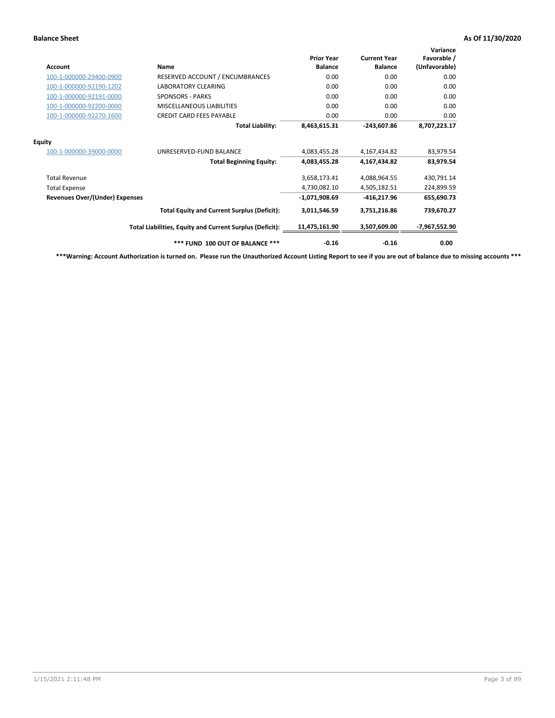| <b>Account</b>                        | Name                                                     | <b>Prior Year</b><br><b>Balance</b> | <b>Current Year</b><br><b>Balance</b> | Variance<br>Favorable /<br>(Unfavorable) |
|---------------------------------------|----------------------------------------------------------|-------------------------------------|---------------------------------------|------------------------------------------|
| 100-1-000000-29400-0900               | RESERVED ACCOUNT / ENCUMBRANCES                          | 0.00                                | 0.00                                  | 0.00                                     |
| 100-1-000000-92190-1202               | <b>LABORATORY CLEARING</b>                               | 0.00                                | 0.00                                  | 0.00                                     |
| 100-1-000000-92191-0000               | <b>SPONSORS - PARKS</b>                                  | 0.00                                | 0.00                                  | 0.00                                     |
| 100-1-000000-92200-0000               | MISCELLANEOUS LIABILITIES                                | 0.00                                | 0.00                                  | 0.00                                     |
| 100-1-000000-92270-1600               | <b>CREDIT CARD FEES PAYABLE</b>                          | 0.00                                | 0.00                                  | 0.00                                     |
|                                       | <b>Total Liability:</b>                                  | 8,463,615.31                        | $-243,607.86$                         | 8,707,223.17                             |
| <b>Equity</b>                         |                                                          |                                     |                                       |                                          |
| 100-1-000000-39000-0000               | UNRESERVED-FUND BALANCE                                  | 4,083,455.28                        | 4,167,434.82                          | 83,979.54                                |
|                                       | <b>Total Beginning Equity:</b>                           | 4,083,455.28                        | 4,167,434.82                          | 83,979.54                                |
| <b>Total Revenue</b>                  |                                                          | 3,658,173.41                        | 4,088,964.55                          | 430,791.14                               |
| <b>Total Expense</b>                  |                                                          | 4,730,082.10                        | 4,505,182.51                          | 224,899.59                               |
| <b>Revenues Over/(Under) Expenses</b> |                                                          | $-1,071,908.69$                     | $-416,217.96$                         | 655,690.73                               |
|                                       | <b>Total Equity and Current Surplus (Deficit):</b>       | 3,011,546.59                        | 3,751,216.86                          | 739,670.27                               |
|                                       | Total Liabilities, Equity and Current Surplus (Deficit): | 11,475,161.90                       | 3,507,609.00                          | -7,967,552.90                            |
|                                       | *** FUND 100 OUT OF BALANCE ***                          | $-0.16$                             | $-0.16$                               | 0.00                                     |

**\*\*\*Warning: Account Authorization is turned on. Please run the Unauthorized Account Listing Report to see if you are out of balance due to missing accounts \*\*\***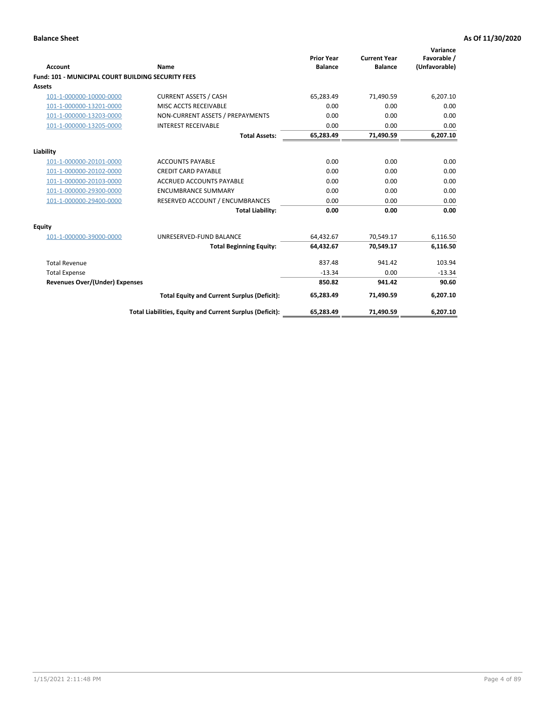| Account                                                   | Name                                                     | <b>Prior Year</b><br><b>Balance</b> | <b>Current Year</b><br><b>Balance</b> | Variance<br>Favorable /<br>(Unfavorable) |
|-----------------------------------------------------------|----------------------------------------------------------|-------------------------------------|---------------------------------------|------------------------------------------|
| <b>Fund: 101 - MUNICIPAL COURT BUILDING SECURITY FEES</b> |                                                          |                                     |                                       |                                          |
| Assets                                                    |                                                          |                                     |                                       |                                          |
| 101-1-000000-10000-0000                                   | <b>CURRENT ASSETS / CASH</b>                             | 65,283.49                           | 71,490.59                             | 6,207.10                                 |
| 101-1-000000-13201-0000                                   | MISC ACCTS RECEIVABLE                                    | 0.00                                | 0.00                                  | 0.00                                     |
| 101-1-000000-13203-0000                                   | NON-CURRENT ASSETS / PREPAYMENTS                         | 0.00                                | 0.00                                  | 0.00                                     |
| 101-1-000000-13205-0000                                   | <b>INTEREST RECEIVABLE</b>                               | 0.00                                | 0.00                                  | 0.00                                     |
|                                                           | <b>Total Assets:</b>                                     | 65,283.49                           | 71,490.59                             | 6,207.10                                 |
| Liability                                                 |                                                          |                                     |                                       |                                          |
| 101-1-000000-20101-0000                                   | <b>ACCOUNTS PAYABLE</b>                                  | 0.00                                | 0.00                                  | 0.00                                     |
| 101-1-000000-20102-0000                                   | <b>CREDIT CARD PAYABLE</b>                               | 0.00                                | 0.00                                  | 0.00                                     |
| 101-1-000000-20103-0000                                   | <b>ACCRUED ACCOUNTS PAYABLE</b>                          | 0.00                                | 0.00                                  | 0.00                                     |
| 101-1-000000-29300-0000                                   | <b>ENCUMBRANCE SUMMARY</b>                               | 0.00                                | 0.00                                  | 0.00                                     |
| 101-1-000000-29400-0000                                   | RESERVED ACCOUNT / ENCUMBRANCES                          | 0.00                                | 0.00                                  | 0.00                                     |
|                                                           | <b>Total Liability:</b>                                  | 0.00                                | 0.00                                  | 0.00                                     |
| <b>Equity</b>                                             |                                                          |                                     |                                       |                                          |
| 101-1-000000-39000-0000                                   | UNRESERVED-FUND BALANCE                                  | 64,432.67                           | 70,549.17                             | 6,116.50                                 |
|                                                           | <b>Total Beginning Equity:</b>                           | 64,432.67                           | 70,549.17                             | 6,116.50                                 |
| <b>Total Revenue</b>                                      |                                                          | 837.48                              | 941.42                                | 103.94                                   |
| <b>Total Expense</b>                                      |                                                          | $-13.34$                            | 0.00                                  | $-13.34$                                 |
| <b>Revenues Over/(Under) Expenses</b>                     |                                                          | 850.82                              | 941.42                                | 90.60                                    |
|                                                           | <b>Total Equity and Current Surplus (Deficit):</b>       | 65.283.49                           | 71.490.59                             | 6,207.10                                 |
|                                                           | Total Liabilities, Equity and Current Surplus (Deficit): | 65,283.49                           | 71,490.59                             | 6,207.10                                 |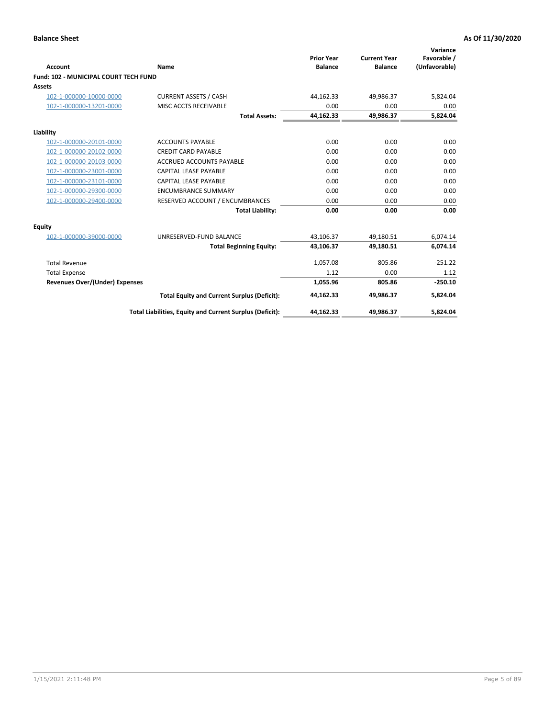|                                              |                                                          |                                     |                                       | Variance                     |
|----------------------------------------------|----------------------------------------------------------|-------------------------------------|---------------------------------------|------------------------------|
| <b>Account</b>                               | Name                                                     | <b>Prior Year</b><br><b>Balance</b> | <b>Current Year</b><br><b>Balance</b> | Favorable /<br>(Unfavorable) |
| <b>Fund: 102 - MUNICIPAL COURT TECH FUND</b> |                                                          |                                     |                                       |                              |
| Assets                                       |                                                          |                                     |                                       |                              |
| 102-1-000000-10000-0000                      | <b>CURRENT ASSETS / CASH</b>                             | 44,162.33                           | 49,986.37                             | 5,824.04                     |
| 102-1-000000-13201-0000                      | MISC ACCTS RECEIVABLE                                    | 0.00                                | 0.00                                  | 0.00                         |
|                                              | <b>Total Assets:</b>                                     | 44,162.33                           | 49,986.37                             | 5,824.04                     |
| Liability                                    |                                                          |                                     |                                       |                              |
| 102-1-000000-20101-0000                      | <b>ACCOUNTS PAYABLE</b>                                  | 0.00                                | 0.00                                  | 0.00                         |
| 102-1-000000-20102-0000                      | <b>CREDIT CARD PAYABLE</b>                               | 0.00                                | 0.00                                  | 0.00                         |
| 102-1-000000-20103-0000                      | <b>ACCRUED ACCOUNTS PAYABLE</b>                          | 0.00                                | 0.00                                  | 0.00                         |
| 102-1-000000-23001-0000                      | <b>CAPITAL LEASE PAYABLE</b>                             | 0.00                                | 0.00                                  | 0.00                         |
| 102-1-000000-23101-0000                      | <b>CAPITAL LEASE PAYABLE</b>                             | 0.00                                | 0.00                                  | 0.00                         |
| 102-1-000000-29300-0000                      | <b>ENCUMBRANCE SUMMARY</b>                               | 0.00                                | 0.00                                  | 0.00                         |
| 102-1-000000-29400-0000                      | RESERVED ACCOUNT / ENCUMBRANCES                          | 0.00                                | 0.00                                  | 0.00                         |
|                                              | <b>Total Liability:</b>                                  | 0.00                                | 0.00                                  | 0.00                         |
| Equity                                       |                                                          |                                     |                                       |                              |
| 102-1-000000-39000-0000                      | UNRESERVED-FUND BALANCE                                  | 43,106.37                           | 49,180.51                             | 6,074.14                     |
|                                              | <b>Total Beginning Equity:</b>                           | 43,106.37                           | 49,180.51                             | 6,074.14                     |
| <b>Total Revenue</b>                         |                                                          | 1,057.08                            | 805.86                                | $-251.22$                    |
| <b>Total Expense</b>                         |                                                          | 1.12                                | 0.00                                  | 1.12                         |
| <b>Revenues Over/(Under) Expenses</b>        |                                                          | 1,055.96                            | 805.86                                | $-250.10$                    |
|                                              | <b>Total Equity and Current Surplus (Deficit):</b>       | 44,162.33                           | 49.986.37                             | 5,824.04                     |
|                                              | Total Liabilities, Equity and Current Surplus (Deficit): | 44,162.33                           | 49,986.37                             | 5,824.04                     |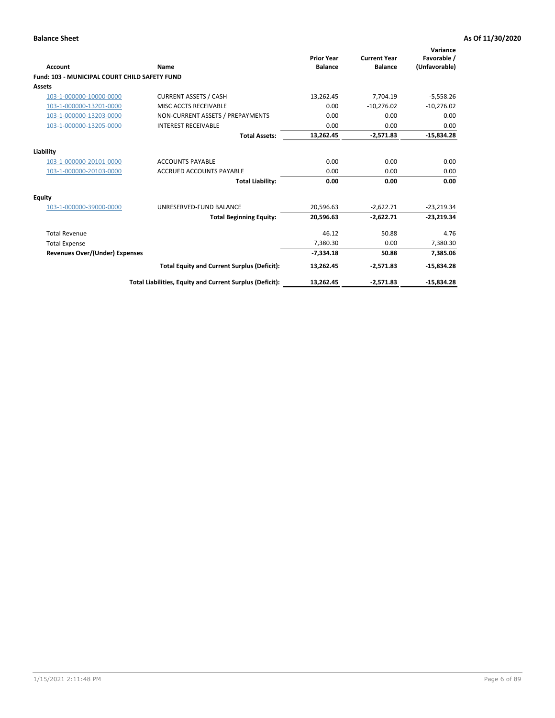| <b>Account</b>                                       | Name                                                     | <b>Prior Year</b><br><b>Balance</b> | <b>Current Year</b><br><b>Balance</b> | Variance<br>Favorable /<br>(Unfavorable) |
|------------------------------------------------------|----------------------------------------------------------|-------------------------------------|---------------------------------------|------------------------------------------|
| <b>Fund: 103 - MUNICIPAL COURT CHILD SAFETY FUND</b> |                                                          |                                     |                                       |                                          |
| <b>Assets</b>                                        |                                                          |                                     |                                       |                                          |
| 103-1-000000-10000-0000                              | <b>CURRENT ASSETS / CASH</b>                             | 13,262.45                           | 7,704.19                              | $-5,558.26$                              |
| 103-1-000000-13201-0000                              | MISC ACCTS RECEIVABLE                                    | 0.00                                | $-10,276.02$                          | $-10,276.02$                             |
| 103-1-000000-13203-0000                              | NON-CURRENT ASSETS / PREPAYMENTS                         | 0.00                                | 0.00                                  | 0.00                                     |
| 103-1-000000-13205-0000                              | <b>INTEREST RECEIVABLE</b>                               | 0.00                                | 0.00                                  | 0.00                                     |
|                                                      | <b>Total Assets:</b>                                     | 13,262.45                           | $-2,571.83$                           | $-15,834.28$                             |
| Liability                                            |                                                          |                                     |                                       |                                          |
| 103-1-000000-20101-0000                              | <b>ACCOUNTS PAYABLE</b>                                  | 0.00                                | 0.00                                  | 0.00                                     |
| 103-1-000000-20103-0000                              | <b>ACCRUED ACCOUNTS PAYABLE</b>                          | 0.00                                | 0.00                                  | 0.00                                     |
|                                                      | <b>Total Liability:</b>                                  | 0.00                                | 0.00                                  | 0.00                                     |
| Equity                                               |                                                          |                                     |                                       |                                          |
| 103-1-000000-39000-0000                              | UNRESERVED-FUND BALANCE                                  | 20,596.63                           | $-2,622.71$                           | $-23,219.34$                             |
|                                                      | <b>Total Beginning Equity:</b>                           | 20,596.63                           | $-2,622.71$                           | $-23,219.34$                             |
| <b>Total Revenue</b>                                 |                                                          | 46.12                               | 50.88                                 | 4.76                                     |
| <b>Total Expense</b>                                 |                                                          | 7,380.30                            | 0.00                                  | 7,380.30                                 |
| <b>Revenues Over/(Under) Expenses</b>                |                                                          | $-7,334.18$                         | 50.88                                 | 7,385.06                                 |
|                                                      | <b>Total Equity and Current Surplus (Deficit):</b>       | 13,262.45                           | $-2,571.83$                           | $-15,834.28$                             |
|                                                      | Total Liabilities, Equity and Current Surplus (Deficit): | 13,262.45                           | $-2,571.83$                           | $-15,834.28$                             |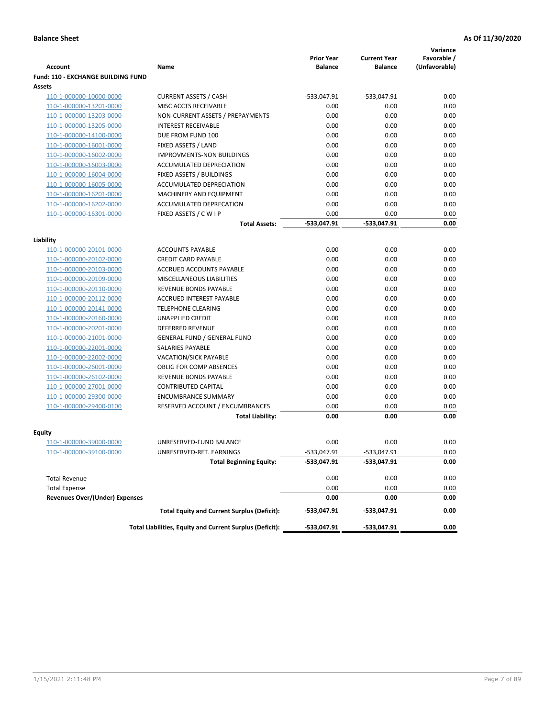|                                           |                                                          |                                     |                                       | Variance                     |
|-------------------------------------------|----------------------------------------------------------|-------------------------------------|---------------------------------------|------------------------------|
| <b>Account</b>                            | Name                                                     | <b>Prior Year</b><br><b>Balance</b> | <b>Current Year</b><br><b>Balance</b> | Favorable /<br>(Unfavorable) |
| <b>Fund: 110 - EXCHANGE BUILDING FUND</b> |                                                          |                                     |                                       |                              |
| Assets                                    |                                                          |                                     |                                       |                              |
| 110-1-000000-10000-0000                   | <b>CURRENT ASSETS / CASH</b>                             | -533,047.91                         | $-533,047.91$                         | 0.00                         |
| 110-1-000000-13201-0000                   | MISC ACCTS RECEIVABLE                                    | 0.00                                | 0.00                                  | 0.00                         |
| 110-1-000000-13203-0000                   | NON-CURRENT ASSETS / PREPAYMENTS                         | 0.00                                | 0.00                                  | 0.00                         |
| 110-1-000000-13205-0000                   | <b>INTEREST RECEIVABLE</b>                               | 0.00                                | 0.00                                  | 0.00                         |
| 110-1-000000-14100-0000                   | DUE FROM FUND 100                                        | 0.00                                | 0.00                                  | 0.00                         |
| 110-1-000000-16001-0000                   | FIXED ASSETS / LAND                                      | 0.00                                | 0.00                                  | 0.00                         |
| 110-1-000000-16002-0000                   | <b>IMPROVMENTS-NON BUILDINGS</b>                         | 0.00                                | 0.00                                  | 0.00                         |
| 110-1-000000-16003-0000                   | ACCUMULATED DEPRECIATION                                 | 0.00                                | 0.00                                  | 0.00                         |
| 110-1-000000-16004-0000                   | FIXED ASSETS / BUILDINGS                                 | 0.00                                | 0.00                                  | 0.00                         |
| 110-1-000000-16005-0000                   | ACCUMULATED DEPRECIATION                                 | 0.00                                | 0.00                                  | 0.00                         |
| 110-1-000000-16201-0000                   | <b>MACHINERY AND EQUIPMENT</b>                           | 0.00                                | 0.00                                  | 0.00                         |
| 110-1-000000-16202-0000                   | ACCUMULATED DEPRECATION                                  | 0.00                                | 0.00                                  | 0.00                         |
| 110-1-000000-16301-0000                   | FIXED ASSETS / C W I P                                   | 0.00                                | 0.00                                  | 0.00                         |
|                                           | <b>Total Assets:</b>                                     | $-533,047.91$                       | -533,047.91                           | 0.00                         |
| Liability                                 |                                                          |                                     |                                       |                              |
| 110-1-000000-20101-0000                   | <b>ACCOUNTS PAYABLE</b>                                  | 0.00                                | 0.00                                  | 0.00                         |
| 110-1-000000-20102-0000                   | <b>CREDIT CARD PAYABLE</b>                               | 0.00                                | 0.00                                  | 0.00                         |
| 110-1-000000-20103-0000                   | ACCRUED ACCOUNTS PAYABLE                                 | 0.00                                | 0.00                                  | 0.00                         |
| 110-1-000000-20109-0000                   | MISCELLANEOUS LIABILITIES                                | 0.00                                | 0.00                                  | 0.00                         |
| 110-1-000000-20110-0000                   | REVENUE BONDS PAYABLE                                    | 0.00                                | 0.00                                  | 0.00                         |
| 110-1-000000-20112-0000                   | <b>ACCRUED INTEREST PAYABLE</b>                          | 0.00                                | 0.00                                  | 0.00                         |
| 110-1-000000-20141-0000                   | <b>TELEPHONE CLEARING</b>                                | 0.00                                | 0.00                                  | 0.00                         |
| 110-1-000000-20160-0000                   | <b>UNAPPLIED CREDIT</b>                                  | 0.00                                | 0.00                                  | 0.00                         |
| 110-1-000000-20201-0000                   | <b>DEFERRED REVENUE</b>                                  | 0.00                                | 0.00                                  | 0.00                         |
| 110-1-000000-21001-0000                   | <b>GENERAL FUND / GENERAL FUND</b>                       | 0.00                                | 0.00                                  | 0.00                         |
| 110-1-000000-22001-0000                   | SALARIES PAYABLE                                         | 0.00                                | 0.00                                  | 0.00                         |
| 110-1-000000-22002-0000                   | <b>VACATION/SICK PAYABLE</b>                             | 0.00                                | 0.00                                  | 0.00                         |
| 110-1-000000-26001-0000                   | <b>OBLIG FOR COMP ABSENCES</b>                           | 0.00                                | 0.00                                  | 0.00                         |
| 110-1-000000-26102-0000                   | REVENUE BONDS PAYABLE                                    | 0.00                                | 0.00                                  | 0.00                         |
| 110-1-000000-27001-0000                   | <b>CONTRIBUTED CAPITAL</b>                               | 0.00                                | 0.00                                  | 0.00                         |
| 110-1-000000-29300-0000                   | <b>ENCUMBRANCE SUMMARY</b>                               | 0.00                                | 0.00                                  | 0.00                         |
| 110-1-000000-29400-0100                   | RESERVED ACCOUNT / ENCUMBRANCES                          | 0.00                                | 0.00                                  | 0.00                         |
|                                           | <b>Total Liability:</b>                                  | 0.00                                | 0.00                                  | 0.00                         |
| <b>Equity</b>                             |                                                          |                                     |                                       |                              |
| 110-1-000000-39000-0000                   | UNRESERVED-FUND BALANCE                                  | 0.00                                | 0.00                                  | 0.00                         |
| 110-1-000000-39100-0000                   | UNRESERVED-RET. EARNINGS                                 | -533,047.91                         | -533,047.91                           | 0.00                         |
|                                           | <b>Total Beginning Equity:</b>                           | -533,047.91                         | -533,047.91                           | 0.00                         |
|                                           |                                                          |                                     |                                       |                              |
| <b>Total Revenue</b>                      |                                                          | 0.00                                | 0.00                                  | 0.00                         |
| <b>Total Expense</b>                      |                                                          | 0.00                                | 0.00                                  | 0.00                         |
| <b>Revenues Over/(Under) Expenses</b>     |                                                          | 0.00                                | 0.00                                  | 0.00                         |
|                                           | <b>Total Equity and Current Surplus (Deficit):</b>       | -533,047.91                         | -533,047.91                           | 0.00                         |
|                                           | Total Liabilities, Equity and Current Surplus (Deficit): | -533,047.91                         | -533,047.91                           | 0.00                         |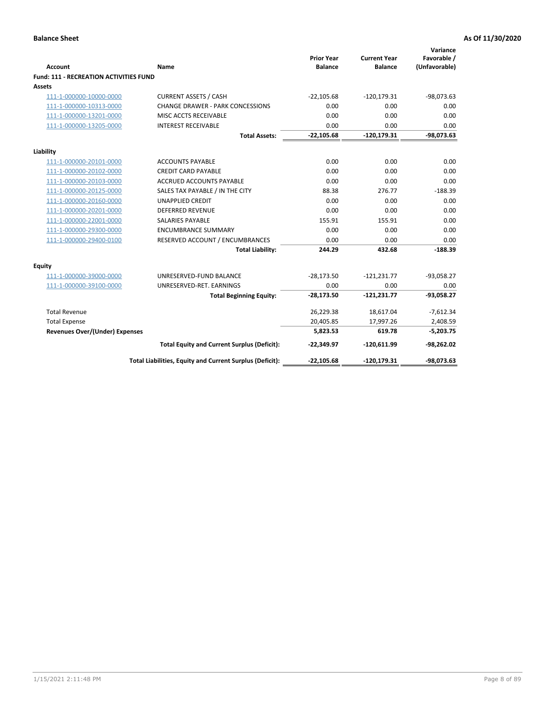| <b>Account</b>                                | Name                                                     | <b>Prior Year</b><br><b>Balance</b> | <b>Current Year</b><br><b>Balance</b> | Variance<br>Favorable /<br>(Unfavorable) |
|-----------------------------------------------|----------------------------------------------------------|-------------------------------------|---------------------------------------|------------------------------------------|
| <b>Fund: 111 - RECREATION ACTIVITIES FUND</b> |                                                          |                                     |                                       |                                          |
| Assets                                        |                                                          |                                     |                                       |                                          |
| 111-1-000000-10000-0000                       | <b>CURRENT ASSETS / CASH</b>                             | $-22,105.68$                        | $-120,179.31$                         | $-98,073.63$                             |
| 111-1-000000-10313-0000                       | <b>CHANGE DRAWER - PARK CONCESSIONS</b>                  | 0.00                                | 0.00                                  | 0.00                                     |
| 111-1-000000-13201-0000                       | MISC ACCTS RECEIVABLE                                    | 0.00                                | 0.00                                  | 0.00                                     |
| 111-1-000000-13205-0000                       | <b>INTEREST RECEIVABLE</b>                               | 0.00                                | 0.00                                  | 0.00                                     |
|                                               | <b>Total Assets:</b>                                     | $-22,105.68$                        | $-120, 179.31$                        | $-98,073.63$                             |
| Liability                                     |                                                          |                                     |                                       |                                          |
| 111-1-000000-20101-0000                       | <b>ACCOUNTS PAYABLE</b>                                  | 0.00                                | 0.00                                  | 0.00                                     |
| 111-1-000000-20102-0000                       | <b>CREDIT CARD PAYABLE</b>                               | 0.00                                | 0.00                                  | 0.00                                     |
| 111-1-000000-20103-0000                       | ACCRUED ACCOUNTS PAYABLE                                 | 0.00                                | 0.00                                  | 0.00                                     |
| 111-1-000000-20125-0000                       | SALES TAX PAYABLE / IN THE CITY                          | 88.38                               | 276.77                                | $-188.39$                                |
| 111-1-000000-20160-0000                       | <b>UNAPPLIED CREDIT</b>                                  | 0.00                                | 0.00                                  | 0.00                                     |
| 111-1-000000-20201-0000                       | <b>DEFERRED REVENUE</b>                                  | 0.00                                | 0.00                                  | 0.00                                     |
| 111-1-000000-22001-0000                       | <b>SALARIES PAYABLE</b>                                  | 155.91                              | 155.91                                | 0.00                                     |
| 111-1-000000-29300-0000                       | <b>ENCUMBRANCE SUMMARY</b>                               | 0.00                                | 0.00                                  | 0.00                                     |
| 111-1-000000-29400-0100                       | RESERVED ACCOUNT / ENCUMBRANCES                          | 0.00                                | 0.00                                  | 0.00                                     |
|                                               | <b>Total Liability:</b>                                  | 244.29                              | 432.68                                | $-188.39$                                |
| Equity                                        |                                                          |                                     |                                       |                                          |
| 111-1-000000-39000-0000                       | UNRESERVED-FUND BALANCE                                  | $-28,173.50$                        | $-121,231.77$                         | $-93,058.27$                             |
| 111-1-000000-39100-0000                       | UNRESERVED-RET. EARNINGS                                 | 0.00                                | 0.00                                  | 0.00                                     |
|                                               | <b>Total Beginning Equity:</b>                           | $-28,173.50$                        | $-121,231.77$                         | $-93,058.27$                             |
| <b>Total Revenue</b>                          |                                                          | 26,229.38                           | 18,617.04                             | $-7,612.34$                              |
| <b>Total Expense</b>                          |                                                          | 20,405.85                           | 17,997.26                             | 2,408.59                                 |
| <b>Revenues Over/(Under) Expenses</b>         |                                                          | 5,823.53                            | 619.78                                | $-5,203.75$                              |
|                                               | <b>Total Equity and Current Surplus (Deficit):</b>       | $-22,349.97$                        | $-120,611.99$                         | $-98,262.02$                             |
|                                               | Total Liabilities, Equity and Current Surplus (Deficit): | $-22,105.68$                        | $-120, 179.31$                        | $-98,073.63$                             |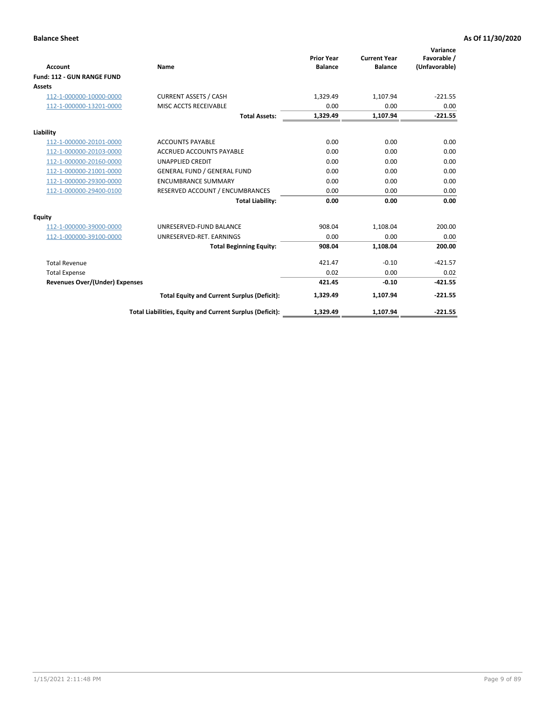|                                       |                                                          |                                     |                                       | Variance                     |
|---------------------------------------|----------------------------------------------------------|-------------------------------------|---------------------------------------|------------------------------|
| <b>Account</b>                        | Name                                                     | <b>Prior Year</b><br><b>Balance</b> | <b>Current Year</b><br><b>Balance</b> | Favorable /<br>(Unfavorable) |
| Fund: 112 - GUN RANGE FUND            |                                                          |                                     |                                       |                              |
| <b>Assets</b>                         |                                                          |                                     |                                       |                              |
| 112-1-000000-10000-0000               | <b>CURRENT ASSETS / CASH</b>                             | 1,329.49                            | 1,107.94                              | $-221.55$                    |
| 112-1-000000-13201-0000               | MISC ACCTS RECEIVABLE                                    | 0.00                                | 0.00                                  | 0.00                         |
|                                       | <b>Total Assets:</b>                                     | 1,329.49                            | 1,107.94                              | $-221.55$                    |
| Liability                             |                                                          |                                     |                                       |                              |
| 112-1-000000-20101-0000               | <b>ACCOUNTS PAYABLE</b>                                  | 0.00                                | 0.00                                  | 0.00                         |
| 112-1-000000-20103-0000               | <b>ACCRUED ACCOUNTS PAYABLE</b>                          | 0.00                                | 0.00                                  | 0.00                         |
| 112-1-000000-20160-0000               | <b>UNAPPLIED CREDIT</b>                                  | 0.00                                | 0.00                                  | 0.00                         |
| 112-1-000000-21001-0000               | <b>GENERAL FUND / GENERAL FUND</b>                       | 0.00                                | 0.00                                  | 0.00                         |
| 112-1-000000-29300-0000               | <b>ENCUMBRANCE SUMMARY</b>                               | 0.00                                | 0.00                                  | 0.00                         |
| 112-1-000000-29400-0100               | RESERVED ACCOUNT / ENCUMBRANCES                          | 0.00                                | 0.00                                  | 0.00                         |
|                                       | <b>Total Liability:</b>                                  | 0.00                                | 0.00                                  | 0.00                         |
| Equity                                |                                                          |                                     |                                       |                              |
| 112-1-000000-39000-0000               | UNRESERVED-FUND BALANCE                                  | 908.04                              | 1,108.04                              | 200.00                       |
| 112-1-000000-39100-0000               | UNRESERVED-RET. EARNINGS                                 | 0.00                                | 0.00                                  | 0.00                         |
|                                       | <b>Total Beginning Equity:</b>                           | 908.04                              | 1.108.04                              | 200.00                       |
| <b>Total Revenue</b>                  |                                                          | 421.47                              | $-0.10$                               | $-421.57$                    |
| <b>Total Expense</b>                  |                                                          | 0.02                                | 0.00                                  | 0.02                         |
| <b>Revenues Over/(Under) Expenses</b> |                                                          | 421.45                              | $-0.10$                               | $-421.55$                    |
|                                       | <b>Total Equity and Current Surplus (Deficit):</b>       | 1,329.49                            | 1,107.94                              | $-221.55$                    |
|                                       | Total Liabilities, Equity and Current Surplus (Deficit): | 1,329.49                            | 1,107.94                              | $-221.55$                    |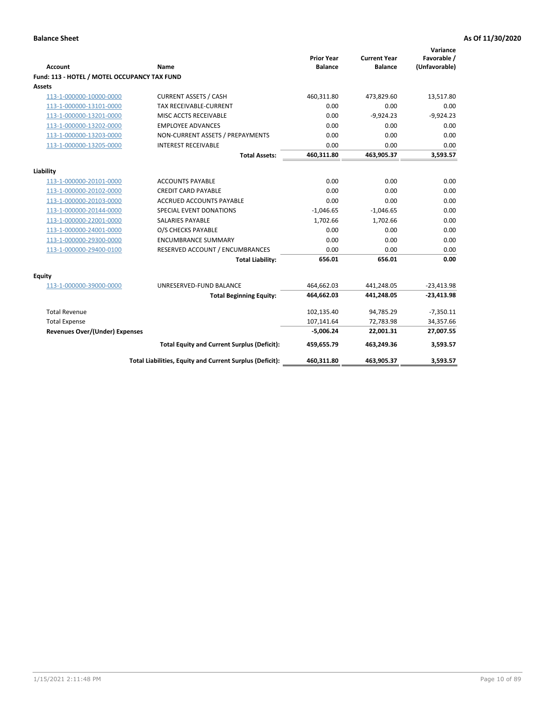| <b>Account</b>                               | Name                                                     | <b>Prior Year</b><br><b>Balance</b> | <b>Current Year</b><br><b>Balance</b> | Variance<br>Favorable /<br>(Unfavorable) |
|----------------------------------------------|----------------------------------------------------------|-------------------------------------|---------------------------------------|------------------------------------------|
| Fund: 113 - HOTEL / MOTEL OCCUPANCY TAX FUND |                                                          |                                     |                                       |                                          |
| Assets                                       |                                                          |                                     |                                       |                                          |
| 113-1-000000-10000-0000                      | <b>CURRENT ASSETS / CASH</b>                             | 460,311.80                          | 473,829.60                            | 13,517.80                                |
| 113-1-000000-13101-0000                      | TAX RECEIVABLE-CURRENT                                   | 0.00                                | 0.00                                  | 0.00                                     |
| 113-1-000000-13201-0000                      | MISC ACCTS RECEIVABLE                                    | 0.00                                | $-9,924.23$                           | $-9,924.23$                              |
| 113-1-000000-13202-0000                      | <b>EMPLOYEE ADVANCES</b>                                 | 0.00                                | 0.00                                  | 0.00                                     |
| 113-1-000000-13203-0000                      | NON-CURRENT ASSETS / PREPAYMENTS                         | 0.00                                | 0.00                                  | 0.00                                     |
| 113-1-000000-13205-0000                      | <b>INTEREST RECEIVABLE</b>                               | 0.00                                | 0.00                                  | 0.00                                     |
|                                              | <b>Total Assets:</b>                                     | 460,311.80                          | 463,905.37                            | 3,593.57                                 |
|                                              |                                                          |                                     |                                       |                                          |
| Liability                                    |                                                          |                                     |                                       |                                          |
| 113-1-000000-20101-0000                      | <b>ACCOUNTS PAYABLE</b>                                  | 0.00<br>0.00                        | 0.00                                  | 0.00                                     |
| 113-1-000000-20102-0000                      | <b>CREDIT CARD PAYABLE</b>                               | 0.00                                | 0.00<br>0.00                          | 0.00                                     |
| 113-1-000000-20103-0000                      | ACCRUED ACCOUNTS PAYABLE                                 |                                     |                                       | 0.00                                     |
| 113-1-000000-20144-0000                      | SPECIAL EVENT DONATIONS                                  | $-1,046.65$                         | $-1,046.65$                           | 0.00                                     |
| 113-1-000000-22001-0000                      | <b>SALARIES PAYABLE</b>                                  | 1.702.66                            | 1,702.66                              | 0.00                                     |
| 113-1-000000-24001-0000                      | O/S CHECKS PAYABLE                                       | 0.00                                | 0.00                                  | 0.00                                     |
| 113-1-000000-29300-0000                      | <b>ENCUMBRANCE SUMMARY</b>                               | 0.00                                | 0.00                                  | 0.00                                     |
| 113-1-000000-29400-0100                      | RESERVED ACCOUNT / ENCUMBRANCES                          | 0.00                                | 0.00                                  | 0.00                                     |
|                                              | <b>Total Liability:</b>                                  | 656.01                              | 656.01                                | 0.00                                     |
| Equity                                       |                                                          |                                     |                                       |                                          |
| 113-1-000000-39000-0000                      | UNRESERVED-FUND BALANCE                                  | 464,662.03                          | 441,248.05                            | $-23,413.98$                             |
|                                              | <b>Total Beginning Equity:</b>                           | 464,662.03                          | 441,248.05                            | $-23,413.98$                             |
| <b>Total Revenue</b>                         |                                                          | 102,135.40                          | 94,785.29                             | $-7,350.11$                              |
| <b>Total Expense</b>                         |                                                          | 107,141.64                          | 72,783.98                             | 34,357.66                                |
| Revenues Over/(Under) Expenses               |                                                          | $-5,006.24$                         | 22,001.31                             | 27,007.55                                |
|                                              | <b>Total Equity and Current Surplus (Deficit):</b>       | 459,655.79                          | 463,249.36                            | 3,593.57                                 |
|                                              | Total Liabilities, Equity and Current Surplus (Deficit): | 460,311.80                          | 463,905.37                            | 3,593.57                                 |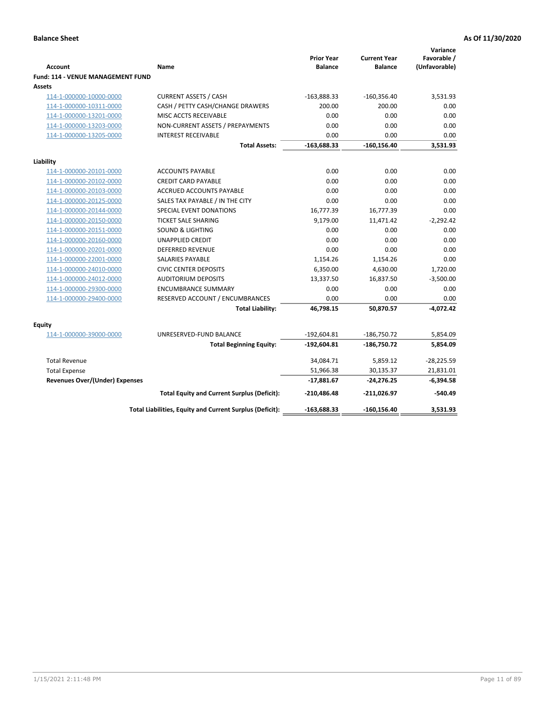| <b>Account</b>                                     | Name                                                     | <b>Prior Year</b><br><b>Balance</b> | <b>Current Year</b><br><b>Balance</b> | Variance<br>Favorable /<br>(Unfavorable) |
|----------------------------------------------------|----------------------------------------------------------|-------------------------------------|---------------------------------------|------------------------------------------|
| <b>Fund: 114 - VENUE MANAGEMENT FUND</b><br>Assets |                                                          |                                     |                                       |                                          |
| 114-1-000000-10000-0000                            | <b>CURRENT ASSETS / CASH</b>                             | $-163,888.33$                       | $-160,356.40$                         | 3,531.93                                 |
| 114-1-000000-10311-0000                            | CASH / PETTY CASH/CHANGE DRAWERS                         | 200.00                              | 200.00                                | 0.00                                     |
| 114-1-000000-13201-0000                            | MISC ACCTS RECEIVABLE                                    | 0.00                                | 0.00                                  | 0.00                                     |
| 114-1-000000-13203-0000                            | NON-CURRENT ASSETS / PREPAYMENTS                         | 0.00                                | 0.00                                  | 0.00                                     |
| 114-1-000000-13205-0000                            | <b>INTEREST RECEIVABLE</b>                               | 0.00                                | 0.00                                  | 0.00                                     |
|                                                    | <b>Total Assets:</b>                                     | $-163,688.33$                       | $-160, 156.40$                        | 3,531.93                                 |
| Liability                                          |                                                          |                                     |                                       |                                          |
| 114-1-000000-20101-0000                            | <b>ACCOUNTS PAYABLE</b>                                  | 0.00                                | 0.00                                  | 0.00                                     |
| 114-1-000000-20102-0000                            | <b>CREDIT CARD PAYABLE</b>                               | 0.00                                | 0.00                                  | 0.00                                     |
| 114-1-000000-20103-0000                            | <b>ACCRUED ACCOUNTS PAYABLE</b>                          | 0.00                                | 0.00                                  | 0.00                                     |
| 114-1-000000-20125-0000                            | SALES TAX PAYABLE / IN THE CITY                          | 0.00                                | 0.00                                  | 0.00                                     |
| 114-1-000000-20144-0000                            | SPECIAL EVENT DONATIONS                                  | 16,777.39                           | 16,777.39                             | 0.00                                     |
| 114-1-000000-20150-0000                            | <b>TICKET SALE SHARING</b>                               | 9,179.00                            | 11,471.42                             | $-2,292.42$                              |
| 114-1-000000-20151-0000                            | <b>SOUND &amp; LIGHTING</b>                              | 0.00                                | 0.00                                  | 0.00                                     |
| 114-1-000000-20160-0000                            | <b>UNAPPLIED CREDIT</b>                                  | 0.00                                | 0.00                                  | 0.00                                     |
| 114-1-000000-20201-0000                            | <b>DEFERRED REVENUE</b>                                  | 0.00                                | 0.00                                  | 0.00                                     |
| 114-1-000000-22001-0000                            | SALARIES PAYABLE                                         | 1,154.26                            | 1,154.26                              | 0.00                                     |
| 114-1-000000-24010-0000                            | <b>CIVIC CENTER DEPOSITS</b>                             | 6,350.00                            | 4,630.00                              | 1,720.00                                 |
| 114-1-000000-24012-0000                            | <b>AUDITORIUM DEPOSITS</b>                               | 13,337.50                           | 16,837.50                             | $-3,500.00$                              |
| 114-1-000000-29300-0000                            | <b>ENCUMBRANCE SUMMARY</b>                               | 0.00                                | 0.00                                  | 0.00                                     |
| 114-1-000000-29400-0000                            | RESERVED ACCOUNT / ENCUMBRANCES                          | 0.00                                | 0.00                                  | 0.00                                     |
|                                                    | <b>Total Liability:</b>                                  | 46,798.15                           | 50,870.57                             | $-4,072.42$                              |
| Equity                                             |                                                          |                                     |                                       |                                          |
| 114-1-000000-39000-0000                            | UNRESERVED-FUND BALANCE                                  | $-192,604.81$                       | $-186,750.72$                         | 5,854.09                                 |
|                                                    | <b>Total Beginning Equity:</b>                           | $-192,604.81$                       | -186,750.72                           | 5,854.09                                 |
| <b>Total Revenue</b>                               |                                                          | 34,084.71                           | 5,859.12                              | $-28,225.59$                             |
| <b>Total Expense</b>                               |                                                          | 51,966.38                           | 30,135.37                             | 21,831.01                                |
| <b>Revenues Over/(Under) Expenses</b>              |                                                          | $-17,881.67$                        | $-24,276.25$                          | $-6,394.58$                              |
|                                                    | <b>Total Equity and Current Surplus (Deficit):</b>       | $-210,486.48$                       | $-211,026.97$                         | $-540.49$                                |
|                                                    | Total Liabilities, Equity and Current Surplus (Deficit): | $-163,688.33$                       | $-160, 156.40$                        | 3,531.93                                 |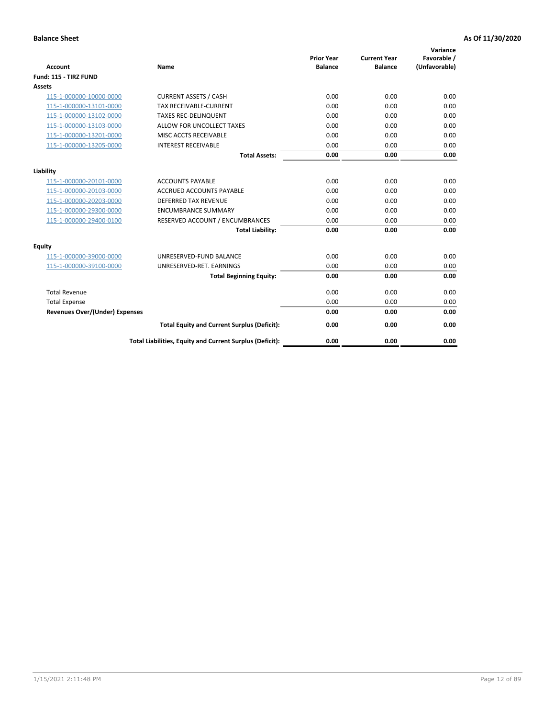| <b>Account</b>                        | <b>Name</b>                                              | <b>Prior Year</b><br><b>Balance</b> | <b>Current Year</b><br><b>Balance</b> | Variance<br>Favorable /<br>(Unfavorable) |
|---------------------------------------|----------------------------------------------------------|-------------------------------------|---------------------------------------|------------------------------------------|
| Fund: 115 - TIRZ FUND                 |                                                          |                                     |                                       |                                          |
| <b>Assets</b>                         |                                                          |                                     |                                       |                                          |
| 115-1-000000-10000-0000               | <b>CURRENT ASSETS / CASH</b>                             | 0.00                                | 0.00                                  | 0.00                                     |
| 115-1-000000-13101-0000               | <b>TAX RECEIVABLE-CURRENT</b>                            | 0.00                                | 0.00                                  | 0.00                                     |
| 115-1-000000-13102-0000               | <b>TAXES REC-DELINQUENT</b>                              | 0.00                                | 0.00                                  | 0.00                                     |
| 115-1-000000-13103-0000               | ALLOW FOR UNCOLLECT TAXES                                | 0.00                                | 0.00                                  | 0.00                                     |
| 115-1-000000-13201-0000               | MISC ACCTS RECEIVABLE                                    | 0.00                                | 0.00                                  | 0.00                                     |
| 115-1-000000-13205-0000               | <b>INTEREST RECEIVABLE</b>                               | 0.00                                | 0.00                                  | 0.00                                     |
|                                       | <b>Total Assets:</b>                                     | 0.00                                | 0.00                                  | 0.00                                     |
| Liability                             |                                                          |                                     |                                       |                                          |
| 115-1-000000-20101-0000               | <b>ACCOUNTS PAYABLE</b>                                  | 0.00                                | 0.00                                  | 0.00                                     |
| 115-1-000000-20103-0000               | <b>ACCRUED ACCOUNTS PAYABLE</b>                          | 0.00                                | 0.00                                  | 0.00                                     |
| 115-1-000000-20203-0000               | <b>DEFERRED TAX REVENUE</b>                              | 0.00                                | 0.00                                  | 0.00                                     |
| 115-1-000000-29300-0000               | <b>ENCUMBRANCE SUMMARY</b>                               | 0.00                                | 0.00                                  | 0.00                                     |
| 115-1-000000-29400-0100               | RESERVED ACCOUNT / ENCUMBRANCES                          | 0.00                                | 0.00                                  | 0.00                                     |
|                                       | <b>Total Liability:</b>                                  | 0.00                                | 0.00                                  | 0.00                                     |
| Equity                                |                                                          |                                     |                                       |                                          |
| 115-1-000000-39000-0000               | UNRESERVED-FUND BALANCE                                  | 0.00                                | 0.00                                  | 0.00                                     |
| 115-1-000000-39100-0000               | UNRESERVED-RET. EARNINGS                                 | 0.00                                | 0.00                                  | 0.00                                     |
|                                       | <b>Total Beginning Equity:</b>                           | 0.00                                | 0.00                                  | 0.00                                     |
| <b>Total Revenue</b>                  |                                                          | 0.00                                | 0.00                                  | 0.00                                     |
| <b>Total Expense</b>                  |                                                          | 0.00                                | 0.00                                  | 0.00                                     |
| <b>Revenues Over/(Under) Expenses</b> |                                                          | 0.00                                | 0.00                                  | 0.00                                     |
|                                       | <b>Total Equity and Current Surplus (Deficit):</b>       | 0.00                                | 0.00                                  | 0.00                                     |
|                                       | Total Liabilities, Equity and Current Surplus (Deficit): | 0.00                                | 0.00                                  | 0.00                                     |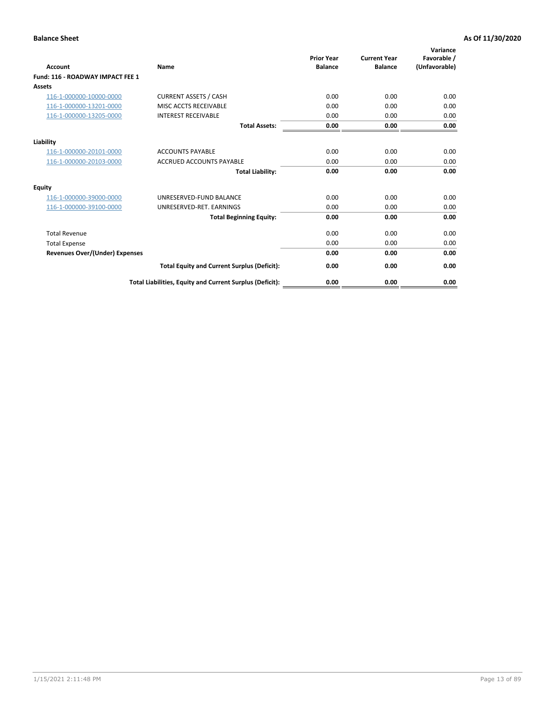| <b>Account</b>                        | Name                                                     | <b>Prior Year</b><br><b>Balance</b> | <b>Current Year</b><br><b>Balance</b> | Variance<br>Favorable /<br>(Unfavorable) |
|---------------------------------------|----------------------------------------------------------|-------------------------------------|---------------------------------------|------------------------------------------|
| Fund: 116 - ROADWAY IMPACT FEE 1      |                                                          |                                     |                                       |                                          |
| Assets                                |                                                          |                                     |                                       |                                          |
| 116-1-000000-10000-0000               | <b>CURRENT ASSETS / CASH</b>                             | 0.00                                | 0.00                                  | 0.00                                     |
| 116-1-000000-13201-0000               | <b>MISC ACCTS RECEIVABLE</b>                             | 0.00                                | 0.00                                  | 0.00                                     |
| 116-1-000000-13205-0000               | <b>INTEREST RECEIVABLE</b>                               | 0.00                                | 0.00                                  | 0.00                                     |
|                                       | <b>Total Assets:</b>                                     | 0.00                                | 0.00                                  | 0.00                                     |
| Liability                             |                                                          |                                     |                                       |                                          |
| 116-1-000000-20101-0000               | <b>ACCOUNTS PAYABLE</b>                                  | 0.00                                | 0.00                                  | 0.00                                     |
| 116-1-000000-20103-0000               | <b>ACCRUED ACCOUNTS PAYABLE</b>                          | 0.00                                | 0.00                                  | 0.00                                     |
|                                       | <b>Total Liability:</b>                                  | 0.00                                | 0.00                                  | 0.00                                     |
| Equity                                |                                                          |                                     |                                       |                                          |
| 116-1-000000-39000-0000               | UNRESERVED-FUND BALANCE                                  | 0.00                                | 0.00                                  | 0.00                                     |
| 116-1-000000-39100-0000               | UNRESERVED-RET. EARNINGS                                 | 0.00                                | 0.00                                  | 0.00                                     |
|                                       | <b>Total Beginning Equity:</b>                           | 0.00                                | 0.00                                  | 0.00                                     |
| <b>Total Revenue</b>                  |                                                          | 0.00                                | 0.00                                  | 0.00                                     |
| <b>Total Expense</b>                  |                                                          | 0.00                                | 0.00                                  | 0.00                                     |
| <b>Revenues Over/(Under) Expenses</b> |                                                          | 0.00                                | 0.00                                  | 0.00                                     |
|                                       | <b>Total Equity and Current Surplus (Deficit):</b>       | 0.00                                | 0.00                                  | 0.00                                     |
|                                       | Total Liabilities, Equity and Current Surplus (Deficit): | 0.00                                | 0.00                                  | 0.00                                     |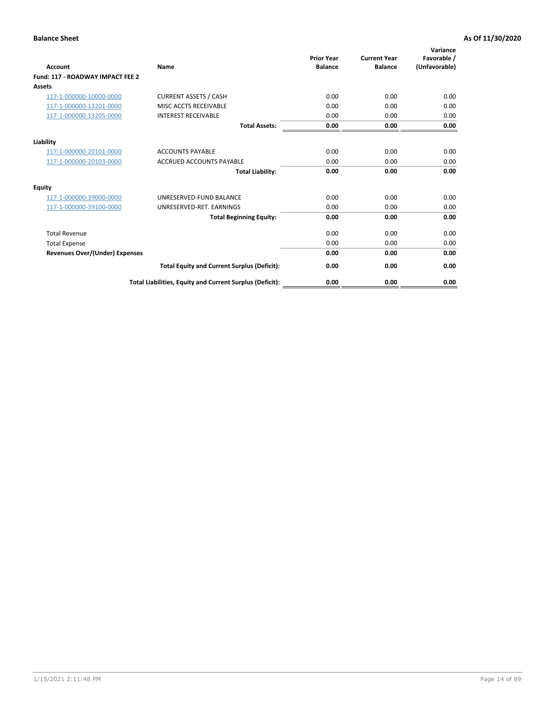| Account                               | Name                                                     | <b>Prior Year</b><br><b>Balance</b> | <b>Current Year</b><br><b>Balance</b> | Variance<br>Favorable /<br>(Unfavorable) |
|---------------------------------------|----------------------------------------------------------|-------------------------------------|---------------------------------------|------------------------------------------|
| Fund: 117 - ROADWAY IMPACT FEE 2      |                                                          |                                     |                                       |                                          |
| Assets                                |                                                          |                                     |                                       |                                          |
| 117-1-000000-10000-0000               | <b>CURRENT ASSETS / CASH</b>                             | 0.00                                | 0.00                                  | 0.00                                     |
| 117-1-000000-13201-0000               | <b>MISC ACCTS RECEIVABLE</b>                             | 0.00                                | 0.00                                  | 0.00                                     |
| 117-1-000000-13205-0000               | <b>INTEREST RECEIVABLE</b>                               | 0.00                                | 0.00                                  | 0.00                                     |
|                                       | <b>Total Assets:</b>                                     | 0.00                                | 0.00                                  | 0.00                                     |
| Liability                             |                                                          |                                     |                                       |                                          |
| 117-1-000000-20101-0000               | <b>ACCOUNTS PAYABLE</b>                                  | 0.00                                | 0.00                                  | 0.00                                     |
| 117-1-000000-20103-0000               | <b>ACCRUED ACCOUNTS PAYABLE</b>                          | 0.00                                | 0.00                                  | 0.00                                     |
|                                       | <b>Total Liability:</b>                                  | 0.00                                | 0.00                                  | 0.00                                     |
| Equity                                |                                                          |                                     |                                       |                                          |
| 117-1-000000-39000-0000               | UNRESERVED-FUND BALANCE                                  | 0.00                                | 0.00                                  | 0.00                                     |
| 117-1-000000-39100-0000               | UNRESERVED-RET. EARNINGS                                 | 0.00                                | 0.00                                  | 0.00                                     |
|                                       | <b>Total Beginning Equity:</b>                           | 0.00                                | 0.00                                  | 0.00                                     |
| <b>Total Revenue</b>                  |                                                          | 0.00                                | 0.00                                  | 0.00                                     |
| <b>Total Expense</b>                  |                                                          | 0.00                                | 0.00                                  | 0.00                                     |
| <b>Revenues Over/(Under) Expenses</b> |                                                          | 0.00                                | 0.00                                  | 0.00                                     |
|                                       | <b>Total Equity and Current Surplus (Deficit):</b>       | 0.00                                | 0.00                                  | 0.00                                     |
|                                       | Total Liabilities, Equity and Current Surplus (Deficit): | 0.00                                | 0.00                                  | 0.00                                     |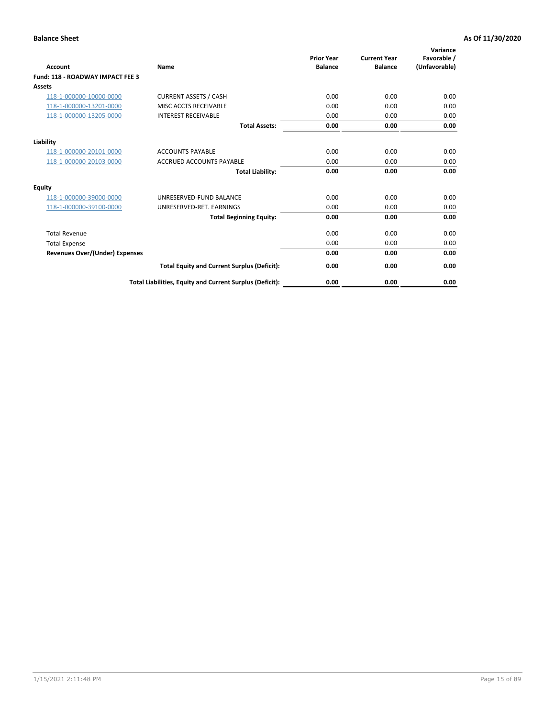| Account                                 | Name                                                     | <b>Prior Year</b><br><b>Balance</b> | <b>Current Year</b><br><b>Balance</b> | Variance<br>Favorable /<br>(Unfavorable) |
|-----------------------------------------|----------------------------------------------------------|-------------------------------------|---------------------------------------|------------------------------------------|
| <b>Fund: 118 - ROADWAY IMPACT FEE 3</b> |                                                          |                                     |                                       |                                          |
| Assets                                  |                                                          |                                     |                                       |                                          |
| 118-1-000000-10000-0000                 | <b>CURRENT ASSETS / CASH</b>                             | 0.00                                | 0.00                                  | 0.00                                     |
| 118-1-000000-13201-0000                 | MISC ACCTS RECEIVABLE                                    | 0.00                                | 0.00                                  | 0.00                                     |
| 118-1-000000-13205-0000                 | <b>INTEREST RECEIVABLE</b>                               | 0.00                                | 0.00                                  | 0.00                                     |
|                                         | <b>Total Assets:</b>                                     | 0.00                                | 0.00                                  | 0.00                                     |
| Liability                               |                                                          |                                     |                                       |                                          |
| 118-1-000000-20101-0000                 | <b>ACCOUNTS PAYABLE</b>                                  | 0.00                                | 0.00                                  | 0.00                                     |
| 118-1-000000-20103-0000                 | <b>ACCRUED ACCOUNTS PAYABLE</b>                          | 0.00                                | 0.00                                  | 0.00                                     |
|                                         | <b>Total Liability:</b>                                  | 0.00                                | 0.00                                  | 0.00                                     |
| Equity                                  |                                                          |                                     |                                       |                                          |
| 118-1-000000-39000-0000                 | UNRESERVED-FUND BALANCE                                  | 0.00                                | 0.00                                  | 0.00                                     |
| 118-1-000000-39100-0000                 | UNRESERVED-RET. EARNINGS                                 | 0.00                                | 0.00                                  | 0.00                                     |
|                                         | <b>Total Beginning Equity:</b>                           | 0.00                                | 0.00                                  | 0.00                                     |
| <b>Total Revenue</b>                    |                                                          | 0.00                                | 0.00                                  | 0.00                                     |
| <b>Total Expense</b>                    |                                                          | 0.00                                | 0.00                                  | 0.00                                     |
| <b>Revenues Over/(Under) Expenses</b>   |                                                          | 0.00                                | 0.00                                  | 0.00                                     |
|                                         | <b>Total Equity and Current Surplus (Deficit):</b>       | 0.00                                | 0.00                                  | 0.00                                     |
|                                         | Total Liabilities, Equity and Current Surplus (Deficit): | 0.00                                | 0.00                                  | 0.00                                     |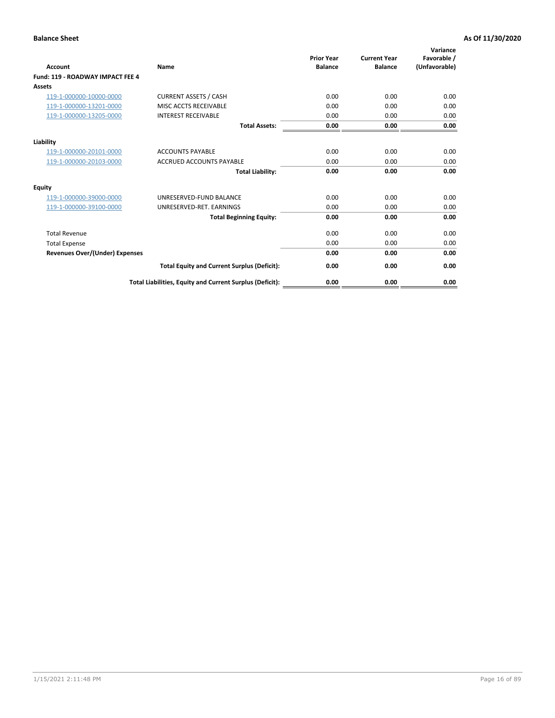| <b>Account</b>                        | Name                                                     | <b>Prior Year</b><br><b>Balance</b> | <b>Current Year</b><br><b>Balance</b> | Variance<br>Favorable /<br>(Unfavorable) |
|---------------------------------------|----------------------------------------------------------|-------------------------------------|---------------------------------------|------------------------------------------|
| Fund: 119 - ROADWAY IMPACT FEE 4      |                                                          |                                     |                                       |                                          |
| Assets                                |                                                          |                                     |                                       |                                          |
| 119-1-000000-10000-0000               | <b>CURRENT ASSETS / CASH</b>                             | 0.00                                | 0.00                                  | 0.00                                     |
| 119-1-000000-13201-0000               | <b>MISC ACCTS RECEIVABLE</b>                             | 0.00                                | 0.00                                  | 0.00                                     |
| 119-1-000000-13205-0000               | <b>INTEREST RECEIVABLE</b>                               | 0.00                                | 0.00                                  | 0.00                                     |
|                                       | <b>Total Assets:</b>                                     | 0.00                                | 0.00                                  | 0.00                                     |
| Liability                             |                                                          |                                     |                                       |                                          |
| 119-1-000000-20101-0000               | <b>ACCOUNTS PAYABLE</b>                                  | 0.00                                | 0.00                                  | 0.00                                     |
| 119-1-000000-20103-0000               | <b>ACCRUED ACCOUNTS PAYABLE</b>                          | 0.00                                | 0.00                                  | 0.00                                     |
|                                       | <b>Total Liability:</b>                                  | 0.00                                | 0.00                                  | 0.00                                     |
| Equity                                |                                                          |                                     |                                       |                                          |
| 119-1-000000-39000-0000               | UNRESERVED-FUND BALANCE                                  | 0.00                                | 0.00                                  | 0.00                                     |
| 119-1-000000-39100-0000               | UNRESERVED-RET, EARNINGS                                 | 0.00                                | 0.00                                  | 0.00                                     |
|                                       | <b>Total Beginning Equity:</b>                           | 0.00                                | 0.00                                  | 0.00                                     |
| <b>Total Revenue</b>                  |                                                          | 0.00                                | 0.00                                  | 0.00                                     |
| <b>Total Expense</b>                  |                                                          | 0.00                                | 0.00                                  | 0.00                                     |
| <b>Revenues Over/(Under) Expenses</b> |                                                          | 0.00                                | 0.00                                  | 0.00                                     |
|                                       | <b>Total Equity and Current Surplus (Deficit):</b>       | 0.00                                | 0.00                                  | 0.00                                     |
|                                       | Total Liabilities, Equity and Current Surplus (Deficit): | 0.00                                | 0.00                                  | 0.00                                     |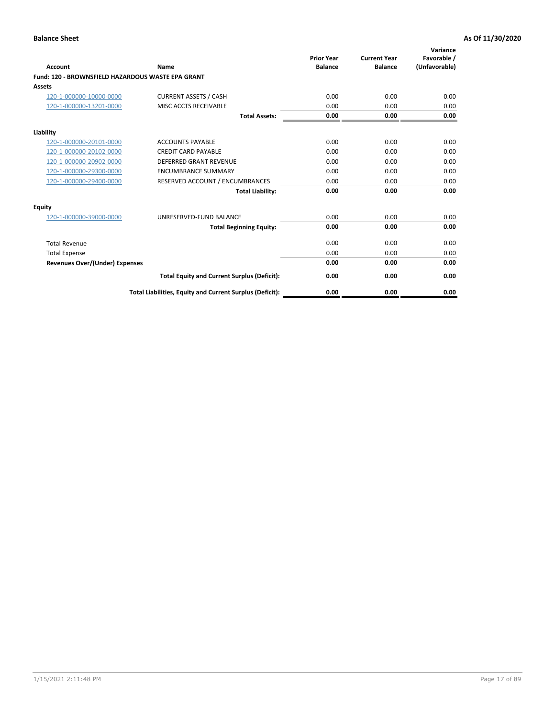|                                                   |                                                          | <b>Prior Year</b> | <b>Current Year</b> | Variance<br>Favorable / |
|---------------------------------------------------|----------------------------------------------------------|-------------------|---------------------|-------------------------|
| <b>Account</b>                                    | <b>Name</b>                                              | <b>Balance</b>    | <b>Balance</b>      | (Unfavorable)           |
| Fund: 120 - BROWNSFIELD HAZARDOUS WASTE EPA GRANT |                                                          |                   |                     |                         |
| <b>Assets</b>                                     |                                                          |                   |                     |                         |
| 120-1-000000-10000-0000                           | <b>CURRENT ASSETS / CASH</b>                             | 0.00              | 0.00                | 0.00                    |
| 120-1-000000-13201-0000                           | MISC ACCTS RECEIVABLE                                    | 0.00              | 0.00                | 0.00                    |
|                                                   | <b>Total Assets:</b>                                     | 0.00              | 0.00                | 0.00                    |
| Liability                                         |                                                          |                   |                     |                         |
| 120-1-000000-20101-0000                           | <b>ACCOUNTS PAYABLE</b>                                  | 0.00              | 0.00                | 0.00                    |
| 120-1-000000-20102-0000                           | <b>CREDIT CARD PAYABLE</b>                               | 0.00              | 0.00                | 0.00                    |
| 120-1-000000-20902-0000                           | <b>DEFERRED GRANT REVENUE</b>                            | 0.00              | 0.00                | 0.00                    |
| 120-1-000000-29300-0000                           | <b>ENCUMBRANCE SUMMARY</b>                               | 0.00              | 0.00                | 0.00                    |
| 120-1-000000-29400-0000                           | RESERVED ACCOUNT / ENCUMBRANCES                          | 0.00              | 0.00                | 0.00                    |
|                                                   | <b>Total Liability:</b>                                  | 0.00              | 0.00                | 0.00                    |
| Equity                                            |                                                          |                   |                     |                         |
| 120-1-000000-39000-0000                           | UNRESERVED-FUND BALANCE                                  | 0.00              | 0.00                | 0.00                    |
|                                                   | <b>Total Beginning Equity:</b>                           | 0.00              | 0.00                | 0.00                    |
| <b>Total Revenue</b>                              |                                                          | 0.00              | 0.00                | 0.00                    |
| <b>Total Expense</b>                              |                                                          | 0.00              | 0.00                | 0.00                    |
| <b>Revenues Over/(Under) Expenses</b>             |                                                          | 0.00              | 0.00                | 0.00                    |
|                                                   | <b>Total Equity and Current Surplus (Deficit):</b>       | 0.00              | 0.00                | 0.00                    |
|                                                   | Total Liabilities, Equity and Current Surplus (Deficit): | 0.00              | 0.00                | 0.00                    |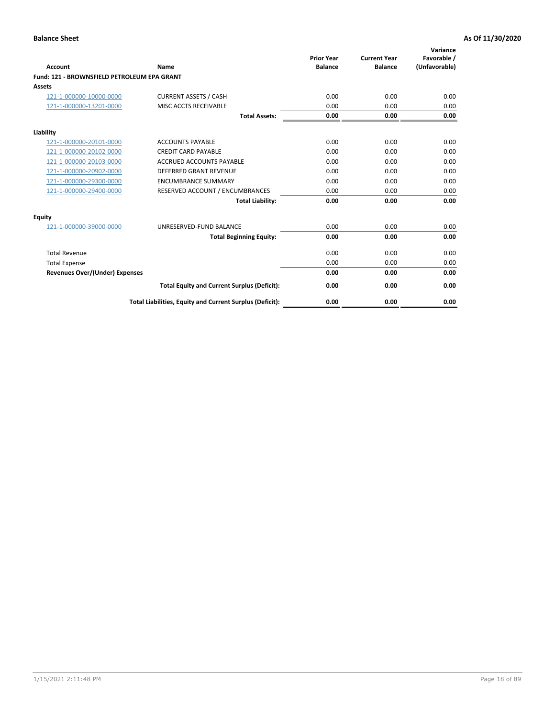| Account                                     | Name                                                     | <b>Prior Year</b><br><b>Balance</b> | <b>Current Year</b><br><b>Balance</b> | Variance<br>Favorable /<br>(Unfavorable) |
|---------------------------------------------|----------------------------------------------------------|-------------------------------------|---------------------------------------|------------------------------------------|
| Fund: 121 - BROWNSFIELD PETROLEUM EPA GRANT |                                                          |                                     |                                       |                                          |
| <b>Assets</b>                               |                                                          |                                     |                                       |                                          |
| 121-1-000000-10000-0000                     | <b>CURRENT ASSETS / CASH</b>                             | 0.00                                | 0.00                                  | 0.00                                     |
| 121-1-000000-13201-0000                     | <b>MISC ACCTS RECEIVABLE</b>                             | 0.00                                | 0.00                                  | 0.00                                     |
|                                             | <b>Total Assets:</b>                                     | 0.00                                | 0.00                                  | 0.00                                     |
| Liability                                   |                                                          |                                     |                                       |                                          |
| 121-1-000000-20101-0000                     | <b>ACCOUNTS PAYABLE</b>                                  | 0.00                                | 0.00                                  | 0.00                                     |
| 121-1-000000-20102-0000                     | <b>CREDIT CARD PAYABLE</b>                               | 0.00                                | 0.00                                  | 0.00                                     |
| 121-1-000000-20103-0000                     | <b>ACCRUED ACCOUNTS PAYABLE</b>                          | 0.00                                | 0.00                                  | 0.00                                     |
| 121-1-000000-20902-0000                     | <b>DEFERRED GRANT REVENUE</b>                            | 0.00                                | 0.00                                  | 0.00                                     |
| 121-1-000000-29300-0000                     | <b>ENCUMBRANCE SUMMARY</b>                               | 0.00                                | 0.00                                  | 0.00                                     |
| 121-1-000000-29400-0000                     | RESERVED ACCOUNT / ENCUMBRANCES                          | 0.00                                | 0.00                                  | 0.00                                     |
|                                             | <b>Total Liability:</b>                                  | 0.00                                | 0.00                                  | 0.00                                     |
| <b>Equity</b>                               |                                                          |                                     |                                       |                                          |
| 121-1-000000-39000-0000                     | UNRESERVED-FUND BALANCE                                  | 0.00                                | 0.00                                  | 0.00                                     |
|                                             | <b>Total Beginning Equity:</b>                           | 0.00                                | 0.00                                  | 0.00                                     |
| <b>Total Revenue</b>                        |                                                          | 0.00                                | 0.00                                  | 0.00                                     |
| <b>Total Expense</b>                        |                                                          | 0.00                                | 0.00                                  | 0.00                                     |
| <b>Revenues Over/(Under) Expenses</b>       |                                                          | 0.00                                | 0.00                                  | 0.00                                     |
|                                             | <b>Total Equity and Current Surplus (Deficit):</b>       | 0.00                                | 0.00                                  | 0.00                                     |
|                                             | Total Liabilities, Equity and Current Surplus (Deficit): | 0.00                                | 0.00                                  | 0.00                                     |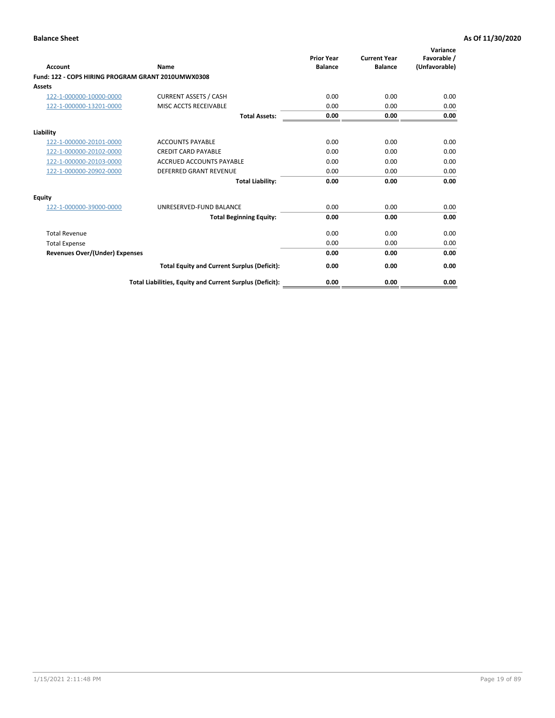| <b>Account</b>                                     | Name                                                     | <b>Prior Year</b><br><b>Balance</b> | <b>Current Year</b><br><b>Balance</b> | Variance<br>Favorable /<br>(Unfavorable) |
|----------------------------------------------------|----------------------------------------------------------|-------------------------------------|---------------------------------------|------------------------------------------|
| Fund: 122 - COPS HIRING PROGRAM GRANT 2010UMWX0308 |                                                          |                                     |                                       |                                          |
| Assets                                             |                                                          |                                     |                                       |                                          |
| 122-1-000000-10000-0000                            | <b>CURRENT ASSETS / CASH</b>                             | 0.00                                | 0.00                                  | 0.00                                     |
| 122-1-000000-13201-0000                            | MISC ACCTS RECEIVABLE                                    | 0.00                                | 0.00                                  | 0.00                                     |
|                                                    | <b>Total Assets:</b>                                     | 0.00                                | 0.00                                  | 0.00                                     |
| Liability                                          |                                                          |                                     |                                       |                                          |
| 122-1-000000-20101-0000                            | <b>ACCOUNTS PAYABLE</b>                                  | 0.00                                | 0.00                                  | 0.00                                     |
| 122-1-000000-20102-0000                            | <b>CREDIT CARD PAYABLE</b>                               | 0.00                                | 0.00                                  | 0.00                                     |
| 122-1-000000-20103-0000                            | <b>ACCRUED ACCOUNTS PAYABLE</b>                          | 0.00                                | 0.00                                  | 0.00                                     |
| 122-1-000000-20902-0000                            | <b>DEFERRED GRANT REVENUE</b>                            | 0.00                                | 0.00                                  | 0.00                                     |
|                                                    | <b>Total Liability:</b>                                  | 0.00                                | 0.00                                  | 0.00                                     |
| Equity                                             |                                                          |                                     |                                       |                                          |
| 122-1-000000-39000-0000                            | UNRESERVED-FUND BALANCE                                  | 0.00                                | 0.00                                  | 0.00                                     |
|                                                    | <b>Total Beginning Equity:</b>                           | 0.00                                | 0.00                                  | 0.00                                     |
| <b>Total Revenue</b>                               |                                                          | 0.00                                | 0.00                                  | 0.00                                     |
| <b>Total Expense</b>                               |                                                          | 0.00                                | 0.00                                  | 0.00                                     |
| <b>Revenues Over/(Under) Expenses</b>              |                                                          | 0.00                                | 0.00                                  | 0.00                                     |
|                                                    | <b>Total Equity and Current Surplus (Deficit):</b>       | 0.00                                | 0.00                                  | 0.00                                     |
|                                                    | Total Liabilities, Equity and Current Surplus (Deficit): | 0.00                                | 0.00                                  | 0.00                                     |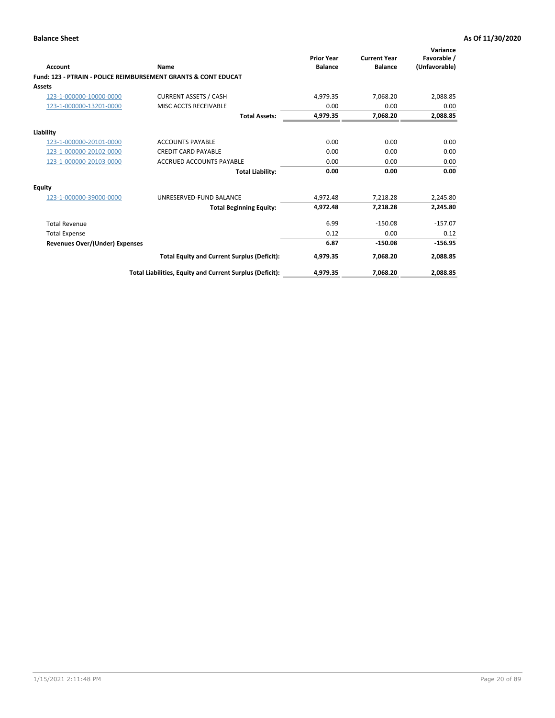| Account                               | Name                                                           | <b>Prior Year</b><br><b>Balance</b> | <b>Current Year</b><br><b>Balance</b> | Variance<br>Favorable /<br>(Unfavorable) |
|---------------------------------------|----------------------------------------------------------------|-------------------------------------|---------------------------------------|------------------------------------------|
|                                       | Fund: 123 - PTRAIN - POLICE REIMBURSEMENT GRANTS & CONT EDUCAT |                                     |                                       |                                          |
| Assets                                |                                                                |                                     |                                       |                                          |
| 123-1-000000-10000-0000               | <b>CURRENT ASSETS / CASH</b>                                   | 4,979.35                            | 7.068.20                              | 2,088.85                                 |
| 123-1-000000-13201-0000               | MISC ACCTS RECEIVABLE                                          | 0.00                                | 0.00                                  | 0.00                                     |
|                                       | <b>Total Assets:</b>                                           | 4.979.35                            | 7,068.20                              | 2,088.85                                 |
| Liability                             |                                                                |                                     |                                       |                                          |
| 123-1-000000-20101-0000               | <b>ACCOUNTS PAYABLE</b>                                        | 0.00                                | 0.00                                  | 0.00                                     |
| 123-1-000000-20102-0000               | <b>CREDIT CARD PAYABLE</b>                                     | 0.00                                | 0.00                                  | 0.00                                     |
| 123-1-000000-20103-0000               | <b>ACCRUED ACCOUNTS PAYABLE</b>                                | 0.00                                | 0.00                                  | 0.00                                     |
|                                       | <b>Total Liability:</b>                                        | 0.00                                | 0.00                                  | 0.00                                     |
| Equity                                |                                                                |                                     |                                       |                                          |
| 123-1-000000-39000-0000               | UNRESERVED-FUND BALANCE                                        | 4,972.48                            | 7,218.28                              | 2,245.80                                 |
|                                       | <b>Total Beginning Equity:</b>                                 | 4,972.48                            | 7,218.28                              | 2,245.80                                 |
| <b>Total Revenue</b>                  |                                                                | 6.99                                | $-150.08$                             | $-157.07$                                |
| <b>Total Expense</b>                  |                                                                | 0.12                                | 0.00                                  | 0.12                                     |
| <b>Revenues Over/(Under) Expenses</b> |                                                                | 6.87                                | $-150.08$                             | $-156.95$                                |
|                                       | <b>Total Equity and Current Surplus (Deficit):</b>             | 4,979.35                            | 7.068.20                              | 2,088.85                                 |
|                                       | Total Liabilities, Equity and Current Surplus (Deficit):       | 4,979.35                            | 7,068.20                              | 2,088.85                                 |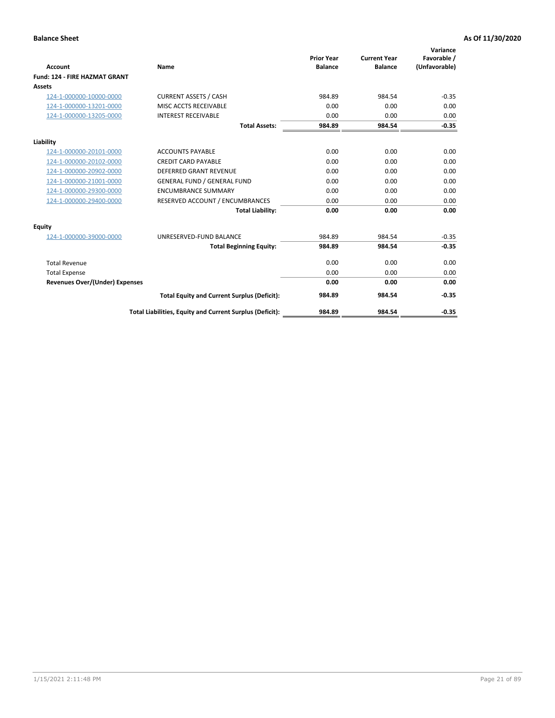|                                      |                                                          |                                     |                                       | Variance                     |
|--------------------------------------|----------------------------------------------------------|-------------------------------------|---------------------------------------|------------------------------|
| <b>Account</b>                       | Name                                                     | <b>Prior Year</b><br><b>Balance</b> | <b>Current Year</b><br><b>Balance</b> | Favorable /<br>(Unfavorable) |
| <b>Fund: 124 - FIRE HAZMAT GRANT</b> |                                                          |                                     |                                       |                              |
| <b>Assets</b>                        |                                                          |                                     |                                       |                              |
| 124-1-000000-10000-0000              | <b>CURRENT ASSETS / CASH</b>                             | 984.89                              | 984.54                                | $-0.35$                      |
| 124-1-000000-13201-0000              | MISC ACCTS RECEIVABLE                                    | 0.00                                | 0.00                                  | 0.00                         |
| 124-1-000000-13205-0000              | <b>INTEREST RECEIVABLE</b>                               | 0.00                                | 0.00                                  | 0.00                         |
|                                      | <b>Total Assets:</b>                                     | 984.89                              | 984.54                                | $-0.35$                      |
| Liability                            |                                                          |                                     |                                       |                              |
| 124-1-000000-20101-0000              | <b>ACCOUNTS PAYABLE</b>                                  | 0.00                                | 0.00                                  | 0.00                         |
| 124-1-000000-20102-0000              | <b>CREDIT CARD PAYABLE</b>                               | 0.00                                | 0.00                                  | 0.00                         |
| 124-1-000000-20902-0000              | <b>DEFERRED GRANT REVENUE</b>                            | 0.00                                | 0.00                                  | 0.00                         |
| 124-1-000000-21001-0000              | <b>GENERAL FUND / GENERAL FUND</b>                       | 0.00                                | 0.00                                  | 0.00                         |
| 124-1-000000-29300-0000              | <b>ENCUMBRANCE SUMMARY</b>                               | 0.00                                | 0.00                                  | 0.00                         |
| 124-1-000000-29400-0000              | RESERVED ACCOUNT / ENCUMBRANCES                          | 0.00                                | 0.00                                  | 0.00                         |
|                                      | <b>Total Liability:</b>                                  | 0.00                                | 0.00                                  | 0.00                         |
| Equity                               |                                                          |                                     |                                       |                              |
| 124-1-000000-39000-0000              | UNRESERVED-FUND BALANCE                                  | 984.89                              | 984.54                                | $-0.35$                      |
|                                      | <b>Total Beginning Equity:</b>                           | 984.89                              | 984.54                                | $-0.35$                      |
| <b>Total Revenue</b>                 |                                                          | 0.00                                | 0.00                                  | 0.00                         |
| <b>Total Expense</b>                 |                                                          | 0.00                                | 0.00                                  | 0.00                         |
| Revenues Over/(Under) Expenses       |                                                          | 0.00                                | 0.00                                  | 0.00                         |
|                                      | <b>Total Equity and Current Surplus (Deficit):</b>       | 984.89                              | 984.54                                | $-0.35$                      |
|                                      | Total Liabilities, Equity and Current Surplus (Deficit): | 984.89                              | 984.54                                | $-0.35$                      |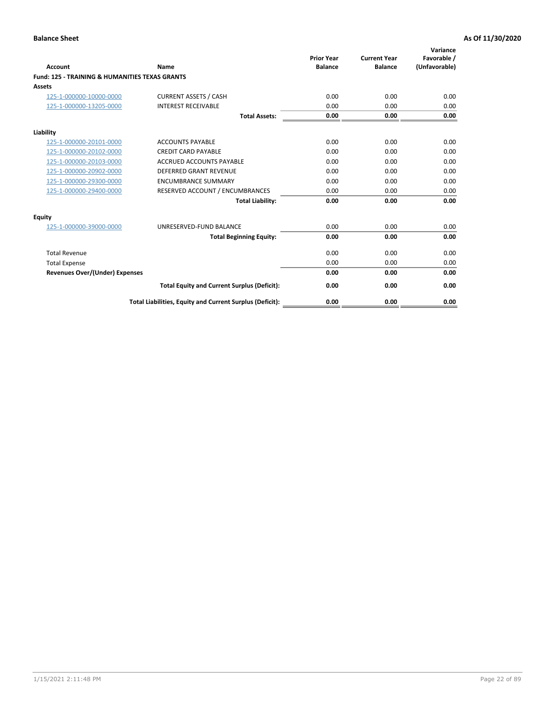| Account                                                   | Name                                                     | <b>Prior Year</b><br><b>Balance</b> | <b>Current Year</b><br><b>Balance</b> | Variance<br>Favorable /<br>(Unfavorable) |
|-----------------------------------------------------------|----------------------------------------------------------|-------------------------------------|---------------------------------------|------------------------------------------|
| <b>Fund: 125 - TRAINING &amp; HUMANITIES TEXAS GRANTS</b> |                                                          |                                     |                                       |                                          |
| <b>Assets</b>                                             |                                                          |                                     |                                       |                                          |
| 125-1-000000-10000-0000                                   | <b>CURRENT ASSETS / CASH</b>                             | 0.00                                | 0.00                                  | 0.00                                     |
| 125-1-000000-13205-0000                                   | <b>INTEREST RECEIVABLE</b>                               | 0.00                                | 0.00                                  | 0.00                                     |
|                                                           | <b>Total Assets:</b>                                     | 0.00                                | 0.00                                  | 0.00                                     |
| Liability                                                 |                                                          |                                     |                                       |                                          |
| 125-1-000000-20101-0000                                   | <b>ACCOUNTS PAYABLE</b>                                  | 0.00                                | 0.00                                  | 0.00                                     |
| 125-1-000000-20102-0000                                   | <b>CREDIT CARD PAYABLE</b>                               | 0.00                                | 0.00                                  | 0.00                                     |
| 125-1-000000-20103-0000                                   | <b>ACCRUED ACCOUNTS PAYABLE</b>                          | 0.00                                | 0.00                                  | 0.00                                     |
| 125-1-000000-20902-0000                                   | DEFERRED GRANT REVENUE                                   | 0.00                                | 0.00                                  | 0.00                                     |
| 125-1-000000-29300-0000                                   | <b>ENCUMBRANCE SUMMARY</b>                               | 0.00                                | 0.00                                  | 0.00                                     |
| 125-1-000000-29400-0000                                   | RESERVED ACCOUNT / ENCUMBRANCES                          | 0.00                                | 0.00                                  | 0.00                                     |
|                                                           | <b>Total Liability:</b>                                  | 0.00                                | 0.00                                  | 0.00                                     |
| <b>Equity</b>                                             |                                                          |                                     |                                       |                                          |
| 125-1-000000-39000-0000                                   | UNRESERVED-FUND BALANCE                                  | 0.00                                | 0.00                                  | 0.00                                     |
|                                                           | <b>Total Beginning Equity:</b>                           | 0.00                                | 0.00                                  | 0.00                                     |
| <b>Total Revenue</b>                                      |                                                          | 0.00                                | 0.00                                  | 0.00                                     |
| <b>Total Expense</b>                                      |                                                          | 0.00                                | 0.00                                  | 0.00                                     |
| <b>Revenues Over/(Under) Expenses</b>                     |                                                          | 0.00                                | 0.00                                  | 0.00                                     |
|                                                           | <b>Total Equity and Current Surplus (Deficit):</b>       | 0.00                                | 0.00                                  | 0.00                                     |
|                                                           | Total Liabilities, Equity and Current Surplus (Deficit): | 0.00                                | 0.00                                  | 0.00                                     |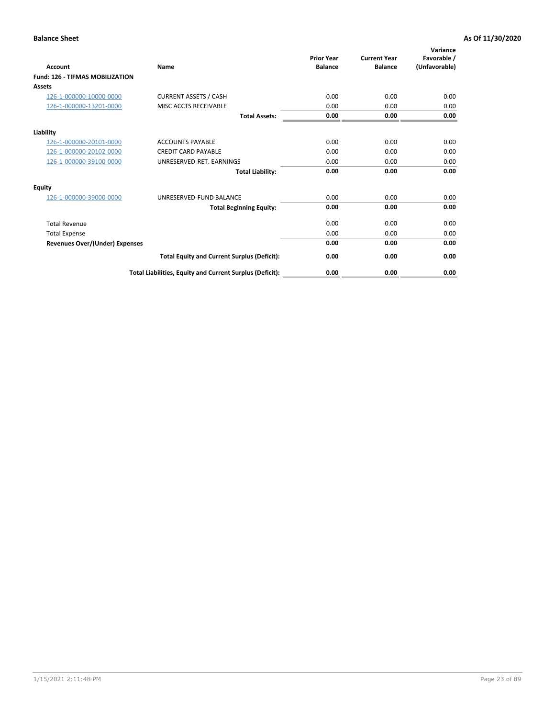| <b>Account</b>                         | <b>Name</b>                                              | <b>Prior Year</b><br><b>Balance</b> | <b>Current Year</b><br><b>Balance</b> | Variance<br>Favorable /<br>(Unfavorable) |
|----------------------------------------|----------------------------------------------------------|-------------------------------------|---------------------------------------|------------------------------------------|
| <b>Fund: 126 - TIFMAS MOBILIZATION</b> |                                                          |                                     |                                       |                                          |
| Assets                                 |                                                          |                                     |                                       |                                          |
| 126-1-000000-10000-0000                | <b>CURRENT ASSETS / CASH</b>                             | 0.00                                | 0.00                                  | 0.00                                     |
| 126-1-000000-13201-0000                | MISC ACCTS RECEIVABLE                                    | 0.00                                | 0.00                                  | 0.00                                     |
|                                        | <b>Total Assets:</b>                                     | 0.00                                | 0.00                                  | 0.00                                     |
| Liability                              |                                                          |                                     |                                       |                                          |
| 126-1-000000-20101-0000                | <b>ACCOUNTS PAYABLE</b>                                  | 0.00                                | 0.00                                  | 0.00                                     |
| 126-1-000000-20102-0000                | <b>CREDIT CARD PAYABLE</b>                               | 0.00                                | 0.00                                  | 0.00                                     |
| 126-1-000000-39100-0000                | UNRESERVED-RET. EARNINGS                                 | 0.00                                | 0.00                                  | 0.00                                     |
|                                        | <b>Total Liability:</b>                                  | 0.00                                | 0.00                                  | 0.00                                     |
| Equity                                 |                                                          |                                     |                                       |                                          |
| 126-1-000000-39000-0000                | UNRESERVED-FUND BALANCE                                  | 0.00                                | 0.00                                  | 0.00                                     |
|                                        | <b>Total Beginning Equity:</b>                           | 0.00                                | 0.00                                  | 0.00                                     |
| <b>Total Revenue</b>                   |                                                          | 0.00                                | 0.00                                  | 0.00                                     |
| <b>Total Expense</b>                   |                                                          | 0.00                                | 0.00                                  | 0.00                                     |
| <b>Revenues Over/(Under) Expenses</b>  |                                                          | 0.00                                | 0.00                                  | 0.00                                     |
|                                        | <b>Total Equity and Current Surplus (Deficit):</b>       | 0.00                                | 0.00                                  | 0.00                                     |
|                                        | Total Liabilities, Equity and Current Surplus (Deficit): | 0.00                                | 0.00                                  | 0.00                                     |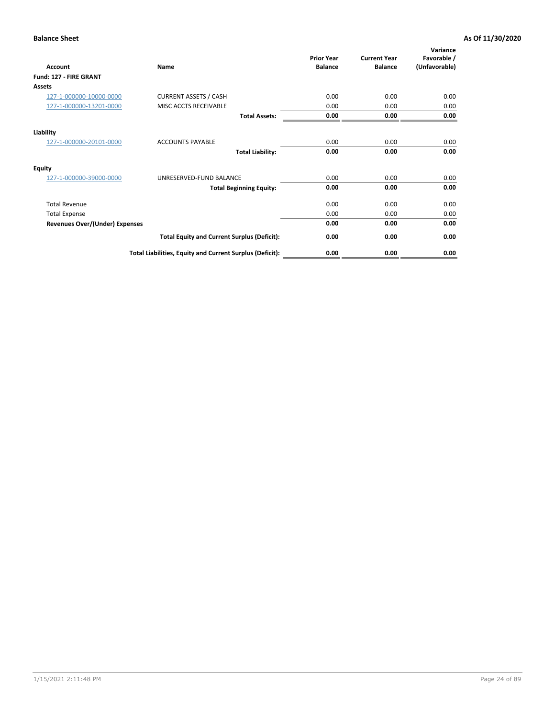| <b>Account</b>                        | Name                                                     | <b>Prior Year</b><br><b>Balance</b> | <b>Current Year</b><br><b>Balance</b> | Variance<br>Favorable /<br>(Unfavorable) |
|---------------------------------------|----------------------------------------------------------|-------------------------------------|---------------------------------------|------------------------------------------|
| Fund: 127 - FIRE GRANT                |                                                          |                                     |                                       |                                          |
| Assets                                |                                                          |                                     |                                       |                                          |
| 127-1-000000-10000-0000               | <b>CURRENT ASSETS / CASH</b>                             | 0.00                                | 0.00                                  | 0.00                                     |
| 127-1-000000-13201-0000               | MISC ACCTS RECEIVABLE                                    | 0.00                                | 0.00                                  | 0.00                                     |
|                                       | <b>Total Assets:</b>                                     | 0.00                                | 0.00                                  | 0.00                                     |
| Liability                             |                                                          |                                     |                                       |                                          |
| 127-1-000000-20101-0000               | <b>ACCOUNTS PAYABLE</b>                                  | 0.00                                | 0.00                                  | 0.00                                     |
|                                       | <b>Total Liability:</b>                                  | 0.00                                | 0.00                                  | 0.00                                     |
| <b>Equity</b>                         |                                                          |                                     |                                       |                                          |
| 127-1-000000-39000-0000               | UNRESERVED-FUND BALANCE                                  | 0.00                                | 0.00                                  | 0.00                                     |
|                                       | <b>Total Beginning Equity:</b>                           | 0.00                                | 0.00                                  | 0.00                                     |
| <b>Total Revenue</b>                  |                                                          | 0.00                                | 0.00                                  | 0.00                                     |
| <b>Total Expense</b>                  |                                                          | 0.00                                | 0.00                                  | 0.00                                     |
| <b>Revenues Over/(Under) Expenses</b> |                                                          | 0.00                                | 0.00                                  | 0.00                                     |
|                                       | <b>Total Equity and Current Surplus (Deficit):</b>       | 0.00                                | 0.00                                  | 0.00                                     |
|                                       | Total Liabilities, Equity and Current Surplus (Deficit): | 0.00                                | 0.00                                  | 0.00                                     |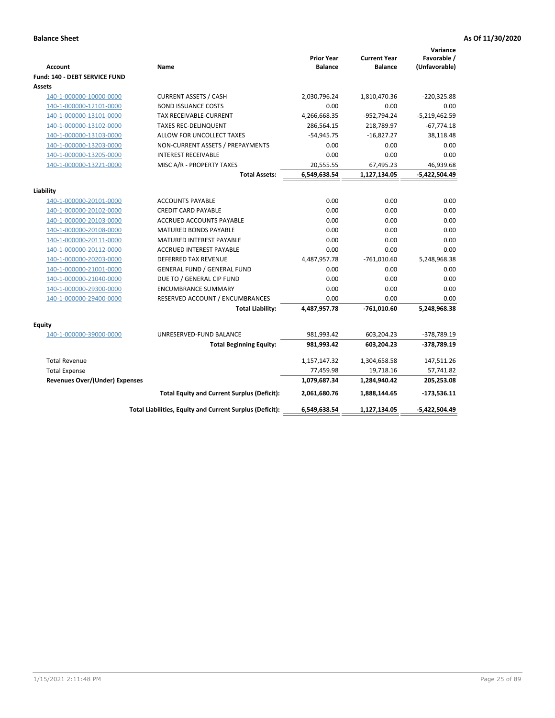| <b>Account</b>                          | Name                                                     | <b>Prior Year</b><br><b>Balance</b> | <b>Current Year</b><br><b>Balance</b> | Variance<br>Favorable /<br>(Unfavorable) |
|-----------------------------------------|----------------------------------------------------------|-------------------------------------|---------------------------------------|------------------------------------------|
| Fund: 140 - DEBT SERVICE FUND<br>Assets |                                                          |                                     |                                       |                                          |
| 140-1-000000-10000-0000                 | <b>CURRENT ASSETS / CASH</b>                             | 2,030,796.24                        | 1,810,470.36                          | $-220,325.88$                            |
| 140-1-000000-12101-0000                 | <b>BOND ISSUANCE COSTS</b>                               | 0.00                                | 0.00                                  | 0.00                                     |
| 140-1-000000-13101-0000                 | <b>TAX RECEIVABLE-CURRENT</b>                            | 4,266,668.35                        | $-952,794.24$                         | $-5,219,462.59$                          |
| 140-1-000000-13102-0000                 | <b>TAXES REC-DELINQUENT</b>                              | 286,564.15                          | 218,789.97                            | $-67,774.18$                             |
| 140-1-000000-13103-0000                 | ALLOW FOR UNCOLLECT TAXES                                | $-54,945.75$                        | $-16,827.27$                          | 38,118.48                                |
| 140-1-000000-13203-0000                 | NON-CURRENT ASSETS / PREPAYMENTS                         | 0.00                                | 0.00                                  | 0.00                                     |
| 140-1-000000-13205-0000                 | <b>INTEREST RECEIVABLE</b>                               | 0.00                                | 0.00                                  | 0.00                                     |
| 140-1-000000-13221-0000                 | MISC A/R - PROPERTY TAXES                                | 20,555.55                           | 67,495.23                             | 46,939.68                                |
|                                         | <b>Total Assets:</b>                                     | 6,549,638.54                        | 1,127,134.05                          | $-5,422,504.49$                          |
|                                         |                                                          |                                     |                                       |                                          |
| Liability                               |                                                          |                                     |                                       |                                          |
| 140-1-000000-20101-0000                 | <b>ACCOUNTS PAYABLE</b>                                  | 0.00                                | 0.00                                  | 0.00                                     |
| 140-1-000000-20102-0000                 | <b>CREDIT CARD PAYABLE</b>                               | 0.00                                | 0.00                                  | 0.00                                     |
| 140-1-000000-20103-0000                 | <b>ACCRUED ACCOUNTS PAYABLE</b>                          | 0.00                                | 0.00                                  | 0.00                                     |
| 140-1-000000-20108-0000                 | <b>MATURED BONDS PAYABLE</b>                             | 0.00                                | 0.00                                  | 0.00                                     |
| 140-1-000000-20111-0000                 | MATURED INTEREST PAYABLE                                 | 0.00                                | 0.00                                  | 0.00                                     |
| 140-1-000000-20112-0000                 | <b>ACCRUED INTEREST PAYABLE</b>                          | 0.00                                | 0.00                                  | 0.00                                     |
| 140-1-000000-20203-0000                 | <b>DEFERRED TAX REVENUE</b>                              | 4,487,957.78                        | $-761,010.60$                         | 5,248,968.38                             |
| 140-1-000000-21001-0000                 | <b>GENERAL FUND / GENERAL FUND</b>                       | 0.00                                | 0.00                                  | 0.00                                     |
| 140-1-000000-21040-0000                 | DUE TO / GENERAL CIP FUND                                | 0.00                                | 0.00                                  | 0.00                                     |
| 140-1-000000-29300-0000                 | <b>ENCUMBRANCE SUMMARY</b>                               | 0.00                                | 0.00                                  | 0.00                                     |
| 140-1-000000-29400-0000                 | RESERVED ACCOUNT / ENCUMBRANCES                          | 0.00                                | 0.00                                  | 0.00                                     |
|                                         | <b>Total Liability:</b>                                  | 4,487,957.78                        | -761,010.60                           | 5,248,968.38                             |
|                                         |                                                          |                                     |                                       |                                          |
| Equity                                  | UNRESERVED-FUND BALANCE                                  | 981,993.42                          | 603,204.23                            | -378,789.19                              |
| 140-1-000000-39000-0000                 |                                                          | 981,993.42                          | 603,204.23                            | -378,789.19                              |
|                                         | <b>Total Beginning Equity:</b>                           |                                     |                                       |                                          |
| <b>Total Revenue</b>                    |                                                          | 1,157,147.32                        | 1,304,658.58                          | 147,511.26                               |
| <b>Total Expense</b>                    |                                                          | 77,459.98                           | 19,718.16                             | 57,741.82                                |
| <b>Revenues Over/(Under) Expenses</b>   |                                                          | 1,079,687.34                        | 1,284,940.42                          | 205,253.08                               |
|                                         | <b>Total Equity and Current Surplus (Deficit):</b>       | 2,061,680.76                        | 1,888,144.65                          | $-173,536.11$                            |
|                                         | Total Liabilities, Equity and Current Surplus (Deficit): | 6,549,638.54                        | 1,127,134.05                          | $-5,422,504.49$                          |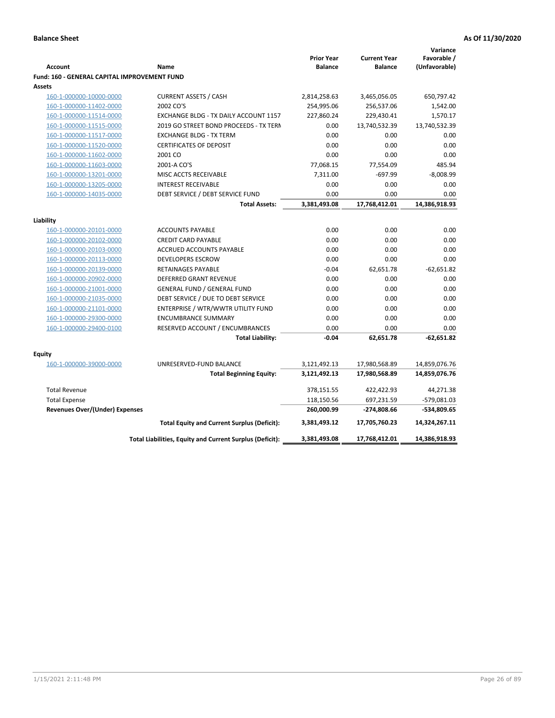|                                              |                                                          |                                     |                                       | Variance                     |
|----------------------------------------------|----------------------------------------------------------|-------------------------------------|---------------------------------------|------------------------------|
| <b>Account</b>                               | Name                                                     | <b>Prior Year</b><br><b>Balance</b> | <b>Current Year</b><br><b>Balance</b> | Favorable /<br>(Unfavorable) |
| Fund: 160 - GENERAL CAPITAL IMPROVEMENT FUND |                                                          |                                     |                                       |                              |
| Assets                                       |                                                          |                                     |                                       |                              |
| 160-1-000000-10000-0000                      | <b>CURRENT ASSETS / CASH</b>                             | 2,814,258.63                        | 3,465,056.05                          | 650,797.42                   |
| 160-1-000000-11402-0000                      | 2002 CO'S                                                | 254,995.06                          | 256,537.06                            | 1,542.00                     |
| 160-1-000000-11514-0000                      | EXCHANGE BLDG - TX DAILY ACCOUNT 1157                    | 227,860.24                          | 229,430.41                            | 1,570.17                     |
| 160-1-000000-11515-0000                      | 2019 GO STREET BOND PROCEEDS - TX TERN                   | 0.00                                | 13,740,532.39                         | 13,740,532.39                |
| 160-1-000000-11517-0000                      | <b>EXCHANGE BLDG - TX TERM</b>                           | 0.00                                | 0.00                                  | 0.00                         |
| 160-1-000000-11520-0000                      | <b>CERTIFICATES OF DEPOSIT</b>                           | 0.00                                | 0.00                                  | 0.00                         |
| 160-1-000000-11602-0000                      | 2001 CO                                                  | 0.00                                | 0.00                                  | 0.00                         |
| 160-1-000000-11603-0000                      | 2001-A CO'S                                              | 77,068.15                           | 77,554.09                             | 485.94                       |
| 160-1-000000-13201-0000                      | MISC ACCTS RECEIVABLE                                    | 7,311.00                            | $-697.99$                             | $-8,008.99$                  |
| 160-1-000000-13205-0000                      | <b>INTEREST RECEIVABLE</b>                               | 0.00                                | 0.00                                  | 0.00                         |
| 160-1-000000-14035-0000                      | DEBT SERVICE / DEBT SERVICE FUND                         | 0.00                                | 0.00                                  | 0.00                         |
|                                              | <b>Total Assets:</b>                                     | 3,381,493.08                        | 17,768,412.01                         | 14,386,918.93                |
|                                              |                                                          |                                     |                                       |                              |
| Liability                                    |                                                          |                                     |                                       |                              |
| 160-1-000000-20101-0000                      | <b>ACCOUNTS PAYABLE</b>                                  | 0.00                                | 0.00                                  | 0.00                         |
| 160-1-000000-20102-0000                      | <b>CREDIT CARD PAYABLE</b>                               | 0.00                                | 0.00                                  | 0.00                         |
| 160-1-000000-20103-0000                      | ACCRUED ACCOUNTS PAYABLE                                 | 0.00                                | 0.00                                  | 0.00                         |
| 160-1-000000-20113-0000                      | <b>DEVELOPERS ESCROW</b>                                 | 0.00                                | 0.00                                  | 0.00                         |
| 160-1-000000-20139-0000                      | RETAINAGES PAYABLE                                       | $-0.04$                             | 62,651.78                             | $-62,651.82$                 |
| 160-1-000000-20902-0000                      | <b>DEFERRED GRANT REVENUE</b>                            | 0.00                                | 0.00                                  | 0.00                         |
| 160-1-000000-21001-0000                      | <b>GENERAL FUND / GENERAL FUND</b>                       | 0.00                                | 0.00                                  | 0.00                         |
| 160-1-000000-21035-0000                      | DEBT SERVICE / DUE TO DEBT SERVICE                       | 0.00                                | 0.00                                  | 0.00                         |
| 160-1-000000-21101-0000                      | ENTERPRISE / WTR/WWTR UTILITY FUND                       | 0.00                                | 0.00                                  | 0.00                         |
| 160-1-000000-29300-0000                      | <b>ENCUMBRANCE SUMMARY</b>                               | 0.00                                | 0.00                                  | 0.00                         |
| 160-1-000000-29400-0100                      | RESERVED ACCOUNT / ENCUMBRANCES                          | 0.00                                | 0.00                                  | 0.00                         |
|                                              | <b>Total Liability:</b>                                  | $-0.04$                             | 62,651.78                             | $-62,651.82$                 |
| <b>Equity</b>                                |                                                          |                                     |                                       |                              |
| 160-1-000000-39000-0000                      | UNRESERVED-FUND BALANCE                                  | 3,121,492.13                        | 17,980,568.89                         | 14,859,076.76                |
|                                              | <b>Total Beginning Equity:</b>                           | 3,121,492.13                        | 17,980,568.89                         | 14,859,076.76                |
| <b>Total Revenue</b>                         |                                                          | 378,151.55                          | 422,422.93                            | 44,271.38                    |
| <b>Total Expense</b>                         |                                                          | 118,150.56                          | 697,231.59                            | -579,081.03                  |
| <b>Revenues Over/(Under) Expenses</b>        |                                                          | 260,000.99                          | -274,808.66                           | -534,809.65                  |
|                                              | <b>Total Equity and Current Surplus (Deficit):</b>       | 3,381,493.12                        | 17,705,760.23                         | 14,324,267.11                |
|                                              | Total Liabilities, Equity and Current Surplus (Deficit): | 3,381,493.08                        | 17,768,412.01                         | 14,386,918.93                |
|                                              |                                                          |                                     |                                       |                              |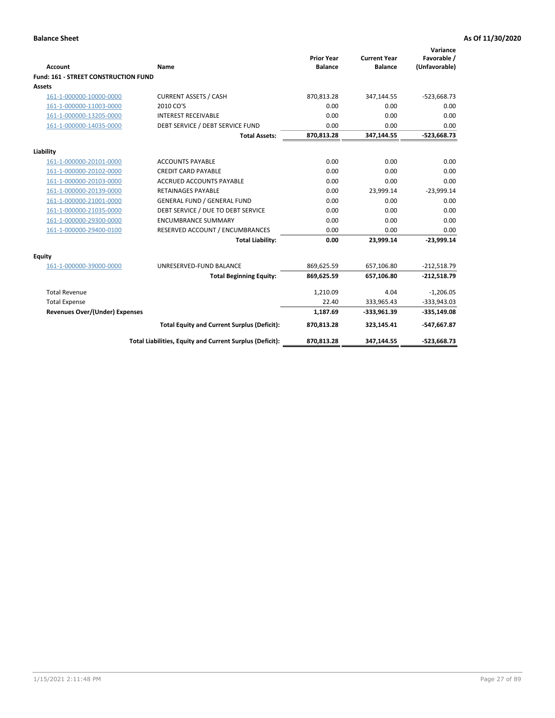| <b>Account</b>                       | Name                                                     | <b>Prior Year</b><br><b>Balance</b> | <b>Current Year</b><br><b>Balance</b> | Variance<br>Favorable /<br>(Unfavorable) |
|--------------------------------------|----------------------------------------------------------|-------------------------------------|---------------------------------------|------------------------------------------|
| Fund: 161 - STREET CONSTRUCTION FUND |                                                          |                                     |                                       |                                          |
| <b>Assets</b>                        |                                                          |                                     |                                       |                                          |
| 161-1-000000-10000-0000              | <b>CURRENT ASSETS / CASH</b>                             | 870,813.28                          | 347,144.55                            | $-523,668.73$                            |
| 161-1-000000-11003-0000              | 2010 CO'S                                                | 0.00                                | 0.00                                  | 0.00                                     |
| 161-1-000000-13205-0000              | <b>INTEREST RECEIVABLE</b>                               | 0.00                                | 0.00                                  | 0.00                                     |
| 161-1-000000-14035-0000              | DEBT SERVICE / DEBT SERVICE FUND                         | 0.00                                | 0.00                                  | 0.00                                     |
|                                      | <b>Total Assets:</b>                                     | 870,813.28                          | 347,144.55                            | $-523,668.73$                            |
| Liability                            |                                                          |                                     |                                       |                                          |
| 161-1-000000-20101-0000              | <b>ACCOUNTS PAYABLE</b>                                  | 0.00                                | 0.00                                  | 0.00                                     |
| 161-1-000000-20102-0000              | <b>CREDIT CARD PAYABLE</b>                               | 0.00                                | 0.00                                  | 0.00                                     |
| 161-1-000000-20103-0000              | <b>ACCRUED ACCOUNTS PAYABLE</b>                          | 0.00                                | 0.00                                  | 0.00                                     |
| 161-1-000000-20139-0000              | <b>RETAINAGES PAYABLE</b>                                | 0.00                                | 23,999.14                             | $-23,999.14$                             |
| 161-1-000000-21001-0000              | <b>GENERAL FUND / GENERAL FUND</b>                       | 0.00                                | 0.00                                  | 0.00                                     |
| 161-1-000000-21035-0000              | DEBT SERVICE / DUE TO DEBT SERVICE                       | 0.00                                | 0.00                                  | 0.00                                     |
| 161-1-000000-29300-0000              | <b>ENCUMBRANCE SUMMARY</b>                               | 0.00                                | 0.00                                  | 0.00                                     |
| 161-1-000000-29400-0100              | RESERVED ACCOUNT / ENCUMBRANCES                          | 0.00                                | 0.00                                  | 0.00                                     |
|                                      | <b>Total Liability:</b>                                  | 0.00                                | 23,999.14                             | $-23,999.14$                             |
| Equity                               |                                                          |                                     |                                       |                                          |
| 161-1-000000-39000-0000              | UNRESERVED-FUND BALANCE                                  | 869,625.59                          | 657,106.80                            | $-212,518.79$                            |
|                                      | <b>Total Beginning Equity:</b>                           | 869,625.59                          | 657,106.80                            | $-212,518.79$                            |
| <b>Total Revenue</b>                 |                                                          | 1,210.09                            | 4.04                                  | $-1,206.05$                              |
| <b>Total Expense</b>                 |                                                          | 22.40                               | 333,965.43                            | $-333,943.03$                            |
| Revenues Over/(Under) Expenses       |                                                          | 1,187.69                            | $-333,961.39$                         | $-335,149.08$                            |
|                                      | <b>Total Equity and Current Surplus (Deficit):</b>       | 870,813.28                          | 323,145.41                            | -547,667.87                              |
|                                      | Total Liabilities, Equity and Current Surplus (Deficit): | 870,813.28                          | 347,144.55                            | $-523,668.73$                            |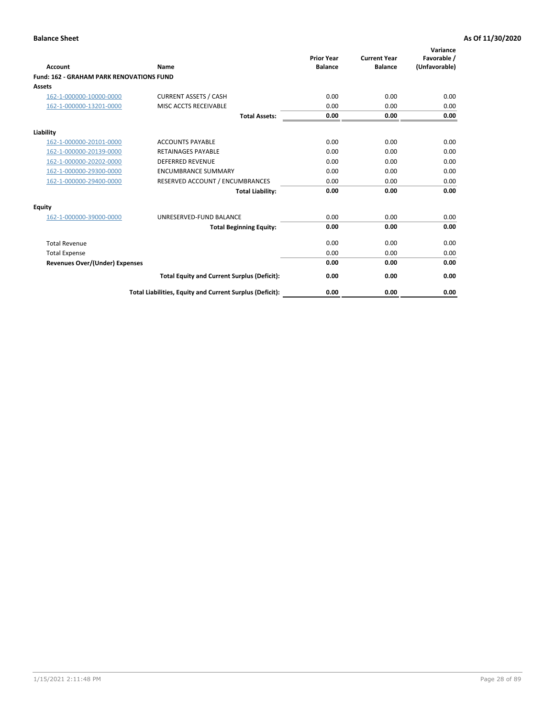|                                                 |                                                          | <b>Prior Year</b><br><b>Balance</b> | <b>Current Year</b> | Variance<br>Favorable / |
|-------------------------------------------------|----------------------------------------------------------|-------------------------------------|---------------------|-------------------------|
| <b>Account</b>                                  | Name                                                     |                                     | <b>Balance</b>      | (Unfavorable)           |
| <b>Fund: 162 - GRAHAM PARK RENOVATIONS FUND</b> |                                                          |                                     |                     |                         |
| <b>Assets</b>                                   |                                                          |                                     |                     |                         |
| 162-1-000000-10000-0000                         | <b>CURRENT ASSETS / CASH</b>                             | 0.00                                | 0.00                | 0.00                    |
| 162-1-000000-13201-0000                         | MISC ACCTS RECEIVABLE                                    | 0.00                                | 0.00                | 0.00                    |
|                                                 | <b>Total Assets:</b>                                     | 0.00                                | 0.00                | 0.00                    |
| Liability                                       |                                                          |                                     |                     |                         |
| 162-1-000000-20101-0000                         | <b>ACCOUNTS PAYABLE</b>                                  | 0.00                                | 0.00                | 0.00                    |
| 162-1-000000-20139-0000                         | <b>RETAINAGES PAYABLE</b>                                | 0.00                                | 0.00                | 0.00                    |
| 162-1-000000-20202-0000                         | <b>DEFERRED REVENUE</b>                                  | 0.00                                | 0.00                | 0.00                    |
| 162-1-000000-29300-0000                         | <b>ENCUMBRANCE SUMMARY</b>                               | 0.00                                | 0.00                | 0.00                    |
| 162-1-000000-29400-0000                         | RESERVED ACCOUNT / ENCUMBRANCES                          | 0.00                                | 0.00                | 0.00                    |
|                                                 | <b>Total Liability:</b>                                  | 0.00                                | 0.00                | 0.00                    |
| Equity                                          |                                                          |                                     |                     |                         |
| 162-1-000000-39000-0000                         | UNRESERVED-FUND BALANCE                                  | 0.00                                | 0.00                | 0.00                    |
|                                                 | <b>Total Beginning Equity:</b>                           | 0.00                                | 0.00                | 0.00                    |
| <b>Total Revenue</b>                            |                                                          | 0.00                                | 0.00                | 0.00                    |
| <b>Total Expense</b>                            |                                                          | 0.00                                | 0.00                | 0.00                    |
| Revenues Over/(Under) Expenses                  |                                                          | 0.00                                | 0.00                | 0.00                    |
|                                                 | <b>Total Equity and Current Surplus (Deficit):</b>       | 0.00                                | 0.00                | 0.00                    |
|                                                 | Total Liabilities, Equity and Current Surplus (Deficit): | 0.00                                | 0.00                | 0.00                    |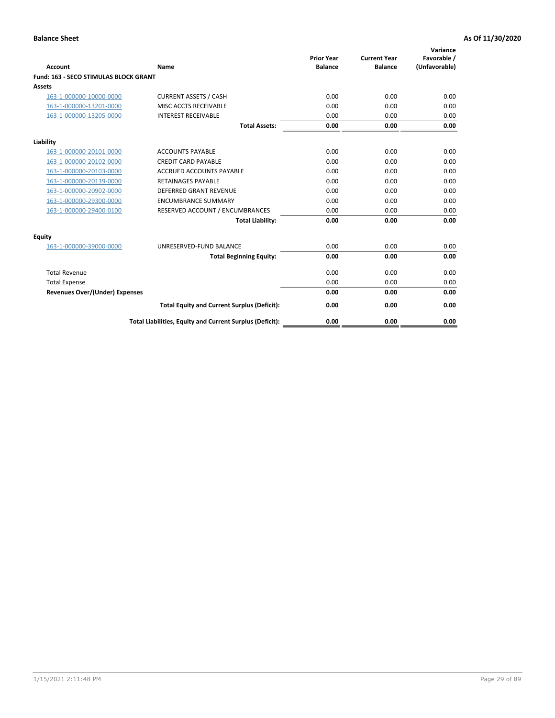|                                              |                                                          | <b>Prior Year</b> | <b>Current Year</b> | Variance<br>Favorable / |
|----------------------------------------------|----------------------------------------------------------|-------------------|---------------------|-------------------------|
| <b>Account</b>                               | Name                                                     | <b>Balance</b>    | <b>Balance</b>      | (Unfavorable)           |
| <b>Fund: 163 - SECO STIMULAS BLOCK GRANT</b> |                                                          |                   |                     |                         |
| Assets                                       |                                                          |                   |                     |                         |
| 163-1-000000-10000-0000                      | <b>CURRENT ASSETS / CASH</b>                             | 0.00              | 0.00                | 0.00                    |
| 163-1-000000-13201-0000                      | MISC ACCTS RECEIVABLE                                    | 0.00              | 0.00                | 0.00                    |
| 163-1-000000-13205-0000                      | <b>INTEREST RECEIVABLE</b>                               | 0.00              | 0.00                | 0.00                    |
|                                              | <b>Total Assets:</b>                                     | 0.00              | 0.00                | 0.00                    |
| Liability                                    |                                                          |                   |                     |                         |
| 163-1-000000-20101-0000                      | <b>ACCOUNTS PAYABLE</b>                                  | 0.00              | 0.00                | 0.00                    |
| 163-1-000000-20102-0000                      | <b>CREDIT CARD PAYABLE</b>                               | 0.00              | 0.00                | 0.00                    |
| 163-1-000000-20103-0000                      | <b>ACCRUED ACCOUNTS PAYABLE</b>                          | 0.00              | 0.00                | 0.00                    |
| 163-1-000000-20139-0000                      | <b>RETAINAGES PAYABLE</b>                                | 0.00              | 0.00                | 0.00                    |
| 163-1-000000-20902-0000                      | <b>DEFERRED GRANT REVENUE</b>                            | 0.00              | 0.00                | 0.00                    |
| 163-1-000000-29300-0000                      | <b>ENCUMBRANCE SUMMARY</b>                               | 0.00              | 0.00                | 0.00                    |
| 163-1-000000-29400-0100                      | RESERVED ACCOUNT / ENCUMBRANCES                          | 0.00              | 0.00                | 0.00                    |
|                                              | <b>Total Liability:</b>                                  | 0.00              | 0.00                | 0.00                    |
| <b>Equity</b>                                |                                                          |                   |                     |                         |
| 163-1-000000-39000-0000                      | UNRESERVED-FUND BALANCE                                  | 0.00              | 0.00                | 0.00                    |
|                                              | <b>Total Beginning Equity:</b>                           | 0.00              | 0.00                | 0.00                    |
| <b>Total Revenue</b>                         |                                                          | 0.00              | 0.00                | 0.00                    |
| <b>Total Expense</b>                         |                                                          | 0.00              | 0.00                | 0.00                    |
| Revenues Over/(Under) Expenses               |                                                          | 0.00              | 0.00                | 0.00                    |
|                                              | <b>Total Equity and Current Surplus (Deficit):</b>       | 0.00              | 0.00                | 0.00                    |
|                                              | Total Liabilities, Equity and Current Surplus (Deficit): | 0.00              | 0.00                | 0.00                    |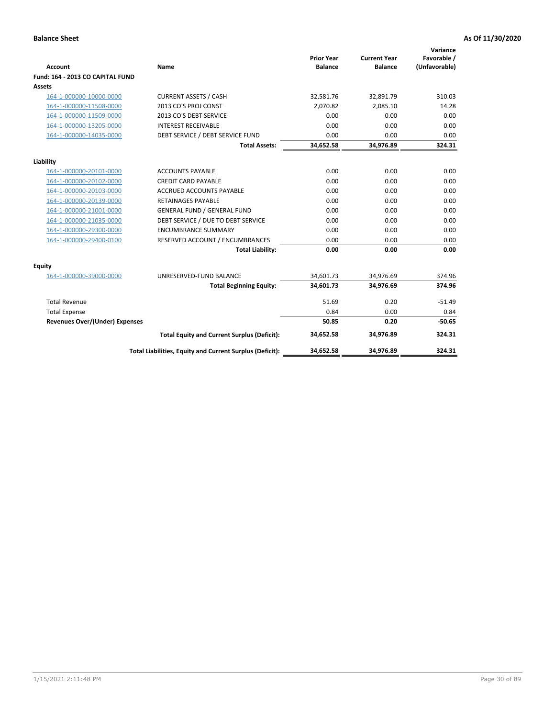| <b>Account</b>                        | Name                                                     | <b>Prior Year</b><br><b>Balance</b> | <b>Current Year</b><br><b>Balance</b> | Variance<br>Favorable /<br>(Unfavorable) |
|---------------------------------------|----------------------------------------------------------|-------------------------------------|---------------------------------------|------------------------------------------|
| Fund: 164 - 2013 CO CAPITAL FUND      |                                                          |                                     |                                       |                                          |
| Assets                                |                                                          |                                     |                                       |                                          |
| 164-1-000000-10000-0000               | <b>CURRENT ASSETS / CASH</b>                             | 32,581.76                           | 32,891.79                             | 310.03                                   |
| 164-1-000000-11508-0000               | 2013 CO'S PROJ CONST                                     | 2.070.82                            | 2.085.10                              | 14.28                                    |
| 164-1-000000-11509-0000               | 2013 CO'S DEBT SERVICE                                   | 0.00                                | 0.00                                  | 0.00                                     |
| 164-1-000000-13205-0000               | <b>INTEREST RECEIVABLE</b>                               | 0.00                                | 0.00                                  | 0.00                                     |
| 164-1-000000-14035-0000               | DEBT SERVICE / DEBT SERVICE FUND                         | 0.00                                | 0.00                                  | 0.00                                     |
|                                       | <b>Total Assets:</b>                                     | 34,652.58                           | 34,976.89                             | 324.31                                   |
|                                       |                                                          |                                     |                                       |                                          |
| Liability                             |                                                          |                                     |                                       |                                          |
| 164-1-000000-20101-0000               | <b>ACCOUNTS PAYABLE</b>                                  | 0.00                                | 0.00                                  | 0.00                                     |
| 164-1-000000-20102-0000               | <b>CREDIT CARD PAYABLE</b>                               | 0.00                                | 0.00                                  | 0.00                                     |
| 164-1-000000-20103-0000               | <b>ACCRUED ACCOUNTS PAYABLE</b>                          | 0.00                                | 0.00                                  | 0.00                                     |
| 164-1-000000-20139-0000               | <b>RETAINAGES PAYABLE</b>                                | 0.00                                | 0.00                                  | 0.00                                     |
| 164-1-000000-21001-0000               | <b>GENERAL FUND / GENERAL FUND</b>                       | 0.00                                | 0.00                                  | 0.00                                     |
| 164-1-000000-21035-0000               | DEBT SERVICE / DUE TO DEBT SERVICE                       | 0.00                                | 0.00                                  | 0.00                                     |
| 164-1-000000-29300-0000               | <b>ENCUMBRANCE SUMMARY</b>                               | 0.00                                | 0.00                                  | 0.00                                     |
| 164-1-000000-29400-0100               | RESERVED ACCOUNT / ENCUMBRANCES                          | 0.00                                | 0.00                                  | 0.00                                     |
|                                       | <b>Total Liability:</b>                                  | 0.00                                | 0.00                                  | 0.00                                     |
| Equity                                |                                                          |                                     |                                       |                                          |
| 164-1-000000-39000-0000               | UNRESERVED-FUND BALANCE                                  | 34,601.73                           | 34,976.69                             | 374.96                                   |
|                                       | <b>Total Beginning Equity:</b>                           | 34,601.73                           | 34,976.69                             | 374.96                                   |
| <b>Total Revenue</b>                  |                                                          | 51.69                               | 0.20                                  | $-51.49$                                 |
| <b>Total Expense</b>                  |                                                          | 0.84                                | 0.00                                  | 0.84                                     |
| <b>Revenues Over/(Under) Expenses</b> |                                                          | 50.85                               | 0.20                                  | $-50.65$                                 |
|                                       | <b>Total Equity and Current Surplus (Deficit):</b>       | 34,652.58                           | 34,976.89                             | 324.31                                   |
|                                       | Total Liabilities, Equity and Current Surplus (Deficit): | 34,652.58                           | 34,976.89                             | 324.31                                   |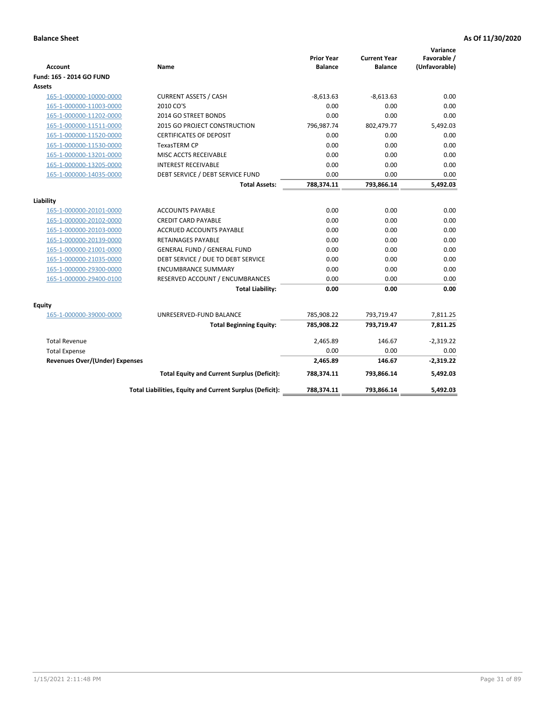| <b>Account</b>                        | Name                                                     | <b>Prior Year</b><br><b>Balance</b> | <b>Current Year</b><br><b>Balance</b> | Variance<br>Favorable /<br>(Unfavorable) |
|---------------------------------------|----------------------------------------------------------|-------------------------------------|---------------------------------------|------------------------------------------|
| Fund: 165 - 2014 GO FUND              |                                                          |                                     |                                       |                                          |
| Assets                                |                                                          |                                     |                                       |                                          |
| 165-1-000000-10000-0000               | <b>CURRENT ASSETS / CASH</b>                             | $-8,613.63$                         | $-8,613.63$                           | 0.00                                     |
| 165-1-000000-11003-0000               | 2010 CO'S                                                | 0.00                                | 0.00                                  | 0.00                                     |
| 165-1-000000-11202-0000               | 2014 GO STREET BONDS                                     | 0.00                                | 0.00                                  | 0.00                                     |
| 165-1-000000-11511-0000               | 2015 GO PROJECT CONSTRUCTION                             | 796,987.74                          | 802,479.77                            | 5,492.03                                 |
| 165-1-000000-11520-0000               | <b>CERTIFICATES OF DEPOSIT</b>                           | 0.00                                | 0.00                                  | 0.00                                     |
| 165-1-000000-11530-0000               | <b>TexasTERM CP</b>                                      | 0.00                                | 0.00                                  | 0.00                                     |
| 165-1-000000-13201-0000               | MISC ACCTS RECEIVABLE                                    | 0.00                                | 0.00                                  | 0.00                                     |
| 165-1-000000-13205-0000               | <b>INTEREST RECEIVABLE</b>                               | 0.00                                | 0.00                                  | 0.00                                     |
| 165-1-000000-14035-0000               | DEBT SERVICE / DEBT SERVICE FUND                         | 0.00                                | 0.00                                  | 0.00                                     |
|                                       | <b>Total Assets:</b>                                     | 788,374.11                          | 793,866.14                            | 5,492.03                                 |
| Liability                             |                                                          |                                     |                                       |                                          |
| 165-1-000000-20101-0000               | <b>ACCOUNTS PAYABLE</b>                                  | 0.00                                | 0.00                                  | 0.00                                     |
| 165-1-000000-20102-0000               | <b>CREDIT CARD PAYABLE</b>                               | 0.00                                | 0.00                                  | 0.00                                     |
| 165-1-000000-20103-0000               | <b>ACCRUED ACCOUNTS PAYABLE</b>                          | 0.00                                | 0.00                                  | 0.00                                     |
| 165-1-000000-20139-0000               | <b>RETAINAGES PAYABLE</b>                                | 0.00                                | 0.00                                  | 0.00                                     |
| 165-1-000000-21001-0000               | <b>GENERAL FUND / GENERAL FUND</b>                       | 0.00                                | 0.00                                  | 0.00                                     |
| 165-1-000000-21035-0000               | DEBT SERVICE / DUE TO DEBT SERVICE                       | 0.00                                | 0.00                                  | 0.00                                     |
| 165-1-000000-29300-0000               | <b>ENCUMBRANCE SUMMARY</b>                               | 0.00                                | 0.00                                  | 0.00                                     |
| 165-1-000000-29400-0100               | RESERVED ACCOUNT / ENCUMBRANCES                          | 0.00                                | 0.00                                  | 0.00                                     |
|                                       | <b>Total Liability:</b>                                  | 0.00                                | 0.00                                  | 0.00                                     |
| Equity                                |                                                          |                                     |                                       |                                          |
| 165-1-000000-39000-0000               | UNRESERVED-FUND BALANCE                                  | 785,908.22                          | 793,719.47                            | 7,811.25                                 |
|                                       | <b>Total Beginning Equity:</b>                           | 785,908.22                          | 793,719.47                            | 7,811.25                                 |
| <b>Total Revenue</b>                  |                                                          | 2,465.89                            | 146.67                                | $-2,319.22$                              |
| <b>Total Expense</b>                  |                                                          | 0.00                                | 0.00                                  | 0.00                                     |
| <b>Revenues Over/(Under) Expenses</b> |                                                          | 2,465.89                            | 146.67                                | $-2,319.22$                              |
|                                       | <b>Total Equity and Current Surplus (Deficit):</b>       | 788,374.11                          | 793,866.14                            | 5,492.03                                 |
|                                       | Total Liabilities, Equity and Current Surplus (Deficit): | 788,374.11                          | 793,866.14                            | 5.492.03                                 |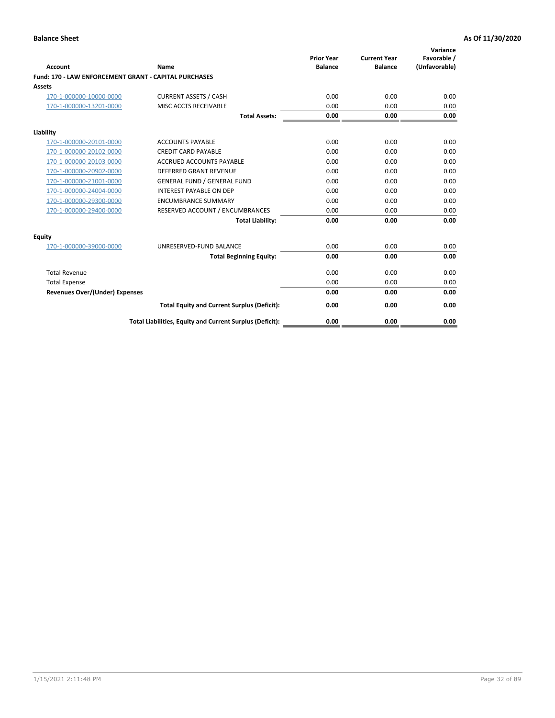| <b>Account</b>                                               | Name                                                     | <b>Prior Year</b><br><b>Balance</b> | <b>Current Year</b><br><b>Balance</b> | Variance<br>Favorable /<br>(Unfavorable) |
|--------------------------------------------------------------|----------------------------------------------------------|-------------------------------------|---------------------------------------|------------------------------------------|
| <b>Fund: 170 - LAW ENFORCEMENT GRANT - CAPITAL PURCHASES</b> |                                                          |                                     |                                       |                                          |
| Assets                                                       |                                                          |                                     |                                       |                                          |
| 170-1-000000-10000-0000                                      | <b>CURRENT ASSETS / CASH</b>                             | 0.00                                | 0.00                                  | 0.00                                     |
| 170-1-000000-13201-0000                                      | MISC ACCTS RECEIVABLE                                    | 0.00                                | 0.00                                  | 0.00                                     |
|                                                              | <b>Total Assets:</b>                                     | 0.00                                | 0.00                                  | 0.00                                     |
| Liability                                                    |                                                          |                                     |                                       |                                          |
| 170-1-000000-20101-0000                                      | <b>ACCOUNTS PAYABLE</b>                                  | 0.00                                | 0.00                                  | 0.00                                     |
| 170-1-000000-20102-0000                                      | <b>CREDIT CARD PAYABLE</b>                               | 0.00                                | 0.00                                  | 0.00                                     |
| 170-1-000000-20103-0000                                      | <b>ACCRUED ACCOUNTS PAYABLE</b>                          | 0.00                                | 0.00                                  | 0.00                                     |
| 170-1-000000-20902-0000                                      | <b>DEFERRED GRANT REVENUE</b>                            | 0.00                                | 0.00                                  | 0.00                                     |
| 170-1-000000-21001-0000                                      | <b>GENERAL FUND / GENERAL FUND</b>                       | 0.00                                | 0.00                                  | 0.00                                     |
| 170-1-000000-24004-0000                                      | <b>INTEREST PAYABLE ON DEP</b>                           | 0.00                                | 0.00                                  | 0.00                                     |
| 170-1-000000-29300-0000                                      | <b>ENCUMBRANCE SUMMARY</b>                               | 0.00                                | 0.00                                  | 0.00                                     |
| 170-1-000000-29400-0000                                      | RESERVED ACCOUNT / ENCUMBRANCES                          | 0.00                                | 0.00                                  | 0.00                                     |
|                                                              | <b>Total Liability:</b>                                  | 0.00                                | 0.00                                  | 0.00                                     |
| <b>Equity</b>                                                |                                                          |                                     |                                       |                                          |
| 170-1-000000-39000-0000                                      | UNRESERVED-FUND BALANCE                                  | 0.00                                | 0.00                                  | 0.00                                     |
|                                                              | <b>Total Beginning Equity:</b>                           | 0.00                                | 0.00                                  | 0.00                                     |
| <b>Total Revenue</b>                                         |                                                          | 0.00                                | 0.00                                  | 0.00                                     |
| <b>Total Expense</b>                                         |                                                          | 0.00                                | 0.00                                  | 0.00                                     |
| <b>Revenues Over/(Under) Expenses</b>                        |                                                          | 0.00                                | 0.00                                  | 0.00                                     |
|                                                              | <b>Total Equity and Current Surplus (Deficit):</b>       | 0.00                                | 0.00                                  | 0.00                                     |
|                                                              | Total Liabilities, Equity and Current Surplus (Deficit): | 0.00                                | 0.00                                  | 0.00                                     |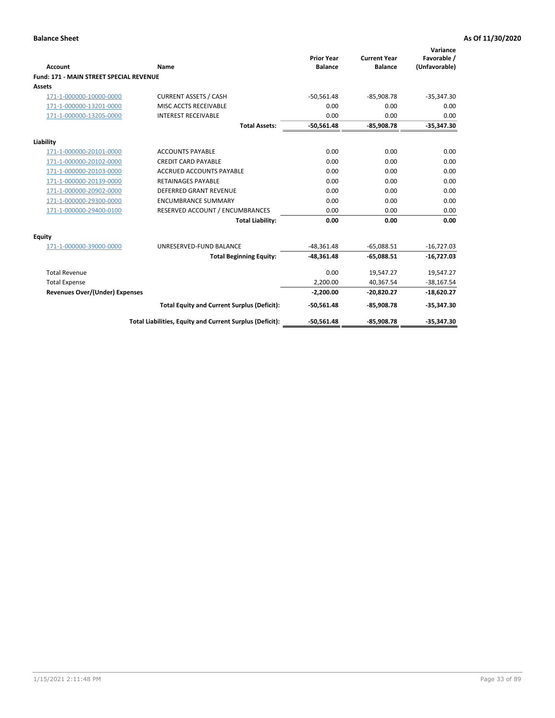|                                                |                                                          | <b>Prior Year</b> | <b>Current Year</b> | Variance<br>Favorable / |
|------------------------------------------------|----------------------------------------------------------|-------------------|---------------------|-------------------------|
| <b>Account</b>                                 | Name                                                     | <b>Balance</b>    | <b>Balance</b>      | (Unfavorable)           |
| <b>Fund: 171 - MAIN STREET SPECIAL REVENUE</b> |                                                          |                   |                     |                         |
| <b>Assets</b>                                  |                                                          |                   |                     |                         |
| 171-1-000000-10000-0000                        | <b>CURRENT ASSETS / CASH</b>                             | $-50,561.48$      | $-85,908.78$        | $-35,347.30$            |
| 171-1-000000-13201-0000                        | MISC ACCTS RECEIVABLE                                    | 0.00              | 0.00                | 0.00                    |
| 171-1-000000-13205-0000                        | <b>INTEREST RECEIVABLE</b>                               | 0.00              | 0.00                | 0.00                    |
|                                                | <b>Total Assets:</b>                                     | $-50.561.48$      | $-85.908.78$        | $-35,347.30$            |
| Liability                                      |                                                          |                   |                     |                         |
| 171-1-000000-20101-0000                        | <b>ACCOUNTS PAYABLE</b>                                  | 0.00              | 0.00                | 0.00                    |
| 171-1-000000-20102-0000                        | <b>CREDIT CARD PAYABLE</b>                               | 0.00              | 0.00                | 0.00                    |
| 171-1-000000-20103-0000                        | <b>ACCRUED ACCOUNTS PAYABLE</b>                          | 0.00              | 0.00                | 0.00                    |
| 171-1-000000-20139-0000                        | <b>RETAINAGES PAYABLE</b>                                | 0.00              | 0.00                | 0.00                    |
| 171-1-000000-20902-0000                        | DEFERRED GRANT REVENUE                                   | 0.00              | 0.00                | 0.00                    |
| 171-1-000000-29300-0000                        | <b>ENCUMBRANCE SUMMARY</b>                               | 0.00              | 0.00                | 0.00                    |
| 171-1-000000-29400-0100                        | RESERVED ACCOUNT / ENCUMBRANCES                          | 0.00              | 0.00                | 0.00                    |
|                                                | <b>Total Liability:</b>                                  | 0.00              | 0.00                | 0.00                    |
| <b>Equity</b>                                  |                                                          |                   |                     |                         |
| 171-1-000000-39000-0000                        | UNRESERVED-FUND BALANCE                                  | $-48,361.48$      | $-65,088.51$        | $-16,727.03$            |
|                                                | <b>Total Beginning Equity:</b>                           | $-48,361.48$      | $-65,088.51$        | $-16,727.03$            |
| <b>Total Revenue</b>                           |                                                          | 0.00              | 19,547.27           | 19,547.27               |
| <b>Total Expense</b>                           |                                                          | 2,200.00          | 40,367.54           | $-38,167.54$            |
| <b>Revenues Over/(Under) Expenses</b>          |                                                          | $-2,200.00$       | $-20,820.27$        | $-18,620.27$            |
|                                                | <b>Total Equity and Current Surplus (Deficit):</b>       | $-50,561.48$      | $-85,908.78$        | $-35,347.30$            |
|                                                | Total Liabilities, Equity and Current Surplus (Deficit): | $-50,561.48$      | $-85,908.78$        | $-35,347.30$            |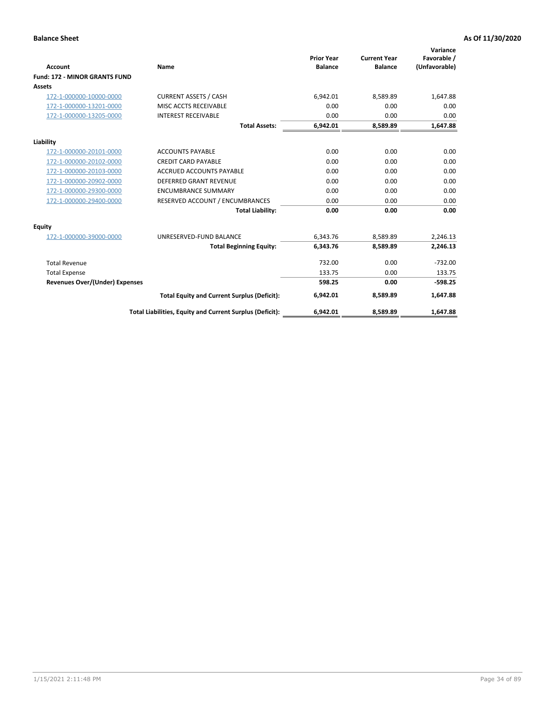|                                      |                                                          |                                     |                                       | Variance                     |
|--------------------------------------|----------------------------------------------------------|-------------------------------------|---------------------------------------|------------------------------|
| <b>Account</b>                       | Name                                                     | <b>Prior Year</b><br><b>Balance</b> | <b>Current Year</b><br><b>Balance</b> | Favorable /<br>(Unfavorable) |
| <b>Fund: 172 - MINOR GRANTS FUND</b> |                                                          |                                     |                                       |                              |
| <b>Assets</b>                        |                                                          |                                     |                                       |                              |
| 172-1-000000-10000-0000              | <b>CURRENT ASSETS / CASH</b>                             | 6,942.01                            | 8,589.89                              | 1,647.88                     |
| 172-1-000000-13201-0000              | MISC ACCTS RECEIVABLE                                    | 0.00                                | 0.00                                  | 0.00                         |
| 172-1-000000-13205-0000              | <b>INTEREST RECEIVABLE</b>                               | 0.00                                | 0.00                                  | 0.00                         |
|                                      | <b>Total Assets:</b>                                     | 6,942.01                            | 8,589.89                              | 1,647.88                     |
| Liability                            |                                                          |                                     |                                       |                              |
| 172-1-000000-20101-0000              | <b>ACCOUNTS PAYABLE</b>                                  | 0.00                                | 0.00                                  | 0.00                         |
| 172-1-000000-20102-0000              | <b>CREDIT CARD PAYABLE</b>                               | 0.00                                | 0.00                                  | 0.00                         |
| 172-1-000000-20103-0000              | <b>ACCRUED ACCOUNTS PAYABLE</b>                          | 0.00                                | 0.00                                  | 0.00                         |
| 172-1-000000-20902-0000              | DEFERRED GRANT REVENUE                                   | 0.00                                | 0.00                                  | 0.00                         |
| 172-1-000000-29300-0000              | <b>ENCUMBRANCE SUMMARY</b>                               | 0.00                                | 0.00                                  | 0.00                         |
| 172-1-000000-29400-0000              | RESERVED ACCOUNT / ENCUMBRANCES                          | 0.00                                | 0.00                                  | 0.00                         |
|                                      | <b>Total Liability:</b>                                  | 0.00                                | 0.00                                  | 0.00                         |
| Equity                               |                                                          |                                     |                                       |                              |
| 172-1-000000-39000-0000              | UNRESERVED-FUND BALANCE                                  | 6,343.76                            | 8,589.89                              | 2,246.13                     |
|                                      | <b>Total Beginning Equity:</b>                           | 6,343.76                            | 8,589.89                              | 2,246.13                     |
| <b>Total Revenue</b>                 |                                                          | 732.00                              | 0.00                                  | $-732.00$                    |
| <b>Total Expense</b>                 |                                                          | 133.75                              | 0.00                                  | 133.75                       |
| Revenues Over/(Under) Expenses       |                                                          | 598.25                              | 0.00                                  | $-598.25$                    |
|                                      | <b>Total Equity and Current Surplus (Deficit):</b>       | 6,942.01                            | 8,589.89                              | 1,647.88                     |
|                                      | Total Liabilities, Equity and Current Surplus (Deficit): | 6,942.01                            | 8,589.89                              | 1,647.88                     |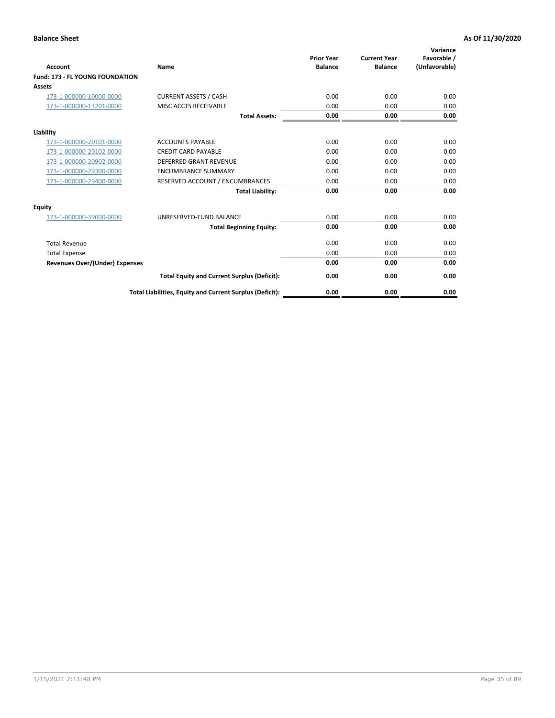| <b>Account</b>                         | <b>Name</b>                                              | <b>Prior Year</b><br><b>Balance</b> | <b>Current Year</b><br><b>Balance</b> | Variance<br>Favorable /<br>(Unfavorable) |
|----------------------------------------|----------------------------------------------------------|-------------------------------------|---------------------------------------|------------------------------------------|
| <b>Fund: 173 - FL YOUNG FOUNDATION</b> |                                                          |                                     |                                       |                                          |
| Assets                                 |                                                          |                                     |                                       |                                          |
| 173-1-000000-10000-0000                | <b>CURRENT ASSETS / CASH</b>                             | 0.00                                | 0.00                                  | 0.00                                     |
| 173-1-000000-13201-0000                | MISC ACCTS RECEIVABLE                                    | 0.00                                | 0.00                                  | 0.00                                     |
|                                        | <b>Total Assets:</b>                                     | 0.00                                | 0.00                                  | 0.00                                     |
| Liability                              |                                                          |                                     |                                       |                                          |
| 173-1-000000-20101-0000                | <b>ACCOUNTS PAYABLE</b>                                  | 0.00                                | 0.00                                  | 0.00                                     |
| 173-1-000000-20102-0000                | <b>CREDIT CARD PAYABLE</b>                               | 0.00                                | 0.00                                  | 0.00                                     |
| 173-1-000000-20902-0000                | <b>DEFERRED GRANT REVENUE</b>                            | 0.00                                | 0.00                                  | 0.00                                     |
| 173-1-000000-29300-0000                | <b>ENCUMBRANCE SUMMARY</b>                               | 0.00                                | 0.00                                  | 0.00                                     |
| 173-1-000000-29400-0000                | RESERVED ACCOUNT / ENCUMBRANCES                          | 0.00                                | 0.00                                  | 0.00                                     |
|                                        | <b>Total Liability:</b>                                  | 0.00                                | 0.00                                  | 0.00                                     |
| Equity                                 |                                                          |                                     |                                       |                                          |
| 173-1-000000-39000-0000                | UNRESERVED-FUND BALANCE                                  | 0.00                                | 0.00                                  | 0.00                                     |
|                                        | <b>Total Beginning Equity:</b>                           | 0.00                                | 0.00                                  | 0.00                                     |
| <b>Total Revenue</b>                   |                                                          | 0.00                                | 0.00                                  | 0.00                                     |
| <b>Total Expense</b>                   |                                                          | 0.00                                | 0.00                                  | 0.00                                     |
| <b>Revenues Over/(Under) Expenses</b>  |                                                          | 0.00                                | 0.00                                  | 0.00                                     |
|                                        | <b>Total Equity and Current Surplus (Deficit):</b>       | 0.00                                | 0.00                                  | 0.00                                     |
|                                        | Total Liabilities, Equity and Current Surplus (Deficit): | 0.00                                | 0.00                                  | 0.00                                     |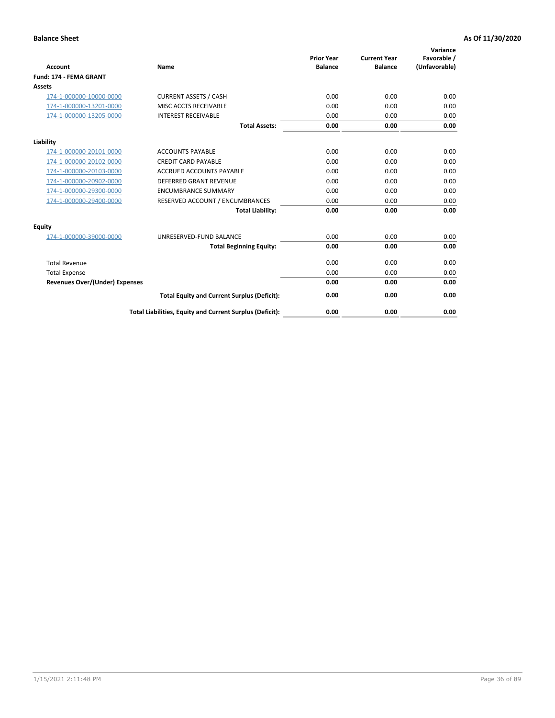| <b>Account</b>                        | Name                                                     | <b>Prior Year</b><br><b>Balance</b> | <b>Current Year</b><br><b>Balance</b> | Variance<br>Favorable /<br>(Unfavorable) |
|---------------------------------------|----------------------------------------------------------|-------------------------------------|---------------------------------------|------------------------------------------|
| <b>Fund: 174 - FEMA GRANT</b>         |                                                          |                                     |                                       |                                          |
| Assets                                |                                                          |                                     |                                       |                                          |
| 174-1-000000-10000-0000               | <b>CURRENT ASSETS / CASH</b>                             | 0.00                                | 0.00                                  | 0.00                                     |
| 174-1-000000-13201-0000               | MISC ACCTS RECEIVABLE                                    | 0.00                                | 0.00                                  | 0.00                                     |
| 174-1-000000-13205-0000               | <b>INTEREST RECEIVABLE</b>                               | 0.00                                | 0.00                                  | 0.00                                     |
|                                       | <b>Total Assets:</b>                                     | 0.00                                | 0.00                                  | 0.00                                     |
| Liability                             |                                                          |                                     |                                       |                                          |
| 174-1-000000-20101-0000               | <b>ACCOUNTS PAYABLE</b>                                  | 0.00                                | 0.00                                  | 0.00                                     |
| 174-1-000000-20102-0000               | <b>CREDIT CARD PAYABLE</b>                               | 0.00                                | 0.00                                  | 0.00                                     |
| 174-1-000000-20103-0000               | <b>ACCRUED ACCOUNTS PAYABLE</b>                          | 0.00                                | 0.00                                  | 0.00                                     |
| 174-1-000000-20902-0000               | <b>DEFERRED GRANT REVENUE</b>                            | 0.00                                | 0.00                                  | 0.00                                     |
| 174-1-000000-29300-0000               | <b>ENCUMBRANCE SUMMARY</b>                               | 0.00                                | 0.00                                  | 0.00                                     |
| 174-1-000000-29400-0000               | RESERVED ACCOUNT / ENCUMBRANCES                          | 0.00                                | 0.00                                  | 0.00                                     |
|                                       | <b>Total Liability:</b>                                  | 0.00                                | 0.00                                  | 0.00                                     |
| <b>Equity</b>                         |                                                          |                                     |                                       |                                          |
| 174-1-000000-39000-0000               | UNRESERVED-FUND BALANCE                                  | 0.00                                | 0.00                                  | 0.00                                     |
|                                       | <b>Total Beginning Equity:</b>                           | 0.00                                | 0.00                                  | 0.00                                     |
| <b>Total Revenue</b>                  |                                                          | 0.00                                | 0.00                                  | 0.00                                     |
| <b>Total Expense</b>                  |                                                          | 0.00                                | 0.00                                  | 0.00                                     |
| <b>Revenues Over/(Under) Expenses</b> |                                                          | 0.00                                | 0.00                                  | 0.00                                     |
|                                       | <b>Total Equity and Current Surplus (Deficit):</b>       | 0.00                                | 0.00                                  | 0.00                                     |
|                                       | Total Liabilities, Equity and Current Surplus (Deficit): | 0.00                                | 0.00                                  | 0.00                                     |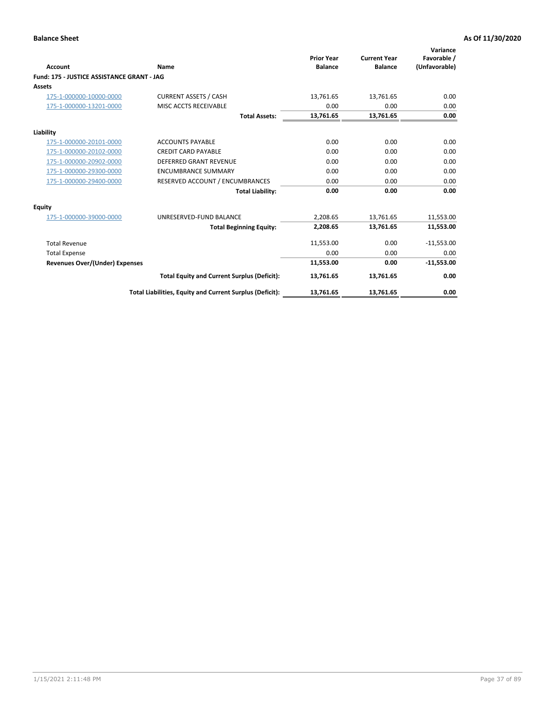| <b>Account</b>                             | Name                                                     | <b>Prior Year</b><br><b>Balance</b> | <b>Current Year</b><br><b>Balance</b> | Variance<br>Favorable /<br>(Unfavorable) |
|--------------------------------------------|----------------------------------------------------------|-------------------------------------|---------------------------------------|------------------------------------------|
| Fund: 175 - JUSTICE ASSISTANCE GRANT - JAG |                                                          |                                     |                                       |                                          |
| <b>Assets</b>                              |                                                          |                                     |                                       |                                          |
| 175-1-000000-10000-0000                    | <b>CURRENT ASSETS / CASH</b>                             | 13,761.65                           | 13,761.65                             | 0.00                                     |
| 175-1-000000-13201-0000                    | MISC ACCTS RECEIVABLE                                    | 0.00                                | 0.00                                  | 0.00                                     |
|                                            | <b>Total Assets:</b>                                     | 13,761.65                           | 13,761.65                             | 0.00                                     |
| Liability                                  |                                                          |                                     |                                       |                                          |
| 175-1-000000-20101-0000                    | <b>ACCOUNTS PAYABLE</b>                                  | 0.00                                | 0.00                                  | 0.00                                     |
| 175-1-000000-20102-0000                    | <b>CREDIT CARD PAYABLE</b>                               | 0.00                                | 0.00                                  | 0.00                                     |
| 175-1-000000-20902-0000                    | <b>DEFERRED GRANT REVENUE</b>                            | 0.00                                | 0.00                                  | 0.00                                     |
| 175-1-000000-29300-0000                    | <b>ENCUMBRANCE SUMMARY</b>                               | 0.00                                | 0.00                                  | 0.00                                     |
| 175-1-000000-29400-0000                    | RESERVED ACCOUNT / ENCUMBRANCES                          | 0.00                                | 0.00                                  | 0.00                                     |
|                                            | <b>Total Liability:</b>                                  | 0.00                                | 0.00                                  | 0.00                                     |
| Equity                                     |                                                          |                                     |                                       |                                          |
| 175-1-000000-39000-0000                    | UNRESERVED-FUND BALANCE                                  | 2,208.65                            | 13,761.65                             | 11,553.00                                |
|                                            | <b>Total Beginning Equity:</b>                           | 2,208.65                            | 13,761.65                             | 11,553.00                                |
| <b>Total Revenue</b>                       |                                                          | 11,553.00                           | 0.00                                  | $-11,553.00$                             |
| <b>Total Expense</b>                       |                                                          | 0.00                                | 0.00                                  | 0.00                                     |
| Revenues Over/(Under) Expenses             |                                                          | 11,553.00                           | 0.00                                  | $-11,553.00$                             |
|                                            | <b>Total Equity and Current Surplus (Deficit):</b>       | 13,761.65                           | 13,761.65                             | 0.00                                     |
|                                            | Total Liabilities, Equity and Current Surplus (Deficit): | 13,761.65                           | 13,761.65                             | 0.00                                     |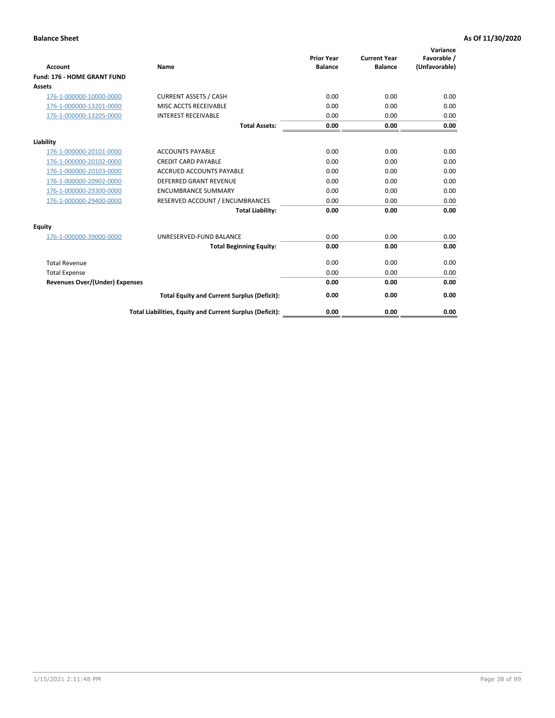| <b>Account</b>                        | Name                                                     | <b>Prior Year</b><br><b>Balance</b> | <b>Current Year</b><br><b>Balance</b> | Variance<br>Favorable /<br>(Unfavorable) |
|---------------------------------------|----------------------------------------------------------|-------------------------------------|---------------------------------------|------------------------------------------|
| Fund: 176 - HOME GRANT FUND           |                                                          |                                     |                                       |                                          |
| Assets                                |                                                          |                                     |                                       |                                          |
| 176-1-000000-10000-0000               | <b>CURRENT ASSETS / CASH</b>                             | 0.00                                | 0.00                                  | 0.00                                     |
| 176-1-000000-13201-0000               | MISC ACCTS RECEIVABLE                                    | 0.00                                | 0.00                                  | 0.00                                     |
| 176-1-000000-13205-0000               | <b>INTEREST RECEIVABLE</b>                               | 0.00                                | 0.00                                  | 0.00                                     |
|                                       | <b>Total Assets:</b>                                     | 0.00                                | 0.00                                  | 0.00                                     |
| Liability                             |                                                          |                                     |                                       |                                          |
| 176-1-000000-20101-0000               | <b>ACCOUNTS PAYABLE</b>                                  | 0.00                                | 0.00                                  | 0.00                                     |
| 176-1-000000-20102-0000               | <b>CREDIT CARD PAYABLE</b>                               | 0.00                                | 0.00                                  | 0.00                                     |
| 176-1-000000-20103-0000               | <b>ACCRUED ACCOUNTS PAYABLE</b>                          | 0.00                                | 0.00                                  | 0.00                                     |
| 176-1-000000-20902-0000               | <b>DEFERRED GRANT REVENUE</b>                            | 0.00                                | 0.00                                  | 0.00                                     |
| 176-1-000000-29300-0000               | <b>ENCUMBRANCE SUMMARY</b>                               | 0.00                                | 0.00                                  | 0.00                                     |
| 176-1-000000-29400-0000               | RESERVED ACCOUNT / ENCUMBRANCES                          | 0.00                                | 0.00                                  | 0.00                                     |
|                                       | <b>Total Liability:</b>                                  | 0.00                                | 0.00                                  | 0.00                                     |
| <b>Equity</b>                         |                                                          |                                     |                                       |                                          |
| 176-1-000000-39000-0000               | UNRESERVED-FUND BALANCE                                  | 0.00                                | 0.00                                  | 0.00                                     |
|                                       | <b>Total Beginning Equity:</b>                           | 0.00                                | 0.00                                  | 0.00                                     |
| <b>Total Revenue</b>                  |                                                          | 0.00                                | 0.00                                  | 0.00                                     |
| <b>Total Expense</b>                  |                                                          | 0.00                                | 0.00                                  | 0.00                                     |
| <b>Revenues Over/(Under) Expenses</b> |                                                          | 0.00                                | 0.00                                  | 0.00                                     |
|                                       | <b>Total Equity and Current Surplus (Deficit):</b>       | 0.00                                | 0.00                                  | 0.00                                     |
|                                       | Total Liabilities, Equity and Current Surplus (Deficit): | 0.00                                | 0.00                                  | 0.00                                     |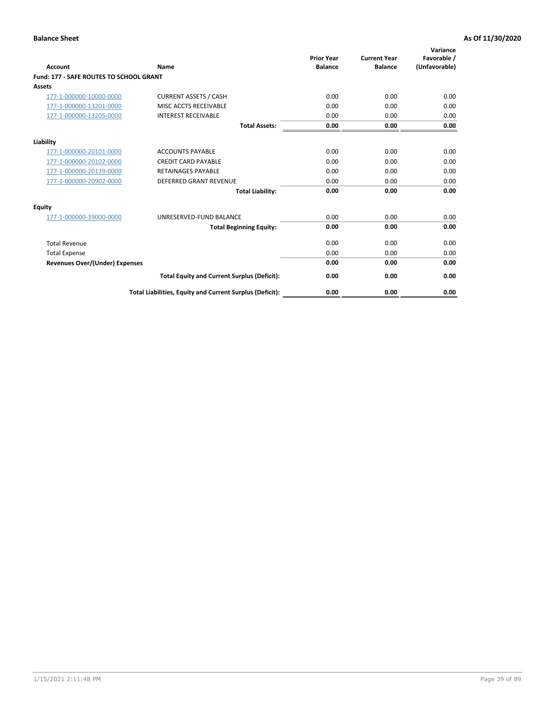| Account                                        | Name                                                     | <b>Prior Year</b><br><b>Balance</b> | <b>Current Year</b><br><b>Balance</b> | Variance<br>Favorable /<br>(Unfavorable) |
|------------------------------------------------|----------------------------------------------------------|-------------------------------------|---------------------------------------|------------------------------------------|
| <b>Fund: 177 - SAFE ROUTES TO SCHOOL GRANT</b> |                                                          |                                     |                                       |                                          |
| <b>Assets</b>                                  |                                                          |                                     |                                       |                                          |
| 177-1-000000-10000-0000                        | <b>CURRENT ASSETS / CASH</b>                             | 0.00                                | 0.00                                  | 0.00                                     |
| 177-1-000000-13201-0000                        | MISC ACCTS RECEIVABLE                                    | 0.00                                | 0.00                                  | 0.00                                     |
| 177-1-000000-13205-0000                        | <b>INTEREST RECEIVABLE</b>                               | 0.00                                | 0.00                                  | 0.00                                     |
|                                                | <b>Total Assets:</b>                                     | 0.00                                | 0.00                                  | 0.00                                     |
| Liability                                      |                                                          |                                     |                                       |                                          |
| 177-1-000000-20101-0000                        | <b>ACCOUNTS PAYABLE</b>                                  | 0.00                                | 0.00                                  | 0.00                                     |
| 177-1-000000-20102-0000                        | <b>CREDIT CARD PAYABLE</b>                               | 0.00                                | 0.00                                  | 0.00                                     |
| 177-1-000000-20139-0000                        | <b>RETAINAGES PAYABLE</b>                                | 0.00                                | 0.00                                  | 0.00                                     |
| 177-1-000000-20902-0000                        | <b>DEFERRED GRANT REVENUE</b>                            | 0.00                                | 0.00                                  | 0.00                                     |
|                                                | <b>Total Liability:</b>                                  | 0.00                                | 0.00                                  | 0.00                                     |
| Equity                                         |                                                          |                                     |                                       |                                          |
| 177-1-000000-39000-0000                        | UNRESERVED-FUND BALANCE                                  | 0.00                                | 0.00                                  | 0.00                                     |
|                                                | <b>Total Beginning Equity:</b>                           | 0.00                                | 0.00                                  | 0.00                                     |
| <b>Total Revenue</b>                           |                                                          | 0.00                                | 0.00                                  | 0.00                                     |
| <b>Total Expense</b>                           |                                                          | 0.00                                | 0.00                                  | 0.00                                     |
| Revenues Over/(Under) Expenses                 |                                                          | 0.00                                | 0.00                                  | 0.00                                     |
|                                                | <b>Total Equity and Current Surplus (Deficit):</b>       | 0.00                                | 0.00                                  | 0.00                                     |
|                                                | Total Liabilities, Equity and Current Surplus (Deficit): | 0.00                                | 0.00                                  | 0.00                                     |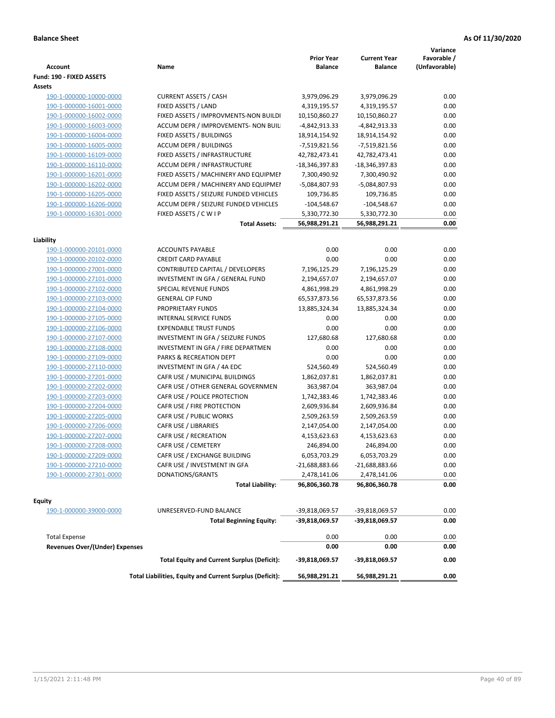| <b>Account</b>                                                | Name                                                     | <b>Prior Year</b><br><b>Balance</b> | <b>Current Year</b><br><b>Balance</b> | Variance<br>Favorable /<br>(Unfavorable) |
|---------------------------------------------------------------|----------------------------------------------------------|-------------------------------------|---------------------------------------|------------------------------------------|
| Fund: 190 - FIXED ASSETS<br>Assets                            |                                                          |                                     |                                       |                                          |
| 190-1-000000-10000-0000                                       | <b>CURRENT ASSETS / CASH</b>                             | 3,979,096.29                        | 3,979,096.29                          | 0.00                                     |
| 190-1-000000-16001-0000                                       | FIXED ASSETS / LAND                                      | 4,319,195.57                        | 4,319,195.57                          | 0.00                                     |
| 190-1-000000-16002-0000                                       | FIXED ASSETS / IMPROVMENTS-NON BUILDI                    | 10,150,860.27                       | 10,150,860.27                         | 0.00                                     |
| 190-1-000000-16003-0000                                       | ACCUM DEPR / IMPROVEMENTS- NON BUIL                      | -4,842,913.33                       | -4,842,913.33                         | 0.00                                     |
| 190-1-000000-16004-0000                                       | FIXED ASSETS / BUILDINGS                                 | 18,914,154.92                       | 18,914,154.92                         | 0.00                                     |
| 190-1-000000-16005-0000                                       | <b>ACCUM DEPR / BUILDINGS</b>                            | -7,519,821.56                       | -7,519,821.56                         | 0.00                                     |
| 190-1-000000-16109-0000                                       | FIXED ASSETS / INFRASTRUCTURE                            | 42,782,473.41                       | 42,782,473.41                         | 0.00                                     |
| 190-1-000000-16110-0000                                       | <b>ACCUM DEPR / INFRASTRUCTURE</b>                       | -18,346,397.83                      | -18,346,397.83                        | 0.00                                     |
| 190-1-000000-16201-0000                                       | FIXED ASSETS / MACHINERY AND EQUIPMEN                    | 7,300,490.92                        | 7,300,490.92                          | 0.00                                     |
| 190-1-000000-16202-0000                                       | ACCUM DEPR / MACHINERY AND EQUIPMEI                      | -5,084,807.93                       | -5,084,807.93                         | 0.00                                     |
| 190-1-000000-16205-0000                                       | FIXED ASSETS / SEIZURE FUNDED VEHICLES                   | 109,736.85                          | 109,736.85                            | 0.00                                     |
| 190-1-000000-16206-0000                                       | ACCUM DEPR / SEIZURE FUNDED VEHICLES                     | $-104,548.67$                       | $-104,548.67$                         | 0.00                                     |
| 190-1-000000-16301-0000                                       | FIXED ASSETS / C W I P                                   | 5,330,772.30                        | 5,330,772.30                          | 0.00                                     |
|                                                               | <b>Total Assets:</b>                                     | 56,988,291.21                       | 56,988,291.21                         | 0.00                                     |
|                                                               |                                                          |                                     |                                       |                                          |
| Liability                                                     |                                                          |                                     |                                       |                                          |
| 190-1-000000-20101-0000                                       | <b>ACCOUNTS PAYABLE</b>                                  | 0.00                                | 0.00                                  | 0.00                                     |
| 190-1-000000-20102-0000                                       | <b>CREDIT CARD PAYABLE</b>                               | 0.00                                | 0.00                                  | 0.00                                     |
| 190-1-000000-27001-0000                                       | CONTRIBUTED CAPITAL / DEVELOPERS                         | 7,196,125.29                        | 7,196,125.29                          | 0.00                                     |
| 190-1-000000-27101-0000                                       | INVESTMENT IN GFA / GENERAL FUND                         | 2,194,657.07                        | 2,194,657.07                          | 0.00                                     |
| 190-1-000000-27102-0000                                       | <b>SPECIAL REVENUE FUNDS</b>                             | 4,861,998.29                        | 4,861,998.29                          | 0.00                                     |
| 190-1-000000-27103-0000                                       | <b>GENERAL CIP FUND</b>                                  | 65,537,873.56                       | 65,537,873.56                         | 0.00                                     |
| 190-1-000000-27104-0000                                       | PROPRIETARY FUNDS                                        | 13,885,324.34                       | 13,885,324.34                         | 0.00                                     |
| 190-1-000000-27105-0000                                       | <b>INTERNAL SERVICE FUNDS</b>                            | 0.00                                | 0.00                                  | 0.00                                     |
| 190-1-000000-27106-0000                                       | <b>EXPENDABLE TRUST FUNDS</b>                            | 0.00                                | 0.00                                  | 0.00                                     |
| 190-1-000000-27107-0000                                       | INVESTMENT IN GFA / SEIZURE FUNDS                        | 127,680.68                          | 127,680.68                            | 0.00                                     |
| 190-1-000000-27108-0000                                       | INVESTMENT IN GFA / FIRE DEPARTMEN                       | 0.00                                | 0.00                                  | 0.00                                     |
| 190-1-000000-27109-0000                                       | PARKS & RECREATION DEPT                                  | 0.00                                | 0.00                                  | 0.00                                     |
| 190-1-000000-27110-0000                                       | INVESTMENT IN GFA / 4A EDC                               | 524,560.49                          | 524,560.49                            | 0.00                                     |
| 190-1-000000-27201-0000                                       | CAFR USE / MUNICIPAL BUILDINGS                           | 1,862,037.81                        | 1,862,037.81                          | 0.00                                     |
| 190-1-000000-27202-0000                                       | CAFR USE / OTHER GENERAL GOVERNMEN                       | 363,987.04                          | 363,987.04                            | 0.00                                     |
| 190-1-000000-27203-0000                                       | CAFR USE / POLICE PROTECTION                             | 1,742,383.46                        | 1,742,383.46                          | 0.00                                     |
| 190-1-000000-27204-0000                                       | CAFR USE / FIRE PROTECTION                               | 2,609,936.84                        | 2,609,936.84                          | 0.00                                     |
| 190-1-000000-27205-0000                                       | CAFR USE / PUBLIC WORKS                                  | 2,509,263.59                        | 2,509,263.59                          | 0.00                                     |
| 190-1-000000-27206-0000                                       | CAFR USE / LIBRARIES                                     | 2,147,054.00                        | 2,147,054.00                          | 0.00                                     |
| 190-1-000000-27207-0000                                       | CAFR USE / RECREATION                                    | 4,153,623.63                        | 4,153,623.63                          | 0.00                                     |
| 190-1-000000-27208-0000                                       | CAFR USE / CEMETERY                                      | 246,894.00                          | 246,894.00                            | 0.00                                     |
| 190-1-000000-27209-0000                                       | CAFR USE / EXCHANGE BUILDING                             | 6,053,703.29                        | 6,053,703.29                          | $0.00\,$                                 |
| 190-1-000000-27210-0000                                       | CAFR USE / INVESTMENT IN GFA                             | $-21,688,883.66$                    | $-21,688,883.66$                      | 0.00                                     |
| 190-1-000000-27301-0000                                       | DONATIONS/GRANTS                                         | 2,478,141.06                        | 2,478,141.06                          | 0.00                                     |
|                                                               | <b>Total Liability:</b>                                  | 96,806,360.78                       | 96,806,360.78                         | 0.00                                     |
| <b>Equity</b>                                                 |                                                          |                                     |                                       |                                          |
| 190-1-000000-39000-0000                                       | UNRESERVED-FUND BALANCE                                  | -39,818,069.57                      | -39,818,069.57                        | 0.00                                     |
|                                                               | <b>Total Beginning Equity:</b>                           | -39,818,069.57                      | -39,818,069.57                        | 0.00                                     |
|                                                               |                                                          |                                     |                                       |                                          |
| <b>Total Expense</b><br><b>Revenues Over/(Under) Expenses</b> |                                                          | 0.00<br>0.00                        | 0.00<br>0.00                          | 0.00<br>0.00                             |
|                                                               | <b>Total Equity and Current Surplus (Deficit):</b>       | -39,818,069.57                      | -39,818,069.57                        | 0.00                                     |
|                                                               | Total Liabilities, Equity and Current Surplus (Deficit): | 56,988,291.21                       | 56,988,291.21                         | 0.00                                     |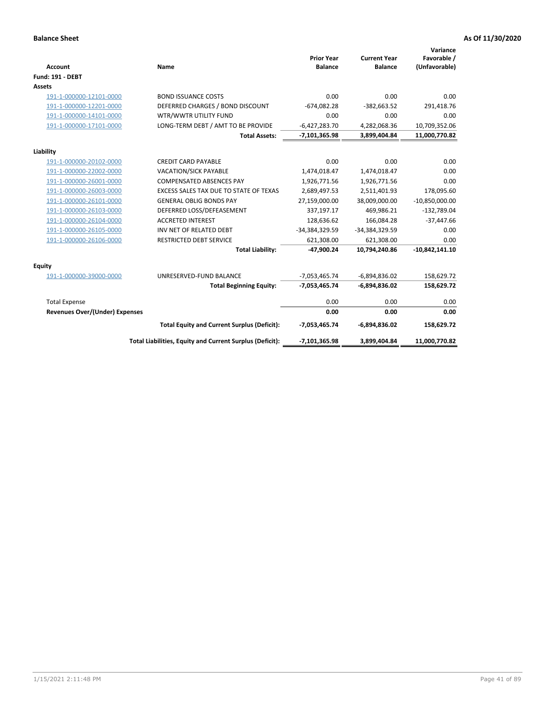| Account                               | Name                                                     | <b>Prior Year</b><br><b>Balance</b> | <b>Current Year</b><br><b>Balance</b> | Variance<br>Favorable /<br>(Unfavorable) |
|---------------------------------------|----------------------------------------------------------|-------------------------------------|---------------------------------------|------------------------------------------|
| <b>Fund: 191 - DEBT</b>               |                                                          |                                     |                                       |                                          |
| Assets                                |                                                          |                                     |                                       |                                          |
| 191-1-000000-12101-0000               | <b>BOND ISSUANCE COSTS</b>                               | 0.00                                | 0.00                                  | 0.00                                     |
| 191-1-000000-12201-0000               | DEFERRED CHARGES / BOND DISCOUNT                         | $-674,082.28$                       | $-382,663.52$                         | 291,418.76                               |
| 191-1-000000-14101-0000               | WTR/WWTR UTILITY FUND                                    | 0.00                                | 0.00                                  | 0.00                                     |
| 191-1-000000-17101-0000               | LONG-TERM DEBT / AMT TO BE PROVIDE                       | $-6,427,283.70$                     | 4,282,068.36                          | 10,709,352.06                            |
|                                       | <b>Total Assets:</b>                                     | $-7,101,365.98$                     | 3,899,404.84                          | 11,000,770.82                            |
| Liability                             |                                                          |                                     |                                       |                                          |
| 191-1-000000-20102-0000               | <b>CREDIT CARD PAYABLE</b>                               | 0.00                                | 0.00                                  | 0.00                                     |
| 191-1-000000-22002-0000               | VACATION/SICK PAYABLE                                    | 1,474,018.47                        | 1,474,018.47                          | 0.00                                     |
| 191-1-000000-26001-0000               | <b>COMPENSATED ABSENCES PAY</b>                          | 1,926,771.56                        | 1,926,771.56                          | 0.00                                     |
| 191-1-000000-26003-0000               | EXCESS SALES TAX DUE TO STATE OF TEXAS                   | 2,689,497.53                        | 2,511,401.93                          | 178,095.60                               |
| 191-1-000000-26101-0000               | <b>GENERAL OBLIG BONDS PAY</b>                           | 27,159,000.00                       | 38,009,000.00                         | $-10,850,000.00$                         |
| 191-1-000000-26103-0000               | DEFERRED LOSS/DEFEASEMENT                                | 337,197.17                          | 469,986.21                            | $-132,789.04$                            |
| 191-1-000000-26104-0000               | <b>ACCRETED INTEREST</b>                                 | 128,636.62                          | 166,084.28                            | $-37,447.66$                             |
| 191-1-000000-26105-0000               | INV NET OF RELATED DEBT                                  | -34,384,329.59                      | -34,384,329.59                        | 0.00                                     |
| 191-1-000000-26106-0000               | <b>RESTRICTED DEBT SERVICE</b>                           | 621,308.00                          | 621,308.00                            | 0.00                                     |
|                                       | <b>Total Liability:</b>                                  | $-47,900.24$                        | 10,794,240.86                         | $-10,842,141.10$                         |
| Equity                                |                                                          |                                     |                                       |                                          |
| 191-1-000000-39000-0000               | UNRESERVED-FUND BALANCE                                  | $-7,053,465.74$                     | $-6,894,836.02$                       | 158,629.72                               |
|                                       | <b>Total Beginning Equity:</b>                           | $-7,053,465.74$                     | $-6,894,836.02$                       | 158,629.72                               |
| <b>Total Expense</b>                  |                                                          | 0.00                                | 0.00                                  | 0.00                                     |
| <b>Revenues Over/(Under) Expenses</b> |                                                          | 0.00                                | 0.00                                  | 0.00                                     |
|                                       | <b>Total Equity and Current Surplus (Deficit):</b>       | $-7,053,465.74$                     | $-6,894,836.02$                       | 158,629.72                               |
|                                       | Total Liabilities, Equity and Current Surplus (Deficit): | $-7,101,365.98$                     | 3.899.404.84                          | 11,000,770.82                            |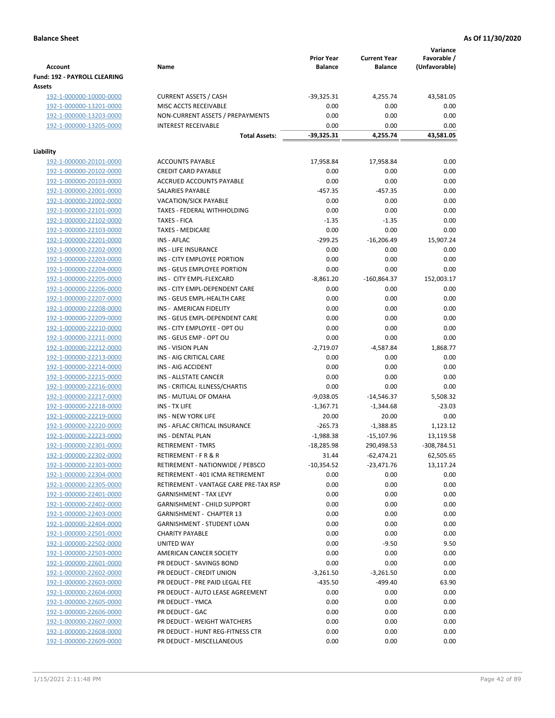| <b>Account</b>                 | Name                                  | <b>Prior Year</b><br><b>Balance</b> | <b>Current Year</b><br><b>Balance</b> | Variance<br>Favorable /<br>(Unfavorable) |
|--------------------------------|---------------------------------------|-------------------------------------|---------------------------------------|------------------------------------------|
| Fund: 192 - PAYROLL CLEARING   |                                       |                                     |                                       |                                          |
| Assets                         |                                       |                                     |                                       |                                          |
| 192-1-000000-10000-0000        | <b>CURRENT ASSETS / CASH</b>          | $-39,325.31$                        | 4,255.74                              | 43,581.05                                |
| 192-1-000000-13201-0000        | MISC ACCTS RECEIVABLE                 | 0.00                                | 0.00                                  | 0.00                                     |
| 192-1-000000-13203-0000        | NON-CURRENT ASSETS / PREPAYMENTS      | 0.00                                | 0.00                                  | 0.00                                     |
| 192-1-000000-13205-0000        | <b>INTEREST RECEIVABLE</b>            | 0.00                                | 0.00                                  | 0.00                                     |
|                                | <b>Total Assets:</b>                  | $-39,325.31$                        | 4,255.74                              | 43,581.05                                |
| Liability                      |                                       |                                     |                                       |                                          |
| 192-1-000000-20101-0000        | <b>ACCOUNTS PAYABLE</b>               | 17,958.84                           | 17,958.84                             | 0.00                                     |
| 192-1-000000-20102-0000        | <b>CREDIT CARD PAYABLE</b>            | 0.00                                | 0.00                                  | 0.00                                     |
| 192-1-000000-20103-0000        | ACCRUED ACCOUNTS PAYABLE              | 0.00                                | 0.00                                  | 0.00                                     |
| 192-1-000000-22001-0000        | SALARIES PAYABLE                      | $-457.35$                           | $-457.35$                             | 0.00                                     |
| 192-1-000000-22002-0000        | <b>VACATION/SICK PAYABLE</b>          | 0.00                                | 0.00                                  | 0.00                                     |
| 192-1-000000-22101-0000        | TAXES - FEDERAL WITHHOLDING           | 0.00                                | 0.00                                  | 0.00                                     |
| 192-1-000000-22102-0000        | <b>TAXES - FICA</b>                   | $-1.35$                             | $-1.35$                               | 0.00                                     |
| 192-1-000000-22103-0000        | <b>TAXES - MEDICARE</b>               | 0.00                                | 0.00                                  | 0.00                                     |
| 192-1-000000-22201-0000        | <b>INS - AFLAC</b>                    | $-299.25$                           | $-16,206.49$                          | 15,907.24                                |
| 192-1-000000-22202-0000        | <b>INS - LIFE INSURANCE</b>           | 0.00                                | 0.00                                  | 0.00                                     |
| 192-1-000000-22203-0000        | INS - CITY EMPLOYEE PORTION           | 0.00                                | 0.00                                  | 0.00                                     |
| 192-1-000000-22204-0000        | INS - GEUS EMPLOYEE PORTION           | 0.00                                | 0.00                                  | 0.00                                     |
| 192-1-000000-22205-0000        | INS - CITY EMPL-FLEXCARD              | $-8,861.20$                         | $-160,864.37$                         | 152,003.17                               |
| 192-1-000000-22206-0000        | INS - CITY EMPL-DEPENDENT CARE        | 0.00                                | 0.00                                  | 0.00                                     |
| 192-1-000000-22207-0000        | INS - GEUS EMPL-HEALTH CARE           | 0.00                                | 0.00                                  | 0.00                                     |
| 192-1-000000-22208-0000        | INS - AMERICAN FIDELITY               | 0.00                                | 0.00                                  | 0.00                                     |
| 192-1-000000-22209-0000        | INS - GEUS EMPL-DEPENDENT CARE        | 0.00                                | 0.00                                  | 0.00                                     |
| 192-1-000000-22210-0000        | INS - CITY EMPLOYEE - OPT OU          | 0.00                                | 0.00                                  | 0.00                                     |
| 192-1-000000-22211-0000        | INS - GEUS EMP - OPT OU               | 0.00                                | 0.00                                  | 0.00                                     |
| 192-1-000000-22212-0000        | <b>INS - VISION PLAN</b>              | $-2,719.07$                         | $-4,587.84$                           | 1,868.77                                 |
| 192-1-000000-22213-0000        | INS - AIG CRITICAL CARE               | 0.00                                | 0.00                                  | 0.00                                     |
| 192-1-000000-22214-0000        | INS - AIG ACCIDENT                    | 0.00                                | 0.00                                  | 0.00                                     |
| 192-1-000000-22215-0000        | INS - ALLSTATE CANCER                 | 0.00                                | 0.00                                  | 0.00                                     |
| 192-1-000000-22216-0000        | INS - CRITICAL ILLNESS/CHARTIS        | 0.00                                | 0.00                                  | 0.00                                     |
| 192-1-000000-22217-0000        | INS - MUTUAL OF OMAHA                 | $-9,038.05$                         | $-14,546.37$                          | 5,508.32                                 |
| 192-1-000000-22218-0000        | INS - TX LIFE                         | $-1,367.71$                         | $-1,344.68$                           | $-23.03$                                 |
| 192-1-000000-22219-0000        | <b>INS - NEW YORK LIFE</b>            | 20.00                               | 20.00                                 | 0.00                                     |
| 192-1-000000-22220-0000        | INS - AFLAC CRITICAL INSURANCE        | $-265.73$                           | $-1,388.85$                           | 1,123.12                                 |
| 192-1-000000-22223-0000        | INS - DENTAL PLAN                     | $-1,988.38$                         | $-15,107.96$                          | 13,119.58                                |
| <u>192-1-000000-22301-0000</u> | RETIREMENT - TMRS                     | $-18,285.98$                        | 290,498.53                            | -308,784.51                              |
| 192-1-000000-22302-0000        | RETIREMENT - F R & R                  | 31.44                               | $-62,474.21$                          | 62,505.65                                |
| 192-1-000000-22303-0000        | RETIREMENT - NATIONWIDE / PEBSCO      | $-10,354.52$                        | $-23,471.76$                          | 13,117.24                                |
| 192-1-000000-22304-0000        | RETIREMENT - 401 ICMA RETIREMENT      | 0.00                                | 0.00                                  | 0.00                                     |
| 192-1-000000-22305-0000        | RETIREMENT - VANTAGE CARE PRE-TAX RSP | 0.00                                | 0.00                                  | 0.00                                     |
| 192-1-000000-22401-0000        | <b>GARNISHMENT - TAX LEVY</b>         | 0.00                                | 0.00                                  | 0.00                                     |
| 192-1-000000-22402-0000        | <b>GARNISHMENT - CHILD SUPPORT</b>    | 0.00                                | 0.00                                  | 0.00                                     |
| 192-1-000000-22403-0000        | GARNISHMENT - CHAPTER 13              | 0.00                                | 0.00                                  | 0.00                                     |
| 192-1-000000-22404-0000        | GARNISHMENT - STUDENT LOAN            | 0.00                                | 0.00                                  | 0.00                                     |
| 192-1-000000-22501-0000        | <b>CHARITY PAYABLE</b>                | 0.00                                | 0.00                                  | 0.00                                     |
| 192-1-000000-22502-0000        | UNITED WAY                            | 0.00                                | $-9.50$                               | 9.50                                     |
| 192-1-000000-22503-0000        | AMERICAN CANCER SOCIETY               | 0.00                                | 0.00                                  | 0.00                                     |
| 192-1-000000-22601-0000        | PR DEDUCT - SAVINGS BOND              | 0.00                                | 0.00                                  | 0.00                                     |
| 192-1-000000-22602-0000        | PR DEDUCT - CREDIT UNION              | $-3,261.50$                         | $-3,261.50$                           | 0.00                                     |
| 192-1-000000-22603-0000        | PR DEDUCT - PRE PAID LEGAL FEE        | $-435.50$                           | $-499.40$                             | 63.90                                    |
| 192-1-000000-22604-0000        | PR DEDUCT - AUTO LEASE AGREEMENT      | 0.00                                | 0.00                                  | 0.00                                     |
| 192-1-000000-22605-0000        | PR DEDUCT - YMCA                      | 0.00                                | 0.00                                  | 0.00                                     |
| 192-1-000000-22606-0000        | PR DEDUCT - GAC                       | 0.00                                | 0.00                                  | 0.00                                     |
| 192-1-000000-22607-0000        | PR DEDUCT - WEIGHT WATCHERS           | 0.00                                | 0.00                                  | 0.00                                     |
| 192-1-000000-22608-0000        | PR DEDUCT - HUNT REG-FITNESS CTR      | 0.00                                | 0.00                                  | 0.00                                     |
| 192-1-000000-22609-0000        | PR DEDUCT - MISCELLANEOUS             | 0.00                                | 0.00                                  | 0.00                                     |
|                                |                                       |                                     |                                       |                                          |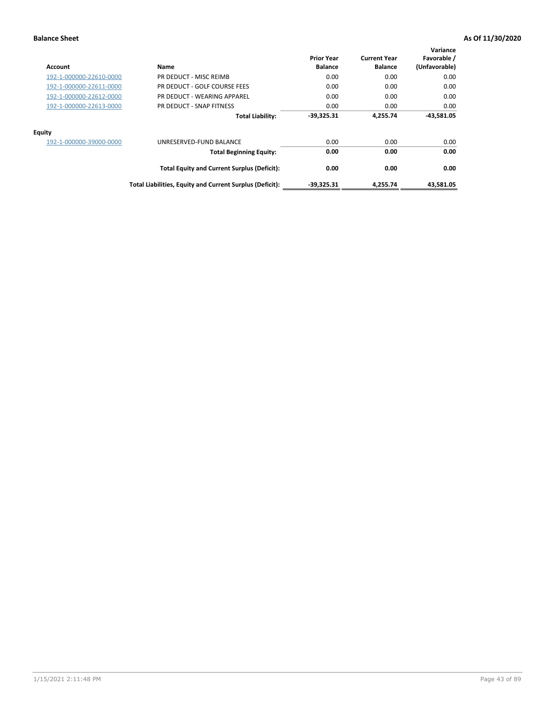| Account                 | Name                                                     | <b>Prior Year</b><br><b>Balance</b> | <b>Current Year</b><br><b>Balance</b> | Variance<br>Favorable /<br>(Unfavorable) |
|-------------------------|----------------------------------------------------------|-------------------------------------|---------------------------------------|------------------------------------------|
| 192-1-000000-22610-0000 | PR DEDUCT - MISC REIMB                                   | 0.00                                | 0.00                                  | 0.00                                     |
| 192-1-000000-22611-0000 | PR DEDUCT - GOLF COURSE FEES                             | 0.00                                | 0.00                                  | 0.00                                     |
| 192-1-000000-22612-0000 | PR DEDUCT - WEARING APPAREL                              | 0.00                                | 0.00                                  | 0.00                                     |
| 192-1-000000-22613-0000 | PR DEDUCT - SNAP FITNESS                                 | 0.00                                | 0.00                                  | 0.00                                     |
|                         | <b>Total Liability:</b>                                  | $-39,325.31$                        | 4,255.74                              | $-43,581.05$                             |
| Equity                  |                                                          |                                     |                                       |                                          |
| 192-1-000000-39000-0000 | UNRESERVED-FUND BALANCE                                  | 0.00                                | 0.00                                  | 0.00                                     |
|                         | <b>Total Beginning Equity:</b>                           | 0.00                                | 0.00                                  | 0.00                                     |
|                         | <b>Total Equity and Current Surplus (Deficit):</b>       | 0.00                                | 0.00                                  | 0.00                                     |
|                         | Total Liabilities, Equity and Current Surplus (Deficit): | $-39,325.31$                        | 4.255.74                              | 43.581.05                                |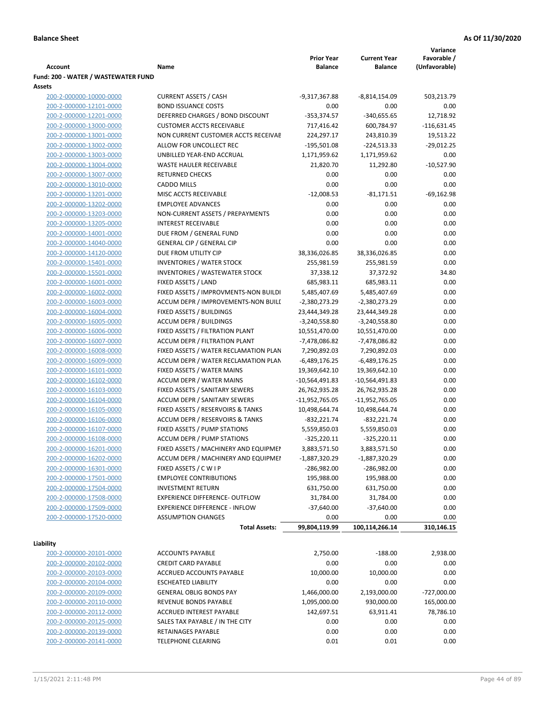|                                     |                                       |                   |                     | Variance      |
|-------------------------------------|---------------------------------------|-------------------|---------------------|---------------|
|                                     |                                       | <b>Prior Year</b> | <b>Current Year</b> | Favorable /   |
| <b>Account</b>                      | Name                                  | <b>Balance</b>    | <b>Balance</b>      | (Unfavorable) |
| Fund: 200 - WATER / WASTEWATER FUND |                                       |                   |                     |               |
| Assets                              |                                       |                   |                     |               |
| 200-2-000000-10000-0000             | <b>CURRENT ASSETS / CASH</b>          | -9,317,367.88     | -8,814,154.09       | 503,213.79    |
| 200-2-000000-12101-0000             | <b>BOND ISSUANCE COSTS</b>            | 0.00              | 0.00                | 0.00          |
| 200-2-000000-12201-0000             | DEFERRED CHARGES / BOND DISCOUNT      | $-353,374.57$     | $-340,655.65$       | 12,718.92     |
| 200-2-000000-13000-0000             | <b>CUSTOMER ACCTS RECEIVABLE</b>      | 717,416.42        | 600,784.97          | $-116,631.45$ |
| 200-2-000000-13001-0000             | NON CURRENT CUSTOMER ACCTS RECEIVAE   | 224,297.17        | 243,810.39          | 19,513.22     |
| 200-2-000000-13002-0000             | ALLOW FOR UNCOLLECT REC               | $-195,501.08$     | $-224,513.33$       | $-29,012.25$  |
| 200-2-000000-13003-0000             | UNBILLED YEAR-END ACCRUAL             | 1,171,959.62      | 1,171,959.62        | 0.00          |
| 200-2-000000-13004-0000             | <b>WASTE HAULER RECEIVABLE</b>        | 21,820.70         | 11,292.80           | $-10,527.90$  |
| 200-2-000000-13007-0000             | <b>RETURNED CHECKS</b>                | 0.00              | 0.00                | 0.00          |
| 200-2-000000-13010-0000             | <b>CADDO MILLS</b>                    | 0.00              | 0.00                | 0.00          |
| 200-2-000000-13201-0000             | MISC ACCTS RECEIVABLE                 | $-12,008.53$      | $-81,171.51$        | $-69,162.98$  |
| 200-2-000000-13202-0000             | <b>EMPLOYEE ADVANCES</b>              | 0.00              | 0.00                | 0.00          |
| 200-2-000000-13203-0000             | NON-CURRENT ASSETS / PREPAYMENTS      | 0.00              | 0.00                | 0.00          |
| 200-2-000000-13205-0000             | <b>INTEREST RECEIVABLE</b>            | 0.00              | 0.00                | 0.00          |
| 200-2-000000-14001-0000             | DUE FROM / GENERAL FUND               | 0.00              | 0.00                | 0.00          |
| 200-2-000000-14040-0000             | <b>GENERAL CIP / GENERAL CIP</b>      | 0.00              | 0.00                | 0.00          |
| 200-2-000000-14120-0000             | DUE FROM UTILITY CIP                  | 38,336,026.85     | 38,336,026.85       | 0.00          |
| 200-2-000000-15401-0000             | <b>INVENTORIES / WATER STOCK</b>      | 255,981.59        | 255,981.59          | 0.00          |
| 200-2-000000-15501-0000             | <b>INVENTORIES / WASTEWATER STOCK</b> | 37,338.12         | 37,372.92           | 34.80         |
| 200-2-000000-16001-0000             | FIXED ASSETS / LAND                   | 685,983.11        | 685,983.11          | 0.00          |
| 200-2-000000-16002-0000             | FIXED ASSETS / IMPROVMENTS-NON BUILDI | 5,485,407.69      | 5,485,407.69        | 0.00          |
| 200-2-000000-16003-0000             | ACCUM DEPR / IMPROVEMENTS-NON BUILI   | $-2,380,273.29$   | -2,380,273.29       | 0.00          |
| 200-2-000000-16004-0000             | FIXED ASSETS / BUILDINGS              | 23,444,349.28     | 23,444,349.28       | 0.00          |
| 200-2-000000-16005-0000             | <b>ACCUM DEPR / BUILDINGS</b>         | $-3,240,558.80$   | $-3,240,558.80$     | 0.00          |
| 200-2-000000-16006-0000             | FIXED ASSETS / FILTRATION PLANT       | 10,551,470.00     | 10,551,470.00       | 0.00          |
| 200-2-000000-16007-0000             | ACCUM DEPR / FILTRATION PLANT         | -7,478,086.82     | -7,478,086.82       | 0.00          |
| 200-2-000000-16008-0000             | FIXED ASSETS / WATER RECLAMATION PLAN | 7,290,892.03      | 7,290,892.03        | 0.00          |
| 200-2-000000-16009-0000             | ACCUM DEPR / WATER RECLAMATION PLAN   | $-6,489,176.25$   | $-6,489,176.25$     | 0.00          |
| 200-2-000000-16101-0000             | FIXED ASSETS / WATER MAINS            | 19,369,642.10     | 19,369,642.10       | 0.00          |
| 200-2-000000-16102-0000             | <b>ACCUM DEPR / WATER MAINS</b>       | -10,564,491.83    | -10,564,491.83      | 0.00          |
| 200-2-000000-16103-0000             | FIXED ASSETS / SANITARY SEWERS        | 26,762,935.28     | 26,762,935.28       | 0.00          |
| 200-2-000000-16104-0000             | <b>ACCUM DEPR / SANITARY SEWERS</b>   | $-11,952,765.05$  | -11,952,765.05      | 0.00          |
| 200-2-000000-16105-0000             | FIXED ASSETS / RESERVOIRS & TANKS     | 10,498,644.74     | 10,498,644.74       | 0.00          |
| 200-2-000000-16106-0000             | ACCUM DEPR / RESERVOIRS & TANKS       | $-832,221.74$     | $-832,221.74$       | 0.00          |
| 200-2-000000-16107-0000             | FIXED ASSETS / PUMP STATIONS          | 5,559,850.03      | 5,559,850.03        | 0.00          |
| 200-2-000000-16108-0000             | <b>ACCUM DEPR / PUMP STATIONS</b>     | $-325,220.11$     | $-325,220.11$       | 0.00          |
| 200-2-000000-16201-0000             | FIXED ASSETS / MACHINERY AND EQUIPMEN | 3,883,571.50      | 3,883,571.50        | 0.00          |
| 200-2-000000-16202-0000             | ACCUM DEPR / MACHINERY AND EQUIPMEI   | $-1,887,320.29$   | $-1,887,320.29$     | 0.00          |
| 200-2-000000-16301-0000             | FIXED ASSETS / C W I P                | $-286,982.00$     | $-286,982.00$       | 0.00          |
| 200-2-000000-17501-0000             | <b>EMPLOYEE CONTRIBUTIONS</b>         | 195,988.00        | 195,988.00          | 0.00          |
| 200-2-000000-17504-0000             | <b>INVESTMENT RETURN</b>              | 631,750.00        | 631,750.00          | 0.00          |
| 200-2-000000-17508-0000             | EXPERIENCE DIFFERENCE- OUTFLOW        | 31,784.00         | 31,784.00           | 0.00          |
| 200-2-000000-17509-0000             | <b>EXPERIENCE DIFFERENCE - INFLOW</b> | $-37,640.00$      | $-37,640.00$        | 0.00          |
| 200-2-000000-17520-0000             | <b>ASSUMPTION CHANGES</b>             | 0.00              | 0.00                | 0.00          |
|                                     | <b>Total Assets:</b>                  | 99,804,119.99     | 100,114,266.14      | 310,146.15    |
|                                     |                                       |                   |                     |               |
| Liability                           |                                       |                   |                     |               |
| 200-2-000000-20101-0000             | <b>ACCOUNTS PAYABLE</b>               | 2,750.00          | $-188.00$           | 2,938.00      |
| 200-2-000000-20102-0000             | <b>CREDIT CARD PAYABLE</b>            | 0.00              | 0.00                | 0.00          |
| 200-2-000000-20103-0000             | ACCRUED ACCOUNTS PAYABLE              | 10,000.00         | 10,000.00           | 0.00          |
| 200-2-000000-20104-0000             | <b>ESCHEATED LIABILITY</b>            | 0.00              | 0.00                | 0.00          |
| 200-2-000000-20109-0000             | <b>GENERAL OBLIG BONDS PAY</b>        | 1,466,000.00      | 2,193,000.00        | $-727,000.00$ |
| 200-2-000000-20110-0000             | REVENUE BONDS PAYABLE                 | 1,095,000.00      | 930,000.00          | 165,000.00    |
| 200-2-000000-20112-0000             | ACCRUED INTEREST PAYABLE              | 142,697.51        | 63,911.41           | 78,786.10     |
| 200-2-000000-20125-0000             | SALES TAX PAYABLE / IN THE CITY       | 0.00              | 0.00                | 0.00          |
| 200-2-000000-20139-0000             | RETAINAGES PAYABLE                    | 0.00              | 0.00                | 0.00          |
| 200-2-000000-20141-0000             | <b>TELEPHONE CLEARING</b>             | 0.01              | 0.01                | 0.00          |
|                                     |                                       |                   |                     |               |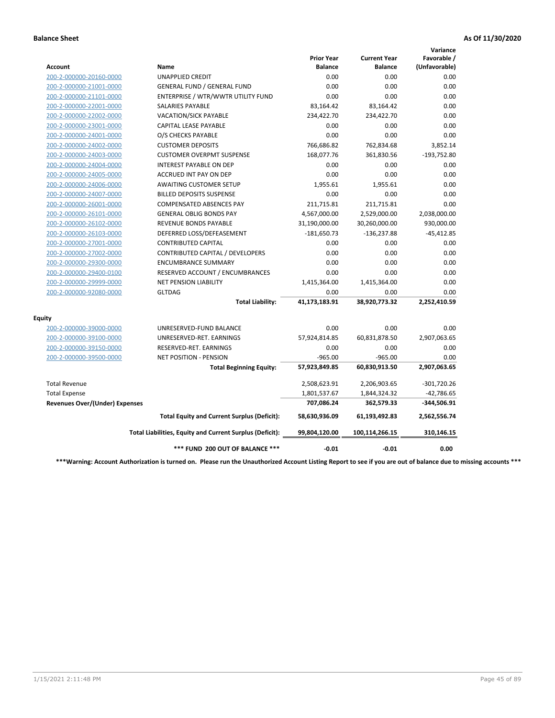|                                       |                                                          |                                     |                                       | Variance                     |
|---------------------------------------|----------------------------------------------------------|-------------------------------------|---------------------------------------|------------------------------|
| Account                               | Name                                                     | <b>Prior Year</b><br><b>Balance</b> | <b>Current Year</b><br><b>Balance</b> | Favorable /<br>(Unfavorable) |
| 200-2-000000-20160-0000               | <b>UNAPPLIED CREDIT</b>                                  | 0.00                                | 0.00                                  | 0.00                         |
| 200-2-000000-21001-0000               | <b>GENERAL FUND / GENERAL FUND</b>                       | 0.00                                | 0.00                                  | 0.00                         |
| 200-2-000000-21101-0000               | ENTERPRISE / WTR/WWTR UTILITY FUND                       | 0.00                                | 0.00                                  | 0.00                         |
| 200-2-000000-22001-0000               | <b>SALARIES PAYABLE</b>                                  | 83,164.42                           | 83,164.42                             | 0.00                         |
| 200-2-000000-22002-0000               | <b>VACATION/SICK PAYABLE</b>                             | 234,422.70                          | 234,422.70                            | 0.00                         |
| 200-2-000000-23001-0000               | CAPITAL LEASE PAYABLE                                    | 0.00                                | 0.00                                  | 0.00                         |
| 200-2-000000-24001-0000               | O/S CHECKS PAYABLE                                       | 0.00                                | 0.00                                  | 0.00                         |
| 200-2-000000-24002-0000               | <b>CUSTOMER DEPOSITS</b>                                 | 766,686.82                          | 762,834.68                            | 3,852.14                     |
| 200-2-000000-24003-0000               | <b>CUSTOMER OVERPMT SUSPENSE</b>                         | 168,077.76                          | 361,830.56                            | $-193,752.80$                |
| 200-2-000000-24004-0000               | <b>INTEREST PAYABLE ON DEP</b>                           | 0.00                                | 0.00                                  | 0.00                         |
| 200-2-000000-24005-0000               | <b>ACCRUED INT PAY ON DEP</b>                            | 0.00                                | 0.00                                  | 0.00                         |
| 200-2-000000-24006-0000               | <b>AWAITING CUSTOMER SETUP</b>                           | 1,955.61                            | 1,955.61                              | 0.00                         |
| 200-2-000000-24007-0000               | <b>BILLED DEPOSITS SUSPENSE</b>                          | 0.00                                | 0.00                                  | 0.00                         |
| 200-2-000000-26001-0000               | <b>COMPENSATED ABSENCES PAY</b>                          | 211,715.81                          | 211,715.81                            | 0.00                         |
| 200-2-000000-26101-0000               | <b>GENERAL OBLIG BONDS PAY</b>                           | 4,567,000.00                        | 2,529,000.00                          | 2,038,000.00                 |
| 200-2-000000-26102-0000               | <b>REVENUE BONDS PAYABLE</b>                             | 31,190,000.00                       | 30,260,000.00                         | 930,000.00                   |
| 200-2-000000-26103-0000               | DEFERRED LOSS/DEFEASEMENT                                | $-181,650.73$                       | $-136,237.88$                         | $-45,412.85$                 |
| 200-2-000000-27001-0000               | <b>CONTRIBUTED CAPITAL</b>                               | 0.00                                | 0.00                                  | 0.00                         |
| 200-2-000000-27002-0000               | CONTRIBUTED CAPITAL / DEVELOPERS                         | 0.00                                | 0.00                                  | 0.00                         |
| 200-2-000000-29300-0000               | <b>ENCUMBRANCE SUMMARY</b>                               | 0.00                                | 0.00                                  | 0.00                         |
| 200-2-000000-29400-0100               | RESERVED ACCOUNT / ENCUMBRANCES                          | 0.00                                | 0.00                                  | 0.00                         |
| 200-2-000000-29999-0000               | <b>NET PENSION LIABILITY</b>                             | 1,415,364.00                        | 1,415,364.00                          | 0.00                         |
| 200-2-000000-92080-0000               | <b>GLTDAG</b>                                            | 0.00                                | 0.00                                  | 0.00                         |
|                                       | <b>Total Liability:</b>                                  | 41,173,183.91                       | 38,920,773.32                         | 2,252,410.59                 |
| <b>Equity</b>                         |                                                          |                                     |                                       |                              |
| 200-2-000000-39000-0000               | UNRESERVED-FUND BALANCE                                  | 0.00                                | 0.00                                  | 0.00                         |
| 200-2-000000-39100-0000               | UNRESERVED-RET. EARNINGS                                 | 57,924,814.85                       | 60,831,878.50                         | 2,907,063.65                 |
| 200-2-000000-39150-0000               | RESERVED-RET. EARNINGS                                   | 0.00                                | 0.00                                  | 0.00                         |
| 200-2-000000-39500-0000               | NET POSITION - PENSION                                   | $-965.00$                           | $-965.00$                             | 0.00                         |
|                                       | <b>Total Beginning Equity:</b>                           | 57,923,849.85                       | 60,830,913.50                         | 2,907,063.65                 |
| <b>Total Revenue</b>                  |                                                          | 2,508,623.91                        | 2,206,903.65                          | $-301,720.26$                |
| <b>Total Expense</b>                  |                                                          | 1,801,537.67                        | 1,844,324.32                          | $-42,786.65$                 |
| <b>Revenues Over/(Under) Expenses</b> |                                                          | 707,086.24                          | 362,579.33                            | -344,506.91                  |
|                                       | <b>Total Equity and Current Surplus (Deficit):</b>       | 58,630,936.09                       | 61,193,492.83                         | 2,562,556.74                 |
|                                       | Total Liabilities, Equity and Current Surplus (Deficit): | 99,804,120.00                       | 100,114,266.15                        | 310,146.15                   |
|                                       | *** FUND 200 OUT OF BALANCE ***                          | $-0.01$                             | $-0.01$                               | 0.00                         |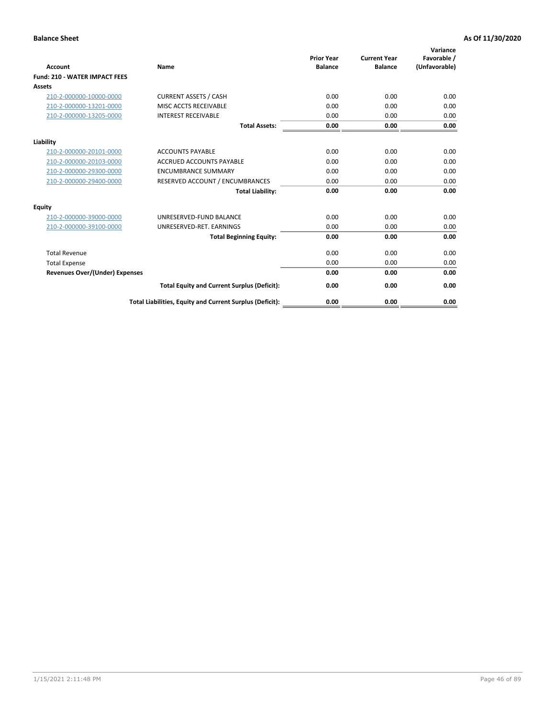| <b>Account</b>                        | Name                                                     | <b>Prior Year</b><br><b>Balance</b> | <b>Current Year</b><br><b>Balance</b> | Variance<br>Favorable /<br>(Unfavorable) |
|---------------------------------------|----------------------------------------------------------|-------------------------------------|---------------------------------------|------------------------------------------|
| <b>Fund: 210 - WATER IMPACT FEES</b>  |                                                          |                                     |                                       |                                          |
| <b>Assets</b>                         |                                                          |                                     |                                       |                                          |
| 210-2-000000-10000-0000               | <b>CURRENT ASSETS / CASH</b>                             | 0.00                                | 0.00                                  | 0.00                                     |
| 210-2-000000-13201-0000               | MISC ACCTS RECEIVABLE                                    | 0.00                                | 0.00                                  | 0.00                                     |
| 210-2-000000-13205-0000               | <b>INTEREST RECEIVABLE</b>                               | 0.00                                | 0.00                                  | 0.00                                     |
|                                       | <b>Total Assets:</b>                                     | 0.00                                | 0.00                                  | 0.00                                     |
|                                       |                                                          |                                     |                                       |                                          |
| Liability                             |                                                          |                                     |                                       |                                          |
| 210-2-000000-20101-0000               | <b>ACCOUNTS PAYABLE</b>                                  | 0.00                                | 0.00                                  | 0.00                                     |
| 210-2-000000-20103-0000               | <b>ACCRUED ACCOUNTS PAYABLE</b>                          | 0.00                                | 0.00                                  | 0.00                                     |
| 210-2-000000-29300-0000               | <b>ENCUMBRANCE SUMMARY</b>                               | 0.00                                | 0.00                                  | 0.00                                     |
| 210-2-000000-29400-0000               | RESERVED ACCOUNT / ENCUMBRANCES                          | 0.00                                | 0.00                                  | 0.00                                     |
|                                       | <b>Total Liability:</b>                                  | 0.00                                | 0.00                                  | 0.00                                     |
| <b>Equity</b>                         |                                                          |                                     |                                       |                                          |
| 210-2-000000-39000-0000               | UNRESERVED-FUND BALANCE                                  | 0.00                                | 0.00                                  | 0.00                                     |
| 210-2-000000-39100-0000               | UNRESERVED-RET. EARNINGS                                 | 0.00                                | 0.00                                  | 0.00                                     |
|                                       | <b>Total Beginning Equity:</b>                           | 0.00                                | 0.00                                  | 0.00                                     |
| <b>Total Revenue</b>                  |                                                          | 0.00                                | 0.00                                  | 0.00                                     |
| <b>Total Expense</b>                  |                                                          | 0.00                                | 0.00                                  | 0.00                                     |
| <b>Revenues Over/(Under) Expenses</b> |                                                          | 0.00                                | 0.00                                  | 0.00                                     |
|                                       | <b>Total Equity and Current Surplus (Deficit):</b>       | 0.00                                | 0.00                                  | 0.00                                     |
|                                       | Total Liabilities, Equity and Current Surplus (Deficit): | 0.00                                | 0.00                                  | 0.00                                     |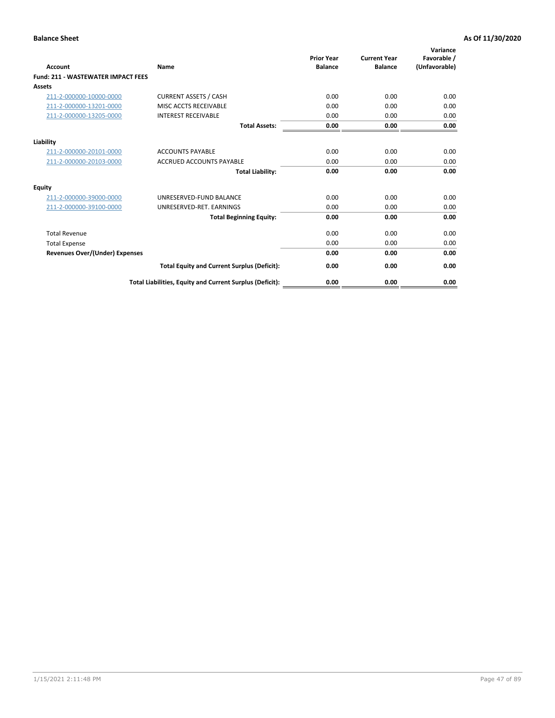| <b>Account</b>                        | <b>Name</b>                                              | <b>Prior Year</b><br><b>Balance</b> | <b>Current Year</b><br><b>Balance</b> | Variance<br>Favorable /<br>(Unfavorable) |
|---------------------------------------|----------------------------------------------------------|-------------------------------------|---------------------------------------|------------------------------------------|
| Fund: 211 - WASTEWATER IMPACT FEES    |                                                          |                                     |                                       |                                          |
| <b>Assets</b>                         |                                                          |                                     |                                       |                                          |
| 211-2-000000-10000-0000               | <b>CURRENT ASSETS / CASH</b>                             | 0.00                                | 0.00                                  | 0.00                                     |
| 211-2-000000-13201-0000               | MISC ACCTS RECEIVABLE                                    | 0.00                                | 0.00                                  | 0.00                                     |
| 211-2-000000-13205-0000               | <b>INTEREST RECEIVABLE</b>                               | 0.00                                | 0.00                                  | 0.00                                     |
|                                       | <b>Total Assets:</b>                                     | 0.00                                | 0.00                                  | 0.00                                     |
| Liability                             |                                                          |                                     |                                       |                                          |
| 211-2-000000-20101-0000               | <b>ACCOUNTS PAYABLE</b>                                  | 0.00                                | 0.00                                  | 0.00                                     |
| 211-2-000000-20103-0000               | <b>ACCRUED ACCOUNTS PAYABLE</b>                          | 0.00                                | 0.00                                  | 0.00                                     |
|                                       | <b>Total Liability:</b>                                  | 0.00                                | 0.00                                  | 0.00                                     |
| <b>Equity</b>                         |                                                          |                                     |                                       |                                          |
| 211-2-000000-39000-0000               | UNRESERVED-FUND BALANCE                                  | 0.00                                | 0.00                                  | 0.00                                     |
| 211-2-000000-39100-0000               | UNRESERVED-RET. EARNINGS                                 | 0.00                                | 0.00                                  | 0.00                                     |
|                                       | <b>Total Beginning Equity:</b>                           | 0.00                                | 0.00                                  | 0.00                                     |
| <b>Total Revenue</b>                  |                                                          | 0.00                                | 0.00                                  | 0.00                                     |
| <b>Total Expense</b>                  |                                                          | 0.00                                | 0.00                                  | 0.00                                     |
| <b>Revenues Over/(Under) Expenses</b> |                                                          | 0.00                                | 0.00                                  | 0.00                                     |
|                                       | <b>Total Equity and Current Surplus (Deficit):</b>       | 0.00                                | 0.00                                  | 0.00                                     |
|                                       | Total Liabilities, Equity and Current Surplus (Deficit): | 0.00                                | 0.00                                  | 0.00                                     |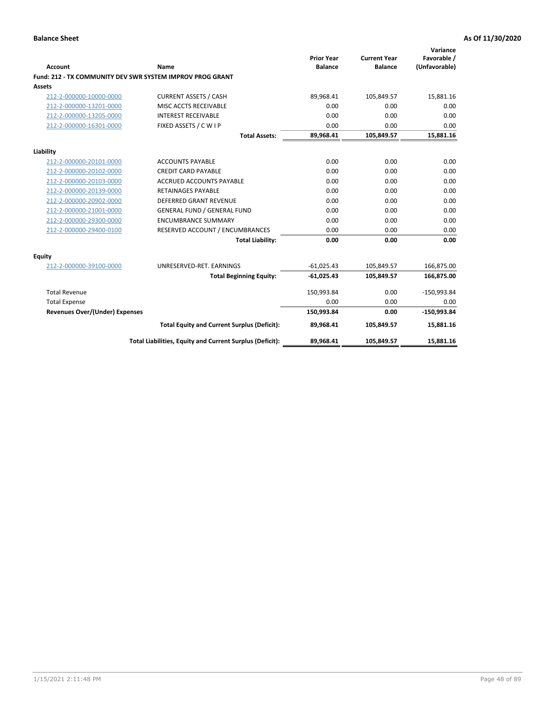| <b>Account</b>                        | Name                                                      | <b>Prior Year</b><br><b>Balance</b> | <b>Current Year</b><br><b>Balance</b> | Variance<br>Favorable /<br>(Unfavorable) |
|---------------------------------------|-----------------------------------------------------------|-------------------------------------|---------------------------------------|------------------------------------------|
|                                       | Fund: 212 - TX COMMUNITY DEV SWR SYSTEM IMPROV PROG GRANT |                                     |                                       |                                          |
| <b>Assets</b>                         |                                                           |                                     |                                       |                                          |
| 212-2-000000-10000-0000               | <b>CURRENT ASSETS / CASH</b>                              | 89,968.41                           | 105,849.57                            | 15,881.16                                |
| 212-2-000000-13201-0000               | MISC ACCTS RECEIVABLE                                     | 0.00                                | 0.00                                  | 0.00                                     |
| 212-2-000000-13205-0000               | <b>INTEREST RECEIVABLE</b>                                | 0.00                                | 0.00                                  | 0.00                                     |
| 212-2-000000-16301-0000               | FIXED ASSETS / C W I P                                    | 0.00                                | 0.00                                  | 0.00                                     |
|                                       | <b>Total Assets:</b>                                      | 89,968.41                           | 105,849.57                            | 15,881.16                                |
| Liability                             |                                                           |                                     |                                       |                                          |
| 212-2-000000-20101-0000               | <b>ACCOUNTS PAYABLE</b>                                   | 0.00                                | 0.00                                  | 0.00                                     |
| 212-2-000000-20102-0000               | <b>CREDIT CARD PAYABLE</b>                                | 0.00                                | 0.00                                  | 0.00                                     |
| 212-2-000000-20103-0000               | <b>ACCRUED ACCOUNTS PAYABLE</b>                           | 0.00                                | 0.00                                  | 0.00                                     |
| 212-2-000000-20139-0000               | <b>RETAINAGES PAYABLE</b>                                 | 0.00                                | 0.00                                  | 0.00                                     |
| 212-2-000000-20902-0000               | <b>DEFERRED GRANT REVENUE</b>                             | 0.00                                | 0.00                                  | 0.00                                     |
| 212-2-000000-21001-0000               | <b>GENERAL FUND / GENERAL FUND</b>                        | 0.00                                | 0.00                                  | 0.00                                     |
| 212-2-000000-29300-0000               | <b>ENCUMBRANCE SUMMARY</b>                                | 0.00                                | 0.00                                  | 0.00                                     |
| 212-2-000000-29400-0100               | RESERVED ACCOUNT / ENCUMBRANCES                           | 0.00                                | 0.00                                  | 0.00                                     |
|                                       | <b>Total Liability:</b>                                   | 0.00                                | 0.00                                  | 0.00                                     |
| <b>Equity</b>                         |                                                           |                                     |                                       |                                          |
| 212-2-000000-39100-0000               | UNRESERVED-RET. EARNINGS                                  | $-61,025.43$                        | 105,849.57                            | 166,875.00                               |
|                                       | <b>Total Beginning Equity:</b>                            | $-61,025.43$                        | 105,849.57                            | 166,875.00                               |
| <b>Total Revenue</b>                  |                                                           | 150,993.84                          | 0.00                                  | $-150,993.84$                            |
| <b>Total Expense</b>                  |                                                           | 0.00                                | 0.00                                  | 0.00                                     |
| <b>Revenues Over/(Under) Expenses</b> |                                                           | 150,993.84                          | 0.00                                  | $-150,993.84$                            |
|                                       | <b>Total Equity and Current Surplus (Deficit):</b>        | 89,968.41                           | 105,849.57                            | 15,881.16                                |
|                                       | Total Liabilities, Equity and Current Surplus (Deficit):  | 89,968.41                           | 105,849.57                            | 15,881.16                                |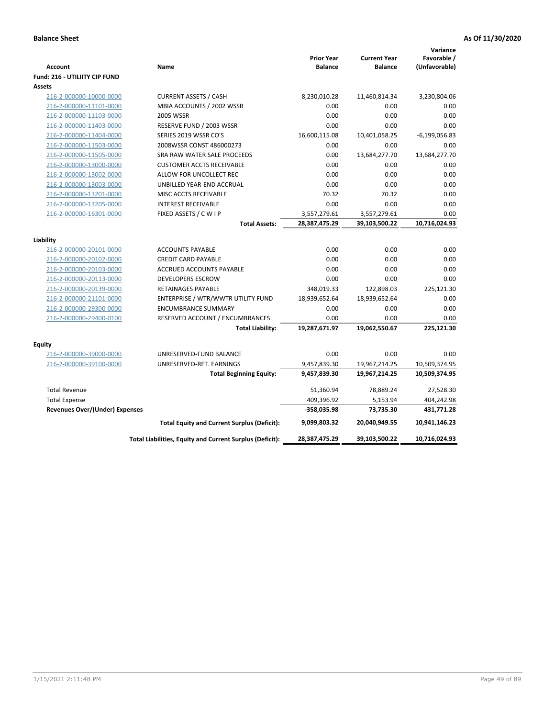| <b>Account</b><br>Fund: 216 - UTILIITY CIP FUND    | Name                                                     | <b>Prior Year</b><br><b>Balance</b> | <b>Current Year</b><br><b>Balance</b> | Variance<br>Favorable /<br>(Unfavorable) |
|----------------------------------------------------|----------------------------------------------------------|-------------------------------------|---------------------------------------|------------------------------------------|
| <b>Assets</b>                                      |                                                          |                                     |                                       |                                          |
| 216-2-000000-10000-0000                            | <b>CURRENT ASSETS / CASH</b>                             | 8,230,010.28                        | 11,460,814.34                         | 3,230,804.06                             |
| 216-2-000000-11101-0000                            | MBIA ACCOUNTS / 2002 WSSR                                | 0.00                                | 0.00                                  | 0.00                                     |
| 216-2-000000-11103-0000                            | 2005 WSSR                                                | 0.00                                | 0.00                                  | 0.00                                     |
| 216-2-000000-11403-0000                            | RESERVE FUND / 2003 WSSR                                 | 0.00                                | 0.00                                  | 0.00                                     |
| 216-2-000000-11404-0000                            | SERIES 2019 WSSR CO'S                                    | 16,600,115.08                       | 10,401,058.25                         | $-6, 199, 056.83$                        |
| 216-2-000000-11503-0000                            | 2008WSSR CONST 486000273                                 | 0.00                                | 0.00                                  | 0.00                                     |
| 216-2-000000-11505-0000                            | SRA RAW WATER SALE PROCEEDS                              | 0.00                                | 13,684,277.70                         | 13,684,277.70                            |
| 216-2-000000-13000-0000                            | <b>CUSTOMER ACCTS RECEIVABLE</b>                         | 0.00                                | 0.00                                  | 0.00                                     |
| 216-2-000000-13002-0000                            | ALLOW FOR UNCOLLECT REC                                  | 0.00                                | 0.00                                  | 0.00                                     |
| 216-2-000000-13003-0000                            | UNBILLED YEAR-END ACCRUAL                                | 0.00                                | 0.00                                  | 0.00                                     |
| 216-2-000000-13201-0000                            | MISC ACCTS RECEIVABLE                                    | 70.32                               | 70.32                                 | 0.00                                     |
| 216-2-000000-13205-0000                            | <b>INTEREST RECEIVABLE</b>                               | 0.00                                | 0.00                                  | 0.00                                     |
| 216-2-000000-16301-0000                            | FIXED ASSETS / C W I P                                   | 3,557,279.61                        | 3,557,279.61                          | 0.00                                     |
|                                                    | <b>Total Assets:</b>                                     | 28,387,475.29                       | 39,103,500.22                         | 10,716,024.93                            |
|                                                    |                                                          |                                     |                                       |                                          |
| Liability                                          |                                                          | 0.00                                | 0.00                                  | 0.00                                     |
| 216-2-000000-20101-0000                            | <b>ACCOUNTS PAYABLE</b>                                  |                                     |                                       | 0.00                                     |
| 216-2-000000-20102-0000                            | <b>CREDIT CARD PAYABLE</b>                               | 0.00                                | 0.00                                  | 0.00                                     |
| 216-2-000000-20103-0000                            | ACCRUED ACCOUNTS PAYABLE                                 | 0.00                                | 0.00<br>0.00                          | 0.00                                     |
| 216-2-000000-20113-0000                            | <b>DEVELOPERS ESCROW</b><br><b>RETAINAGES PAYABLE</b>    | 0.00<br>348,019.33                  | 122,898.03                            | 225,121.30                               |
| 216-2-000000-20139-0000<br>216-2-000000-21101-0000 | ENTERPRISE / WTR/WWTR UTILITY FUND                       | 18,939,652.64                       | 18,939,652.64                         | 0.00                                     |
| 216-2-000000-29300-0000                            | <b>ENCUMBRANCE SUMMARY</b>                               | 0.00                                | 0.00                                  | 0.00                                     |
| 216-2-000000-29400-0100                            | RESERVED ACCOUNT / ENCUMBRANCES                          | 0.00                                | 0.00                                  | 0.00                                     |
|                                                    | <b>Total Liability:</b>                                  | 19,287,671.97                       | 19,062,550.67                         | 225,121.30                               |
|                                                    |                                                          |                                     |                                       |                                          |
| <b>Equity</b>                                      |                                                          |                                     |                                       |                                          |
| 216-2-000000-39000-0000                            | UNRESERVED-FUND BALANCE                                  | 0.00                                | 0.00                                  | 0.00                                     |
| 216-2-000000-39100-0000                            | UNRESERVED-RET. EARNINGS                                 | 9,457,839.30                        | 19,967,214.25                         | 10,509,374.95                            |
|                                                    | <b>Total Beginning Equity:</b>                           | 9,457,839.30                        | 19,967,214.25                         | 10,509,374.95                            |
| <b>Total Revenue</b>                               |                                                          | 51,360.94                           | 78,889.24                             | 27,528.30                                |
| <b>Total Expense</b>                               |                                                          | 409,396.92                          | 5,153.94                              | 404,242.98                               |
| Revenues Over/(Under) Expenses                     |                                                          | $-358,035.98$                       | 73,735.30                             | 431,771.28                               |
|                                                    | <b>Total Equity and Current Surplus (Deficit):</b>       | 9,099,803.32                        | 20,040,949.55                         | 10,941,146.23                            |
|                                                    | Total Liabilities, Equity and Current Surplus (Deficit): | 28,387,475.29                       | 39,103,500.22                         | 10,716,024.93                            |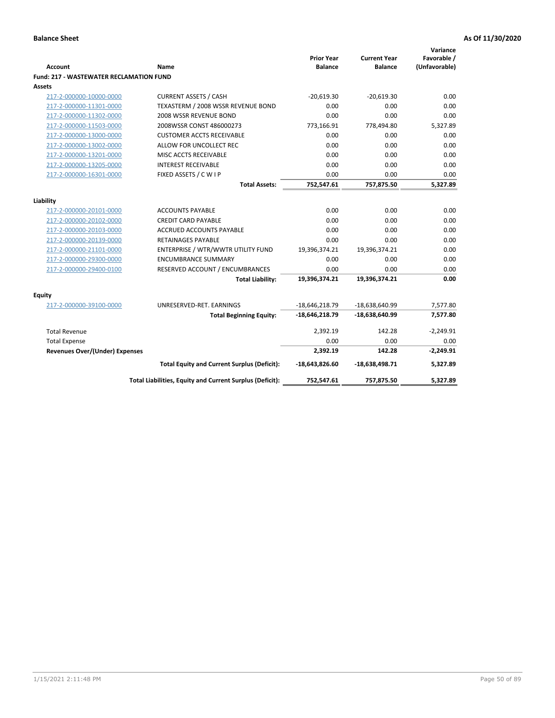| <b>Account</b>                                 | Name                                                     | <b>Prior Year</b><br><b>Balance</b> | <b>Current Year</b><br><b>Balance</b> | Variance<br>Favorable /<br>(Unfavorable) |
|------------------------------------------------|----------------------------------------------------------|-------------------------------------|---------------------------------------|------------------------------------------|
| <b>Fund: 217 - WASTEWATER RECLAMATION FUND</b> |                                                          |                                     |                                       |                                          |
| Assets                                         |                                                          |                                     |                                       |                                          |
| 217-2-000000-10000-0000                        | <b>CURRENT ASSETS / CASH</b>                             | $-20,619.30$                        | $-20,619.30$                          | 0.00                                     |
| 217-2-000000-11301-0000                        | TEXASTERM / 2008 WSSR REVENUE BOND                       | 0.00                                | 0.00                                  | 0.00                                     |
| 217-2-000000-11302-0000                        | 2008 WSSR REVENUE BOND                                   | 0.00                                | 0.00                                  | 0.00                                     |
| 217-2-000000-11503-0000                        | 2008WSSR CONST 486000273                                 | 773,166.91                          | 778,494.80                            | 5,327.89                                 |
| 217-2-000000-13000-0000                        | <b>CUSTOMER ACCTS RECEIVABLE</b>                         | 0.00                                | 0.00                                  | 0.00                                     |
| 217-2-000000-13002-0000                        | ALLOW FOR UNCOLLECT REC                                  | 0.00                                | 0.00                                  | 0.00                                     |
| 217-2-000000-13201-0000                        | MISC ACCTS RECEIVABLE                                    | 0.00                                | 0.00                                  | 0.00                                     |
| 217-2-000000-13205-0000                        | <b>INTEREST RECEIVABLE</b>                               | 0.00                                | 0.00                                  | 0.00                                     |
| 217-2-000000-16301-0000                        | FIXED ASSETS / C W I P                                   | 0.00                                | 0.00                                  | 0.00                                     |
|                                                | <b>Total Assets:</b>                                     | 752,547.61                          | 757,875.50                            | 5,327.89                                 |
|                                                |                                                          |                                     |                                       |                                          |
| Liability                                      |                                                          |                                     |                                       |                                          |
| 217-2-000000-20101-0000                        | <b>ACCOUNTS PAYABLE</b>                                  | 0.00                                | 0.00                                  | 0.00                                     |
| 217-2-000000-20102-0000                        | <b>CREDIT CARD PAYABLE</b>                               | 0.00                                | 0.00                                  | 0.00                                     |
| 217-2-000000-20103-0000                        | <b>ACCRUED ACCOUNTS PAYABLE</b>                          | 0.00                                | 0.00                                  | 0.00                                     |
| 217-2-000000-20139-0000                        | <b>RETAINAGES PAYABLE</b>                                | 0.00                                | 0.00                                  | 0.00                                     |
| 217-2-000000-21101-0000                        | ENTERPRISE / WTR/WWTR UTILITY FUND                       | 19,396,374.21                       | 19,396,374.21                         | 0.00                                     |
| 217-2-000000-29300-0000                        | <b>ENCUMBRANCE SUMMARY</b>                               | 0.00                                | 0.00                                  | 0.00                                     |
| 217-2-000000-29400-0100                        | RESERVED ACCOUNT / ENCUMBRANCES                          | 0.00                                | 0.00                                  | 0.00                                     |
|                                                | <b>Total Liability:</b>                                  | 19,396,374.21                       | 19,396,374.21                         | 0.00                                     |
| <b>Equity</b>                                  |                                                          |                                     |                                       |                                          |
| 217-2-000000-39100-0000                        | UNRESERVED-RET. EARNINGS                                 | $-18,646,218.79$                    | -18,638,640.99                        | 7,577.80                                 |
|                                                | <b>Total Beginning Equity:</b>                           | $-18,646,218.79$                    | $-18,638,640.99$                      | 7,577.80                                 |
| <b>Total Revenue</b>                           |                                                          | 2,392.19                            | 142.28                                | $-2,249.91$                              |
| <b>Total Expense</b>                           |                                                          | 0.00                                | 0.00                                  | 0.00                                     |
| <b>Revenues Over/(Under) Expenses</b>          |                                                          | 2,392.19                            | 142.28                                | $-2,249.91$                              |
|                                                | <b>Total Equity and Current Surplus (Deficit):</b>       | $-18,643,826.60$                    | $-18,638,498.71$                      | 5,327.89                                 |
|                                                | Total Liabilities, Equity and Current Surplus (Deficit): | 752,547.61                          | 757,875.50                            | 5.327.89                                 |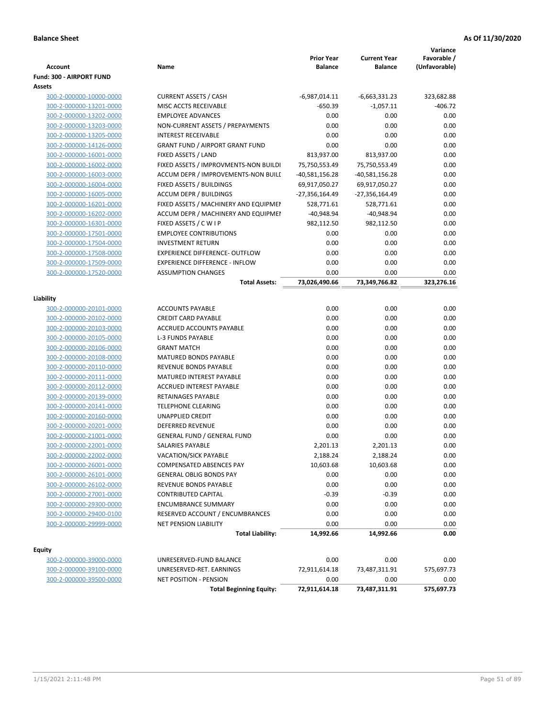|                          |                                                                                |                   |                     | Variance      |
|--------------------------|--------------------------------------------------------------------------------|-------------------|---------------------|---------------|
|                          |                                                                                | <b>Prior Year</b> | <b>Current Year</b> | Favorable /   |
| <b>Account</b>           | Name                                                                           | <b>Balance</b>    | <b>Balance</b>      | (Unfavorable) |
| Fund: 300 - AIRPORT FUND |                                                                                |                   |                     |               |
| Assets                   |                                                                                |                   |                     |               |
| 300-2-000000-10000-0000  | <b>CURRENT ASSETS / CASH</b>                                                   | $-6,987,014.11$   | -6,663,331.23       | 323,682.88    |
| 300-2-000000-13201-0000  | MISC ACCTS RECEIVABLE                                                          | $-650.39$         | $-1,057.11$         | $-406.72$     |
| 300-2-000000-13202-0000  | <b>EMPLOYEE ADVANCES</b>                                                       | 0.00              | 0.00                | 0.00          |
| 300-2-000000-13203-0000  | NON-CURRENT ASSETS / PREPAYMENTS                                               | 0.00              | 0.00                | 0.00          |
| 300-2-000000-13205-0000  | <b>INTEREST RECEIVABLE</b>                                                     | 0.00              | 0.00                | 0.00          |
| 300-2-000000-14126-0000  | <b>GRANT FUND / AIRPORT GRANT FUND</b>                                         | 0.00              | 0.00                | 0.00          |
| 300-2-000000-16001-0000  | FIXED ASSETS / LAND                                                            | 813,937.00        | 813,937.00          | 0.00          |
| 300-2-000000-16002-0000  | FIXED ASSETS / IMPROVMENTS-NON BUILDI                                          | 75,750,553.49     | 75,750,553.49       | 0.00          |
| 300-2-000000-16003-0000  | ACCUM DEPR / IMPROVEMENTS-NON BUILI                                            | $-40,581,156.28$  | $-40,581,156.28$    | 0.00          |
| 300-2-000000-16004-0000  | FIXED ASSETS / BUILDINGS                                                       | 69,917,050.27     | 69,917,050.27       | 0.00          |
| 300-2-000000-16005-0000  | <b>ACCUM DEPR / BUILDINGS</b>                                                  | -27,356,164.49    | -27,356,164.49      | 0.00          |
| 300-2-000000-16201-0000  | FIXED ASSETS / MACHINERY AND EQUIPMEN                                          | 528,771.61        | 528,771.61          | 0.00          |
| 300-2-000000-16202-0000  | ACCUM DEPR / MACHINERY AND EQUIPMEI                                            | $-40,948.94$      | $-40,948.94$        | 0.00          |
| 300-2-000000-16301-0000  | FIXED ASSETS / C W I P                                                         | 982,112.50        | 982,112.50          | 0.00          |
| 300-2-000000-17501-0000  | <b>EMPLOYEE CONTRIBUTIONS</b>                                                  | 0.00              | 0.00                | 0.00          |
| 300-2-000000-17504-0000  | <b>INVESTMENT RETURN</b>                                                       | 0.00              | 0.00                | 0.00          |
| 300-2-000000-17508-0000  | <b>EXPERIENCE DIFFERENCE- OUTFLOW</b><br><b>EXPERIENCE DIFFERENCE - INFLOW</b> | 0.00<br>0.00      | 0.00<br>0.00        | 0.00          |
| 300-2-000000-17509-0000  | <b>ASSUMPTION CHANGES</b>                                                      | 0.00              | 0.00                | 0.00<br>0.00  |
| 300-2-000000-17520-0000  | <b>Total Assets:</b>                                                           | 73,026,490.66     | 73,349,766.82       | 323,276.16    |
|                          |                                                                                |                   |                     |               |
| Liability                |                                                                                |                   |                     |               |
| 300-2-000000-20101-0000  | <b>ACCOUNTS PAYABLE</b>                                                        | 0.00              | 0.00                | 0.00          |
| 300-2-000000-20102-0000  | <b>CREDIT CARD PAYABLE</b>                                                     | 0.00              | 0.00                | 0.00          |
| 300-2-000000-20103-0000  | ACCRUED ACCOUNTS PAYABLE                                                       | 0.00              | 0.00                | 0.00          |
| 300-2-000000-20105-0000  | L-3 FUNDS PAYABLE                                                              | 0.00              | 0.00                | 0.00          |
| 300-2-000000-20106-0000  | <b>GRANT MATCH</b>                                                             | 0.00              | 0.00                | 0.00          |
| 300-2-000000-20108-0000  | <b>MATURED BONDS PAYABLE</b>                                                   | 0.00              | 0.00                | 0.00          |
| 300-2-000000-20110-0000  | REVENUE BONDS PAYABLE                                                          | 0.00              | 0.00                | 0.00          |
| 300-2-000000-20111-0000  | MATURED INTEREST PAYABLE                                                       | 0.00              | 0.00                | 0.00          |
| 300-2-000000-20112-0000  | <b>ACCRUED INTEREST PAYABLE</b>                                                | 0.00              | 0.00                | 0.00          |
| 300-2-000000-20139-0000  | RETAINAGES PAYABLE                                                             | 0.00              | 0.00                | 0.00          |
| 300-2-000000-20141-0000  | <b>TELEPHONE CLEARING</b>                                                      | 0.00              | 0.00                | 0.00          |
| 300-2-000000-20160-0000  | <b>UNAPPLIED CREDIT</b>                                                        | 0.00              | 0.00                | 0.00          |
| 300-2-000000-20201-0000  | <b>DEFERRED REVENUE</b>                                                        | 0.00              | 0.00                | 0.00          |
| 300-2-000000-21001-0000  | <b>GENERAL FUND / GENERAL FUND</b>                                             | 0.00              | 0.00                | 0.00          |
| 300-2-000000-22001-0000  | SALARIES PAYABLE                                                               | 2,201.13          | 2,201.13            | 0.00          |
| 300-2-000000-22002-0000  | <b>VACATION/SICK PAYABLE</b>                                                   | 2,188.24          | 2,188.24            | 0.00          |
| 300-2-000000-26001-0000  | <b>COMPENSATED ABSENCES PAY</b>                                                | 10,603.68         | 10,603.68           | 0.00          |
| 300-2-000000-26101-0000  | <b>GENERAL OBLIG BONDS PAY</b>                                                 | 0.00              | 0.00                | 0.00          |
| 300-2-000000-26102-0000  | REVENUE BONDS PAYABLE                                                          | 0.00              | 0.00                | 0.00          |
| 300-2-000000-27001-0000  | <b>CONTRIBUTED CAPITAL</b>                                                     | $-0.39$           | $-0.39$             | 0.00          |
| 300-2-000000-29300-0000  | <b>ENCUMBRANCE SUMMARY</b>                                                     | 0.00              | 0.00                | 0.00          |
| 300-2-000000-29400-0100  | RESERVED ACCOUNT / ENCUMBRANCES                                                | 0.00              | 0.00                | 0.00          |
| 300-2-000000-29999-0000  | NET PENSION LIABILITY                                                          | 0.00              | 0.00                | 0.00          |
|                          | <b>Total Liability:</b>                                                        | 14,992.66         | 14,992.66           | 0.00          |
| <b>Equity</b>            |                                                                                |                   |                     |               |
| 300-2-000000-39000-0000  | UNRESERVED-FUND BALANCE                                                        | 0.00              | 0.00                | 0.00          |
| 300-2-000000-39100-0000  | UNRESERVED-RET. EARNINGS                                                       | 72,911,614.18     | 73,487,311.91       | 575,697.73    |
| 300-2-000000-39500-0000  | <b>NET POSITION - PENSION</b>                                                  | 0.00              | 0.00                | 0.00          |
|                          | <b>Total Beginning Equity:</b>                                                 | 72,911,614.18     | 73,487,311.91       | 575,697.73    |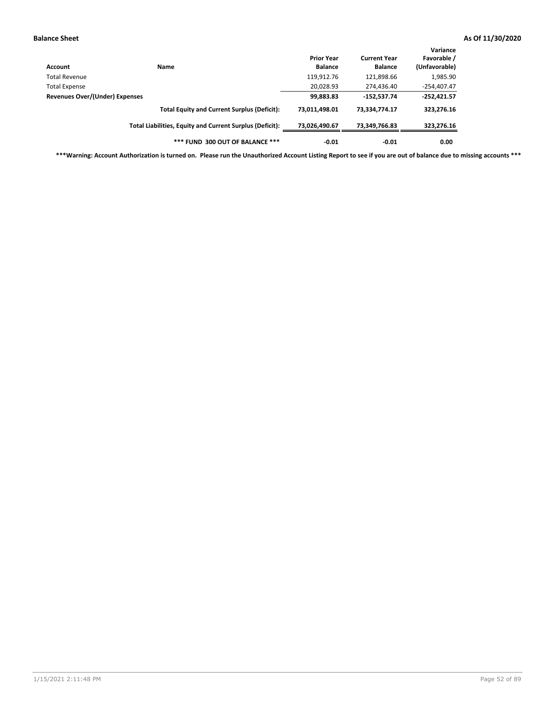| Account                        | <b>Name</b>                                              | <b>Prior Year</b><br><b>Balance</b> | <b>Current Year</b><br><b>Balance</b> | Variance<br>Favorable /<br>(Unfavorable) |
|--------------------------------|----------------------------------------------------------|-------------------------------------|---------------------------------------|------------------------------------------|
| Total Revenue                  |                                                          | 119,912.76                          | 121,898.66                            | 1,985.90                                 |
| <b>Total Expense</b>           |                                                          | 20,028.93                           | 274,436.40                            | $-254,407.47$                            |
| Revenues Over/(Under) Expenses |                                                          | 99,883.83                           | $-152,537.74$                         | $-252,421.57$                            |
|                                | <b>Total Equity and Current Surplus (Deficit):</b>       | 73,011,498.01                       | 73,334,774.17                         | 323,276.16                               |
|                                | Total Liabilities, Equity and Current Surplus (Deficit): | 73,026,490.67                       | 73,349,766.83                         | 323,276.16                               |
|                                | *** FUND 300 OUT OF BALANCE ***                          | $-0.01$                             | $-0.01$                               | 0.00                                     |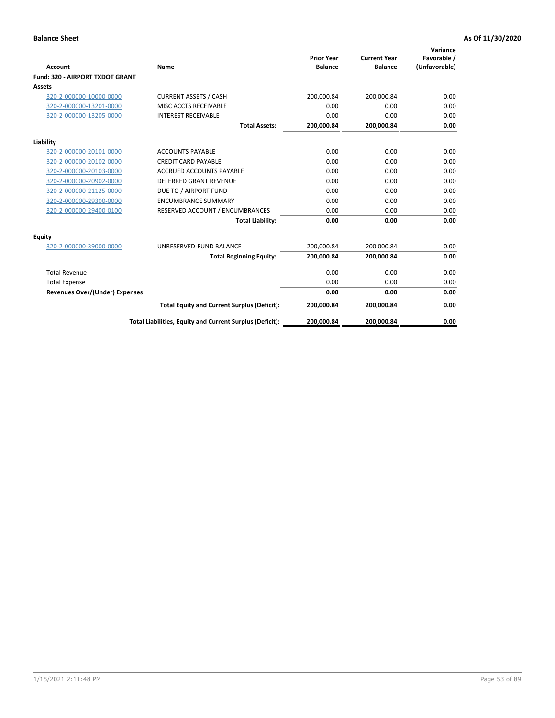|                                       |                                                          | <b>Prior Year</b> | <b>Current Year</b> | Variance<br>Favorable / |
|---------------------------------------|----------------------------------------------------------|-------------------|---------------------|-------------------------|
| <b>Account</b>                        | Name                                                     | <b>Balance</b>    | <b>Balance</b>      | (Unfavorable)           |
| Fund: 320 - AIRPORT TXDOT GRANT       |                                                          |                   |                     |                         |
| Assets                                |                                                          |                   |                     |                         |
| 320-2-000000-10000-0000               | <b>CURRENT ASSETS / CASH</b>                             | 200,000.84        | 200,000.84          | 0.00                    |
| 320-2-000000-13201-0000               | MISC ACCTS RECEIVABLE                                    | 0.00              | 0.00                | 0.00                    |
| 320-2-000000-13205-0000               | <b>INTEREST RECEIVABLE</b>                               | 0.00              | 0.00                | 0.00                    |
|                                       | <b>Total Assets:</b>                                     | 200,000.84        | 200,000.84          | 0.00                    |
| Liability                             |                                                          |                   |                     |                         |
| 320-2-000000-20101-0000               | <b>ACCOUNTS PAYABLE</b>                                  | 0.00              | 0.00                | 0.00                    |
| 320-2-000000-20102-0000               | <b>CREDIT CARD PAYABLE</b>                               | 0.00              | 0.00                | 0.00                    |
| 320-2-000000-20103-0000               | <b>ACCRUED ACCOUNTS PAYABLE</b>                          | 0.00              | 0.00                | 0.00                    |
| 320-2-000000-20902-0000               | <b>DEFERRED GRANT REVENUE</b>                            | 0.00              | 0.00                | 0.00                    |
| 320-2-000000-21125-0000               | DUE TO / AIRPORT FUND                                    | 0.00              | 0.00                | 0.00                    |
| 320-2-000000-29300-0000               | <b>ENCUMBRANCE SUMMARY</b>                               | 0.00              | 0.00                | 0.00                    |
| 320-2-000000-29400-0100               | RESERVED ACCOUNT / ENCUMBRANCES                          | 0.00              | 0.00                | 0.00                    |
|                                       | <b>Total Liability:</b>                                  | 0.00              | 0.00                | 0.00                    |
| <b>Equity</b>                         |                                                          |                   |                     |                         |
| 320-2-000000-39000-0000               | UNRESERVED-FUND BALANCE                                  | 200,000.84        | 200,000.84          | 0.00                    |
|                                       | <b>Total Beginning Equity:</b>                           | 200,000.84        | 200,000.84          | 0.00                    |
| <b>Total Revenue</b>                  |                                                          | 0.00              | 0.00                | 0.00                    |
| <b>Total Expense</b>                  |                                                          | 0.00              | 0.00                | 0.00                    |
| <b>Revenues Over/(Under) Expenses</b> |                                                          | 0.00              | 0.00                | 0.00                    |
|                                       | <b>Total Equity and Current Surplus (Deficit):</b>       | 200,000.84        | 200,000.84          | 0.00                    |
|                                       | Total Liabilities, Equity and Current Surplus (Deficit): | 200,000.84        | 200,000.84          | 0.00                    |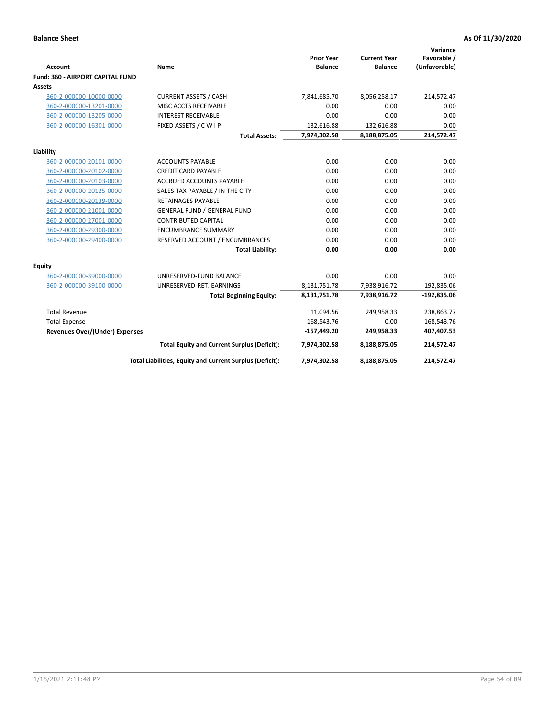|                                         |                                                          |                                     |                                       | Variance                     |
|-----------------------------------------|----------------------------------------------------------|-------------------------------------|---------------------------------------|------------------------------|
| Account                                 | Name                                                     | <b>Prior Year</b><br><b>Balance</b> | <b>Current Year</b><br><b>Balance</b> | Favorable /<br>(Unfavorable) |
| <b>Fund: 360 - AIRPORT CAPITAL FUND</b> |                                                          |                                     |                                       |                              |
| Assets                                  |                                                          |                                     |                                       |                              |
| 360-2-000000-10000-0000                 | <b>CURRENT ASSETS / CASH</b>                             | 7,841,685.70                        | 8,056,258.17                          | 214,572.47                   |
| 360-2-000000-13201-0000                 | MISC ACCTS RECEIVABLE                                    | 0.00                                | 0.00                                  | 0.00                         |
| 360-2-000000-13205-0000                 | <b>INTEREST RECEIVABLE</b>                               | 0.00                                | 0.00                                  | 0.00                         |
| 360-2-000000-16301-0000                 | FIXED ASSETS / C W I P                                   | 132,616.88                          | 132,616.88                            | 0.00                         |
|                                         | <b>Total Assets:</b>                                     | 7,974,302.58                        | 8,188,875.05                          | 214,572.47                   |
| Liability                               |                                                          |                                     |                                       |                              |
| 360-2-000000-20101-0000                 | <b>ACCOUNTS PAYABLE</b>                                  | 0.00                                | 0.00                                  | 0.00                         |
| 360-2-000000-20102-0000                 | <b>CREDIT CARD PAYABLE</b>                               | 0.00                                | 0.00                                  | 0.00                         |
| 360-2-000000-20103-0000                 | <b>ACCRUED ACCOUNTS PAYABLE</b>                          | 0.00                                | 0.00                                  | 0.00                         |
| 360-2-000000-20125-0000                 | SALES TAX PAYABLE / IN THE CITY                          | 0.00                                | 0.00                                  | 0.00                         |
| 360-2-000000-20139-0000                 | <b>RETAINAGES PAYABLE</b>                                | 0.00                                | 0.00                                  | 0.00                         |
| 360-2-000000-21001-0000                 | <b>GENERAL FUND / GENERAL FUND</b>                       | 0.00                                | 0.00                                  | 0.00                         |
| 360-2-000000-27001-0000                 | <b>CONTRIBUTED CAPITAL</b>                               | 0.00                                | 0.00                                  | 0.00                         |
| 360-2-000000-29300-0000                 | <b>ENCUMBRANCE SUMMARY</b>                               | 0.00                                | 0.00                                  | 0.00                         |
| 360-2-000000-29400-0000                 | RESERVED ACCOUNT / ENCUMBRANCES                          | 0.00                                | 0.00                                  | 0.00                         |
|                                         | <b>Total Liability:</b>                                  | 0.00                                | 0.00                                  | 0.00                         |
| Equity                                  |                                                          |                                     |                                       |                              |
| 360-2-000000-39000-0000                 | UNRESERVED-FUND BALANCE                                  | 0.00                                | 0.00                                  | 0.00                         |
| 360-2-000000-39100-0000                 | UNRESERVED-RET. EARNINGS                                 | 8,131,751.78                        | 7,938,916.72                          | $-192,835.06$                |
|                                         | <b>Total Beginning Equity:</b>                           | 8,131,751.78                        | 7,938,916.72                          | $-192,835.06$                |
| <b>Total Revenue</b>                    |                                                          | 11,094.56                           | 249,958.33                            | 238,863.77                   |
| <b>Total Expense</b>                    |                                                          | 168,543.76                          | 0.00                                  | 168,543.76                   |
| Revenues Over/(Under) Expenses          |                                                          | $-157,449.20$                       | 249,958.33                            | 407,407.53                   |
|                                         | <b>Total Equity and Current Surplus (Deficit):</b>       | 7,974,302.58                        | 8,188,875.05                          | 214,572.47                   |
|                                         | Total Liabilities, Equity and Current Surplus (Deficit): | 7,974,302.58                        | 8,188,875.05                          | 214,572.47                   |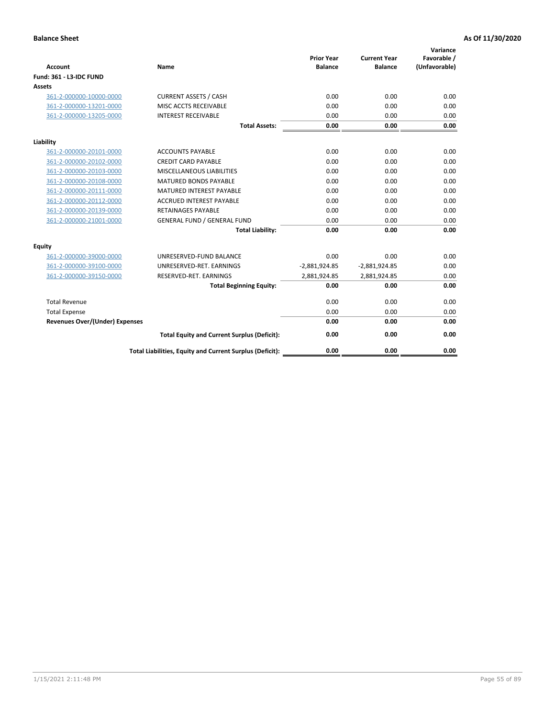| <b>Account</b>                        | Name                                                     | <b>Prior Year</b><br><b>Balance</b> | <b>Current Year</b><br><b>Balance</b> | Variance<br>Favorable /<br>(Unfavorable) |
|---------------------------------------|----------------------------------------------------------|-------------------------------------|---------------------------------------|------------------------------------------|
| Fund: 361 - L3-IDC FUND               |                                                          |                                     |                                       |                                          |
| <b>Assets</b>                         |                                                          |                                     |                                       |                                          |
| 361-2-000000-10000-0000               | <b>CURRENT ASSETS / CASH</b>                             | 0.00                                | 0.00                                  | 0.00                                     |
| 361-2-000000-13201-0000               | MISC ACCTS RECEIVABLE                                    | 0.00                                | 0.00                                  | 0.00                                     |
| 361-2-000000-13205-0000               | <b>INTEREST RECEIVABLE</b>                               | 0.00                                | 0.00                                  | 0.00                                     |
|                                       | <b>Total Assets:</b>                                     | 0.00                                | 0.00                                  | 0.00                                     |
| Liability                             |                                                          |                                     |                                       |                                          |
| 361-2-000000-20101-0000               | <b>ACCOUNTS PAYABLE</b>                                  | 0.00                                | 0.00                                  | 0.00                                     |
| 361-2-000000-20102-0000               | <b>CREDIT CARD PAYABLE</b>                               | 0.00                                | 0.00                                  | 0.00                                     |
| 361-2-000000-20103-0000               | MISCELLANEOUS LIABILITIES                                | 0.00                                | 0.00                                  | 0.00                                     |
| 361-2-000000-20108-0000               | <b>MATURED BONDS PAYABLE</b>                             | 0.00                                | 0.00                                  | 0.00                                     |
| 361-2-000000-20111-0000               | <b>MATURED INTEREST PAYABLE</b>                          | 0.00                                | 0.00                                  | 0.00                                     |
| 361-2-000000-20112-0000               | <b>ACCRUED INTEREST PAYABLE</b>                          | 0.00                                | 0.00                                  | 0.00                                     |
| 361-2-000000-20139-0000               | <b>RETAINAGES PAYABLE</b>                                | 0.00                                | 0.00                                  | 0.00                                     |
| 361-2-000000-21001-0000               | <b>GENERAL FUND / GENERAL FUND</b>                       | 0.00                                | 0.00                                  | 0.00                                     |
|                                       | <b>Total Liability:</b>                                  | 0.00                                | 0.00                                  | 0.00                                     |
| Equity                                |                                                          |                                     |                                       |                                          |
| 361-2-000000-39000-0000               | UNRESERVED-FUND BALANCE                                  | 0.00                                | 0.00                                  | 0.00                                     |
| 361-2-000000-39100-0000               | UNRESERVED-RET. EARNINGS                                 | $-2,881,924.85$                     | $-2,881,924.85$                       | 0.00                                     |
| 361-2-000000-39150-0000               | RESERVED-RET. EARNINGS                                   | 2,881,924.85                        | 2,881,924.85                          | 0.00                                     |
|                                       | <b>Total Beginning Equity:</b>                           | 0.00                                | 0.00                                  | 0.00                                     |
| <b>Total Revenue</b>                  |                                                          | 0.00                                | 0.00                                  | 0.00                                     |
| <b>Total Expense</b>                  |                                                          | 0.00                                | 0.00                                  | 0.00                                     |
| <b>Revenues Over/(Under) Expenses</b> |                                                          | 0.00                                | 0.00                                  | 0.00                                     |
|                                       | <b>Total Equity and Current Surplus (Deficit):</b>       | 0.00                                | 0.00                                  | 0.00                                     |
|                                       | Total Liabilities, Equity and Current Surplus (Deficit): | 0.00                                | 0.00                                  | 0.00                                     |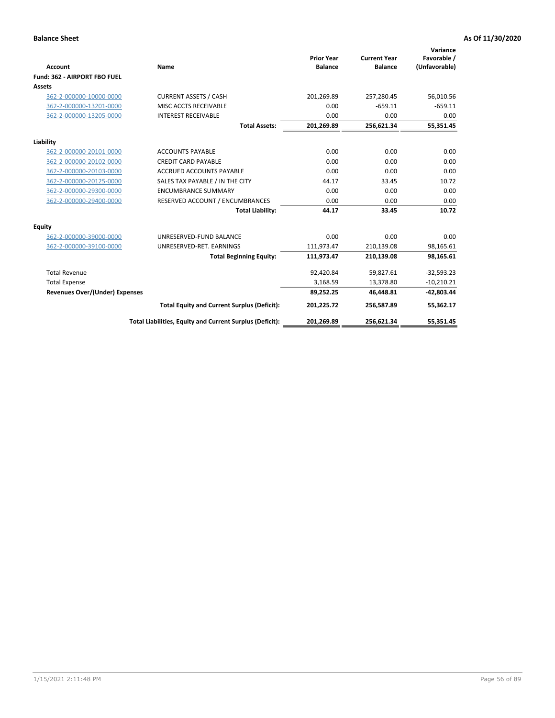|                                       |                                                          |                                     |                                       | Variance                     |
|---------------------------------------|----------------------------------------------------------|-------------------------------------|---------------------------------------|------------------------------|
| <b>Account</b>                        | Name                                                     | <b>Prior Year</b><br><b>Balance</b> | <b>Current Year</b><br><b>Balance</b> | Favorable /<br>(Unfavorable) |
| Fund: 362 - AIRPORT FBO FUEL          |                                                          |                                     |                                       |                              |
| <b>Assets</b>                         |                                                          |                                     |                                       |                              |
| 362-2-000000-10000-0000               | <b>CURRENT ASSETS / CASH</b>                             | 201,269.89                          | 257,280.45                            | 56,010.56                    |
| 362-2-000000-13201-0000               | MISC ACCTS RECEIVABLE                                    | 0.00                                | $-659.11$                             | $-659.11$                    |
| 362-2-000000-13205-0000               | <b>INTEREST RECEIVABLE</b>                               | 0.00                                | 0.00                                  | 0.00                         |
|                                       | <b>Total Assets:</b>                                     | 201,269.89                          | 256,621.34                            | 55,351.45                    |
| Liability                             |                                                          |                                     |                                       |                              |
| 362-2-000000-20101-0000               | <b>ACCOUNTS PAYABLE</b>                                  | 0.00                                | 0.00                                  | 0.00                         |
| 362-2-000000-20102-0000               | <b>CREDIT CARD PAYABLE</b>                               | 0.00                                | 0.00                                  | 0.00                         |
| 362-2-000000-20103-0000               | <b>ACCRUED ACCOUNTS PAYABLE</b>                          | 0.00                                | 0.00                                  | 0.00                         |
| 362-2-000000-20125-0000               | SALES TAX PAYABLE / IN THE CITY                          | 44.17                               | 33.45                                 | 10.72                        |
| 362-2-000000-29300-0000               | <b>ENCUMBRANCE SUMMARY</b>                               | 0.00                                | 0.00                                  | 0.00                         |
| 362-2-000000-29400-0000               | RESERVED ACCOUNT / ENCUMBRANCES                          | 0.00                                | 0.00                                  | 0.00                         |
|                                       | <b>Total Liability:</b>                                  | 44.17                               | 33.45                                 | 10.72                        |
| <b>Equity</b>                         |                                                          |                                     |                                       |                              |
| 362-2-000000-39000-0000               | UNRESERVED-FUND BALANCE                                  | 0.00                                | 0.00                                  | 0.00                         |
| 362-2-000000-39100-0000               | UNRESERVED-RET. EARNINGS                                 | 111,973.47                          | 210,139.08                            | 98,165.61                    |
|                                       | <b>Total Beginning Equity:</b>                           | 111,973.47                          | 210,139.08                            | 98,165.61                    |
| <b>Total Revenue</b>                  |                                                          | 92,420.84                           | 59,827.61                             | $-32,593.23$                 |
| <b>Total Expense</b>                  |                                                          | 3,168.59                            | 13,378.80                             | $-10,210.21$                 |
| <b>Revenues Over/(Under) Expenses</b> |                                                          | 89,252.25                           | 46,448.81                             | $-42,803.44$                 |
|                                       | <b>Total Equity and Current Surplus (Deficit):</b>       | 201,225.72                          | 256,587.89                            | 55,362.17                    |
|                                       | Total Liabilities, Equity and Current Surplus (Deficit): | 201,269.89                          | 256,621.34                            | 55,351.45                    |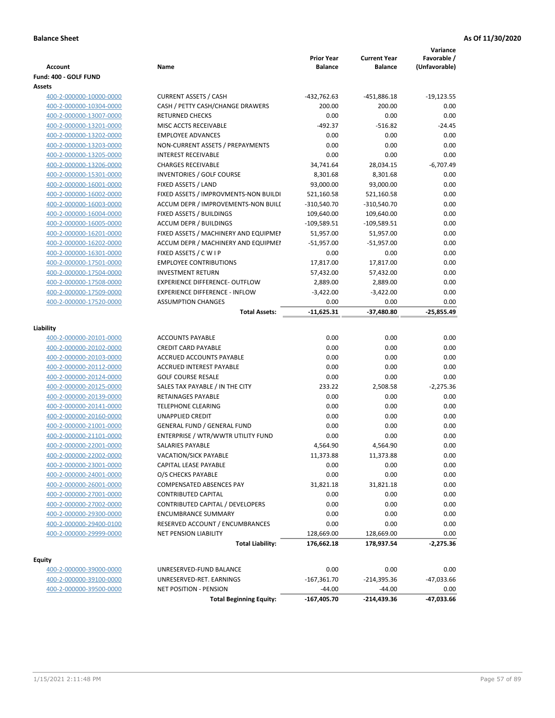| Account                                            | Name                                                   | <b>Prior Year</b><br><b>Balance</b> | <b>Current Year</b><br><b>Balance</b> | Variance<br>Favorable /<br>(Unfavorable) |
|----------------------------------------------------|--------------------------------------------------------|-------------------------------------|---------------------------------------|------------------------------------------|
| Fund: 400 - GOLF FUND                              |                                                        |                                     |                                       |                                          |
| Assets                                             |                                                        |                                     |                                       |                                          |
| 400-2-000000-10000-0000                            | <b>CURRENT ASSETS / CASH</b>                           | -432,762.63                         | -451,886.18                           | $-19,123.55$                             |
| 400-2-000000-10304-0000                            | CASH / PETTY CASH/CHANGE DRAWERS                       | 200.00                              | 200.00                                | 0.00                                     |
| 400-2-000000-13007-0000                            | <b>RETURNED CHECKS</b>                                 | 0.00                                | 0.00                                  | 0.00                                     |
| 400-2-000000-13201-0000                            | MISC ACCTS RECEIVABLE                                  | $-492.37$                           | $-516.82$                             | $-24.45$                                 |
| 400-2-000000-13202-0000                            | <b>EMPLOYEE ADVANCES</b>                               | 0.00                                | 0.00                                  | 0.00                                     |
| 400-2-000000-13203-0000                            | NON-CURRENT ASSETS / PREPAYMENTS                       | 0.00                                | 0.00                                  | 0.00                                     |
| 400-2-000000-13205-0000                            | <b>INTEREST RECEIVABLE</b>                             | 0.00                                | 0.00                                  | 0.00                                     |
| 400-2-000000-13206-0000                            | <b>CHARGES RECEIVABLE</b>                              | 34,741.64                           | 28,034.15                             | $-6,707.49$                              |
| 400-2-000000-15301-0000                            | <b>INVENTORIES / GOLF COURSE</b>                       | 8,301.68                            | 8,301.68                              | 0.00                                     |
| 400-2-000000-16001-0000                            | FIXED ASSETS / LAND                                    | 93,000.00                           | 93,000.00                             | 0.00                                     |
| 400-2-000000-16002-0000                            | FIXED ASSETS / IMPROVMENTS-NON BUILDI                  | 521,160.58                          | 521,160.58                            | 0.00                                     |
| 400-2-000000-16003-0000                            | ACCUM DEPR / IMPROVEMENTS-NON BUILI                    | $-310,540.70$                       | $-310,540.70$                         | 0.00                                     |
| 400-2-000000-16004-0000                            | FIXED ASSETS / BUILDINGS                               | 109,640.00                          | 109,640.00                            | 0.00                                     |
| 400-2-000000-16005-0000                            | <b>ACCUM DEPR / BUILDINGS</b>                          | $-109,589.51$                       | $-109,589.51$                         | 0.00                                     |
| 400-2-000000-16201-0000                            | FIXED ASSETS / MACHINERY AND EQUIPMEN                  | 51,957.00                           | 51,957.00                             | 0.00                                     |
| 400-2-000000-16202-0000                            | ACCUM DEPR / MACHINERY AND EQUIPMEI                    | $-51,957.00$                        | $-51,957.00$                          | 0.00                                     |
| 400-2-000000-16301-0000                            | FIXED ASSETS / C W I P                                 | 0.00                                | 0.00                                  | 0.00                                     |
| 400-2-000000-17501-0000                            | <b>EMPLOYEE CONTRIBUTIONS</b>                          | 17,817.00                           | 17,817.00                             | 0.00                                     |
| 400-2-000000-17504-0000                            | <b>INVESTMENT RETURN</b>                               | 57,432.00                           | 57,432.00                             | 0.00                                     |
| 400-2-000000-17508-0000                            | <b>EXPERIENCE DIFFERENCE- OUTFLOW</b>                  | 2,889.00                            | 2,889.00                              | 0.00                                     |
| 400-2-000000-17509-0000                            | <b>EXPERIENCE DIFFERENCE - INFLOW</b>                  | $-3,422.00$                         | $-3,422.00$                           | 0.00                                     |
| 400-2-000000-17520-0000                            | <b>ASSUMPTION CHANGES</b>                              | 0.00                                | 0.00                                  | 0.00                                     |
|                                                    | <b>Total Assets:</b>                                   | $-11,625.31$                        | -37,480.80                            | $-25,855.49$                             |
|                                                    |                                                        |                                     |                                       |                                          |
| Liability                                          |                                                        |                                     |                                       |                                          |
| 400-2-000000-20101-0000                            | <b>ACCOUNTS PAYABLE</b>                                | 0.00                                | 0.00                                  | 0.00                                     |
| 400-2-000000-20102-0000                            | <b>CREDIT CARD PAYABLE</b>                             | 0.00                                | 0.00                                  | 0.00                                     |
| 400-2-000000-20103-0000                            | ACCRUED ACCOUNTS PAYABLE                               | 0.00                                | 0.00                                  | 0.00                                     |
| 400-2-000000-20112-0000                            | <b>ACCRUED INTEREST PAYABLE</b>                        | 0.00                                | 0.00                                  | 0.00                                     |
| 400-2-000000-20124-0000                            | <b>GOLF COURSE RESALE</b>                              | 0.00                                | 0.00                                  | 0.00                                     |
| 400-2-000000-20125-0000                            | SALES TAX PAYABLE / IN THE CITY                        | 233.22                              | 2,508.58                              | $-2,275.36$                              |
| 400-2-000000-20139-0000                            | RETAINAGES PAYABLE                                     | 0.00                                | 0.00                                  | 0.00                                     |
| 400-2-000000-20141-0000                            | <b>TELEPHONE CLEARING</b>                              | 0.00                                | 0.00                                  | 0.00                                     |
| 400-2-000000-20160-0000                            | <b>UNAPPLIED CREDIT</b>                                | 0.00                                | 0.00                                  | 0.00                                     |
| 400-2-000000-21001-0000                            | <b>GENERAL FUND / GENERAL FUND</b>                     | 0.00                                | 0.00                                  | 0.00                                     |
| 400-2-000000-21101-0000                            | ENTERPRISE / WTR/WWTR UTILITY FUND                     | 0.00                                | 0.00                                  | 0.00                                     |
| 400-2-000000-22001-0000                            | SALARIES PAYABLE                                       | 4,564.90                            | 4,564.90                              | 0.00                                     |
| 400-2-000000-22002-0000                            | <b>VACATION/SICK PAYABLE</b>                           | 11,373.88                           | 11,373.88                             | 0.00                                     |
| 400-2-000000-23001-0000                            | CAPITAL LEASE PAYABLE                                  | 0.00                                | 0.00                                  | 0.00                                     |
| 400-2-000000-24001-0000                            | O/S CHECKS PAYABLE                                     | 0.00                                | 0.00                                  | 0.00                                     |
| 400-2-000000-26001-0000                            | COMPENSATED ABSENCES PAY<br><b>CONTRIBUTED CAPITAL</b> | 31,821.18<br>0.00                   | 31,821.18<br>0.00                     | 0.00<br>0.00                             |
| 400-2-000000-27001-0000<br>400-2-000000-27002-0000 | CONTRIBUTED CAPITAL / DEVELOPERS                       | 0.00                                | 0.00                                  | 0.00                                     |
|                                                    | <b>ENCUMBRANCE SUMMARY</b>                             | 0.00                                | 0.00                                  | 0.00                                     |
| 400-2-000000-29300-0000                            | RESERVED ACCOUNT / ENCUMBRANCES                        | 0.00                                | 0.00                                  | 0.00                                     |
| 400-2-000000-29400-0100<br>400-2-000000-29999-0000 | NET PENSION LIABILITY                                  | 128,669.00                          | 128,669.00                            | 0.00                                     |
|                                                    | <b>Total Liability:</b>                                | 176,662.18                          | 178,937.54                            | $-2,275.36$                              |
|                                                    |                                                        |                                     |                                       |                                          |
| <b>Equity</b>                                      |                                                        |                                     |                                       |                                          |
| 400-2-000000-39000-0000                            | UNRESERVED-FUND BALANCE                                | 0.00                                | 0.00                                  | 0.00                                     |
| 400-2-000000-39100-0000                            | UNRESERVED-RET. EARNINGS                               | $-167,361.70$                       | $-214,395.36$                         | -47,033.66                               |
| 400-2-000000-39500-0000                            | <b>NET POSITION - PENSION</b>                          | $-44.00$                            | $-44.00$                              | 0.00                                     |
|                                                    | <b>Total Beginning Equity:</b>                         | $-167,405.70$                       | -214,439.36                           | -47,033.66                               |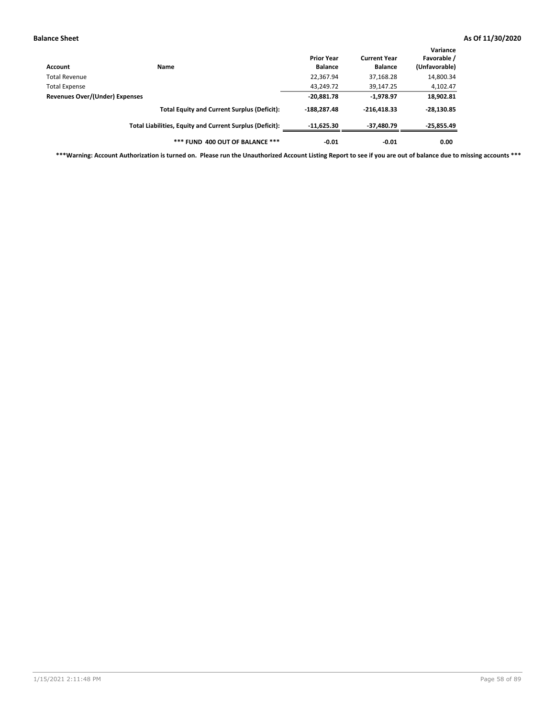| Account                        | <b>Name</b>                                              | <b>Prior Year</b><br><b>Balance</b> | <b>Current Year</b><br><b>Balance</b> | Variance<br>Favorable /<br>(Unfavorable) |
|--------------------------------|----------------------------------------------------------|-------------------------------------|---------------------------------------|------------------------------------------|
| Total Revenue                  |                                                          | 22,367.94                           | 37,168.28                             | 14,800.34                                |
| <b>Total Expense</b>           |                                                          | 43,249.72                           | 39,147.25                             | 4,102.47                                 |
| Revenues Over/(Under) Expenses | $-20,881.78$                                             | $-1,978.97$                         | 18,902.81                             |                                          |
|                                | <b>Total Equity and Current Surplus (Deficit):</b>       | $-188.287.48$                       | $-216,418.33$                         | $-28,130.85$                             |
|                                | Total Liabilities, Equity and Current Surplus (Deficit): | $-11,625.30$                        | $-37,480.79$                          | $-25,855.49$                             |
|                                | *** FUND 400 OUT OF BALANCE ***                          | $-0.01$                             | $-0.01$                               | 0.00                                     |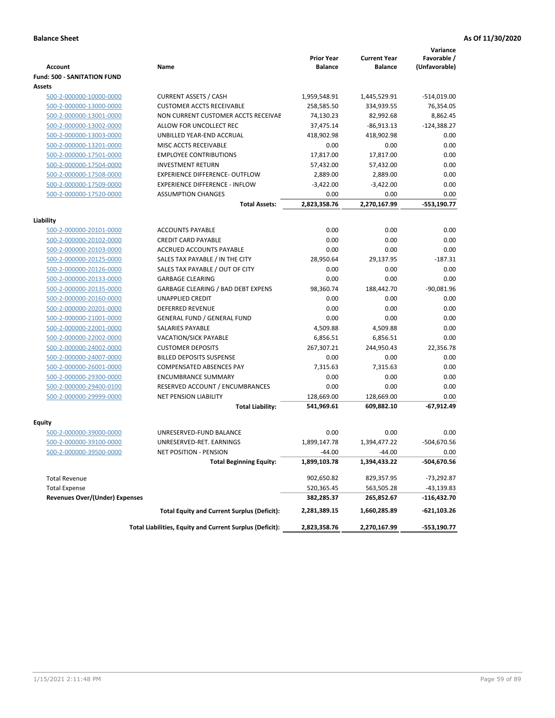| <b>Account</b>                        | Name                                                     | <b>Prior Year</b><br><b>Balance</b> | <b>Current Year</b><br><b>Balance</b> | Variance<br>Favorable /<br>(Unfavorable) |
|---------------------------------------|----------------------------------------------------------|-------------------------------------|---------------------------------------|------------------------------------------|
| <b>Fund: 500 - SANITATION FUND</b>    |                                                          |                                     |                                       |                                          |
| <b>Assets</b>                         |                                                          |                                     |                                       |                                          |
| 500-2-000000-10000-0000               | <b>CURRENT ASSETS / CASH</b>                             | 1,959,548.91                        | 1,445,529.91                          | $-514,019.00$                            |
| 500-2-000000-13000-0000               | <b>CUSTOMER ACCTS RECEIVABLE</b>                         | 258,585.50                          | 334,939.55                            | 76,354.05                                |
| 500-2-000000-13001-0000               | NON CURRENT CUSTOMER ACCTS RECEIVAE                      | 74,130.23                           | 82,992.68                             | 8,862.45                                 |
| 500-2-000000-13002-0000               | ALLOW FOR UNCOLLECT REC                                  | 37,475.14                           | $-86,913.13$                          | $-124,388.27$                            |
| 500-2-000000-13003-0000               | UNBILLED YEAR-END ACCRUAL                                | 418,902.98                          | 418,902.98                            | 0.00                                     |
| 500-2-000000-13201-0000               | MISC ACCTS RECEIVABLE                                    | 0.00                                | 0.00                                  | 0.00                                     |
| 500-2-000000-17501-0000               | <b>EMPLOYEE CONTRIBUTIONS</b>                            | 17,817.00                           | 17,817.00                             | 0.00                                     |
| 500-2-000000-17504-0000               | <b>INVESTMENT RETURN</b>                                 | 57,432.00                           | 57,432.00                             | 0.00                                     |
| 500-2-000000-17508-0000               | <b>EXPERIENCE DIFFERENCE- OUTFLOW</b>                    | 2,889.00                            | 2,889.00                              | 0.00                                     |
| 500-2-000000-17509-0000               | <b>EXPERIENCE DIFFERENCE - INFLOW</b>                    | $-3,422.00$                         | $-3,422.00$                           | 0.00                                     |
| 500-2-000000-17520-0000               | <b>ASSUMPTION CHANGES</b>                                | 0.00                                | 0.00                                  | 0.00                                     |
|                                       | <b>Total Assets:</b>                                     | 2,823,358.76                        | 2,270,167.99                          | $-553,190.77$                            |
|                                       |                                                          |                                     |                                       |                                          |
| Liability                             |                                                          |                                     |                                       |                                          |
| 500-2-000000-20101-0000               | <b>ACCOUNTS PAYABLE</b>                                  | 0.00                                | 0.00                                  | 0.00                                     |
| 500-2-000000-20102-0000               | <b>CREDIT CARD PAYABLE</b>                               | 0.00                                | 0.00                                  | 0.00                                     |
| 500-2-000000-20103-0000               | ACCRUED ACCOUNTS PAYABLE                                 | 0.00                                | 0.00                                  | 0.00                                     |
| 500-2-000000-20125-0000               | SALES TAX PAYABLE / IN THE CITY                          | 28,950.64                           | 29,137.95                             | $-187.31$                                |
| 500-2-000000-20126-0000               | SALES TAX PAYABLE / OUT OF CITY                          | 0.00                                | 0.00                                  | 0.00                                     |
| 500-2-000000-20133-0000               | <b>GARBAGE CLEARING</b>                                  | 0.00                                | 0.00                                  | 0.00                                     |
| 500-2-000000-20135-0000               | GARBAGE CLEARING / BAD DEBT EXPENS                       | 98,360.74                           | 188,442.70                            | $-90,081.96$                             |
| 500-2-000000-20160-0000               | <b>UNAPPLIED CREDIT</b>                                  | 0.00                                | 0.00                                  | 0.00                                     |
| 500-2-000000-20201-0000               | <b>DEFERRED REVENUE</b>                                  | 0.00                                | 0.00                                  | 0.00                                     |
| 500-2-000000-21001-0000               | <b>GENERAL FUND / GENERAL FUND</b>                       | 0.00                                | 0.00                                  | 0.00                                     |
| 500-2-000000-22001-0000               | SALARIES PAYABLE                                         | 4,509.88                            | 4,509.88                              | 0.00                                     |
| 500-2-000000-22002-0000               | <b>VACATION/SICK PAYABLE</b>                             | 6,856.51                            | 6,856.51                              | 0.00                                     |
| 500-2-000000-24002-0000               | <b>CUSTOMER DEPOSITS</b>                                 | 267,307.21                          | 244,950.43                            | 22,356.78                                |
| 500-2-000000-24007-0000               | <b>BILLED DEPOSITS SUSPENSE</b>                          | 0.00                                | 0.00                                  | 0.00                                     |
| 500-2-000000-26001-0000               | <b>COMPENSATED ABSENCES PAY</b>                          | 7,315.63                            | 7,315.63                              | 0.00                                     |
| 500-2-000000-29300-0000               | <b>ENCUMBRANCE SUMMARY</b>                               | 0.00                                | 0.00                                  | 0.00                                     |
| 500-2-000000-29400-0100               | RESERVED ACCOUNT / ENCUMBRANCES                          | 0.00                                | 0.00                                  | 0.00                                     |
| 500-2-000000-29999-0000               | <b>NET PENSION LIABILITY</b>                             | 128,669.00                          | 128,669.00                            | 0.00                                     |
|                                       | <b>Total Liability:</b>                                  | 541,969.61                          | 609,882.10                            | -67,912.49                               |
| Equity                                |                                                          |                                     |                                       |                                          |
| 500-2-000000-39000-0000               | UNRESERVED-FUND BALANCE                                  | 0.00                                | 0.00                                  | 0.00                                     |
| 500-2-000000-39100-0000               | UNRESERVED-RET. EARNINGS                                 | 1,899,147.78                        | 1,394,477.22                          | -504,670.56                              |
| <u>500-2-000000-39500-0000</u>        | NET POSITION - PENSION                                   | -44.00                              | $-44.00$                              | 0.00                                     |
|                                       | <b>Total Beginning Equity:</b>                           | 1,899,103.78                        | 1,394,433.22                          | -504,670.56                              |
|                                       |                                                          |                                     |                                       |                                          |
| <b>Total Revenue</b>                  |                                                          | 902,650.82                          | 829,357.95                            | -73,292.87                               |
| <b>Total Expense</b>                  |                                                          | 520,365.45                          | 563,505.28                            | -43,139.83                               |
| <b>Revenues Over/(Under) Expenses</b> |                                                          | 382,285.37                          | 265,852.67                            | -116,432.70                              |
|                                       | <b>Total Equity and Current Surplus (Deficit):</b>       | 2,281,389.15                        | 1,660,285.89                          | $-621,103.26$                            |
|                                       | Total Liabilities, Equity and Current Surplus (Deficit): | 2,823,358.76                        | 2,270,167.99                          | -553,190.77                              |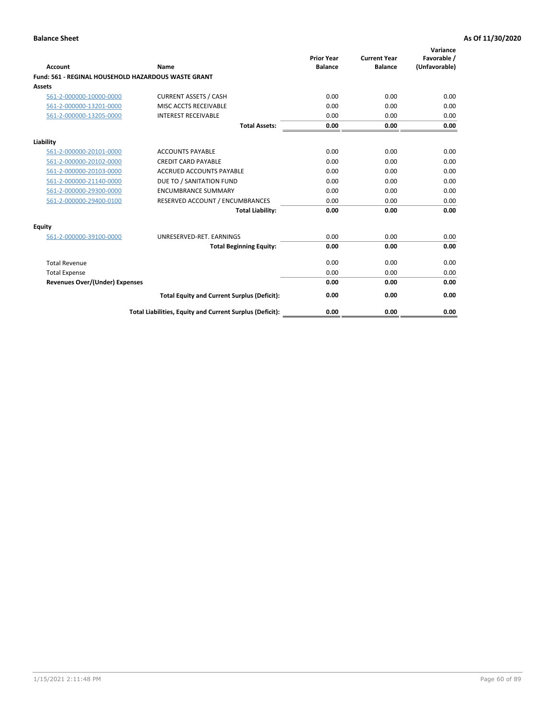| <b>Account</b>                        | Name                                                       | <b>Prior Year</b><br><b>Balance</b> | <b>Current Year</b><br><b>Balance</b> | Variance<br>Favorable /<br>(Unfavorable) |
|---------------------------------------|------------------------------------------------------------|-------------------------------------|---------------------------------------|------------------------------------------|
|                                       | <b>Fund: 561 - REGINAL HOUSEHOLD HAZARDOUS WASTE GRANT</b> |                                     |                                       |                                          |
| Assets                                |                                                            |                                     |                                       |                                          |
| 561-2-000000-10000-0000               | <b>CURRENT ASSETS / CASH</b>                               | 0.00                                | 0.00                                  | 0.00                                     |
| 561-2-000000-13201-0000               | MISC ACCTS RECEIVABLE                                      | 0.00                                | 0.00                                  | 0.00                                     |
| 561-2-000000-13205-0000               | <b>INTEREST RECEIVABLE</b>                                 | 0.00                                | 0.00                                  | 0.00                                     |
|                                       | <b>Total Assets:</b>                                       | 0.00                                | 0.00                                  | 0.00                                     |
| Liability                             |                                                            |                                     |                                       |                                          |
| 561-2-000000-20101-0000               | <b>ACCOUNTS PAYABLE</b>                                    | 0.00                                | 0.00                                  | 0.00                                     |
| 561-2-000000-20102-0000               | <b>CREDIT CARD PAYABLE</b>                                 | 0.00                                | 0.00                                  | 0.00                                     |
| 561-2-000000-20103-0000               | <b>ACCRUED ACCOUNTS PAYABLE</b>                            | 0.00                                | 0.00                                  | 0.00                                     |
| 561-2-000000-21140-0000               | DUE TO / SANITATION FUND                                   | 0.00                                | 0.00                                  | 0.00                                     |
| 561-2-000000-29300-0000               | <b>ENCUMBRANCE SUMMARY</b>                                 | 0.00                                | 0.00                                  | 0.00                                     |
| 561-2-000000-29400-0100               | RESERVED ACCOUNT / ENCUMBRANCES                            | 0.00                                | 0.00                                  | 0.00                                     |
|                                       | <b>Total Liability:</b>                                    | 0.00                                | 0.00                                  | 0.00                                     |
| <b>Equity</b>                         |                                                            |                                     |                                       |                                          |
| 561-2-000000-39100-0000               | UNRESERVED-RET. EARNINGS                                   | 0.00                                | 0.00                                  | 0.00                                     |
|                                       | <b>Total Beginning Equity:</b>                             | 0.00                                | 0.00                                  | 0.00                                     |
| <b>Total Revenue</b>                  |                                                            | 0.00                                | 0.00                                  | 0.00                                     |
| <b>Total Expense</b>                  |                                                            | 0.00                                | 0.00                                  | 0.00                                     |
| <b>Revenues Over/(Under) Expenses</b> |                                                            | 0.00                                | 0.00                                  | 0.00                                     |
|                                       | <b>Total Equity and Current Surplus (Deficit):</b>         | 0.00                                | 0.00                                  | 0.00                                     |
|                                       | Total Liabilities, Equity and Current Surplus (Deficit):   | 0.00                                | 0.00                                  | 0.00                                     |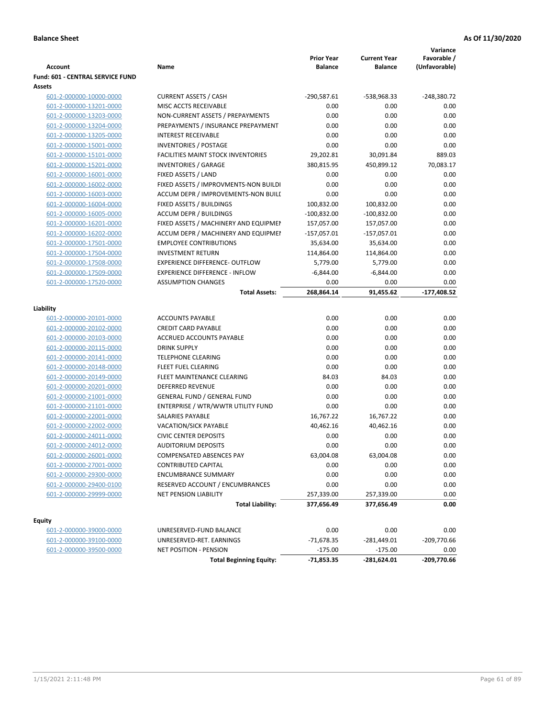|                                  |                                           |                   |                     | Variance      |
|----------------------------------|-------------------------------------------|-------------------|---------------------|---------------|
|                                  |                                           | <b>Prior Year</b> | <b>Current Year</b> | Favorable /   |
| <b>Account</b>                   | Name                                      | <b>Balance</b>    | <b>Balance</b>      | (Unfavorable) |
| Fund: 601 - CENTRAL SERVICE FUND |                                           |                   |                     |               |
| <b>Assets</b>                    |                                           |                   |                     |               |
| 601-2-000000-10000-0000          | <b>CURRENT ASSETS / CASH</b>              | $-290,587.61$     | -538,968.33         | $-248,380.72$ |
| 601-2-000000-13201-0000          | MISC ACCTS RECEIVABLE                     | 0.00              | 0.00                | 0.00          |
| 601-2-000000-13203-0000          | NON-CURRENT ASSETS / PREPAYMENTS          | 0.00              | 0.00                | 0.00          |
| 601-2-000000-13204-0000          | PREPAYMENTS / INSURANCE PREPAYMENT        | 0.00              | 0.00                | 0.00          |
| 601-2-000000-13205-0000          | <b>INTEREST RECEIVABLE</b>                | 0.00              | 0.00                | 0.00          |
| 601-2-000000-15001-0000          | <b>INVENTORIES / POSTAGE</b>              | 0.00              | 0.00                | 0.00          |
| 601-2-000000-15101-0000          | <b>FACILITIES MAINT STOCK INVENTORIES</b> | 29,202.81         | 30,091.84           | 889.03        |
| 601-2-000000-15201-0000          | <b>INVENTORIES / GARAGE</b>               | 380,815.95        | 450,899.12          | 70,083.17     |
| 601-2-000000-16001-0000          | FIXED ASSETS / LAND                       | 0.00              | 0.00                | 0.00          |
| 601-2-000000-16002-0000          | FIXED ASSETS / IMPROVMENTS-NON BUILDI     | 0.00              | 0.00                | 0.00          |
| 601-2-000000-16003-0000          | ACCUM DEPR / IMPROVEMENTS-NON BUILI       | 0.00              | 0.00                | 0.00          |
| 601-2-000000-16004-0000          | FIXED ASSETS / BUILDINGS                  | 100,832.00        | 100,832.00          | 0.00          |
| 601-2-000000-16005-0000          | <b>ACCUM DEPR / BUILDINGS</b>             | $-100,832.00$     | $-100,832.00$       | 0.00          |
| 601-2-000000-16201-0000          | FIXED ASSETS / MACHINERY AND EQUIPMEN     | 157,057.00        | 157,057.00          | 0.00          |
| 601-2-000000-16202-0000          | ACCUM DEPR / MACHINERY AND EQUIPMEI       | $-157,057.01$     | $-157,057.01$       | 0.00          |
| 601-2-000000-17501-0000          | <b>EMPLOYEE CONTRIBUTIONS</b>             | 35,634.00         | 35,634.00           | 0.00          |
| 601-2-000000-17504-0000          | <b>INVESTMENT RETURN</b>                  | 114,864.00        | 114,864.00          | 0.00          |
| 601-2-000000-17508-0000          | <b>EXPERIENCE DIFFERENCE- OUTFLOW</b>     | 5,779.00          | 5,779.00            | 0.00          |
| 601-2-000000-17509-0000          | <b>EXPERIENCE DIFFERENCE - INFLOW</b>     | $-6,844.00$       | $-6,844.00$         | 0.00          |
| 601-2-000000-17520-0000          | <b>ASSUMPTION CHANGES</b>                 | 0.00              | 0.00                | 0.00          |
|                                  | <b>Total Assets:</b>                      | 268,864.14        | 91,455.62           | $-177,408.52$ |
|                                  |                                           |                   |                     |               |
| Liability                        |                                           |                   |                     |               |
| 601-2-000000-20101-0000          | <b>ACCOUNTS PAYABLE</b>                   | 0.00              | 0.00                | 0.00          |
| 601-2-000000-20102-0000          | <b>CREDIT CARD PAYABLE</b>                | 0.00              | 0.00                | 0.00          |
| 601-2-000000-20103-0000          | ACCRUED ACCOUNTS PAYABLE                  | 0.00              | 0.00                | 0.00          |
| 601-2-000000-20115-0000          | <b>DRINK SUPPLY</b>                       | 0.00              | 0.00                | 0.00          |
| 601-2-000000-20141-0000          | <b>TELEPHONE CLEARING</b>                 | 0.00              | 0.00                | 0.00          |
| 601-2-000000-20148-0000          | FLEET FUEL CLEARING                       | 0.00              | 0.00                | 0.00          |
| 601-2-000000-20149-0000          | FLEET MAINTENANCE CLEARING                | 84.03             | 84.03               | 0.00          |
| 601-2-000000-20201-0000          | <b>DEFERRED REVENUE</b>                   | 0.00              | 0.00                | 0.00          |
| 601-2-000000-21001-0000          | <b>GENERAL FUND / GENERAL FUND</b>        | 0.00              | 0.00                | 0.00          |
| 601-2-000000-21101-0000          | ENTERPRISE / WTR/WWTR UTILITY FUND        | 0.00              | 0.00                | 0.00          |
| 601-2-000000-22001-0000          | <b>SALARIES PAYABLE</b>                   | 16,767.22         | 16,767.22           | 0.00          |
| 601-2-000000-22002-0000          | VACATION/SICK PAYABLE                     | 40,462.16         | 40,462.16           | 0.00          |
| 601-2-000000-24011-0000          | <b>CIVIC CENTER DEPOSITS</b>              | 0.00              | 0.00                | 0.00          |
| 601-2-000000-24012-0000          | <b>AUDITORIUM DEPOSITS</b>                | 0.00              | 0.00                | 0.00          |
| 601-2-000000-26001-0000          | COMPENSATED ABSENCES PAY                  | 63,004.08         | 63,004.08           | 0.00          |
| 601-2-000000-27001-0000          | CONTRIBUTED CAPITAL                       | 0.00              | 0.00                | 0.00          |
| 601-2-000000-29300-0000          | <b>ENCUMBRANCE SUMMARY</b>                | 0.00              | 0.00                | 0.00          |
| 601-2-000000-29400-0100          | RESERVED ACCOUNT / ENCUMBRANCES           | 0.00              | 0.00                | 0.00          |
| 601-2-000000-29999-0000          | NET PENSION LIABILITY                     | 257,339.00        | 257,339.00          | 0.00          |
|                                  | <b>Total Liability:</b>                   | 377,656.49        | 377,656.49          | 0.00          |
|                                  |                                           |                   |                     |               |
| Equity                           |                                           |                   |                     |               |
| 601-2-000000-39000-0000          | UNRESERVED-FUND BALANCE                   | 0.00              | 0.00                | 0.00          |
| 601-2-000000-39100-0000          | UNRESERVED-RET. EARNINGS                  | $-71,678.35$      | $-281,449.01$       | $-209,770.66$ |
| 601-2-000000-39500-0000          | NET POSITION - PENSION                    | $-175.00$         | $-175.00$           | 0.00          |
|                                  | <b>Total Beginning Equity:</b>            | $-71,853.35$      | -281,624.01         | -209,770.66   |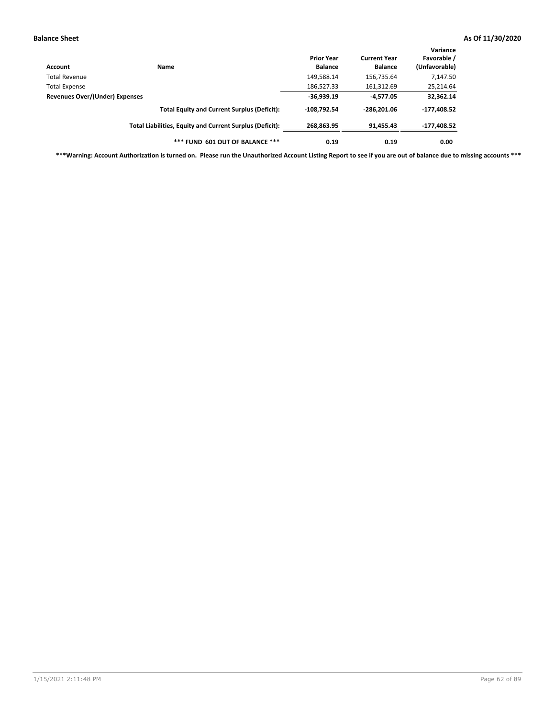| Account                        | <b>Name</b>                                              | <b>Prior Year</b><br><b>Balance</b> | <b>Current Year</b><br><b>Balance</b> | Variance<br>Favorable /<br>(Unfavorable) |
|--------------------------------|----------------------------------------------------------|-------------------------------------|---------------------------------------|------------------------------------------|
| Total Revenue                  |                                                          | 149,588.14                          | 156,735.64                            | 7,147.50                                 |
| <b>Total Expense</b>           |                                                          | 186,527.33                          | 161,312.69                            | 25,214.64                                |
| Revenues Over/(Under) Expenses |                                                          | $-36,939.19$                        | -4,577.05                             | 32,362.14                                |
|                                | <b>Total Equity and Current Surplus (Deficit):</b>       | $-108.792.54$                       | $-286.201.06$                         | $-177,408.52$                            |
|                                | Total Liabilities, Equity and Current Surplus (Deficit): | 268,863.95                          | 91,455.43                             | -177,408.52                              |
|                                | *** FUND 601 OUT OF BALANCE ***                          | 0.19                                | 0.19                                  | 0.00                                     |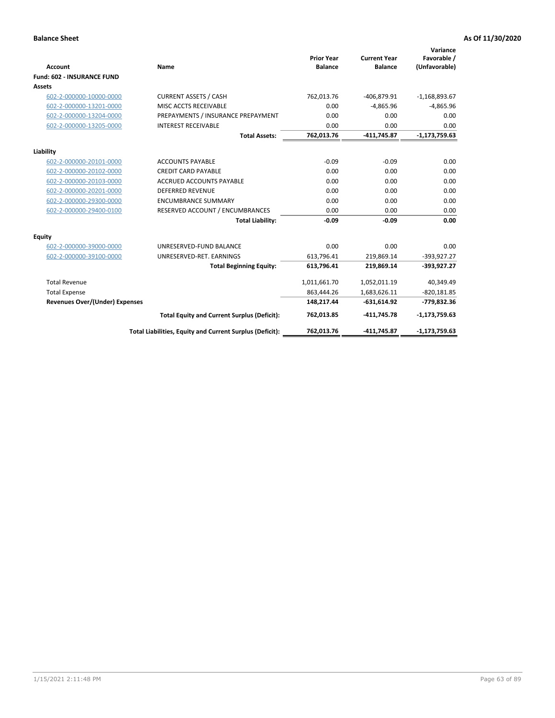|                                       |                                                          |                                     |                                       | Variance                     |
|---------------------------------------|----------------------------------------------------------|-------------------------------------|---------------------------------------|------------------------------|
| <b>Account</b>                        | Name                                                     | <b>Prior Year</b><br><b>Balance</b> | <b>Current Year</b><br><b>Balance</b> | Favorable /<br>(Unfavorable) |
| <b>Fund: 602 - INSURANCE FUND</b>     |                                                          |                                     |                                       |                              |
| Assets                                |                                                          |                                     |                                       |                              |
| 602-2-000000-10000-0000               | <b>CURRENT ASSETS / CASH</b>                             | 762,013.76                          | -406,879.91                           | $-1,168,893.67$              |
| 602-2-000000-13201-0000               | MISC ACCTS RECEIVABLE                                    | 0.00                                | $-4,865.96$                           | $-4,865.96$                  |
| 602-2-000000-13204-0000               | PREPAYMENTS / INSURANCE PREPAYMENT                       | 0.00                                | 0.00                                  | 0.00                         |
| 602-2-000000-13205-0000               | <b>INTEREST RECEIVABLE</b>                               | 0.00                                | 0.00                                  | 0.00                         |
|                                       | <b>Total Assets:</b>                                     | 762,013.76                          | -411,745.87                           | $-1,173,759.63$              |
| Liability                             |                                                          |                                     |                                       |                              |
| 602-2-000000-20101-0000               | <b>ACCOUNTS PAYABLE</b>                                  | $-0.09$                             | $-0.09$                               | 0.00                         |
| 602-2-000000-20102-0000               | <b>CREDIT CARD PAYABLE</b>                               | 0.00                                | 0.00                                  | 0.00                         |
| 602-2-000000-20103-0000               | <b>ACCRUED ACCOUNTS PAYABLE</b>                          | 0.00                                | 0.00                                  | 0.00                         |
| 602-2-000000-20201-0000               | <b>DEFERRED REVENUE</b>                                  | 0.00                                | 0.00                                  | 0.00                         |
| 602-2-000000-29300-0000               | <b>ENCUMBRANCE SUMMARY</b>                               | 0.00                                | 0.00                                  | 0.00                         |
| 602-2-000000-29400-0100               | RESERVED ACCOUNT / ENCUMBRANCES                          | 0.00                                | 0.00                                  | 0.00                         |
|                                       | <b>Total Liability:</b>                                  | $-0.09$                             | $-0.09$                               | 0.00                         |
| Equity                                |                                                          |                                     |                                       |                              |
| 602-2-000000-39000-0000               | UNRESERVED-FUND BALANCE                                  | 0.00                                | 0.00                                  | 0.00                         |
| 602-2-000000-39100-0000               | UNRESERVED-RET. EARNINGS                                 | 613,796.41                          | 219,869.14                            | $-393,927.27$                |
|                                       | <b>Total Beginning Equity:</b>                           | 613,796.41                          | 219,869.14                            | -393,927.27                  |
| <b>Total Revenue</b>                  |                                                          | 1,011,661.70                        | 1,052,011.19                          | 40,349.49                    |
| <b>Total Expense</b>                  |                                                          | 863,444.26                          | 1,683,626.11                          | $-820,181.85$                |
| <b>Revenues Over/(Under) Expenses</b> |                                                          | 148,217.44                          | $-631,614.92$                         | -779,832.36                  |
|                                       | <b>Total Equity and Current Surplus (Deficit):</b>       | 762,013.85                          | -411,745.78                           | $-1,173,759.63$              |
|                                       | Total Liabilities, Equity and Current Surplus (Deficit): | 762,013.76                          | -411,745.87                           | $-1,173,759.63$              |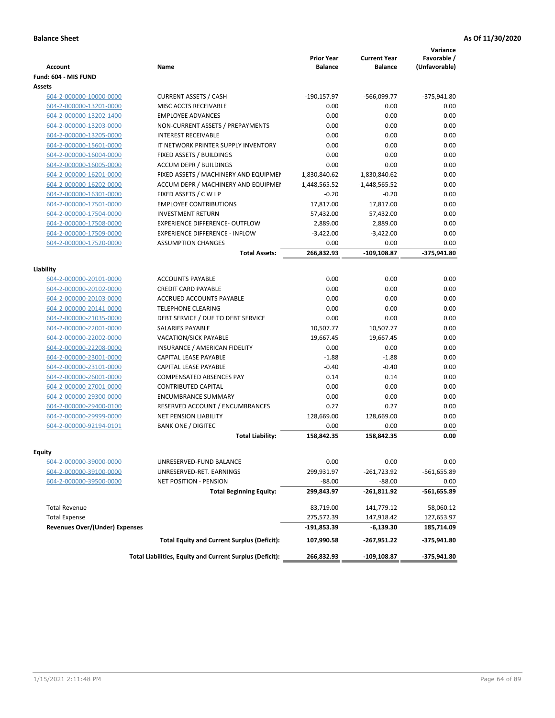| Account                               | Name                                                     | <b>Prior Year</b><br><b>Balance</b> | <b>Current Year</b><br><b>Balance</b> | Variance<br>Favorable /<br>(Unfavorable) |
|---------------------------------------|----------------------------------------------------------|-------------------------------------|---------------------------------------|------------------------------------------|
| Fund: 604 - MIS FUND                  |                                                          |                                     |                                       |                                          |
| <b>Assets</b>                         |                                                          |                                     |                                       |                                          |
| 604-2-000000-10000-0000               | <b>CURRENT ASSETS / CASH</b>                             | $-190, 157.97$                      | $-566,099.77$                         | $-375,941.80$                            |
| 604-2-000000-13201-0000               | MISC ACCTS RECEIVABLE                                    | 0.00                                | 0.00                                  | 0.00                                     |
| 604-2-000000-13202-1400               | <b>EMPLOYEE ADVANCES</b>                                 | 0.00                                | 0.00                                  | 0.00                                     |
| 604-2-000000-13203-0000               | NON-CURRENT ASSETS / PREPAYMENTS                         | 0.00                                | 0.00                                  | 0.00                                     |
| 604-2-000000-13205-0000               | <b>INTEREST RECEIVABLE</b>                               | 0.00                                | 0.00                                  | 0.00                                     |
| 604-2-000000-15601-0000               | IT NETWORK PRINTER SUPPLY INVENTORY                      | 0.00                                | 0.00                                  | 0.00                                     |
| 604-2-000000-16004-0000               | FIXED ASSETS / BUILDINGS                                 | 0.00                                | 0.00                                  | 0.00                                     |
| 604-2-000000-16005-0000               | <b>ACCUM DEPR / BUILDINGS</b>                            | 0.00                                | 0.00                                  | 0.00                                     |
| 604-2-000000-16201-0000               | FIXED ASSETS / MACHINERY AND EQUIPMEN                    | 1,830,840.62                        | 1,830,840.62                          | 0.00                                     |
| 604-2-000000-16202-0000               | ACCUM DEPR / MACHINERY AND EQUIPMEI                      | $-1,448,565.52$                     | $-1,448,565.52$                       | 0.00                                     |
| 604-2-000000-16301-0000               | FIXED ASSETS / C W I P                                   | $-0.20$                             | $-0.20$                               | 0.00                                     |
| 604-2-000000-17501-0000               | <b>EMPLOYEE CONTRIBUTIONS</b>                            | 17,817.00                           | 17,817.00                             | 0.00                                     |
| 604-2-000000-17504-0000               | <b>INVESTMENT RETURN</b>                                 | 57,432.00                           | 57,432.00                             | 0.00                                     |
| 604-2-000000-17508-0000               | <b>EXPERIENCE DIFFERENCE- OUTFLOW</b>                    | 2,889.00                            | 2,889.00                              | 0.00                                     |
| 604-2-000000-17509-0000               | <b>EXPERIENCE DIFFERENCE - INFLOW</b>                    | $-3,422.00$                         | $-3,422.00$                           | 0.00                                     |
| 604-2-000000-17520-0000               | <b>ASSUMPTION CHANGES</b>                                | 0.00                                | 0.00                                  | 0.00                                     |
|                                       | <b>Total Assets:</b>                                     | 266,832.93                          | $-109, 108.87$                        | -375,941.80                              |
|                                       |                                                          |                                     |                                       |                                          |
| Liability                             |                                                          |                                     |                                       |                                          |
| 604-2-000000-20101-0000               | <b>ACCOUNTS PAYABLE</b>                                  | 0.00                                | 0.00                                  | 0.00                                     |
| 604-2-000000-20102-0000               | <b>CREDIT CARD PAYABLE</b>                               | 0.00                                | 0.00                                  | 0.00                                     |
| 604-2-000000-20103-0000               | ACCRUED ACCOUNTS PAYABLE                                 | 0.00                                | 0.00                                  | 0.00                                     |
| 604-2-000000-20141-0000               | <b>TELEPHONE CLEARING</b>                                | 0.00                                | 0.00                                  | 0.00                                     |
| 604-2-000000-21035-0000               | DEBT SERVICE / DUE TO DEBT SERVICE                       | 0.00                                | 0.00                                  | 0.00                                     |
| 604-2-000000-22001-0000               | SALARIES PAYABLE                                         | 10,507.77                           | 10,507.77                             | 0.00                                     |
| 604-2-000000-22002-0000               | <b>VACATION/SICK PAYABLE</b>                             | 19,667.45                           | 19,667.45                             | 0.00                                     |
| 604-2-000000-22208-0000               | INSURANCE / AMERICAN FIDELITY                            | 0.00                                | 0.00                                  | 0.00                                     |
| 604-2-000000-23001-0000               | CAPITAL LEASE PAYABLE                                    | $-1.88$                             | $-1.88$                               | 0.00                                     |
| 604-2-000000-23101-0000               | CAPITAL LEASE PAYABLE                                    | $-0.40$                             | $-0.40$                               | 0.00                                     |
| 604-2-000000-26001-0000               | <b>COMPENSATED ABSENCES PAY</b>                          | 0.14                                | 0.14                                  | 0.00                                     |
| 604-2-000000-27001-0000               | <b>CONTRIBUTED CAPITAL</b>                               | 0.00                                | 0.00                                  | 0.00                                     |
| 604-2-000000-29300-0000               | <b>ENCUMBRANCE SUMMARY</b>                               | 0.00                                | 0.00                                  | 0.00                                     |
| 604-2-000000-29400-0100               | RESERVED ACCOUNT / ENCUMBRANCES                          | 0.27                                | 0.27                                  | 0.00                                     |
| 604-2-000000-29999-0000               | <b>NET PENSION LIABILITY</b>                             | 128,669.00                          | 128,669.00                            | 0.00                                     |
| 604-2-000000-92194-0101               | <b>BANK ONE / DIGITEC</b>                                | 0.00                                | 0.00                                  | 0.00                                     |
|                                       | <b>Total Liability:</b>                                  | 158,842.35                          | 158,842.35                            | 0.00                                     |
|                                       |                                                          |                                     |                                       |                                          |
| Equity<br>604-2-000000-39000-0000     | UNRESERVED-FUND BALANCE                                  | 0.00                                | 0.00                                  | 0.00                                     |
| 604-2-000000-39100-0000               | UNRESERVED-RET. EARNINGS                                 | 299,931.97                          | -261,723.92                           | -561,655.89                              |
| 604-2-000000-39500-0000               | NET POSITION - PENSION                                   | $-88.00$                            | $-88.00$                              | 0.00                                     |
|                                       | <b>Total Beginning Equity:</b>                           | 299,843.97                          | -261,811.92                           | $-561,655.89$                            |
|                                       |                                                          |                                     |                                       |                                          |
| <b>Total Revenue</b>                  |                                                          | 83,719.00                           | 141,779.12                            | 58,060.12                                |
| <b>Total Expense</b>                  |                                                          | 275,572.39                          | 147,918.42                            | 127,653.97                               |
| <b>Revenues Over/(Under) Expenses</b> |                                                          | -191,853.39                         | $-6,139.30$                           | 185,714.09                               |
|                                       | <b>Total Equity and Current Surplus (Deficit):</b>       | 107,990.58                          | -267,951.22                           | -375,941.80                              |
|                                       | Total Liabilities, Equity and Current Surplus (Deficit): | 266,832.93                          | $-109, 108.87$                        | -375,941.80                              |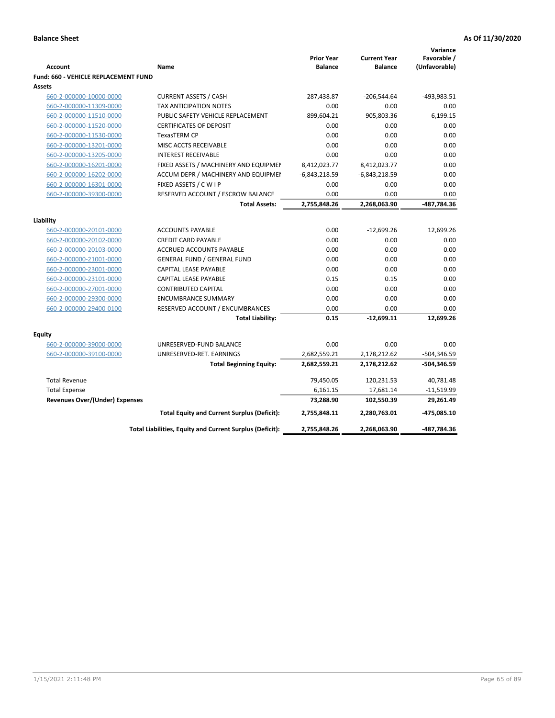|                                             |                                                          |                   |                     | Variance      |
|---------------------------------------------|----------------------------------------------------------|-------------------|---------------------|---------------|
|                                             |                                                          | <b>Prior Year</b> | <b>Current Year</b> | Favorable /   |
| <b>Account</b>                              | <b>Name</b>                                              | <b>Balance</b>    | <b>Balance</b>      | (Unfavorable) |
| <b>Fund: 660 - VEHICLE REPLACEMENT FUND</b> |                                                          |                   |                     |               |
| Assets                                      |                                                          |                   |                     |               |
| 660-2-000000-10000-0000                     | <b>CURRENT ASSETS / CASH</b>                             | 287,438.87        | $-206,544.64$       | -493,983.51   |
| 660-2-000000-11309-0000                     | <b>TAX ANTICIPATION NOTES</b>                            | 0.00              | 0.00                | 0.00          |
| 660-2-000000-11510-0000                     | PUBLIC SAFETY VEHICLE REPLACEMENT                        | 899,604.21        | 905,803.36          | 6,199.15      |
| 660-2-000000-11520-0000                     | <b>CERTIFICATES OF DEPOSIT</b>                           | 0.00              | 0.00                | 0.00          |
| 660-2-000000-11530-0000                     | TexasTERM CP                                             | 0.00              | 0.00                | 0.00          |
| 660-2-000000-13201-0000                     | MISC ACCTS RECEIVABLE                                    | 0.00              | 0.00                | 0.00          |
| 660-2-000000-13205-0000                     | <b>INTEREST RECEIVABLE</b>                               | 0.00              | 0.00                | 0.00          |
| 660-2-000000-16201-0000                     | FIXED ASSETS / MACHINERY AND EQUIPMEN                    | 8,412,023.77      | 8,412,023.77        | 0.00          |
| 660-2-000000-16202-0000                     | ACCUM DEPR / MACHINERY AND EQUIPMEI                      | $-6,843,218.59$   | $-6,843,218.59$     | 0.00          |
| 660-2-000000-16301-0000                     | FIXED ASSETS / C W I P                                   | 0.00              | 0.00                | 0.00          |
| 660-2-000000-39300-0000                     | RESERVED ACCOUNT / ESCROW BALANCE                        | 0.00              | 0.00                | 0.00          |
|                                             | <b>Total Assets:</b>                                     | 2,755,848.26      | 2,268,063.90        | -487,784.36   |
| Liability                                   |                                                          |                   |                     |               |
| 660-2-000000-20101-0000                     | <b>ACCOUNTS PAYABLE</b>                                  | 0.00              | $-12,699.26$        | 12,699.26     |
| 660-2-000000-20102-0000                     | <b>CREDIT CARD PAYABLE</b>                               | 0.00              | 0.00                | 0.00          |
| 660-2-000000-20103-0000                     | ACCRUED ACCOUNTS PAYABLE                                 | 0.00              | 0.00                | 0.00          |
| 660-2-000000-21001-0000                     | <b>GENERAL FUND / GENERAL FUND</b>                       | 0.00              | 0.00                | 0.00          |
| 660-2-000000-23001-0000                     | CAPITAL LEASE PAYABLE                                    | 0.00              | 0.00                | 0.00          |
| 660-2-000000-23101-0000                     | <b>CAPITAL LEASE PAYABLE</b>                             | 0.15              | 0.15                | 0.00          |
| 660-2-000000-27001-0000                     | <b>CONTRIBUTED CAPITAL</b>                               | 0.00              | 0.00                | 0.00          |
| 660-2-000000-29300-0000                     | <b>ENCUMBRANCE SUMMARY</b>                               | 0.00              | 0.00                | 0.00          |
| 660-2-000000-29400-0100                     | RESERVED ACCOUNT / ENCUMBRANCES                          | 0.00              | 0.00                | 0.00          |
|                                             | <b>Total Liability:</b>                                  | 0.15              | $-12,699.11$        | 12,699.26     |
|                                             |                                                          |                   |                     |               |
| <b>Equity</b>                               |                                                          |                   |                     |               |
| 660-2-000000-39000-0000                     | UNRESERVED-FUND BALANCE                                  | 0.00              | 0.00                | 0.00          |
| 660-2-000000-39100-0000                     | UNRESERVED-RET. EARNINGS                                 | 2,682,559.21      | 2,178,212.62        | -504,346.59   |
|                                             | <b>Total Beginning Equity:</b>                           | 2,682,559.21      | 2,178,212.62        | -504,346.59   |
| <b>Total Revenue</b>                        |                                                          | 79,450.05         | 120,231.53          | 40,781.48     |
| <b>Total Expense</b>                        |                                                          | 6,161.15          | 17,681.14           | $-11,519.99$  |
| <b>Revenues Over/(Under) Expenses</b>       |                                                          | 73,288.90         | 102,550.39          | 29,261.49     |
|                                             | <b>Total Equity and Current Surplus (Deficit):</b>       | 2,755,848.11      | 2,280,763.01        | -475,085.10   |
|                                             | Total Liabilities, Equity and Current Surplus (Deficit): | 2,755,848.26      | 2,268,063.90        | -487,784.36   |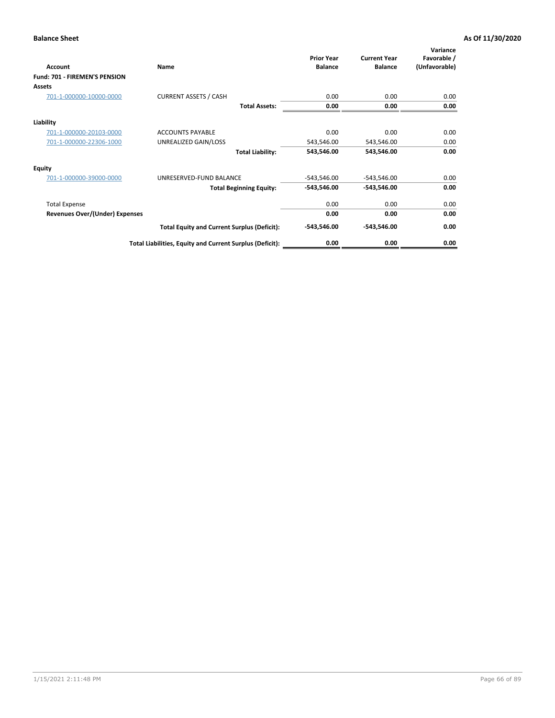| Account                        | Name                                                     | <b>Prior Year</b><br><b>Balance</b> | <b>Current Year</b><br><b>Balance</b> | Variance<br>Favorable /<br>(Unfavorable) |
|--------------------------------|----------------------------------------------------------|-------------------------------------|---------------------------------------|------------------------------------------|
| Fund: 701 - FIREMEN'S PENSION  |                                                          |                                     |                                       |                                          |
| <b>Assets</b>                  |                                                          |                                     |                                       |                                          |
| 701-1-000000-10000-0000        | <b>CURRENT ASSETS / CASH</b>                             | 0.00                                | 0.00                                  | 0.00                                     |
|                                | <b>Total Assets:</b>                                     | 0.00                                | 0.00                                  | 0.00                                     |
| Liability                      |                                                          |                                     |                                       |                                          |
| 701-1-000000-20103-0000        | <b>ACCOUNTS PAYABLE</b>                                  | 0.00                                | 0.00                                  | 0.00                                     |
| 701-1-000000-22306-1000        | UNREALIZED GAIN/LOSS                                     | 543,546.00                          | 543,546.00                            | 0.00                                     |
|                                | <b>Total Liability:</b>                                  | 543,546.00                          | 543,546.00                            | 0.00                                     |
| <b>Equity</b>                  |                                                          |                                     |                                       |                                          |
| 701-1-000000-39000-0000        | UNRESERVED-FUND BALANCE                                  | $-543,546.00$                       | $-543,546.00$                         | 0.00                                     |
|                                | <b>Total Beginning Equity:</b>                           | $-543,546.00$                       | -543,546.00                           | 0.00                                     |
| <b>Total Expense</b>           |                                                          | 0.00                                | 0.00                                  | 0.00                                     |
| Revenues Over/(Under) Expenses |                                                          | 0.00                                | 0.00                                  | 0.00                                     |
|                                | <b>Total Equity and Current Surplus (Deficit):</b>       | $-543,546.00$                       | -543,546.00                           | 0.00                                     |
|                                | Total Liabilities, Equity and Current Surplus (Deficit): | 0.00                                | 0.00                                  | 0.00                                     |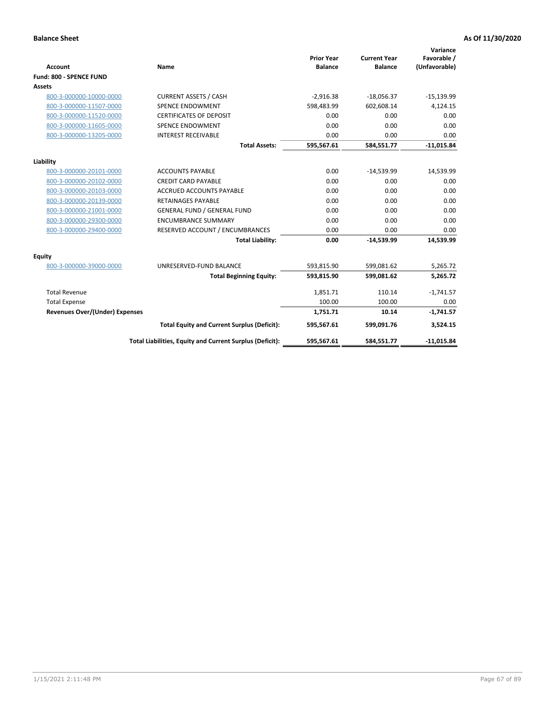|                                       |                                                          |                                     |                                       | Variance                     |
|---------------------------------------|----------------------------------------------------------|-------------------------------------|---------------------------------------|------------------------------|
| <b>Account</b>                        | <b>Name</b>                                              | <b>Prior Year</b><br><b>Balance</b> | <b>Current Year</b><br><b>Balance</b> | Favorable /<br>(Unfavorable) |
| Fund: 800 - SPENCE FUND               |                                                          |                                     |                                       |                              |
| <b>Assets</b>                         |                                                          |                                     |                                       |                              |
|                                       |                                                          |                                     |                                       |                              |
| 800-3-000000-10000-0000               | <b>CURRENT ASSETS / CASH</b>                             | $-2,916.38$                         | $-18,056.37$                          | $-15,139.99$                 |
| 800-3-000000-11507-0000               | <b>SPENCE ENDOWMENT</b>                                  | 598,483.99                          | 602.608.14                            | 4,124.15                     |
| 800-3-000000-11520-0000               | <b>CERTIFICATES OF DEPOSIT</b>                           | 0.00                                | 0.00                                  | 0.00                         |
| 800-3-000000-11605-0000               | <b>SPENCE ENDOWMENT</b>                                  | 0.00                                | 0.00                                  | 0.00                         |
| 800-3-000000-13205-0000               | <b>INTEREST RECEIVABLE</b>                               | 0.00                                | 0.00                                  | 0.00                         |
|                                       | <b>Total Assets:</b>                                     | 595,567.61                          | 584,551.77                            | $-11,015.84$                 |
| Liability                             |                                                          |                                     |                                       |                              |
| 800-3-000000-20101-0000               | <b>ACCOUNTS PAYABLE</b>                                  | 0.00                                | $-14,539.99$                          | 14,539.99                    |
| 800-3-000000-20102-0000               | <b>CREDIT CARD PAYABLE</b>                               | 0.00                                | 0.00                                  | 0.00                         |
| 800-3-000000-20103-0000               | <b>ACCRUED ACCOUNTS PAYABLE</b>                          | 0.00                                | 0.00                                  | 0.00                         |
| 800-3-000000-20139-0000               | <b>RETAINAGES PAYABLE</b>                                | 0.00                                | 0.00                                  | 0.00                         |
| 800-3-000000-21001-0000               | <b>GENERAL FUND / GENERAL FUND</b>                       | 0.00                                | 0.00                                  | 0.00                         |
| 800-3-000000-29300-0000               | <b>ENCUMBRANCE SUMMARY</b>                               | 0.00                                | 0.00                                  | 0.00                         |
| 800-3-000000-29400-0000               | RESERVED ACCOUNT / ENCUMBRANCES                          | 0.00                                | 0.00                                  | 0.00                         |
|                                       | <b>Total Liability:</b>                                  | 0.00                                | $-14,539.99$                          | 14,539.99                    |
| <b>Equity</b>                         |                                                          |                                     |                                       |                              |
| 800-3-000000-39000-0000               | UNRESERVED-FUND BALANCE                                  | 593,815.90                          | 599,081.62                            | 5,265.72                     |
|                                       | <b>Total Beginning Equity:</b>                           | 593,815.90                          | 599,081.62                            | 5,265.72                     |
| <b>Total Revenue</b>                  |                                                          | 1,851.71                            | 110.14                                | $-1,741.57$                  |
| <b>Total Expense</b>                  |                                                          | 100.00                              | 100.00                                | 0.00                         |
| <b>Revenues Over/(Under) Expenses</b> |                                                          | 1,751.71                            | 10.14                                 | $-1,741.57$                  |
|                                       | <b>Total Equity and Current Surplus (Deficit):</b>       | 595,567.61                          | 599,091.76                            | 3,524.15                     |
|                                       | Total Liabilities, Equity and Current Surplus (Deficit): | 595,567.61                          | 584,551.77                            | $-11,015.84$                 |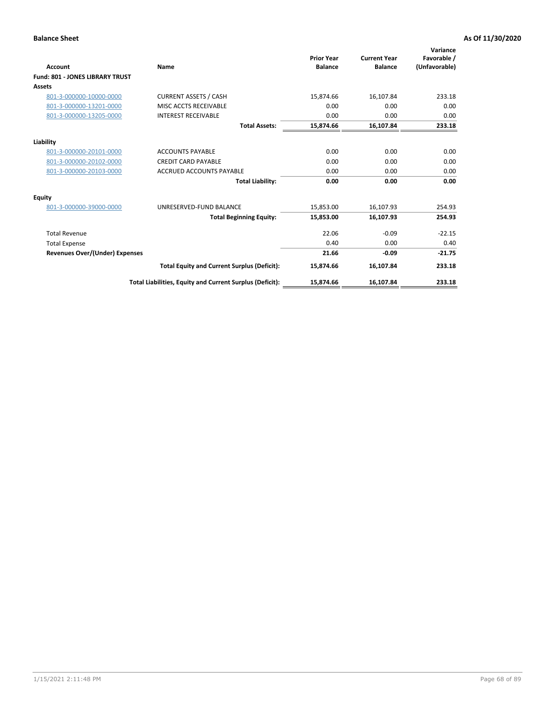| <b>Account</b>                         | Name                                                     | <b>Prior Year</b><br><b>Balance</b> | <b>Current Year</b><br><b>Balance</b> | Variance<br>Favorable /<br>(Unfavorable) |
|----------------------------------------|----------------------------------------------------------|-------------------------------------|---------------------------------------|------------------------------------------|
| <b>Fund: 801 - JONES LIBRARY TRUST</b> |                                                          |                                     |                                       |                                          |
| Assets                                 |                                                          |                                     |                                       |                                          |
| 801-3-000000-10000-0000                | <b>CURRENT ASSETS / CASH</b>                             | 15,874.66                           | 16,107.84                             | 233.18                                   |
| 801-3-000000-13201-0000                | MISC ACCTS RECEIVABLE                                    | 0.00                                | 0.00                                  | 0.00                                     |
| 801-3-000000-13205-0000                | <b>INTEREST RECEIVABLE</b>                               | 0.00                                | 0.00                                  | 0.00                                     |
|                                        | <b>Total Assets:</b>                                     | 15,874.66                           | 16,107.84                             | 233.18                                   |
| Liability                              |                                                          |                                     |                                       |                                          |
| 801-3-000000-20101-0000                | <b>ACCOUNTS PAYABLE</b>                                  | 0.00                                | 0.00                                  | 0.00                                     |
| 801-3-000000-20102-0000                | <b>CREDIT CARD PAYABLE</b>                               | 0.00                                | 0.00                                  | 0.00                                     |
| 801-3-000000-20103-0000                | <b>ACCRUED ACCOUNTS PAYABLE</b>                          | 0.00                                | 0.00                                  | 0.00                                     |
|                                        | <b>Total Liability:</b>                                  | 0.00                                | 0.00                                  | 0.00                                     |
| Equity                                 |                                                          |                                     |                                       |                                          |
| 801-3-000000-39000-0000                | UNRESERVED-FUND BALANCE                                  | 15,853.00                           | 16,107.93                             | 254.93                                   |
|                                        | <b>Total Beginning Equity:</b>                           | 15,853.00                           | 16,107.93                             | 254.93                                   |
| <b>Total Revenue</b>                   |                                                          | 22.06                               | $-0.09$                               | $-22.15$                                 |
| <b>Total Expense</b>                   |                                                          | 0.40                                | 0.00                                  | 0.40                                     |
| <b>Revenues Over/(Under) Expenses</b>  |                                                          | 21.66                               | $-0.09$                               | $-21.75$                                 |
|                                        | <b>Total Equity and Current Surplus (Deficit):</b>       | 15,874.66                           | 16,107.84                             | 233.18                                   |
|                                        | Total Liabilities, Equity and Current Surplus (Deficit): | 15,874.66                           | 16,107.84                             | 233.18                                   |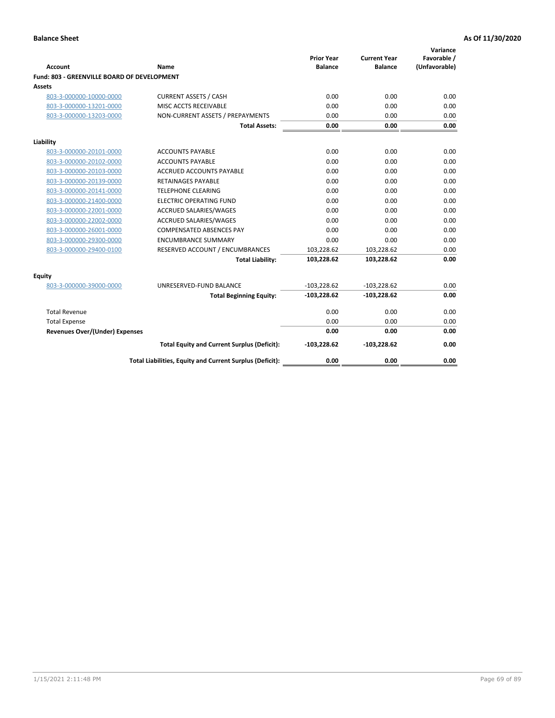| <b>Account</b>                              | Name                                                     | <b>Prior Year</b><br><b>Balance</b> | <b>Current Year</b><br><b>Balance</b> | Variance<br>Favorable /<br>(Unfavorable) |
|---------------------------------------------|----------------------------------------------------------|-------------------------------------|---------------------------------------|------------------------------------------|
| Fund: 803 - GREENVILLE BOARD OF DEVELOPMENT |                                                          |                                     |                                       |                                          |
| <b>Assets</b>                               |                                                          |                                     |                                       |                                          |
| 803-3-000000-10000-0000                     | <b>CURRENT ASSETS / CASH</b>                             | 0.00                                | 0.00                                  | 0.00                                     |
| 803-3-000000-13201-0000                     | MISC ACCTS RECEIVABLE                                    | 0.00                                | 0.00                                  | 0.00                                     |
| 803-3-000000-13203-0000                     | NON-CURRENT ASSETS / PREPAYMENTS                         | 0.00                                | 0.00                                  | 0.00                                     |
|                                             | <b>Total Assets:</b>                                     | 0.00                                | 0.00                                  | 0.00                                     |
| Liability                                   |                                                          |                                     |                                       |                                          |
| 803-3-000000-20101-0000                     | <b>ACCOUNTS PAYABLE</b>                                  | 0.00                                | 0.00                                  | 0.00                                     |
| 803-3-000000-20102-0000                     | <b>ACCOUNTS PAYABLE</b>                                  | 0.00                                | 0.00                                  | 0.00                                     |
| 803-3-000000-20103-0000                     | <b>ACCRUED ACCOUNTS PAYABLE</b>                          | 0.00                                | 0.00                                  | 0.00                                     |
| 803-3-000000-20139-0000                     | <b>RETAINAGES PAYABLE</b>                                | 0.00                                | 0.00                                  | 0.00                                     |
| 803-3-000000-20141-0000                     | <b>TELEPHONE CLEARING</b>                                | 0.00                                | 0.00                                  | 0.00                                     |
| 803-3-000000-21400-0000                     | <b>ELECTRIC OPERATING FUND</b>                           | 0.00                                | 0.00                                  | 0.00                                     |
| 803-3-000000-22001-0000                     | ACCRUED SALARIES/WAGES                                   | 0.00                                | 0.00                                  | 0.00                                     |
| 803-3-000000-22002-0000                     | <b>ACCRUED SALARIES/WAGES</b>                            | 0.00                                | 0.00                                  | 0.00                                     |
| 803-3-000000-26001-0000                     | <b>COMPENSATED ABSENCES PAY</b>                          | 0.00                                | 0.00                                  | 0.00                                     |
| 803-3-000000-29300-0000                     | <b>ENCUMBRANCE SUMMARY</b>                               | 0.00                                | 0.00                                  | 0.00                                     |
| 803-3-000000-29400-0100                     | RESERVED ACCOUNT / ENCUMBRANCES                          | 103,228.62                          | 103,228.62                            | 0.00                                     |
|                                             | <b>Total Liability:</b>                                  | 103,228.62                          | 103,228.62                            | 0.00                                     |
| Equity                                      |                                                          |                                     |                                       |                                          |
| 803-3-000000-39000-0000                     | UNRESERVED-FUND BALANCE                                  | $-103,228.62$                       | $-103,228.62$                         | 0.00                                     |
|                                             | <b>Total Beginning Equity:</b>                           | $-103,228.62$                       | $-103,228.62$                         | 0.00                                     |
| <b>Total Revenue</b>                        |                                                          | 0.00                                | 0.00                                  | 0.00                                     |
| <b>Total Expense</b>                        |                                                          | 0.00                                | 0.00                                  | 0.00                                     |
| <b>Revenues Over/(Under) Expenses</b>       |                                                          | 0.00                                | 0.00                                  | 0.00                                     |
|                                             | <b>Total Equity and Current Surplus (Deficit):</b>       | $-103,228.62$                       | $-103,228.62$                         | 0.00                                     |
|                                             | Total Liabilities, Equity and Current Surplus (Deficit): | 0.00                                | 0.00                                  | 0.00                                     |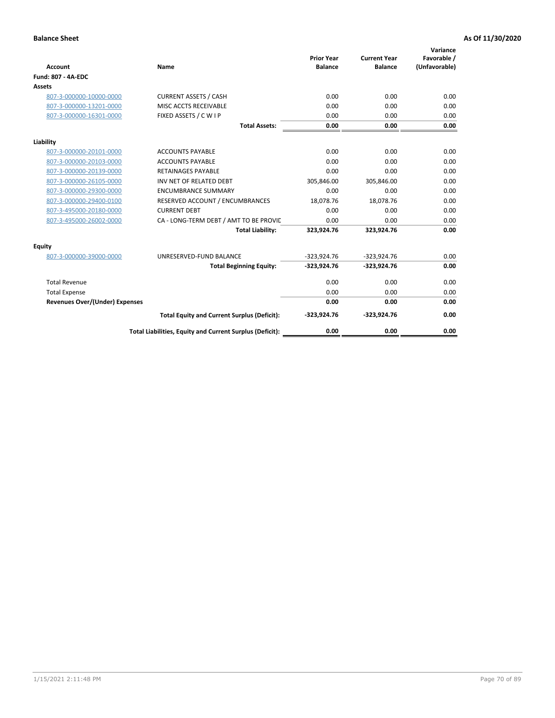| <b>Account</b>                        | Name                                                     | <b>Prior Year</b><br><b>Balance</b> | <b>Current Year</b><br><b>Balance</b> | Variance<br>Favorable /<br>(Unfavorable) |
|---------------------------------------|----------------------------------------------------------|-------------------------------------|---------------------------------------|------------------------------------------|
| <b>Fund: 807 - 4A-EDC</b>             |                                                          |                                     |                                       |                                          |
| <b>Assets</b>                         |                                                          |                                     |                                       |                                          |
| 807-3-000000-10000-0000               | <b>CURRENT ASSETS / CASH</b>                             | 0.00                                | 0.00                                  | 0.00                                     |
| 807-3-000000-13201-0000               | MISC ACCTS RECEIVABLE                                    | 0.00                                | 0.00                                  | 0.00                                     |
| 807-3-000000-16301-0000               | FIXED ASSETS / C W I P                                   | 0.00                                | 0.00                                  | 0.00                                     |
|                                       | <b>Total Assets:</b>                                     | 0.00                                | 0.00                                  | 0.00                                     |
| Liability                             |                                                          |                                     |                                       |                                          |
| 807-3-000000-20101-0000               | <b>ACCOUNTS PAYABLE</b>                                  | 0.00                                | 0.00                                  | 0.00                                     |
| 807-3-000000-20103-0000               | <b>ACCOUNTS PAYABLE</b>                                  | 0.00                                | 0.00                                  | 0.00                                     |
| 807-3-000000-20139-0000               | <b>RETAINAGES PAYABLE</b>                                | 0.00                                | 0.00                                  | 0.00                                     |
| 807-3-000000-26105-0000               | INV NET OF RELATED DEBT                                  | 305,846.00                          | 305,846.00                            | 0.00                                     |
| 807-3-000000-29300-0000               | <b>ENCUMBRANCE SUMMARY</b>                               | 0.00                                | 0.00                                  | 0.00                                     |
| 807-3-000000-29400-0100               | RESERVED ACCOUNT / ENCUMBRANCES                          | 18,078.76                           | 18,078.76                             | 0.00                                     |
| 807-3-495000-20180-0000               | <b>CURRENT DEBT</b>                                      | 0.00                                | 0.00                                  | 0.00                                     |
| 807-3-495000-26002-0000               | CA - LONG-TERM DEBT / AMT TO BE PROVIL                   | 0.00                                | 0.00                                  | 0.00                                     |
|                                       | <b>Total Liability:</b>                                  | 323,924.76                          | 323,924.76                            | 0.00                                     |
| Equity                                |                                                          |                                     |                                       |                                          |
| 807-3-000000-39000-0000               | UNRESERVED-FUND BALANCE                                  | $-323,924.76$                       | $-323,924.76$                         | 0.00                                     |
|                                       | <b>Total Beginning Equity:</b>                           | $-323,924.76$                       | $-323,924.76$                         | 0.00                                     |
| <b>Total Revenue</b>                  |                                                          | 0.00                                | 0.00                                  | 0.00                                     |
| <b>Total Expense</b>                  |                                                          | 0.00                                | 0.00                                  | 0.00                                     |
| <b>Revenues Over/(Under) Expenses</b> |                                                          | 0.00                                | 0.00                                  | 0.00                                     |
|                                       | <b>Total Equity and Current Surplus (Deficit):</b>       | $-323,924.76$                       | $-323,924.76$                         | 0.00                                     |
|                                       | Total Liabilities, Equity and Current Surplus (Deficit): | 0.00                                | 0.00                                  | 0.00                                     |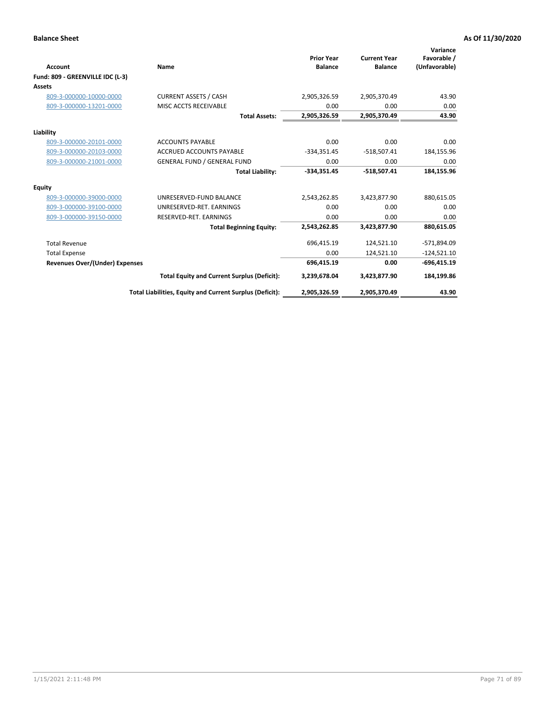|                                       |                                                          | <b>Prior Year</b> | <b>Current Year</b> | Variance<br>Favorable / |
|---------------------------------------|----------------------------------------------------------|-------------------|---------------------|-------------------------|
| <b>Account</b>                        | Name                                                     | <b>Balance</b>    | <b>Balance</b>      | (Unfavorable)           |
| Fund: 809 - GREENVILLE IDC (L-3)      |                                                          |                   |                     |                         |
| <b>Assets</b>                         |                                                          |                   |                     |                         |
| 809-3-000000-10000-0000               | <b>CURRENT ASSETS / CASH</b>                             | 2,905,326.59      | 2,905,370.49        | 43.90                   |
| 809-3-000000-13201-0000               | MISC ACCTS RECEIVABLE                                    | 0.00              | 0.00                | 0.00                    |
|                                       | <b>Total Assets:</b>                                     | 2,905,326.59      | 2,905,370.49        | 43.90                   |
| Liability                             |                                                          |                   |                     |                         |
| 809-3-000000-20101-0000               | <b>ACCOUNTS PAYABLE</b>                                  | 0.00              | 0.00                | 0.00                    |
| 809-3-000000-20103-0000               | <b>ACCRUED ACCOUNTS PAYABLE</b>                          | $-334,351.45$     | $-518,507.41$       | 184,155.96              |
| 809-3-000000-21001-0000               | <b>GENERAL FUND / GENERAL FUND</b>                       | 0.00              | 0.00                | 0.00                    |
|                                       | <b>Total Liability:</b>                                  | $-334,351.45$     | $-518,507.41$       | 184,155.96              |
| <b>Equity</b>                         |                                                          |                   |                     |                         |
| 809-3-000000-39000-0000               | UNRESERVED-FUND BALANCE                                  | 2,543,262.85      | 3,423,877.90        | 880,615.05              |
| 809-3-000000-39100-0000               | UNRESERVED-RET. EARNINGS                                 | 0.00              | 0.00                | 0.00                    |
| 809-3-000000-39150-0000               | RESERVED-RET. EARNINGS                                   | 0.00              | 0.00                | 0.00                    |
|                                       | <b>Total Beginning Equity:</b>                           | 2,543,262.85      | 3,423,877.90        | 880,615.05              |
| <b>Total Revenue</b>                  |                                                          | 696,415.19        | 124.521.10          | -571,894.09             |
| <b>Total Expense</b>                  |                                                          | 0.00              | 124,521.10          | $-124,521.10$           |
| <b>Revenues Over/(Under) Expenses</b> |                                                          | 696,415.19        | 0.00                | $-696,415.19$           |
|                                       | <b>Total Equity and Current Surplus (Deficit):</b>       | 3,239,678.04      | 3,423,877.90        | 184,199.86              |
|                                       | Total Liabilities, Equity and Current Surplus (Deficit): | 2,905,326.59      | 2,905,370.49        | 43.90                   |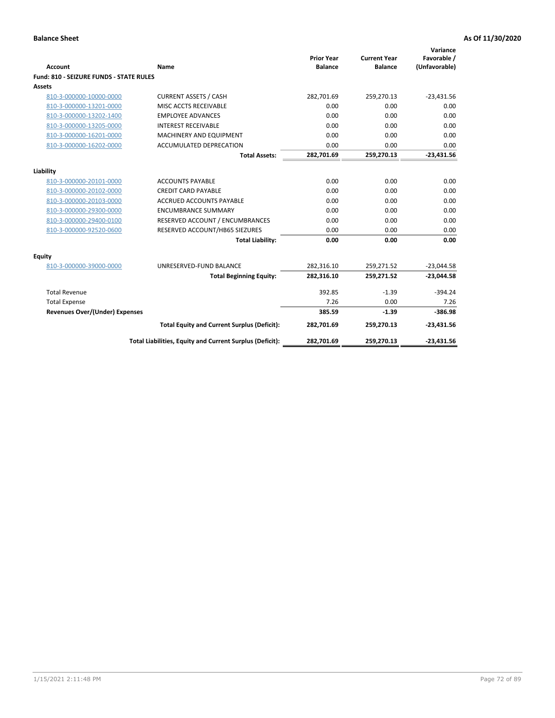| <b>Account</b>                                     | Name                                                          | <b>Prior Year</b><br><b>Balance</b> | <b>Current Year</b><br><b>Balance</b> | Variance<br>Favorable /<br>(Unfavorable) |
|----------------------------------------------------|---------------------------------------------------------------|-------------------------------------|---------------------------------------|------------------------------------------|
| Fund: 810 - SEIZURE FUNDS - STATE RULES            |                                                               |                                     |                                       |                                          |
| Assets                                             |                                                               |                                     |                                       |                                          |
| 810-3-000000-10000-0000                            | <b>CURRENT ASSETS / CASH</b>                                  | 282,701.69                          | 259,270.13                            | $-23,431.56$                             |
| 810-3-000000-13201-0000                            | MISC ACCTS RECEIVABLE                                         | 0.00                                | 0.00                                  | 0.00                                     |
| 810-3-000000-13202-1400                            | <b>EMPLOYEE ADVANCES</b>                                      | 0.00                                | 0.00                                  | 0.00                                     |
| 810-3-000000-13205-0000                            | <b>INTEREST RECEIVABLE</b>                                    | 0.00                                | 0.00                                  | 0.00                                     |
| 810-3-000000-16201-0000                            | MACHINERY AND EQUIPMENT                                       | 0.00                                | 0.00                                  | 0.00                                     |
| 810-3-000000-16202-0000                            | ACCUMULATED DEPRECATION                                       | 0.00                                | 0.00                                  | 0.00                                     |
|                                                    | <b>Total Assets:</b>                                          | 282,701.69                          | 259,270.13                            | $-23,431.56$                             |
|                                                    |                                                               |                                     |                                       |                                          |
| Liability                                          |                                                               | 0.00                                |                                       |                                          |
| 810-3-000000-20101-0000                            | <b>ACCOUNTS PAYABLE</b>                                       |                                     | 0.00                                  | 0.00                                     |
| 810-3-000000-20102-0000<br>810-3-000000-20103-0000 | <b>CREDIT CARD PAYABLE</b><br><b>ACCRUED ACCOUNTS PAYABLE</b> | 0.00<br>0.00                        | 0.00<br>0.00                          | 0.00<br>0.00                             |
|                                                    |                                                               |                                     |                                       |                                          |
| 810-3-000000-29300-0000                            | <b>ENCUMBRANCE SUMMARY</b>                                    | 0.00                                | 0.00                                  | 0.00                                     |
| 810-3-000000-29400-0100                            | RESERVED ACCOUNT / ENCUMBRANCES                               | 0.00                                | 0.00                                  | 0.00                                     |
| 810-3-000000-92520-0600                            | RESERVED ACCOUNT/HB65 SIEZURES                                | 0.00                                | 0.00                                  | 0.00                                     |
|                                                    | <b>Total Liability:</b>                                       | 0.00                                | 0.00                                  | 0.00                                     |
| <b>Equity</b>                                      |                                                               |                                     |                                       |                                          |
| 810-3-000000-39000-0000                            | UNRESERVED-FUND BALANCE                                       | 282,316.10                          | 259,271.52                            | $-23,044.58$                             |
|                                                    | <b>Total Beginning Equity:</b>                                | 282,316.10                          | 259,271.52                            | $-23,044.58$                             |
| <b>Total Revenue</b>                               |                                                               | 392.85                              | $-1.39$                               | $-394.24$                                |
| <b>Total Expense</b>                               |                                                               | 7.26                                | 0.00                                  | 7.26                                     |
| <b>Revenues Over/(Under) Expenses</b>              |                                                               | 385.59                              | $-1.39$                               | $-386.98$                                |
|                                                    | <b>Total Equity and Current Surplus (Deficit):</b>            | 282,701.69                          | 259,270.13                            | $-23,431.56$                             |
|                                                    | Total Liabilities, Equity and Current Surplus (Deficit):      | 282,701.69                          | 259,270.13                            | $-23,431.56$                             |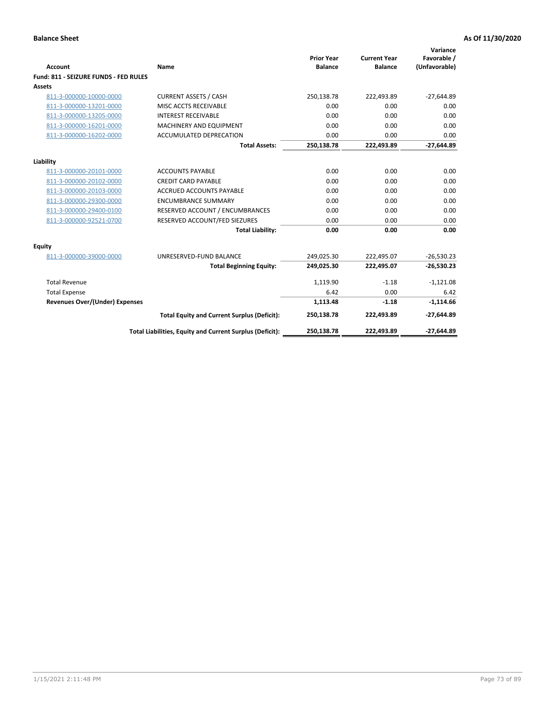| <b>Account</b>                        | Name                                                     | <b>Prior Year</b><br><b>Balance</b> | <b>Current Year</b><br><b>Balance</b> | Variance<br>Favorable /<br>(Unfavorable) |
|---------------------------------------|----------------------------------------------------------|-------------------------------------|---------------------------------------|------------------------------------------|
| Fund: 811 - SEIZURE FUNDS - FED RULES |                                                          |                                     |                                       |                                          |
| <b>Assets</b>                         |                                                          |                                     |                                       |                                          |
| 811-3-000000-10000-0000               | <b>CURRENT ASSETS / CASH</b>                             | 250,138.78                          | 222,493.89                            | $-27,644.89$                             |
| 811-3-000000-13201-0000               | MISC ACCTS RECEIVABLE                                    | 0.00                                | 0.00                                  | 0.00                                     |
| 811-3-000000-13205-0000               | <b>INTEREST RECEIVABLE</b>                               | 0.00                                | 0.00                                  | 0.00                                     |
| 811-3-000000-16201-0000               | <b>MACHINERY AND EQUIPMENT</b>                           | 0.00                                | 0.00                                  | 0.00                                     |
| 811-3-000000-16202-0000               | <b>ACCUMULATED DEPRECATION</b>                           | 0.00                                | 0.00                                  | 0.00                                     |
|                                       | <b>Total Assets:</b>                                     | 250,138.78                          | 222,493.89                            | $-27,644.89$                             |
| Liability                             |                                                          |                                     |                                       |                                          |
| 811-3-000000-20101-0000               | <b>ACCOUNTS PAYABLE</b>                                  | 0.00                                | 0.00                                  | 0.00                                     |
| 811-3-000000-20102-0000               | <b>CREDIT CARD PAYABLE</b>                               | 0.00                                | 0.00                                  | 0.00                                     |
| 811-3-000000-20103-0000               | <b>ACCRUED ACCOUNTS PAYABLE</b>                          | 0.00                                | 0.00                                  | 0.00                                     |
| 811-3-000000-29300-0000               | <b>ENCUMBRANCE SUMMARY</b>                               | 0.00                                | 0.00                                  | 0.00                                     |
| 811-3-000000-29400-0100               | RESERVED ACCOUNT / ENCUMBRANCES                          | 0.00                                | 0.00                                  | 0.00                                     |
| 811-3-000000-92521-0700               | RESERVED ACCOUNT/FED SIEZURES                            | 0.00                                | 0.00                                  | 0.00                                     |
|                                       | <b>Total Liability:</b>                                  | 0.00                                | 0.00                                  | 0.00                                     |
| Equity                                |                                                          |                                     |                                       |                                          |
| 811-3-000000-39000-0000               | UNRESERVED-FUND BALANCE                                  | 249,025.30                          | 222,495.07                            | $-26,530.23$                             |
|                                       | <b>Total Beginning Equity:</b>                           | 249,025.30                          | 222,495.07                            | $-26,530.23$                             |
| <b>Total Revenue</b>                  |                                                          | 1,119.90                            | $-1.18$                               | $-1,121.08$                              |
| <b>Total Expense</b>                  |                                                          | 6.42                                | 0.00                                  | 6.42                                     |
| Revenues Over/(Under) Expenses        |                                                          | 1,113.48                            | $-1.18$                               | $-1,114.66$                              |
|                                       | <b>Total Equity and Current Surplus (Deficit):</b>       | 250,138.78                          | 222,493.89                            | $-27,644.89$                             |
|                                       | Total Liabilities, Equity and Current Surplus (Deficit): | 250,138.78                          | 222.493.89                            | $-27.644.89$                             |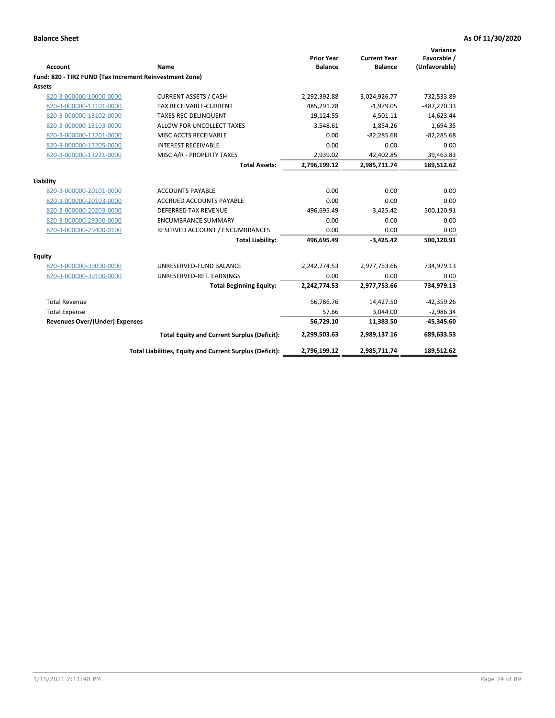|                                                         |                                                          | <b>Prior Year</b> | <b>Current Year</b> | Variance<br>Favorable / |
|---------------------------------------------------------|----------------------------------------------------------|-------------------|---------------------|-------------------------|
| <b>Account</b>                                          | Name                                                     | <b>Balance</b>    | <b>Balance</b>      | (Unfavorable)           |
| Fund: 820 - TIRZ FUND (Tax Increment Reinvestment Zone) |                                                          |                   |                     |                         |
| Assets                                                  |                                                          |                   |                     |                         |
| 820-3-000000-10000-0000                                 | <b>CURRENT ASSETS / CASH</b>                             | 2,292,392.88      | 3,024,926.77        | 732,533.89              |
| 820-3-000000-13101-0000                                 | TAX RECEIVABLE-CURRENT                                   | 485,291.28        | $-1,979.05$         | $-487,270.33$           |
| 820-3-000000-13102-0000                                 | <b>TAXES REC-DELINQUENT</b>                              | 19,124.55         | 4,501.11            | $-14,623.44$            |
| 820-3-000000-13103-0000                                 | ALLOW FOR UNCOLLECT TAXES                                | $-3,548.61$       | $-1,854.26$         | 1,694.35                |
| 820-3-000000-13201-0000                                 | MISC ACCTS RECEIVABLE                                    | 0.00              | $-82,285.68$        | $-82,285.68$            |
| 820-3-000000-13205-0000                                 | <b>INTEREST RECEIVABLE</b>                               | 0.00              | 0.00                | 0.00                    |
| 820-3-000000-13221-0000                                 | MISC A/R - PROPERTY TAXES                                | 2,939.02          | 42,402.85           | 39,463.83               |
|                                                         | <b>Total Assets:</b>                                     | 2,796,199.12      | 2,985,711.74        | 189,512.62              |
| Liability                                               |                                                          |                   |                     |                         |
| 820-3-000000-20101-0000                                 | <b>ACCOUNTS PAYABLE</b>                                  | 0.00              | 0.00                | 0.00                    |
| 820-3-000000-20103-0000                                 | <b>ACCRUED ACCOUNTS PAYABLE</b>                          | 0.00              | 0.00                | 0.00                    |
| 820-3-000000-20203-0000                                 | DEFERRED TAX REVENUE                                     | 496,695.49        | $-3,425.42$         | 500,120.91              |
| 820-3-000000-29300-0000                                 | <b>ENCUMBRANCE SUMMARY</b>                               | 0.00              | 0.00                | 0.00                    |
| 820-3-000000-29400-0100                                 | RESERVED ACCOUNT / ENCUMBRANCES                          | 0.00              | 0.00                | 0.00                    |
|                                                         | <b>Total Liability:</b>                                  | 496,695.49        | $-3,425.42$         | 500,120.91              |
| Equity                                                  |                                                          |                   |                     |                         |
| 820-3-000000-39000-0000                                 | UNRESERVED-FUND BALANCE                                  | 2,242,774.53      | 2,977,753.66        | 734,979.13              |
| 820-3-000000-39100-0000                                 | UNRESERVED-RET. EARNINGS                                 | 0.00              | 0.00                | 0.00                    |
|                                                         | <b>Total Beginning Equity:</b>                           | 2,242,774.53      | 2,977,753.66        | 734,979.13              |
| <b>Total Revenue</b>                                    |                                                          | 56,786.76         | 14,427.50           | $-42,359.26$            |
| <b>Total Expense</b>                                    |                                                          | 57.66             | 3,044.00            | $-2,986.34$             |
| <b>Revenues Over/(Under) Expenses</b>                   |                                                          | 56,729.10         | 11,383.50           | $-45,345.60$            |
|                                                         | <b>Total Equity and Current Surplus (Deficit):</b>       | 2,299,503.63      | 2,989,137.16        | 689,633.53              |
|                                                         | Total Liabilities, Equity and Current Surplus (Deficit): | 2,796,199.12      | 2,985,711.74        | 189,512.62              |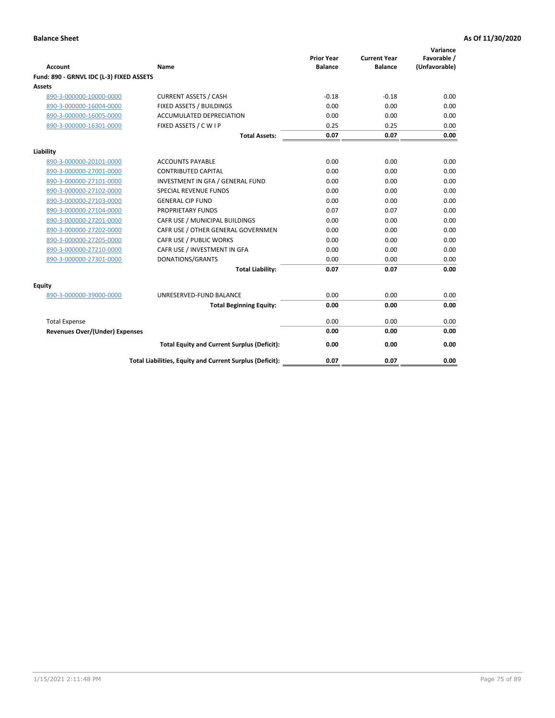| <b>Account</b>                           | Name                                                     | <b>Prior Year</b><br><b>Balance</b> | <b>Current Year</b><br><b>Balance</b> | Variance<br>Favorable /<br>(Unfavorable) |
|------------------------------------------|----------------------------------------------------------|-------------------------------------|---------------------------------------|------------------------------------------|
| Fund: 890 - GRNVL IDC (L-3) FIXED ASSETS |                                                          |                                     |                                       |                                          |
| <b>Assets</b>                            |                                                          |                                     |                                       |                                          |
| 890-3-000000-10000-0000                  | <b>CURRENT ASSETS / CASH</b>                             | $-0.18$                             | $-0.18$                               | 0.00                                     |
| 890-3-000000-16004-0000                  | FIXED ASSETS / BUILDINGS                                 | 0.00                                | 0.00                                  | 0.00                                     |
| 890-3-000000-16005-0000                  | <b>ACCUMULATED DEPRECIATION</b>                          | 0.00                                | 0.00                                  | 0.00                                     |
| 890-3-000000-16301-0000                  | FIXED ASSETS / C W I P                                   | 0.25                                | 0.25                                  | 0.00                                     |
|                                          | <b>Total Assets:</b>                                     | 0.07                                | 0.07                                  | 0.00                                     |
| Liability                                |                                                          |                                     |                                       |                                          |
| 890-3-000000-20101-0000                  | <b>ACCOUNTS PAYABLE</b>                                  | 0.00                                | 0.00                                  | 0.00                                     |
| 890-3-000000-27001-0000                  | <b>CONTRIBUTED CAPITAL</b>                               | 0.00                                | 0.00                                  | 0.00                                     |
| 890-3-000000-27101-0000                  | INVESTMENT IN GFA / GENERAL FUND                         | 0.00                                | 0.00                                  | 0.00                                     |
| 890-3-000000-27102-0000                  | <b>SPECIAL REVENUE FUNDS</b>                             | 0.00                                | 0.00                                  | 0.00                                     |
| 890-3-000000-27103-0000                  | <b>GENERAL CIP FUND</b>                                  | 0.00                                | 0.00                                  | 0.00                                     |
| 890-3-000000-27104-0000                  | PROPRIETARY FUNDS                                        | 0.07                                | 0.07                                  | 0.00                                     |
| 890-3-000000-27201-0000                  | CAFR USE / MUNICIPAL BUILDINGS                           | 0.00                                | 0.00                                  | 0.00                                     |
| 890-3-000000-27202-0000                  | CAFR USE / OTHER GENERAL GOVERNMEN                       | 0.00                                | 0.00                                  | 0.00                                     |
| 890-3-000000-27205-0000                  | CAFR USE / PUBLIC WORKS                                  | 0.00                                | 0.00                                  | 0.00                                     |
| 890-3-000000-27210-0000                  | CAFR USE / INVESTMENT IN GFA                             | 0.00                                | 0.00                                  | 0.00                                     |
| 890-3-000000-27301-0000                  | DONATIONS/GRANTS                                         | 0.00                                | 0.00                                  | 0.00                                     |
|                                          | <b>Total Liability:</b>                                  | 0.07                                | 0.07                                  | 0.00                                     |
| Equity                                   |                                                          |                                     |                                       |                                          |
| 890-3-000000-39000-0000                  | UNRESERVED-FUND BALANCE                                  | 0.00                                | 0.00                                  | 0.00                                     |
|                                          | <b>Total Beginning Equity:</b>                           | 0.00                                | 0.00                                  | 0.00                                     |
| <b>Total Expense</b>                     |                                                          | 0.00                                | 0.00                                  | 0.00                                     |
| <b>Revenues Over/(Under) Expenses</b>    |                                                          | 0.00                                | 0.00                                  | 0.00                                     |
|                                          | <b>Total Equity and Current Surplus (Deficit):</b>       | 0.00                                | 0.00                                  | 0.00                                     |
|                                          | Total Liabilities, Equity and Current Surplus (Deficit): | 0.07                                | 0.07                                  | 0.00                                     |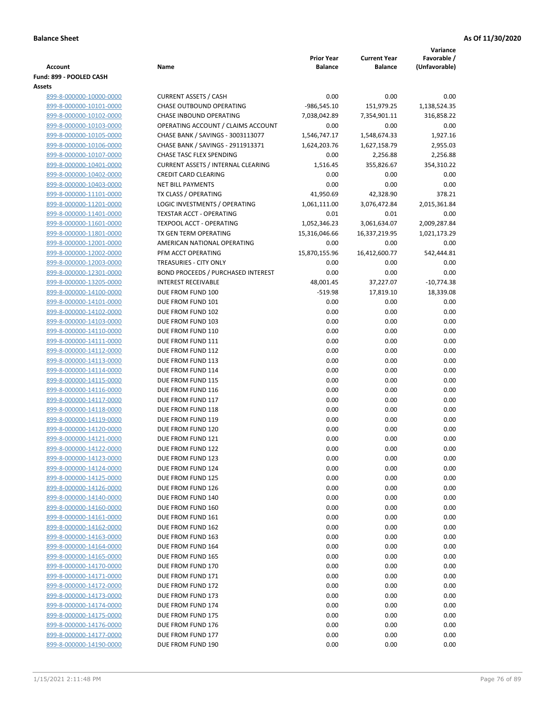|                                                    |                                                                         |                   |                     | Variance             |
|----------------------------------------------------|-------------------------------------------------------------------------|-------------------|---------------------|----------------------|
|                                                    |                                                                         | <b>Prior Year</b> | <b>Current Year</b> | Favorable /          |
| <b>Account</b>                                     | Name                                                                    | <b>Balance</b>    | Balance             | (Unfavorable)        |
| Fund: 899 - POOLED CASH                            |                                                                         |                   |                     |                      |
| Assets<br>899-8-000000-10000-0000                  | <b>CURRENT ASSETS / CASH</b>                                            | 0.00              | 0.00                | 0.00                 |
| 899-8-000000-10101-0000                            | <b>CHASE OUTBOUND OPERATING</b>                                         | $-986,545.10$     | 151,979.25          | 1,138,524.35         |
| 899-8-000000-10102-0000                            | CHASE INBOUND OPERATING                                                 | 7,038,042.89      | 7,354,901.11        | 316,858.22           |
| 899-8-000000-10103-0000                            | OPERATING ACCOUNT / CLAIMS ACCOUNT                                      | 0.00              | 0.00                | 0.00                 |
| 899-8-000000-10105-0000                            | CHASE BANK / SAVINGS - 3003113077                                       | 1,546,747.17      | 1,548,674.33        | 1,927.16             |
| 899-8-000000-10106-0000                            | CHASE BANK / SAVINGS - 2911913371                                       | 1,624,203.76      | 1,627,158.79        | 2,955.03             |
| 899-8-000000-10107-0000                            | CHASE TASC FLEX SPENDING                                                | 0.00              | 2,256.88            | 2,256.88             |
| 899-8-000000-10401-0000                            | <b>CURRENT ASSETS / INTERNAL CLEARING</b>                               | 1,516.45          | 355,826.67          | 354,310.22           |
| 899-8-000000-10402-0000                            | <b>CREDIT CARD CLEARING</b>                                             | 0.00              | 0.00                | 0.00                 |
| 899-8-000000-10403-0000                            | <b>NET BILL PAYMENTS</b>                                                | 0.00              | 0.00                | 0.00                 |
| 899-8-000000-11101-0000                            | TX CLASS / OPERATING                                                    | 41,950.69         | 42,328.90           | 378.21               |
| 899-8-000000-11201-0000                            | LOGIC INVESTMENTS / OPERATING                                           | 1,061,111.00      | 3,076,472.84        | 2,015,361.84         |
| 899-8-000000-11401-0000                            | <b>TEXSTAR ACCT - OPERATING</b>                                         | 0.01              | 0.01                | 0.00                 |
| 899-8-000000-11601-0000                            | <b>TEXPOOL ACCT - OPERATING</b>                                         | 1,052,346.23      | 3,061,634.07        | 2,009,287.84         |
| 899-8-000000-11801-0000                            | TX GEN TERM OPERATING                                                   | 15,316,046.66     | 16,337,219.95       | 1,021,173.29         |
| 899-8-000000-12001-0000                            | AMERICAN NATIONAL OPERATING                                             | 0.00              | 0.00                | 0.00                 |
| 899-8-000000-12002-0000                            | PFM ACCT OPERATING                                                      | 15,870,155.96     | 16,412,600.77       | 542,444.81           |
| 899-8-000000-12003-0000                            | TREASURIES - CITY ONLY                                                  | 0.00              | 0.00                | 0.00                 |
| 899-8-000000-12301-0000<br>899-8-000000-13205-0000 | <b>BOND PROCEEDS / PURCHASED INTEREST</b><br><b>INTEREST RECEIVABLE</b> | 0.00<br>48,001.45 | 0.00<br>37,227.07   | 0.00<br>$-10,774.38$ |
| 899-8-000000-14100-0000                            | DUE FROM FUND 100                                                       | $-519.98$         | 17,819.10           | 18,339.08            |
| 899-8-000000-14101-0000                            | DUE FROM FUND 101                                                       | 0.00              | 0.00                | 0.00                 |
| 899-8-000000-14102-0000                            | DUE FROM FUND 102                                                       | 0.00              | 0.00                | 0.00                 |
| 899-8-000000-14103-0000                            | DUE FROM FUND 103                                                       | 0.00              | 0.00                | 0.00                 |
| 899-8-000000-14110-0000                            | DUE FROM FUND 110                                                       | 0.00              | 0.00                | 0.00                 |
| 899-8-000000-14111-0000                            | DUE FROM FUND 111                                                       | 0.00              | 0.00                | 0.00                 |
| 899-8-000000-14112-0000                            | DUE FROM FUND 112                                                       | 0.00              | 0.00                | 0.00                 |
| 899-8-000000-14113-0000                            | DUE FROM FUND 113                                                       | 0.00              | 0.00                | 0.00                 |
| 899-8-000000-14114-0000                            | DUE FROM FUND 114                                                       | 0.00              | 0.00                | 0.00                 |
| 899-8-000000-14115-0000                            | DUE FROM FUND 115                                                       | 0.00              | 0.00                | 0.00                 |
| 899-8-000000-14116-0000                            | DUE FROM FUND 116                                                       | 0.00              | 0.00                | 0.00                 |
| 899-8-000000-14117-0000                            | DUE FROM FUND 117                                                       | 0.00              | 0.00                | 0.00                 |
| 899-8-000000-14118-0000                            | DUE FROM FUND 118                                                       | 0.00              | 0.00                | 0.00                 |
| 899-8-000000-14119-0000                            | DUE FROM FUND 119                                                       | 0.00              | 0.00                | 0.00                 |
| 899-8-000000-14120-0000<br>899-8-000000-14121-0000 | DUE FROM FUND 120                                                       | 0.00              | 0.00                | 0.00<br>0.00         |
| 899-8-000000-14122-0000                            | DUE FROM FUND 121<br>DUE FROM FUND 122                                  | 0.00<br>0.00      | 0.00<br>0.00        | 0.00                 |
| 899-8-000000-14123-0000                            | DUE FROM FUND 123                                                       | 0.00              | 0.00                | 0.00                 |
| 899-8-000000-14124-0000                            | DUE FROM FUND 124                                                       | 0.00              | 0.00                | 0.00                 |
| 899-8-000000-14125-0000                            | DUE FROM FUND 125                                                       | 0.00              | 0.00                | 0.00                 |
| 899-8-000000-14126-0000                            | DUE FROM FUND 126                                                       | 0.00              | 0.00                | 0.00                 |
| 899-8-000000-14140-0000                            | DUE FROM FUND 140                                                       | 0.00              | 0.00                | 0.00                 |
| 899-8-000000-14160-0000                            | DUE FROM FUND 160                                                       | 0.00              | 0.00                | 0.00                 |
| 899-8-000000-14161-0000                            | DUE FROM FUND 161                                                       | 0.00              | 0.00                | 0.00                 |
| 899-8-000000-14162-0000                            | DUE FROM FUND 162                                                       | 0.00              | 0.00                | 0.00                 |
| 899-8-000000-14163-0000                            | DUE FROM FUND 163                                                       | 0.00              | 0.00                | 0.00                 |
| 899-8-000000-14164-0000                            | DUE FROM FUND 164                                                       | 0.00              | 0.00                | 0.00                 |
| 899-8-000000-14165-0000                            | DUE FROM FUND 165                                                       | 0.00              | 0.00                | 0.00                 |
| 899-8-000000-14170-0000                            | DUE FROM FUND 170                                                       | 0.00              | 0.00                | 0.00                 |
| 899-8-000000-14171-0000                            | DUE FROM FUND 171                                                       | 0.00              | 0.00                | 0.00                 |
| 899-8-000000-14172-0000                            | DUE FROM FUND 172                                                       | 0.00              | 0.00                | 0.00                 |
| 899-8-000000-14173-0000                            | DUE FROM FUND 173                                                       | 0.00              | 0.00                | 0.00                 |
| 899-8-000000-14174-0000                            | DUE FROM FUND 174<br>DUE FROM FUND 175                                  | 0.00              | 0.00                | 0.00<br>0.00         |
| 899-8-000000-14175-0000<br>899-8-000000-14176-0000 | DUE FROM FUND 176                                                       | 0.00<br>0.00      | 0.00<br>0.00        | 0.00                 |
| 899-8-000000-14177-0000                            | DUE FROM FUND 177                                                       | 0.00              | 0.00                | 0.00                 |
| 899-8-000000-14190-0000                            | DUE FROM FUND 190                                                       | 0.00              | 0.00                | 0.00                 |
|                                                    |                                                                         |                   |                     |                      |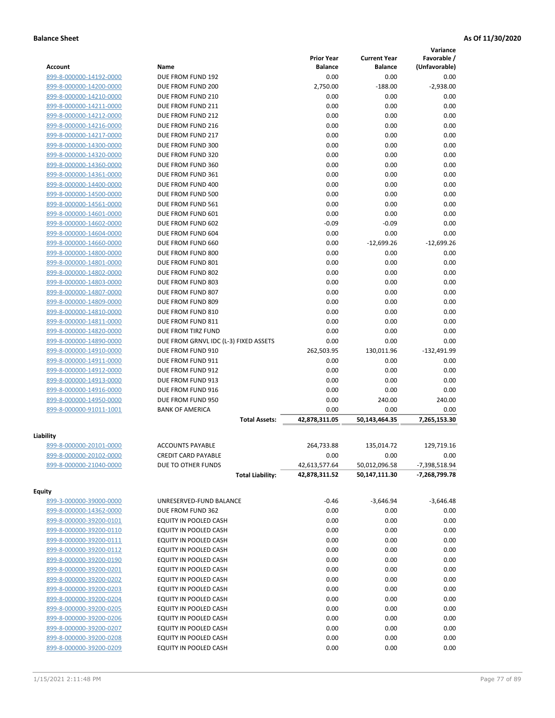|                         |                                       |                   |                     | Variance      |
|-------------------------|---------------------------------------|-------------------|---------------------|---------------|
|                         |                                       | <b>Prior Year</b> | <b>Current Year</b> | Favorable /   |
| <b>Account</b>          | Name                                  | <b>Balance</b>    | <b>Balance</b>      | (Unfavorable) |
| 899-8-000000-14192-0000 | DUE FROM FUND 192                     | 0.00              | 0.00                | 0.00          |
| 899-8-000000-14200-0000 | DUE FROM FUND 200                     | 2,750.00          | $-188.00$           | $-2,938.00$   |
| 899-8-000000-14210-0000 | DUE FROM FUND 210                     | 0.00              | 0.00                | 0.00          |
| 899-8-000000-14211-0000 | DUE FROM FUND 211                     | 0.00              | 0.00                | 0.00          |
| 899-8-000000-14212-0000 | DUE FROM FUND 212                     | 0.00              | 0.00                | 0.00          |
| 899-8-000000-14216-0000 | DUE FROM FUND 216                     | 0.00              | 0.00                | 0.00          |
| 899-8-000000-14217-0000 | DUE FROM FUND 217                     | 0.00              | 0.00                | 0.00          |
| 899-8-000000-14300-0000 | DUE FROM FUND 300                     | 0.00              | 0.00                | 0.00          |
| 899-8-000000-14320-0000 | DUE FROM FUND 320                     | 0.00              | 0.00                | 0.00          |
| 899-8-000000-14360-0000 | DUE FROM FUND 360                     | 0.00              | 0.00                | 0.00          |
| 899-8-000000-14361-0000 | DUE FROM FUND 361                     | 0.00              | 0.00                | 0.00          |
| 899-8-000000-14400-0000 | DUE FROM FUND 400                     | 0.00              | 0.00                | 0.00          |
| 899-8-000000-14500-0000 | DUE FROM FUND 500                     | 0.00              | 0.00                | 0.00          |
| 899-8-000000-14561-0000 | DUE FROM FUND 561                     | 0.00              | 0.00                | 0.00          |
| 899-8-000000-14601-0000 | DUE FROM FUND 601                     | 0.00              | 0.00                | 0.00          |
| 899-8-000000-14602-0000 | DUE FROM FUND 602                     | $-0.09$           | $-0.09$             | 0.00          |
| 899-8-000000-14604-0000 | DUE FROM FUND 604                     | 0.00              | 0.00                | 0.00          |
| 899-8-000000-14660-0000 | DUE FROM FUND 660                     | 0.00              | $-12,699.26$        | $-12,699.26$  |
| 899-8-000000-14800-0000 | DUE FROM FUND 800                     | 0.00              | 0.00                | 0.00          |
| 899-8-000000-14801-0000 | DUE FROM FUND 801                     | 0.00              | 0.00                | 0.00          |
| 899-8-000000-14802-0000 | DUE FROM FUND 802                     | 0.00              | 0.00                | 0.00          |
| 899-8-000000-14803-0000 | DUE FROM FUND 803                     | 0.00              | 0.00                | 0.00          |
| 899-8-000000-14807-0000 | DUE FROM FUND 807                     | 0.00              | 0.00                | 0.00          |
| 899-8-000000-14809-0000 | DUE FROM FUND 809                     | 0.00              | 0.00                | 0.00          |
| 899-8-000000-14810-0000 | DUE FROM FUND 810                     | 0.00              | 0.00                | 0.00          |
| 899-8-000000-14811-0000 | DUE FROM FUND 811                     | 0.00              | 0.00                | 0.00          |
| 899-8-000000-14820-0000 | DUE FROM TIRZ FUND                    | 0.00              | 0.00                | 0.00          |
| 899-8-000000-14890-0000 | DUE FROM GRNVL IDC (L-3) FIXED ASSETS | 0.00              | 0.00                | 0.00          |
| 899-8-000000-14910-0000 | DUE FROM FUND 910                     | 262,503.95        | 130,011.96          | $-132,491.99$ |
| 899-8-000000-14911-0000 | DUE FROM FUND 911                     | 0.00              | 0.00                | 0.00          |
| 899-8-000000-14912-0000 | DUE FROM FUND 912                     | 0.00              | 0.00                | 0.00          |
| 899-8-000000-14913-0000 | DUE FROM FUND 913                     | 0.00              | 0.00                | 0.00          |
| 899-8-000000-14916-0000 | DUE FROM FUND 916                     | 0.00              | 0.00                | 0.00          |
| 899-8-000000-14950-0000 | DUE FROM FUND 950                     | 0.00              | 240.00              | 240.00        |
| 899-8-000000-91011-1001 | <b>BANK OF AMERICA</b>                | 0.00              | 0.00                | 0.00          |
|                         | <b>Total Assets:</b>                  | 42,878,311.05     | 50,143,464.35       | 7,265,153.30  |
| Liability               |                                       |                   |                     |               |
| 899-8-000000-20101-0000 | <b>ACCOUNTS PAYABLE</b>               | 264,733.88        | 135,014.72          | 129,719.16    |
| 899-8-000000-20102-0000 | <b>CREDIT CARD PAYABLE</b>            | 0.00              | 0.00                | 0.00          |
| 899-8-000000-21040-0000 | DUE TO OTHER FUNDS                    | 42,613,577.64     | 50,012,096.58       | -7,398,518.94 |
|                         | <b>Total Liability:</b>               | 42,878,311.52     | 50,147,111.30       | -7,268,799.78 |
| <b>Equity</b>           |                                       |                   |                     |               |
| 899-3-000000-39000-0000 | UNRESERVED-FUND BALANCE               | $-0.46$           | $-3,646.94$         | $-3,646.48$   |
| 899-8-000000-14362-0000 | DUE FROM FUND 362                     | 0.00              | 0.00                | 0.00          |
| 899-8-000000-39200-0101 | EQUITY IN POOLED CASH                 | 0.00              | 0.00                | 0.00          |
| 899-8-000000-39200-0110 | EQUITY IN POOLED CASH                 | 0.00              | 0.00                | 0.00          |
| 899-8-000000-39200-0111 | EQUITY IN POOLED CASH                 | 0.00              | 0.00                | 0.00          |
| 899-8-000000-39200-0112 | EQUITY IN POOLED CASH                 | 0.00              | 0.00                | 0.00          |
| 899-8-000000-39200-0190 | EQUITY IN POOLED CASH                 | 0.00              | 0.00                | 0.00          |
| 899-8-000000-39200-0201 | EQUITY IN POOLED CASH                 | 0.00              | 0.00                | 0.00          |
| 899-8-000000-39200-0202 | EQUITY IN POOLED CASH                 | 0.00              | 0.00                | 0.00          |
| 899-8-000000-39200-0203 | EQUITY IN POOLED CASH                 | 0.00              | 0.00                | 0.00          |
| 899-8-000000-39200-0204 | EQUITY IN POOLED CASH                 | 0.00              | 0.00                | 0.00          |
| 899-8-000000-39200-0205 | EQUITY IN POOLED CASH                 | 0.00              | 0.00                | 0.00          |
| 899-8-000000-39200-0206 | EQUITY IN POOLED CASH                 | 0.00              | 0.00                | 0.00          |
| 899-8-000000-39200-0207 | EQUITY IN POOLED CASH                 | 0.00              | 0.00                | 0.00          |
| 899-8-000000-39200-0208 | EQUITY IN POOLED CASH                 | 0.00              | 0.00                | 0.00          |
| 899-8-000000-39200-0209 | EQUITY IN POOLED CASH                 | 0.00              | 0.00                | 0.00          |
|                         |                                       |                   |                     |               |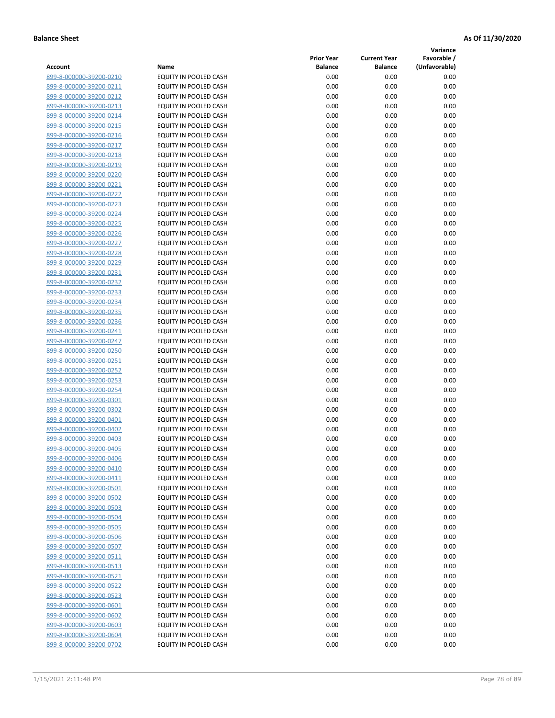**Variance**

|                         |                              | <b>Prior Year</b> | <b>Current Year</b> | Favorable /   |
|-------------------------|------------------------------|-------------------|---------------------|---------------|
| Account                 | Name                         | <b>Balance</b>    | <b>Balance</b>      | (Unfavorable) |
| 899-8-000000-39200-0210 | EQUITY IN POOLED CASH        | 0.00              | 0.00                | 0.00          |
| 899-8-000000-39200-0211 | EQUITY IN POOLED CASH        | 0.00              | 0.00                | 0.00          |
| 899-8-000000-39200-0212 | EQUITY IN POOLED CASH        | 0.00              | 0.00                | 0.00          |
| 899-8-000000-39200-0213 | EQUITY IN POOLED CASH        | 0.00              | 0.00                | 0.00          |
| 899-8-000000-39200-0214 | <b>EQUITY IN POOLED CASH</b> | 0.00              | 0.00                | 0.00          |
| 899-8-000000-39200-0215 | EQUITY IN POOLED CASH        | 0.00              | 0.00                | 0.00          |
| 899-8-000000-39200-0216 | EQUITY IN POOLED CASH        | 0.00              | 0.00                | 0.00          |
| 899-8-000000-39200-0217 | EQUITY IN POOLED CASH        | 0.00              | 0.00                | 0.00          |
| 899-8-000000-39200-0218 | EQUITY IN POOLED CASH        | 0.00              | 0.00                | 0.00          |
| 899-8-000000-39200-0219 | EQUITY IN POOLED CASH        | 0.00              | 0.00                | 0.00          |
| 899-8-000000-39200-0220 | EQUITY IN POOLED CASH        | 0.00              | 0.00                | 0.00          |
| 899-8-000000-39200-0221 | EQUITY IN POOLED CASH        | 0.00              | 0.00                | 0.00          |
| 899-8-000000-39200-0222 | EQUITY IN POOLED CASH        | 0.00              | 0.00                | 0.00          |
| 899-8-000000-39200-0223 | EQUITY IN POOLED CASH        | 0.00              | 0.00                | 0.00          |
| 899-8-000000-39200-0224 | EQUITY IN POOLED CASH        | 0.00              | 0.00                | 0.00          |
| 899-8-000000-39200-0225 | EQUITY IN POOLED CASH        | 0.00              | 0.00                | 0.00          |
| 899-8-000000-39200-0226 | EQUITY IN POOLED CASH        | 0.00              | 0.00                | 0.00          |
| 899-8-000000-39200-0227 | EQUITY IN POOLED CASH        | 0.00              | 0.00                | 0.00          |
| 899-8-000000-39200-0228 | EQUITY IN POOLED CASH        | 0.00              | 0.00                | 0.00          |
| 899-8-000000-39200-0229 | EQUITY IN POOLED CASH        | 0.00              | 0.00                | 0.00          |
| 899-8-000000-39200-0231 | EQUITY IN POOLED CASH        | 0.00              | 0.00                | 0.00          |
| 899-8-000000-39200-0232 | EQUITY IN POOLED CASH        | 0.00              | 0.00                | 0.00          |
| 899-8-000000-39200-0233 | EQUITY IN POOLED CASH        | 0.00              | 0.00                | 0.00          |
| 899-8-000000-39200-0234 | EQUITY IN POOLED CASH        | 0.00              | 0.00                | 0.00          |
| 899-8-000000-39200-0235 | EQUITY IN POOLED CASH        | 0.00              | 0.00                | 0.00          |
| 899-8-000000-39200-0236 | EQUITY IN POOLED CASH        | 0.00              | 0.00                | 0.00          |
| 899-8-000000-39200-0241 | EQUITY IN POOLED CASH        | 0.00              | 0.00                | 0.00          |
| 899-8-000000-39200-0247 | EQUITY IN POOLED CASH        | 0.00              | 0.00                | 0.00          |
| 899-8-000000-39200-0250 | EQUITY IN POOLED CASH        | 0.00              | 0.00                | 0.00          |
| 899-8-000000-39200-0251 | EQUITY IN POOLED CASH        | 0.00              | 0.00                | 0.00          |
| 899-8-000000-39200-0252 | EQUITY IN POOLED CASH        | 0.00              | 0.00                | 0.00          |
| 899-8-000000-39200-0253 | EQUITY IN POOLED CASH        | 0.00              | 0.00                | 0.00          |
| 899-8-000000-39200-0254 | EQUITY IN POOLED CASH        | 0.00              | 0.00                | 0.00          |
| 899-8-000000-39200-0301 | EQUITY IN POOLED CASH        | 0.00              | 0.00                | 0.00          |
| 899-8-000000-39200-0302 | EQUITY IN POOLED CASH        | 0.00              | 0.00                | 0.00          |
| 899-8-000000-39200-0401 | EQUITY IN POOLED CASH        | 0.00              | 0.00                | 0.00          |
| 899-8-000000-39200-0402 | EQUITY IN POOLED CASH        | 0.00              | 0.00                | 0.00          |
| 899-8-000000-39200-0403 | EQUITY IN POOLED CASH        | 0.00              | 0.00                | 0.00          |
| 899-8-000000-39200-0405 | EQUITY IN POOLED CASH        | 0.00              | 0.00                | 0.00          |
| 899-8-000000-39200-0406 | EQUITY IN POOLED CASH        | 0.00              | 0.00                | 0.00          |
| 899-8-000000-39200-0410 | EQUITY IN POOLED CASH        | 0.00              | 0.00                | 0.00          |
| 899-8-000000-39200-0411 | EQUITY IN POOLED CASH        | 0.00              | 0.00                | 0.00          |
| 899-8-000000-39200-0501 | EQUITY IN POOLED CASH        | 0.00              | 0.00                | 0.00          |
| 899-8-000000-39200-0502 | EQUITY IN POOLED CASH        | 0.00              | 0.00                | 0.00          |
| 899-8-000000-39200-0503 | EQUITY IN POOLED CASH        | 0.00              | 0.00                | 0.00          |
| 899-8-000000-39200-0504 | EQUITY IN POOLED CASH        | 0.00              | 0.00                | 0.00          |
| 899-8-000000-39200-0505 | EQUITY IN POOLED CASH        | 0.00              | 0.00                | 0.00          |
| 899-8-000000-39200-0506 | EQUITY IN POOLED CASH        | 0.00              | 0.00                | 0.00          |
| 899-8-000000-39200-0507 | EQUITY IN POOLED CASH        | 0.00              | 0.00                | 0.00          |
| 899-8-000000-39200-0511 | EQUITY IN POOLED CASH        | 0.00              | 0.00                | 0.00          |
| 899-8-000000-39200-0513 | EQUITY IN POOLED CASH        | 0.00              | 0.00                | 0.00          |
| 899-8-000000-39200-0521 | EQUITY IN POOLED CASH        | 0.00              | 0.00                | 0.00          |
| 899-8-000000-39200-0522 | EQUITY IN POOLED CASH        | 0.00              | 0.00                | 0.00          |
| 899-8-000000-39200-0523 | EQUITY IN POOLED CASH        | 0.00              | 0.00                | 0.00          |
| 899-8-000000-39200-0601 | EQUITY IN POOLED CASH        | 0.00              | 0.00                | 0.00          |
| 899-8-000000-39200-0602 | EQUITY IN POOLED CASH        | 0.00              | 0.00                | 0.00          |
| 899-8-000000-39200-0603 | EQUITY IN POOLED CASH        | 0.00              | 0.00                | 0.00          |
| 899-8-000000-39200-0604 | EQUITY IN POOLED CASH        | 0.00              | 0.00                | 0.00          |
| 899-8-000000-39200-0702 | EQUITY IN POOLED CASH        | 0.00              | 0.00                | 0.00          |
|                         |                              |                   |                     |               |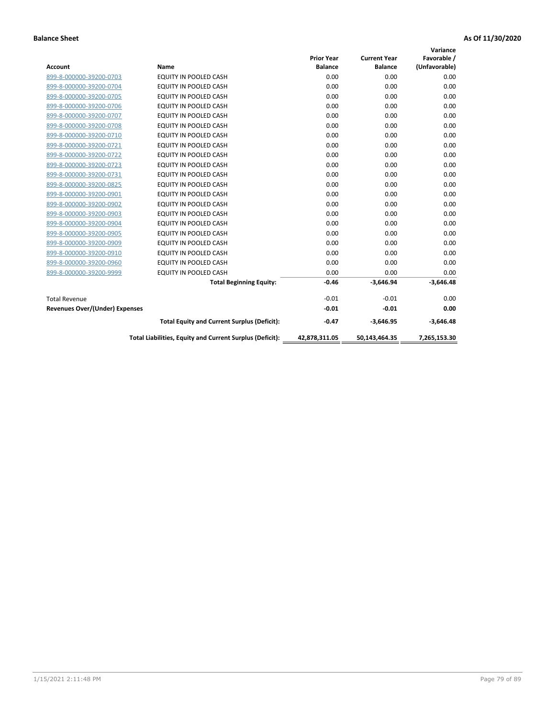|                                       |                                                          |                   |                     | Variance      |
|---------------------------------------|----------------------------------------------------------|-------------------|---------------------|---------------|
|                                       |                                                          | <b>Prior Year</b> | <b>Current Year</b> | Favorable /   |
| <b>Account</b>                        | <b>Name</b>                                              | <b>Balance</b>    | <b>Balance</b>      | (Unfavorable) |
| 899-8-000000-39200-0703               | EQUITY IN POOLED CASH                                    | 0.00              | 0.00                | 0.00          |
| 899-8-000000-39200-0704               | EQUITY IN POOLED CASH                                    | 0.00              | 0.00                | 0.00          |
| 899-8-000000-39200-0705               | EQUITY IN POOLED CASH                                    | 0.00              | 0.00                | 0.00          |
| 899-8-000000-39200-0706               | <b>EQUITY IN POOLED CASH</b>                             | 0.00              | 0.00                | 0.00          |
| 899-8-000000-39200-0707               | <b>EQUITY IN POOLED CASH</b>                             | 0.00              | 0.00                | 0.00          |
| 899-8-000000-39200-0708               | <b>EQUITY IN POOLED CASH</b>                             | 0.00              | 0.00                | 0.00          |
| 899-8-000000-39200-0710               | <b>EQUITY IN POOLED CASH</b>                             | 0.00              | 0.00                | 0.00          |
| 899-8-000000-39200-0721               | EQUITY IN POOLED CASH                                    | 0.00              | 0.00                | 0.00          |
| 899-8-000000-39200-0722               | <b>EQUITY IN POOLED CASH</b>                             | 0.00              | 0.00                | 0.00          |
| 899-8-000000-39200-0723               | <b>EQUITY IN POOLED CASH</b>                             | 0.00              | 0.00                | 0.00          |
| 899-8-000000-39200-0731               | <b>EQUITY IN POOLED CASH</b>                             | 0.00              | 0.00                | 0.00          |
| 899-8-000000-39200-0825               | EQUITY IN POOLED CASH                                    | 0.00              | 0.00                | 0.00          |
| 899-8-000000-39200-0901               | <b>EQUITY IN POOLED CASH</b>                             | 0.00              | 0.00                | 0.00          |
| 899-8-000000-39200-0902               | EQUITY IN POOLED CASH                                    | 0.00              | 0.00                | 0.00          |
| 899-8-000000-39200-0903               | <b>EQUITY IN POOLED CASH</b>                             | 0.00              | 0.00                | 0.00          |
| 899-8-000000-39200-0904               | <b>EQUITY IN POOLED CASH</b>                             | 0.00              | 0.00                | 0.00          |
| 899-8-000000-39200-0905               | EQUITY IN POOLED CASH                                    | 0.00              | 0.00                | 0.00          |
| 899-8-000000-39200-0909               | EQUITY IN POOLED CASH                                    | 0.00              | 0.00                | 0.00          |
| 899-8-000000-39200-0910               | <b>EQUITY IN POOLED CASH</b>                             | 0.00              | 0.00                | 0.00          |
| 899-8-000000-39200-0960               | <b>EQUITY IN POOLED CASH</b>                             | 0.00              | 0.00                | 0.00          |
| 899-8-000000-39200-9999               | <b>EQUITY IN POOLED CASH</b>                             | 0.00              | 0.00                | 0.00          |
|                                       | <b>Total Beginning Equity:</b>                           | $-0.46$           | $-3,646.94$         | $-3,646.48$   |
| <b>Total Revenue</b>                  |                                                          | $-0.01$           | $-0.01$             | 0.00          |
| <b>Revenues Over/(Under) Expenses</b> |                                                          | $-0.01$           | $-0.01$             | 0.00          |
|                                       | <b>Total Equity and Current Surplus (Deficit):</b>       | $-0.47$           | $-3,646.95$         | $-3,646.48$   |
|                                       | Total Liabilities, Equity and Current Surplus (Deficit): | 42,878,311.05     | 50,143,464.35       | 7,265,153.30  |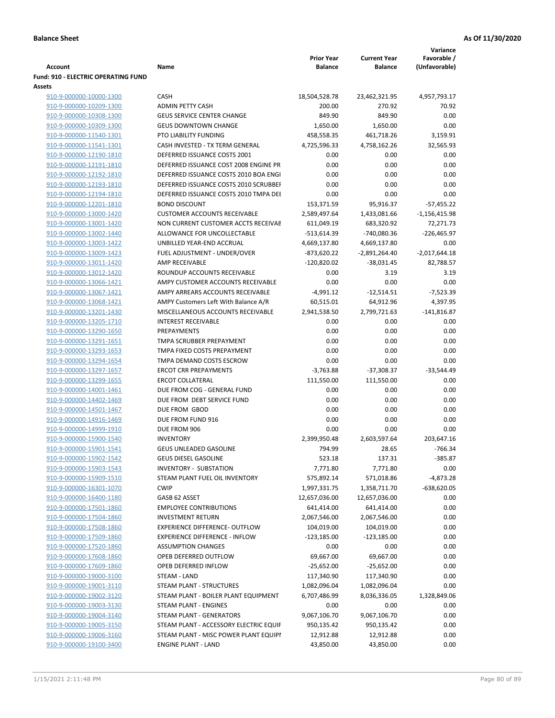|                                                    |                                                                   |                             |                     | Variance        |
|----------------------------------------------------|-------------------------------------------------------------------|-----------------------------|---------------------|-----------------|
|                                                    |                                                                   | <b>Prior Year</b>           | <b>Current Year</b> | Favorable /     |
| Account                                            | Name                                                              | <b>Balance</b>              | <b>Balance</b>      | (Unfavorable)   |
| <b>Fund: 910 - ELECTRIC OPERATING FUND</b>         |                                                                   |                             |                     |                 |
| Assets                                             |                                                                   |                             |                     |                 |
| 910-9-000000-10000-1300                            | <b>CASH</b>                                                       | 18,504,528.78               | 23,462,321.95       | 4,957,793.17    |
| 910-9-000000-10209-1300                            | <b>ADMIN PETTY CASH</b>                                           | 200.00                      | 270.92              | 70.92           |
| 910-9-000000-10308-1300                            | <b>GEUS SERVICE CENTER CHANGE</b>                                 | 849.90                      | 849.90              | 0.00            |
| 910-9-000000-10309-1300                            | <b>GEUS DOWNTOWN CHANGE</b>                                       | 1,650.00                    | 1,650.00            | 0.00            |
| 910-9-000000-11540-1301                            | PTO LIABILITY FUNDING                                             | 458,558.35                  | 461,718.26          | 3,159.91        |
| 910-9-000000-11541-1301                            | CASH INVESTED - TX TERM GENERAL                                   | 4,725,596.33                | 4,758,162.26        | 32,565.93       |
| 910-9-000000-12190-1810                            | DEFERRED ISSUANCE COSTS 2001                                      | 0.00                        | 0.00                | 0.00            |
| 910-9-000000-12191-1810                            | DEFERRED ISSUANCE COST 2008 ENGINE PR                             | 0.00                        | 0.00                | 0.00            |
| 910-9-000000-12192-1810                            | DEFERRED ISSUANCE COSTS 2010 BOA ENGI                             | 0.00                        | 0.00                | 0.00            |
| 910-9-000000-12193-1810                            | DEFERRED ISSUANCE COSTS 2010 SCRUBBEF                             | 0.00                        | 0.00                | 0.00            |
| 910-9-000000-12194-1810                            | DEFERRED ISSUANCE COSTS 2010 TMPA DEI                             | 0.00                        | 0.00                | 0.00            |
| 910-9-000000-12201-1810                            | <b>BOND DISCOUNT</b>                                              | 153,371.59                  | 95,916.37           | $-57,455.22$    |
| 910-9-000000-13000-1420                            | <b>CUSTOMER ACCOUNTS RECEIVABLE</b>                               | 2,589,497.64                | 1,433,081.66        | $-1,156,415.98$ |
| 910-9-000000-13001-1420                            | NON CURRENT CUSTOMER ACCTS RECEIVAE                               | 611,049.19                  | 683,320.92          | 72,271.73       |
| 910-9-000000-13002-1440                            | ALLOWANCE FOR UNCOLLECTABLE                                       | -513,614.39                 | -740,080.36         | $-226,465.97$   |
| 910-9-000000-13003-1422                            | UNBILLED YEAR-END ACCRUAL                                         | 4,669,137.80                | 4,669,137.80        | 0.00            |
| 910-9-000000-13009-1423                            | FUEL ADJUSTMENT - UNDER/OVER                                      | $-873,620.22$               | -2,891,264.40       | $-2,017,644.18$ |
| 910-9-000000-13011-1420                            | <b>AMP RECEIVABLE</b>                                             | $-120,820.02$               | $-38,031.45$        | 82,788.57       |
| 910-9-000000-13012-1420                            | ROUNDUP ACCOUNTS RECEIVABLE                                       | 0.00                        | 3.19                | 3.19            |
| 910-9-000000-13066-1421                            | AMPY CUSTOMER ACCOUNTS RECEIVABLE                                 | 0.00                        | 0.00                | 0.00            |
| 910-9-000000-13067-1421                            | AMPY ARREARS ACCOUNTS RECEIVABLE                                  | $-4,991.12$                 | $-12,514.51$        | $-7,523.39$     |
| 910-9-000000-13068-1421                            | AMPY Customers Left With Balance A/R                              | 60,515.01                   | 64,912.96           | 4,397.95        |
| 910-9-000000-13201-1430                            | MISCELLANEOUS ACCOUNTS RECEIVABLE                                 | 2,941,538.50                | 2,799,721.63        | $-141,816.87$   |
| 910-9-000000-13205-1710                            | <b>INTEREST RECEIVABLE</b>                                        | 0.00                        | 0.00                | 0.00            |
| 910-9-000000-13290-1650                            | PREPAYMENTS                                                       | 0.00                        | 0.00                | 0.00            |
| 910-9-000000-13291-1651                            | TMPA SCRUBBER PREPAYMENT                                          | 0.00                        | 0.00                | 0.00            |
| 910-9-000000-13293-1653                            | TMPA FIXED COSTS PREPAYMENT                                       | 0.00                        | 0.00                | 0.00            |
| 910-9-000000-13294-1654                            | TMPA DEMAND COSTS ESCROW                                          | 0.00                        | 0.00                | 0.00            |
| 910-9-000000-13297-1657                            | <b>ERCOT CRR PREPAYMENTS</b>                                      | $-3,763.88$                 | $-37,308.37$        | $-33,544.49$    |
| 910-9-000000-13299-1655                            | <b>ERCOT COLLATERAL</b>                                           | 111,550.00                  | 111,550.00          | 0.00            |
| 910-9-000000-14001-1461                            | DUE FROM COG - GENERAL FUND                                       | 0.00                        | 0.00                | 0.00            |
| 910-9-000000-14402-1469                            | DUE FROM DEBT SERVICE FUND                                        | 0.00                        | 0.00                | 0.00            |
| 910-9-000000-14501-1467                            | DUE FROM GBOD                                                     | 0.00                        | 0.00                | 0.00            |
| 910-9-000000-14916-1469                            | DUE FROM FUND 916                                                 | 0.00                        | 0.00                | 0.00            |
| 910-9-000000-14999-1910                            | DUE FROM 906                                                      | 0.00                        | 0.00                | 0.00            |
| 910-9-000000-15900-1540                            | <b>INVENTORY</b>                                                  | 2,399,950.48                | 2,603,597.64        | 203,647.16      |
| 910-9-000000-15901-1541                            | <b>GEUS UNLEADED GASOLINE</b>                                     | 794.99                      | 28.65               | $-766.34$       |
| 910-9-000000-15902-1542                            | <b>GEUS DIESEL GASOLINE</b>                                       | 523.18                      | 137.31              | $-385.87$       |
| 910-9-000000-15903-1543                            | INVENTORY - SUBSTATION                                            | 7,771.80                    | 7,771.80            | 0.00            |
| 910-9-000000-15909-1510                            | STEAM PLANT FUEL OIL INVENTORY                                    | 575,892.14                  | 571,018.86          | $-4,873.28$     |
| 910-9-000000-16301-1070                            | <b>CWIP</b>                                                       | 1,997,331.75                | 1,358,711.70        | $-638,620.05$   |
| 910-9-000000-16400-1180                            | GASB 62 ASSET                                                     | 12,657,036.00               | 12,657,036.00       | 0.00            |
| 910-9-000000-17501-1860                            | <b>EMPLOYEE CONTRIBUTIONS</b>                                     |                             |                     | 0.00            |
|                                                    |                                                                   | 641,414.00                  | 641,414.00          |                 |
| 910-9-000000-17504-1860                            | <b>INVESTMENT RETURN</b><br><b>EXPERIENCE DIFFERENCE- OUTFLOW</b> | 2,067,546.00                | 2,067,546.00        | 0.00<br>0.00    |
| 910-9-000000-17508-1860                            | <b>EXPERIENCE DIFFERENCE - INFLOW</b>                             | 104,019.00<br>$-123,185.00$ | 104,019.00          | 0.00            |
| 910-9-000000-17509-1860                            |                                                                   |                             | $-123,185.00$       | 0.00            |
| 910-9-000000-17520-1860<br>910-9-000000-17608-1860 | <b>ASSUMPTION CHANGES</b><br>OPEB DEFERRED OUTFLOW                | 0.00                        | 0.00                |                 |
|                                                    |                                                                   | 69,667.00                   | 69,667.00           | 0.00            |
| 910-9-000000-17609-1860                            | OPEB DEFERRED INFLOW                                              | $-25,652.00$                | $-25,652.00$        | 0.00            |
| 910-9-000000-19000-3100                            | STEAM - LAND                                                      | 117,340.90                  | 117,340.90          | 0.00            |
| 910-9-000000-19001-3110                            | STEAM PLANT - STRUCTURES                                          | 1,082,096.04                | 1,082,096.04        | 0.00            |
| 910-9-000000-19002-3120                            | STEAM PLANT - BOILER PLANT EQUIPMENT                              | 6,707,486.99                | 8,036,336.05        | 1,328,849.06    |
| 910-9-000000-19003-3130                            | STEAM PLANT - ENGINES                                             | 0.00                        | 0.00                | 0.00            |
| 910-9-000000-19004-3140                            | STEAM PLANT - GENERATORS                                          | 9,067,106.70                | 9,067,106.70        | 0.00            |
| 910-9-000000-19005-3150                            | STEAM PLANT - ACCESSORY ELECTRIC EQUIF                            | 950,135.42                  | 950,135.42          | 0.00            |
| 910-9-000000-19006-3160                            | STEAM PLANT - MISC POWER PLANT EQUIPI                             | 12,912.88                   | 12,912.88           | 0.00            |
| 910-9-000000-19100-3400                            | <b>ENGINE PLANT - LAND</b>                                        | 43,850.00                   | 43,850.00           | 0.00            |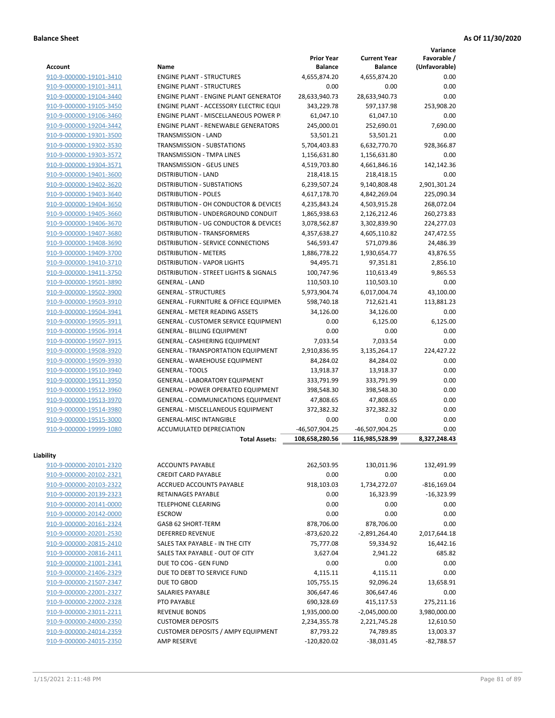**Variance**

| Account                 | Name                                             | <b>Prior Year</b><br><b>Balance</b> | <b>Current Year</b><br><b>Balance</b> | Favorable /<br>(Unfavorable) |
|-------------------------|--------------------------------------------------|-------------------------------------|---------------------------------------|------------------------------|
| 910-9-000000-19101-3410 | <b>ENGINE PLANT - STRUCTURES</b>                 | 4,655,874.20                        | 4,655,874.20                          | 0.00                         |
| 910-9-000000-19101-3411 | <b>ENGINE PLANT - STRUCTURES</b>                 | 0.00                                | 0.00                                  | 0.00                         |
| 910-9-000000-19104-3440 | ENGINE PLANT - ENGINE PLANT GENERATOF            | 28,633,940.73                       | 28,633,940.73                         | 0.00                         |
| 910-9-000000-19105-3450 | <b>ENGINE PLANT - ACCESSORY ELECTRIC EQUI</b>    | 343,229.78                          | 597,137.98                            | 253,908.20                   |
| 910-9-000000-19106-3460 | <b>ENGINE PLANT - MISCELLANEOUS POWER P</b>      | 61,047.10                           | 61,047.10                             | 0.00                         |
| 910-9-000000-19204-3442 | <b>ENGINE PLANT - RENEWABLE GENERATORS</b>       | 245,000.01                          | 252,690.01                            | 7,690.00                     |
| 910-9-000000-19301-3500 | TRANSMISSION - LAND                              | 53,501.21                           | 53,501.21                             | 0.00                         |
| 910-9-000000-19302-3530 | TRANSMISSION - SUBSTATIONS                       | 5,704,403.83                        | 6,632,770.70                          | 928,366.87                   |
| 910-9-000000-19303-3572 | TRANSMISSION - TMPA LINES                        | 1,156,631.80                        | 1,156,631.80                          | 0.00                         |
| 910-9-000000-19304-3571 | <b>TRANSMISSION - GEUS LINES</b>                 | 4,519,703.80                        | 4,661,846.16                          | 142,142.36                   |
| 910-9-000000-19401-3600 | <b>DISTRIBUTION - LAND</b>                       | 218,418.15                          | 218,418.15                            | 0.00                         |
| 910-9-000000-19402-3620 | <b>DISTRIBUTION - SUBSTATIONS</b>                | 6,239,507.24                        | 9,140,808.48                          | 2,901,301.24                 |
| 910-9-000000-19403-3640 | <b>DISTRIBUTION - POLES</b>                      | 4,617,178.70                        | 4,842,269.04                          | 225,090.34                   |
| 910-9-000000-19404-3650 | DISTRIBUTION - OH CONDUCTOR & DEVICES            | 4,235,843.24                        | 4,503,915.28                          | 268,072.04                   |
| 910-9-000000-19405-3660 | DISTRIBUTION - UNDERGROUND CONDUIT               | 1,865,938.63                        | 2,126,212.46                          | 260,273.83                   |
| 910-9-000000-19406-3670 | DISTRIBUTION - UG CONDUCTOR & DEVICES            | 3,078,562.87                        | 3,302,839.90                          | 224,277.03                   |
| 910-9-000000-19407-3680 | <b>DISTRIBUTION - TRANSFORMERS</b>               | 4,357,638.27                        | 4,605,110.82                          | 247,472.55                   |
| 910-9-000000-19408-3690 | DISTRIBUTION - SERVICE CONNECTIONS               | 546,593.47                          |                                       |                              |
|                         |                                                  |                                     | 571,079.86                            | 24,486.39                    |
| 910-9-000000-19409-3700 | <b>DISTRIBUTION - METERS</b>                     | 1,886,778.22                        | 1,930,654.77                          | 43,876.55                    |
| 910-9-000000-19410-3710 | <b>DISTRIBUTION - VAPOR LIGHTS</b>               | 94,495.71                           | 97,351.81                             | 2,856.10                     |
| 910-9-000000-19411-3750 | DISTRIBUTION - STREET LIGHTS & SIGNALS           | 100,747.96                          | 110,613.49                            | 9,865.53                     |
| 910-9-000000-19501-3890 | <b>GENERAL - LAND</b>                            | 110,503.10                          | 110,503.10                            | 0.00                         |
| 910-9-000000-19502-3900 | <b>GENERAL - STRUCTURES</b>                      | 5,973,904.74                        | 6,017,004.74                          | 43,100.00                    |
| 910-9-000000-19503-3910 | <b>GENERAL - FURNITURE &amp; OFFICE EQUIPMEN</b> | 598,740.18                          | 712,621.41                            | 113,881.23                   |
| 910-9-000000-19504-3941 | <b>GENERAL - METER READING ASSETS</b>            | 34,126.00                           | 34,126.00                             | 0.00                         |
| 910-9-000000-19505-3911 | <b>GENERAL - CUSTOMER SERVICE EQUIPMENT</b>      | 0.00                                | 6,125.00                              | 6,125.00                     |
| 910-9-000000-19506-3914 | <b>GENERAL - BILLING EQUIPMENT</b>               | 0.00                                | 0.00                                  | 0.00                         |
| 910-9-000000-19507-3915 | GENERAL - CASHIERING EQUIPMENT                   | 7,033.54                            | 7,033.54                              | 0.00                         |
| 910-9-000000-19508-3920 | <b>GENERAL - TRANSPORTATION EQUIPMENT</b>        | 2,910,836.95                        | 3,135,264.17                          | 224,427.22                   |
| 910-9-000000-19509-3930 | GENERAL - WAREHOUSE EQUIPMENT                    | 84,284.02                           | 84,284.02                             | 0.00                         |
| 910-9-000000-19510-3940 | <b>GENERAL - TOOLS</b>                           | 13,918.37                           | 13,918.37                             | 0.00                         |
| 910-9-000000-19511-3950 | GENERAL - LABORATORY EQUIPMENT                   | 333,791.99                          | 333,791.99                            | 0.00                         |
| 910-9-000000-19512-3960 | <b>GENERAL - POWER OPERATED EQUIPMENT</b>        | 398,548.30                          | 398,548.30                            | 0.00                         |
| 910-9-000000-19513-3970 | GENERAL - COMMUNICATIONS EQUIPMENT               | 47,808.65                           | 47,808.65                             | 0.00                         |
| 910-9-000000-19514-3980 | <b>GENERAL - MISCELLANEOUS EQUIPMENT</b>         | 372,382.32                          | 372,382.32                            | 0.00                         |
| 910-9-000000-19515-3000 | <b>GENERAL-MISC INTANGIBLE</b>                   | 0.00                                | 0.00                                  | 0.00                         |
| 910-9-000000-19999-1080 | <b>ACCUMULATED DEPRECIATION</b>                  | -46,507,904.25                      | -46,507,904.25                        | 0.00                         |
|                         | <b>Total Assets:</b>                             | 108,658,280.56                      | 116,985,528.99                        | 8.327.248.43                 |
| Liability               |                                                  |                                     |                                       |                              |
| 910-9-000000-20101-2320 | <b>ACCOUNTS PAYABLE</b>                          | 262,503.95                          | 130,011.96                            | 132,491.99                   |
| 910-9-000000-20102-2321 | <b>CREDIT CARD PAYABLE</b>                       | 0.00                                | 0.00                                  | 0.00                         |
| 910-9-000000-20103-2322 | ACCRUED ACCOUNTS PAYABLE                         | 918,103.03                          | 1,734,272.07                          | $-816, 169.04$               |
| 910-9-000000-20139-2323 | <b>RETAINAGES PAYABLE</b>                        | 0.00                                | 16,323.99                             | $-16,323.99$                 |
| 910-9-000000-20141-0000 | TELEPHONE CLEARING                               | 0.00                                | 0.00                                  | 0.00                         |
| 910-9-000000-20142-0000 | <b>ESCROW</b>                                    | 0.00                                | 0.00                                  | 0.00                         |
| 910-9-000000-20161-2324 | GASB 62 SHORT-TERM                               | 878,706.00                          |                                       | 0.00                         |
| 910-9-000000-20201-2530 | <b>DEFERRED REVENUE</b>                          | $-873,620.22$                       | 878,706.00                            |                              |
|                         |                                                  |                                     | $-2,891,264.40$                       | 2,017,644.18                 |
| 910-9-000000-20815-2410 | SALES TAX PAYABLE - IN THE CITY                  | 75,777.08                           | 59,334.92                             | 16,442.16                    |
| 910-9-000000-20816-2411 | SALES TAX PAYABLE - OUT OF CITY                  | 3,627.04                            | 2,941.22                              | 685.82                       |
| 910-9-000000-21001-2341 | DUE TO COG - GEN FUND                            | 0.00                                | 0.00                                  | 0.00                         |
| 910-9-000000-21406-2329 | DUE TO DEBT TO SERVICE FUND                      | 4,115.11                            | 4,115.11                              | 0.00                         |
| 910-9-000000-21507-2347 | DUE TO GBOD                                      | 105,755.15                          | 92,096.24                             | 13,658.91                    |
| 910-9-000000-22001-2327 | SALARIES PAYABLE                                 | 306,647.46                          | 306,647.46                            | 0.00                         |
| 910-9-000000-22002-2328 | PTO PAYABLE                                      | 690,328.69                          | 415,117.53                            | 275,211.16                   |
| 910-9-000000-23011-2211 | <b>REVENUE BONDS</b>                             | 1,935,000.00                        | $-2,045,000.00$                       | 3,980,000.00                 |
| 910-9-000000-24000-2350 | <b>CUSTOMER DEPOSITS</b>                         | 2,234,355.78                        | 2,221,745.28                          | 12,610.50                    |
| 910-9-000000-24014-2359 | <b>CUSTOMER DEPOSITS / AMPY EQUIPMENT</b>        | 87,793.22                           | 74,789.85                             | 13,003.37                    |
| 910-9-000000-24015-2350 | AMP RESERVE                                      | $-120,820.02$                       | $-38,031.45$                          | $-82,788.57$                 |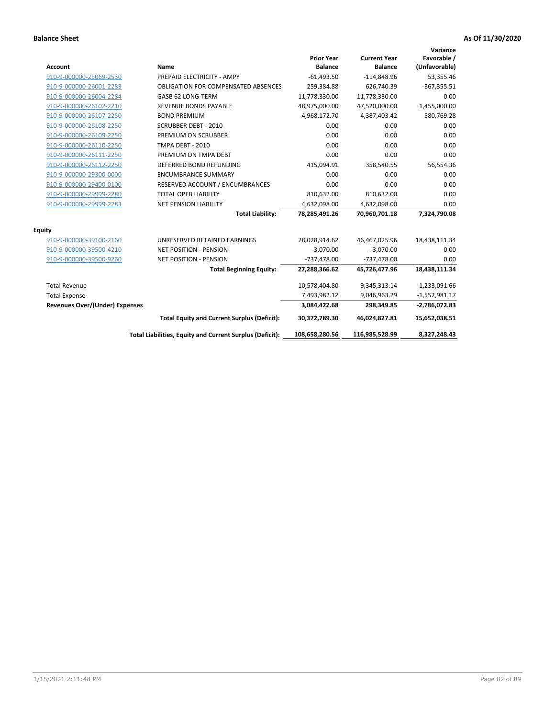| <b>Account</b>                        | <b>Name</b>                                              | <b>Prior Year</b><br><b>Balance</b> | <b>Current Year</b><br><b>Balance</b> | Variance<br>Favorable /<br>(Unfavorable) |
|---------------------------------------|----------------------------------------------------------|-------------------------------------|---------------------------------------|------------------------------------------|
| 910-9-000000-25069-2530               | PREPAID ELECTRICITY - AMPY                               | $-61,493.50$                        | $-114,848.96$                         | 53,355.46                                |
| 910-9-000000-26001-2283               | <b>OBLIGATION FOR COMPENSATED ABSENCES</b>               | 259,384.88                          | 626,740.39                            | $-367,355.51$                            |
| 910-9-000000-26004-2284               | GASB 62 LONG-TERM                                        | 11,778,330.00                       | 11,778,330.00                         | 0.00                                     |
| 910-9-000000-26102-2210               | <b>REVENUE BONDS PAYABLE</b>                             | 48,975,000.00                       | 47,520,000.00                         | 1,455,000.00                             |
| 910-9-000000-26107-2250               | <b>BOND PREMIUM</b>                                      | 4,968,172.70                        | 4,387,403.42                          | 580,769.28                               |
| 910-9-000000-26108-2250               | <b>SCRUBBER DEBT - 2010</b>                              | 0.00                                | 0.00                                  | 0.00                                     |
| 910-9-000000-26109-2250               | PREMIUM ON SCRUBBER                                      | 0.00                                | 0.00                                  | 0.00                                     |
| 910-9-000000-26110-2250               | TMPA DEBT - 2010                                         | 0.00                                | 0.00                                  | 0.00                                     |
| 910-9-000000-26111-2250               | PREMIUM ON TMPA DEBT                                     | 0.00                                | 0.00                                  | 0.00                                     |
| 910-9-000000-26112-2250               | DEFERRED BOND REFUNDING                                  | 415,094.91                          | 358,540.55                            | 56,554.36                                |
| 910-9-000000-29300-0000               | <b>ENCUMBRANCE SUMMARY</b>                               | 0.00                                | 0.00                                  | 0.00                                     |
| 910-9-000000-29400-0100               | RESERVED ACCOUNT / ENCUMBRANCES                          | 0.00                                | 0.00                                  | 0.00                                     |
| 910-9-000000-29999-2280               | <b>TOTAL OPEB LIABILITY</b>                              | 810,632.00                          | 810,632.00                            | 0.00                                     |
| 910-9-000000-29999-2283               | <b>NET PENSION LIABILITY</b>                             | 4,632,098.00                        | 4,632,098.00                          | 0.00                                     |
|                                       | <b>Total Liability:</b>                                  | 78,285,491.26                       | 70,960,701.18                         | 7,324,790.08                             |
| <b>Equity</b>                         |                                                          |                                     |                                       |                                          |
| 910-9-000000-39100-2160               | UNRESERVED RETAINED EARNINGS                             | 28,028,914.62                       | 46,467,025.96                         | 18,438,111.34                            |
| 910-9-000000-39500-4210               | <b>NET POSITION - PENSION</b>                            | $-3,070.00$                         | $-3,070.00$                           | 0.00                                     |
| 910-9-000000-39500-9260               | <b>NET POSITION - PENSION</b>                            | $-737,478.00$                       | $-737,478.00$                         | 0.00                                     |
|                                       | <b>Total Beginning Equity:</b>                           | 27,288,366.62                       | 45,726,477.96                         | 18,438,111.34                            |
| <b>Total Revenue</b>                  |                                                          | 10,578,404.80                       | 9,345,313.14                          | $-1,233,091.66$                          |
| <b>Total Expense</b>                  |                                                          | 7,493,982.12                        | 9,046,963.29                          | $-1,552,981.17$                          |
| <b>Revenues Over/(Under) Expenses</b> |                                                          | 3,084,422.68                        | 298,349.85                            | $-2,786,072.83$                          |
|                                       | <b>Total Equity and Current Surplus (Deficit):</b>       | 30,372,789.30                       | 46,024,827.81                         | 15,652,038.51                            |
|                                       | Total Liabilities, Equity and Current Surplus (Deficit): | 108,658,280.56                      | 116,985,528.99                        | 8,327,248.43                             |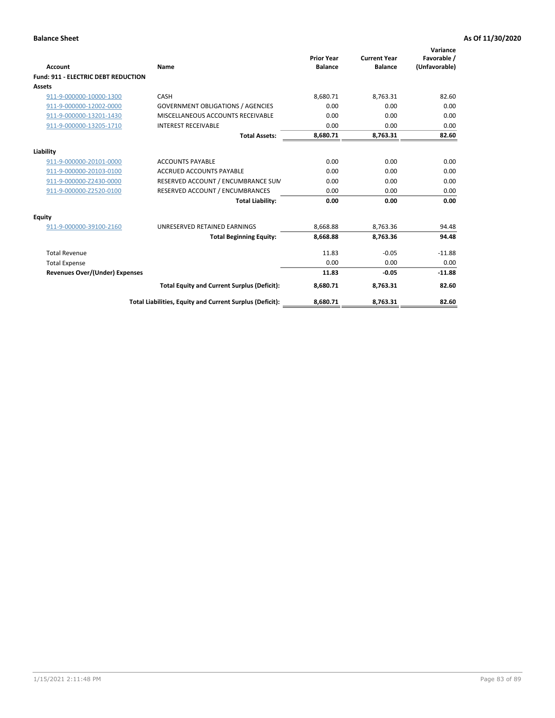| <b>Account</b>                             | Name                                                     | <b>Prior Year</b><br><b>Balance</b> | <b>Current Year</b><br><b>Balance</b> | Variance<br>Favorable /<br>(Unfavorable) |
|--------------------------------------------|----------------------------------------------------------|-------------------------------------|---------------------------------------|------------------------------------------|
| <b>Fund: 911 - ELECTRIC DEBT REDUCTION</b> |                                                          |                                     |                                       |                                          |
| Assets                                     |                                                          |                                     |                                       |                                          |
| 911-9-000000-10000-1300                    | CASH                                                     | 8,680.71                            | 8,763.31                              | 82.60                                    |
| 911-9-000000-12002-0000                    | <b>GOVERNMENT OBLIGATIONS / AGENCIES</b>                 | 0.00                                | 0.00                                  | 0.00                                     |
| 911-9-000000-13201-1430                    | MISCELLANEOUS ACCOUNTS RECEIVABLE                        | 0.00                                | 0.00                                  | 0.00                                     |
| 911-9-000000-13205-1710                    | <b>INTEREST RECEIVABLE</b>                               | 0.00                                | 0.00                                  | 0.00                                     |
|                                            | <b>Total Assets:</b>                                     | 8,680.71                            | 8,763.31                              | 82.60                                    |
| Liability                                  |                                                          |                                     |                                       |                                          |
| 911-9-000000-20101-0000                    | <b>ACCOUNTS PAYABLE</b>                                  | 0.00                                | 0.00                                  | 0.00                                     |
| 911-9-000000-20103-0100                    | <b>ACCRUED ACCOUNTS PAYABLE</b>                          | 0.00                                | 0.00                                  | 0.00                                     |
| 911-9-000000-Z2430-0000                    | RESERVED ACCOUNT / ENCUMBRANCE SUM                       | 0.00                                | 0.00                                  | 0.00                                     |
| 911-9-000000-Z2520-0100                    | RESERVED ACCOUNT / ENCUMBRANCES                          | 0.00                                | 0.00                                  | 0.00                                     |
|                                            | <b>Total Liability:</b>                                  | 0.00                                | 0.00                                  | 0.00                                     |
| Equity                                     |                                                          |                                     |                                       |                                          |
| 911-9-000000-39100-2160                    | UNRESERVED RETAINED EARNINGS                             | 8,668.88                            | 8,763.36                              | 94.48                                    |
|                                            | <b>Total Beginning Equity:</b>                           | 8,668.88                            | 8.763.36                              | 94.48                                    |
| <b>Total Revenue</b>                       |                                                          | 11.83                               | $-0.05$                               | $-11.88$                                 |
| <b>Total Expense</b>                       |                                                          | 0.00                                | 0.00                                  | 0.00                                     |
| Revenues Over/(Under) Expenses             |                                                          | 11.83                               | $-0.05$                               | $-11.88$                                 |
|                                            | <b>Total Equity and Current Surplus (Deficit):</b>       | 8,680.71                            | 8,763.31                              | 82.60                                    |
|                                            | Total Liabilities, Equity and Current Surplus (Deficit): | 8,680.71                            | 8,763.31                              | 82.60                                    |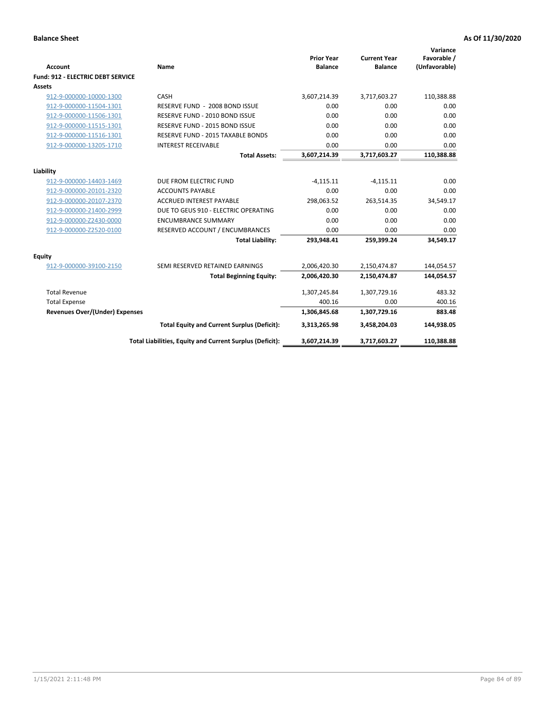| <b>Account</b>                           | Name                                                       | <b>Prior Year</b><br><b>Balance</b> | <b>Current Year</b><br><b>Balance</b> | Variance<br>Favorable /<br>(Unfavorable) |
|------------------------------------------|------------------------------------------------------------|-------------------------------------|---------------------------------------|------------------------------------------|
| <b>Fund: 912 - ELECTRIC DEBT SERVICE</b> |                                                            |                                     |                                       |                                          |
| <b>Assets</b>                            |                                                            |                                     |                                       |                                          |
| 912-9-000000-10000-1300                  | CASH                                                       | 3,607,214.39                        | 3,717,603.27                          | 110,388.88                               |
| 912-9-000000-11504-1301                  | RESERVE FUND - 2008 BOND ISSUE                             | 0.00                                | 0.00                                  | 0.00                                     |
| 912-9-000000-11506-1301                  | RESERVE FUND - 2010 BOND ISSUE                             | 0.00                                | 0.00                                  | 0.00                                     |
| 912-9-000000-11515-1301                  | RESERVE FUND - 2015 BOND ISSUE                             | 0.00                                | 0.00                                  | 0.00                                     |
| 912-9-000000-11516-1301                  | RESERVE FUND - 2015 TAXABLE BONDS                          | 0.00                                | 0.00                                  | 0.00                                     |
| 912-9-000000-13205-1710                  | <b>INTEREST RECEIVABLE</b>                                 | 0.00                                | 0.00                                  | 0.00                                     |
|                                          | <b>Total Assets:</b>                                       | 3,607,214.39                        | 3,717,603.27                          | 110,388.88                               |
| Liability                                |                                                            |                                     |                                       |                                          |
| 912-9-000000-14403-1469                  | DUE FROM ELECTRIC FUND                                     | $-4,115.11$                         | $-4,115.11$                           | 0.00                                     |
| 912-9-000000-20101-2320                  | <b>ACCOUNTS PAYABLE</b>                                    | 0.00                                | 0.00                                  | 0.00                                     |
| 912-9-000000-20107-2370                  | <b>ACCRUED INTEREST PAYABLE</b>                            | 298,063.52                          | 263,514.35                            | 34,549.17                                |
| 912-9-000000-21400-2999                  | DUE TO GEUS 910 - ELECTRIC OPERATING                       | 0.00                                | 0.00                                  | 0.00                                     |
| 912-9-000000-Z2430-0000                  | <b>ENCUMBRANCE SUMMARY</b>                                 | 0.00                                | 0.00                                  | 0.00                                     |
| 912-9-000000-Z2520-0100                  |                                                            | 0.00                                | 0.00                                  | 0.00                                     |
|                                          | RESERVED ACCOUNT / ENCUMBRANCES<br><b>Total Liability:</b> | 293,948.41                          | 259,399.24                            | 34,549.17                                |
|                                          |                                                            |                                     |                                       |                                          |
| Equity                                   |                                                            |                                     |                                       |                                          |
| 912-9-000000-39100-2150                  | SEMI RESERVED RETAINED EARNINGS                            | 2,006,420.30                        | 2,150,474.87                          | 144,054.57                               |
|                                          | <b>Total Beginning Equity:</b>                             | 2,006,420.30                        | 2,150,474.87                          | 144,054.57                               |
| <b>Total Revenue</b>                     |                                                            | 1,307,245.84                        | 1,307,729.16                          | 483.32                                   |
| <b>Total Expense</b>                     |                                                            | 400.16                              | 0.00                                  | 400.16                                   |
| <b>Revenues Over/(Under) Expenses</b>    |                                                            | 1,306,845.68                        | 1,307,729.16                          | 883.48                                   |
|                                          | <b>Total Equity and Current Surplus (Deficit):</b>         | 3,313,265.98                        | 3,458,204.03                          | 144,938.05                               |
|                                          | Total Liabilities, Equity and Current Surplus (Deficit):   | 3,607,214.39                        | 3,717,603.27                          | 110,388.88                               |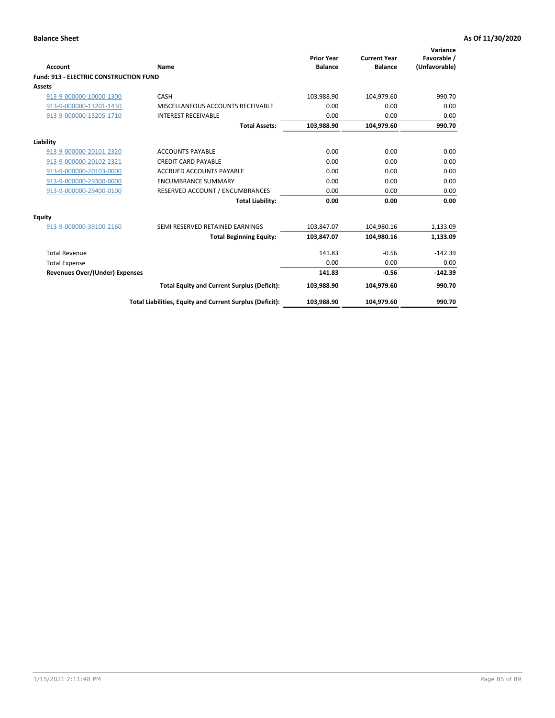| Account                                       | Name                                                     | <b>Prior Year</b><br><b>Balance</b> | <b>Current Year</b><br><b>Balance</b> | Variance<br>Favorable /<br>(Unfavorable) |
|-----------------------------------------------|----------------------------------------------------------|-------------------------------------|---------------------------------------|------------------------------------------|
| <b>Fund: 913 - ELECTRIC CONSTRUCTION FUND</b> |                                                          |                                     |                                       |                                          |
| <b>Assets</b>                                 |                                                          |                                     |                                       |                                          |
| 913-9-000000-10000-1300                       | CASH                                                     | 103,988.90                          | 104,979.60                            | 990.70                                   |
| 913-9-000000-13201-1430                       | MISCELLANEOUS ACCOUNTS RECEIVABLE                        | 0.00                                | 0.00                                  | 0.00                                     |
| 913-9-000000-13205-1710                       | <b>INTEREST RECEIVABLE</b>                               | 0.00                                | 0.00                                  | 0.00                                     |
|                                               | <b>Total Assets:</b>                                     | 103,988.90                          | 104,979.60                            | 990.70                                   |
| Liability                                     |                                                          |                                     |                                       |                                          |
| 913-9-000000-20101-2320                       | <b>ACCOUNTS PAYABLE</b>                                  | 0.00                                | 0.00                                  | 0.00                                     |
| 913-9-000000-20102-2321                       | <b>CREDIT CARD PAYABLE</b>                               | 0.00                                | 0.00                                  | 0.00                                     |
| 913-9-000000-20103-0000                       | <b>ACCRUED ACCOUNTS PAYABLE</b>                          | 0.00                                | 0.00                                  | 0.00                                     |
|                                               | <b>ENCUMBRANCE SUMMARY</b>                               | 0.00                                | 0.00                                  | 0.00                                     |
| 913-9-000000-29300-0000                       |                                                          |                                     |                                       |                                          |
| 913-9-000000-29400-0100                       | RESERVED ACCOUNT / ENCUMBRANCES                          | 0.00                                | 0.00                                  | 0.00                                     |
|                                               | <b>Total Liability:</b>                                  | 0.00                                | 0.00                                  | 0.00                                     |
| <b>Equity</b>                                 |                                                          |                                     |                                       |                                          |
| 913-9-000000-39100-2160                       | SEMI RESERVED RETAINED EARNINGS                          | 103,847.07                          | 104,980.16                            | 1,133.09                                 |
|                                               | <b>Total Beginning Equity:</b>                           | 103,847.07                          | 104.980.16                            | 1,133.09                                 |
| <b>Total Revenue</b>                          |                                                          | 141.83                              | $-0.56$                               | $-142.39$                                |
| <b>Total Expense</b>                          |                                                          | 0.00                                | 0.00                                  | 0.00                                     |
| <b>Revenues Over/(Under) Expenses</b>         |                                                          | 141.83                              | $-0.56$                               | $-142.39$                                |
|                                               | <b>Total Equity and Current Surplus (Deficit):</b>       | 103,988.90                          | 104.979.60                            | 990.70                                   |
|                                               | Total Liabilities, Equity and Current Surplus (Deficit): | 103,988.90                          | 104,979.60                            | 990.70                                   |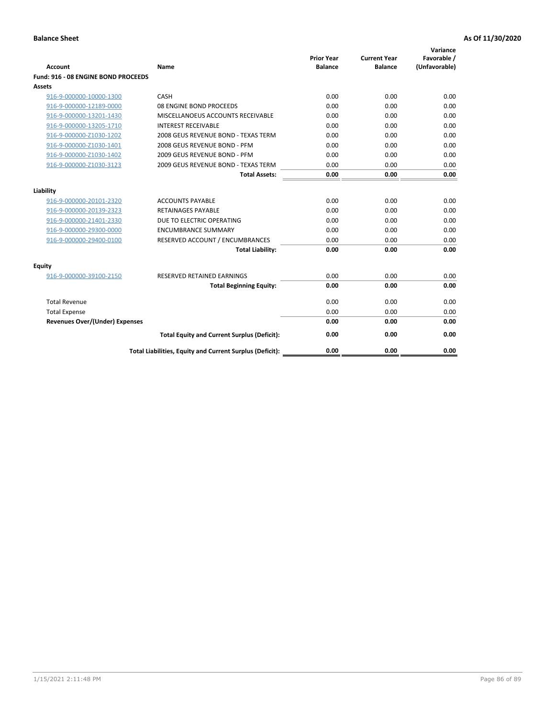| <b>Account</b>                        | Name                                                     | <b>Prior Year</b><br><b>Balance</b> | <b>Current Year</b><br><b>Balance</b> | Variance<br>Favorable /<br>(Unfavorable) |
|---------------------------------------|----------------------------------------------------------|-------------------------------------|---------------------------------------|------------------------------------------|
| Fund: 916 - 08 ENGINE BOND PROCEEDS   |                                                          |                                     |                                       |                                          |
| Assets                                |                                                          |                                     |                                       |                                          |
| 916-9-000000-10000-1300               | CASH                                                     | 0.00                                | 0.00                                  | 0.00                                     |
| 916-9-000000-12189-0000               | 08 ENGINE BOND PROCEEDS                                  | 0.00                                | 0.00                                  | 0.00                                     |
| 916-9-000000-13201-1430               | MISCELLANOEUS ACCOUNTS RECEIVABLE                        | 0.00                                | 0.00                                  | 0.00                                     |
| 916-9-000000-13205-1710               | <b>INTEREST RECEIVABLE</b>                               | 0.00                                | 0.00                                  | 0.00                                     |
| 916-9-000000-Z1030-1202               | 2008 GEUS REVENUE BOND - TEXAS TERM                      | 0.00                                | 0.00                                  | 0.00                                     |
| 916-9-000000-Z1030-1401               | 2008 GEUS REVENUE BOND - PFM                             | 0.00                                | 0.00                                  | 0.00                                     |
| 916-9-000000-Z1030-1402               | 2009 GEUS REVENUE BOND - PFM                             | 0.00                                | 0.00                                  | 0.00                                     |
| 916-9-000000-Z1030-3123               | 2009 GEUS REVENUE BOND - TEXAS TERM                      | 0.00                                | 0.00                                  | 0.00                                     |
|                                       | <b>Total Assets:</b>                                     | 0.00                                | 0.00                                  | 0.00                                     |
| Liability                             |                                                          |                                     |                                       |                                          |
| 916-9-000000-20101-2320               | <b>ACCOUNTS PAYABLE</b>                                  | 0.00                                | 0.00                                  | 0.00                                     |
| 916-9-000000-20139-2323               | <b>RETAINAGES PAYABLE</b>                                | 0.00                                | 0.00                                  | 0.00                                     |
| 916-9-000000-21401-2330               | DUE TO ELECTRIC OPERATING                                | 0.00                                | 0.00                                  | 0.00                                     |
| 916-9-000000-29300-0000               | <b>ENCUMBRANCE SUMMARY</b>                               | 0.00                                | 0.00                                  | 0.00                                     |
| 916-9-000000-29400-0100               | RESERVED ACCOUNT / ENCUMBRANCES                          | 0.00                                | 0.00                                  | 0.00                                     |
|                                       | <b>Total Liability:</b>                                  | 0.00                                | 0.00                                  | 0.00                                     |
| Equity                                |                                                          |                                     |                                       |                                          |
| 916-9-000000-39100-2150               | <b>RESERVED RETAINED EARNINGS</b>                        | 0.00                                | 0.00                                  | 0.00                                     |
|                                       | <b>Total Beginning Equity:</b>                           | 0.00                                | 0.00                                  | 0.00                                     |
| <b>Total Revenue</b>                  |                                                          | 0.00                                | 0.00                                  | 0.00                                     |
| <b>Total Expense</b>                  |                                                          | 0.00                                | 0.00                                  | 0.00                                     |
| <b>Revenues Over/(Under) Expenses</b> |                                                          | 0.00                                | 0.00                                  | 0.00                                     |
|                                       | <b>Total Equity and Current Surplus (Deficit):</b>       | 0.00                                | 0.00                                  | 0.00                                     |
|                                       | Total Liabilities, Equity and Current Surplus (Deficit): | 0.00                                | 0.00                                  | 0.00                                     |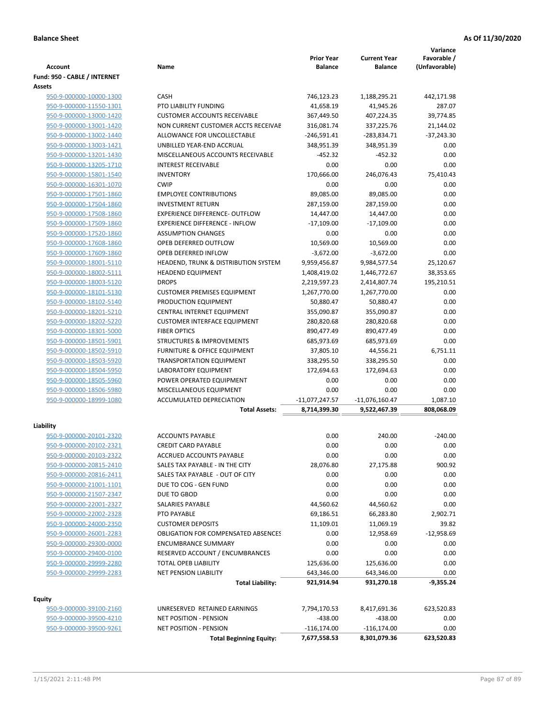|                              |                                            | <b>Prior Year</b> | <b>Current Year</b> | Variance<br>Favorable / |
|------------------------------|--------------------------------------------|-------------------|---------------------|-------------------------|
| <b>Account</b>               | Name                                       | <b>Balance</b>    | <b>Balance</b>      | (Unfavorable)           |
| Fund: 950 - CABLE / INTERNET |                                            |                   |                     |                         |
| Assets                       |                                            |                   |                     |                         |
| 950-9-000000-10000-1300      | CASH                                       | 746,123.23        | 1,188,295.21        | 442,171.98              |
| 950-9-000000-11550-1301      | PTO LIABILITY FUNDING                      | 41,658.19         | 41,945.26           | 287.07                  |
| 950-9-000000-13000-1420      | <b>CUSTOMER ACCOUNTS RECEIVABLE</b>        | 367,449.50        | 407,224.35          | 39,774.85               |
| 950-9-000000-13001-1420      | NON CURRENT CUSTOMER ACCTS RECEIVAE        | 316,081.74        | 337,225.76          | 21,144.02               |
| 950-9-000000-13002-1440      | ALLOWANCE FOR UNCOLLECTABLE                | $-246,591.41$     | $-283,834.71$       | $-37,243.30$            |
| 950-9-000000-13003-1421      | UNBILLED YEAR-END ACCRUAL                  | 348,951.39        | 348,951.39          | 0.00                    |
| 950-9-000000-13201-1430      | MISCELLANEOUS ACCOUNTS RECEIVABLE          | $-452.32$         | $-452.32$           | 0.00                    |
| 950-9-000000-13205-1710      | <b>INTEREST RECEIVABLE</b>                 | 0.00              | 0.00                | 0.00                    |
| 950-9-000000-15801-1540      | <b>INVENTORY</b>                           | 170,666.00        | 246,076.43          | 75,410.43               |
| 950-9-000000-16301-1070      | <b>CWIP</b>                                | 0.00              | 0.00                | 0.00                    |
| 950-9-000000-17501-1860      | <b>EMPLOYEE CONTRIBUTIONS</b>              | 89,085.00         | 89,085.00           | 0.00                    |
| 950-9-000000-17504-1860      | <b>INVESTMENT RETURN</b>                   | 287,159.00        | 287,159.00          | 0.00                    |
| 950-9-000000-17508-1860      | <b>EXPERIENCE DIFFERENCE- OUTFLOW</b>      | 14,447.00         | 14,447.00           | 0.00                    |
| 950-9-000000-17509-1860      | <b>EXPERIENCE DIFFERENCE - INFLOW</b>      | $-17,109.00$      | $-17,109.00$        | 0.00                    |
| 950-9-000000-17520-1860      | <b>ASSUMPTION CHANGES</b>                  | 0.00              | 0.00                | 0.00                    |
| 950-9-000000-17608-1860      | OPEB DEFERRED OUTFLOW                      | 10,569.00         | 10,569.00           | 0.00                    |
| 950-9-000000-17609-1860      | OPEB DEFERRED INFLOW                       | $-3,672.00$       | $-3,672.00$         | 0.00                    |
| 950-9-000000-18001-5110      | HEADEND, TRUNK & DISTRIBUTION SYSTEM       | 9,959,456.87      | 9,984,577.54        | 25,120.67               |
| 950-9-000000-18002-5111      | <b>HEADEND EQUIPMENT</b>                   | 1,408,419.02      | 1,446,772.67        | 38,353.65               |
| 950-9-000000-18003-5120      | <b>DROPS</b>                               | 2,219,597.23      | 2,414,807.74        | 195,210.51              |
| 950-9-000000-18101-5130      | <b>CUSTOMER PREMISES EQUIPMENT</b>         | 1,267,770.00      | 1,267,770.00        | 0.00                    |
| 950-9-000000-18102-5140      | PRODUCTION EQUIPMENT                       | 50,880.47         | 50,880.47           | 0.00                    |
| 950-9-000000-18201-5210      | CENTRAL INTERNET EQUIPMENT                 | 355,090.87        | 355,090.87          | 0.00                    |
| 950-9-000000-18202-5220      | <b>CUSTOMER INTERFACE EQUIPMENT</b>        | 280,820.68        | 280,820.68          | 0.00                    |
| 950-9-000000-18301-5000      | <b>FIBER OPTICS</b>                        | 890,477.49        | 890,477.49          | 0.00                    |
| 950-9-000000-18501-5901      | <b>STRUCTURES &amp; IMPROVEMENTS</b>       | 685,973.69        | 685,973.69          | 0.00                    |
| 950-9-000000-18502-5910      | <b>FURNITURE &amp; OFFICE EQUIPMENT</b>    | 37,805.10         | 44,556.21           | 6,751.11                |
| 950-9-000000-18503-5920      | <b>TRANSPORTATION EQUIPMENT</b>            | 338,295.50        | 338,295.50          | 0.00                    |
| 950-9-000000-18504-5950      | LABORATORY EQUIPMENT                       | 172,694.63        | 172,694.63          | 0.00                    |
| 950-9-000000-18505-5960      | POWER OPERATED EQUIPMENT                   | 0.00              | 0.00                | 0.00                    |
| 950-9-000000-18506-5980      | MISCELLANEOUS EQUIPMENT                    | 0.00              | 0.00                | 0.00                    |
| 950-9-000000-18999-1080      | <b>ACCUMULATED DEPRECIATION</b>            | -11,077,247.57    | $-11,076,160.47$    | 1,087.10                |
|                              | <b>Total Assets:</b>                       | 8,714,399.30      | 9,522,467.39        | 808,068.09              |
| Liability                    |                                            |                   |                     |                         |
| 950-9-000000-20101-2320      | <b>ACCOUNTS PAYABLE</b>                    | 0.00              | 240.00              | $-240.00$               |
| 950-9-000000-20102-2321      | <b>CREDIT CARD PAYABLE</b>                 | 0.00              | 0.00                | 0.00                    |
| 950-9-000000-20103-2322      | ACCRUED ACCOUNTS PAYABLE                   | 0.00              | 0.00                | 0.00                    |
| 950-9-000000-20815-2410      | SALES TAX PAYABLE - IN THE CITY            | 28,076.80         | 27,175.88           | 900.92                  |
| 950-9-000000-20816-2411      | SALES TAX PAYABLE - OUT OF CITY            | 0.00              | 0.00                | 0.00                    |
| 950-9-000000-21001-1101      | DUE TO COG - GEN FUND                      | 0.00              | 0.00                | 0.00                    |
| 950-9-000000-21507-2347      | DUE TO GBOD                                | 0.00              | 0.00                | 0.00                    |
| 950-9-000000-22001-2327      | SALARIES PAYABLE                           | 44,560.62         | 44,560.62           | 0.00                    |
| 950-9-000000-22002-2328      | PTO PAYABLE                                | 69,186.51         | 66,283.80           | 2,902.71                |
| 950-9-000000-24000-2350      | <b>CUSTOMER DEPOSITS</b>                   | 11,109.01         | 11,069.19           | 39.82                   |
| 950-9-000000-26001-2283      | <b>OBLIGATION FOR COMPENSATED ABSENCES</b> | 0.00              | 12,958.69           | $-12,958.69$            |
| 950-9-000000-29300-0000      | <b>ENCUMBRANCE SUMMARY</b>                 | 0.00              | 0.00                | 0.00                    |
| 950-9-000000-29400-0100      | RESERVED ACCOUNT / ENCUMBRANCES            | 0.00              | 0.00                | 0.00                    |
| 950-9-000000-29999-2280      | TOTAL OPEB LIABILITY                       | 125,636.00        | 125,636.00          | 0.00                    |
| 950-9-000000-29999-2283      | NET PENSION LIABILITY                      | 643,346.00        | 643,346.00          | 0.00                    |
|                              | <b>Total Liability:</b>                    | 921,914.94        | 931,270.18          | $-9,355.24$             |
|                              |                                            |                   |                     |                         |
| <b>Equity</b>                |                                            |                   |                     |                         |
| 950-9-000000-39100-2160      | UNRESERVED RETAINED EARNINGS               | 7,794,170.53      | 8,417,691.36        | 623,520.83              |
| 950-9-000000-39500-4210      | <b>NET POSITION - PENSION</b>              | $-438.00$         | $-438.00$           | 0.00                    |
| 950-9-000000-39500-9261      | <b>NET POSITION - PENSION</b>              | $-116, 174.00$    | $-116, 174.00$      | 0.00                    |
|                              | <b>Total Beginning Equity:</b>             | 7,677,558.53      | 8,301,079.36        | 623,520.83              |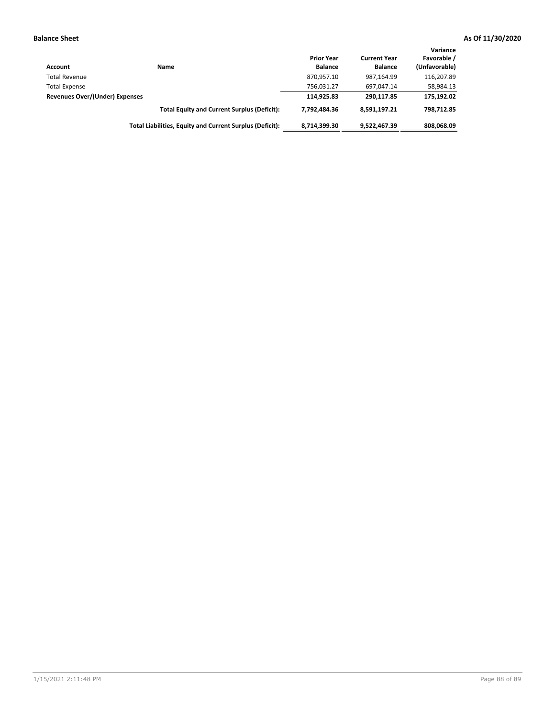| Account                        | Name                                                     | <b>Prior Year</b><br><b>Balance</b> | <b>Current Year</b><br><b>Balance</b> | Variance<br>Favorable /<br>(Unfavorable) |
|--------------------------------|----------------------------------------------------------|-------------------------------------|---------------------------------------|------------------------------------------|
| <b>Total Revenue</b>           |                                                          | 870,957.10                          | 987.164.99                            | 116.207.89                               |
| <b>Total Expense</b>           |                                                          | 756.031.27                          | 697.047.14                            | 58,984.13                                |
| Revenues Over/(Under) Expenses |                                                          | 114.925.83                          | 290.117.85                            | 175,192.02                               |
|                                | <b>Total Equity and Current Surplus (Deficit):</b>       | 7.792.484.36                        | 8,591,197.21                          | 798.712.85                               |
|                                | Total Liabilities, Equity and Current Surplus (Deficit): | 8,714,399.30                        | 9,522,467.39                          | 808.068.09                               |